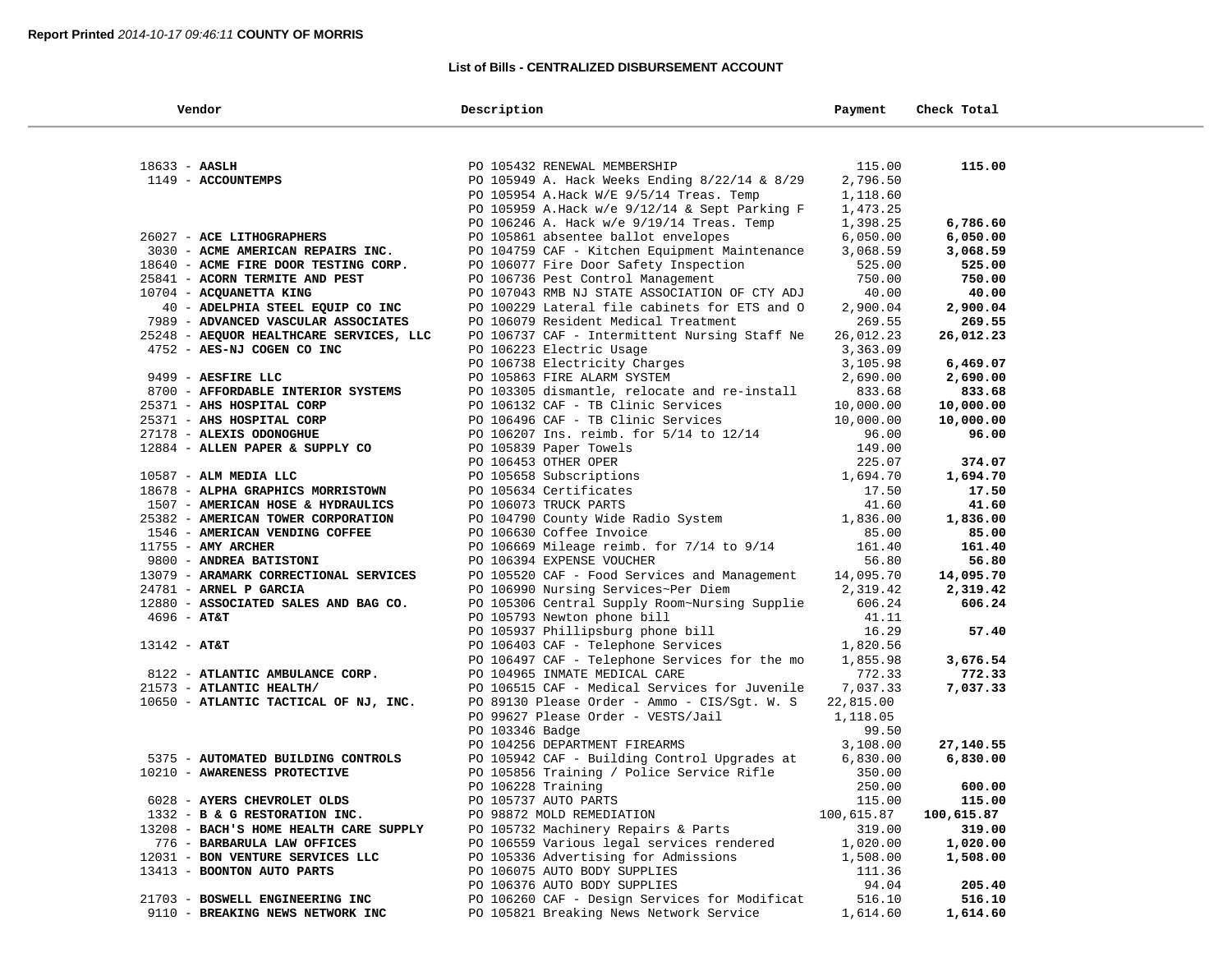$\sim$ 

## **List of Bills - CENTRALIZED DISBURSEMENT ACCOUNT**

| Vendor                                  | Description                                                  | Payment    | Check Total |
|-----------------------------------------|--------------------------------------------------------------|------------|-------------|
|                                         |                                                              |            |             |
| $18633 - AASLH$                         | PO 105432 RENEWAL MEMBERSHIP                                 | 115.00     | 115.00      |
| 1149 - ACCOUNTEMPS                      | PO 105949 A. Hack Weeks Ending 8/22/14 & 8/29                | 2,796.50   |             |
|                                         | PO 105954 A.Hack W/E 9/5/14 Treas. Temp                      | 1,118.60   |             |
|                                         | PO 105959 A.Hack w/e 9/12/14 & Sept Parking F                | 1,473.25   |             |
|                                         | PO 106246 A. Hack w/e 9/19/14 Treas. Temp                    | 1,398.25   | 6,786.60    |
| 26027 - ACE LITHOGRAPHERS               | PO 105861 absentee ballot envelopes                          | 6,050.00   | 6,050.00    |
| 3030 - ACME AMERICAN REPAIRS INC.       | PO 104759 CAF - Kitchen Equipment Maintenance                | 3,068.59   | 3,068.59    |
| 18640 - ACME FIRE DOOR TESTING CORP.    | PO 106077 Fire Door Safety Inspection                        | 525.00     | 525.00      |
| 25841 - ACORN TERMITE AND PEST          | PO 106736 Pest Control Management                            | 750.00     | 750.00      |
| 10704 - ACQUANETTA KING                 | PO 107043 RMB NJ STATE ASSOCIATION OF CTY ADJ                | 40.00      | 40.00       |
| 40 - ADELPHIA STEEL EQUIP CO INC        | PO 100229 Lateral file cabinets for ETS and O                | 2,900.04   | 2,900.04    |
| 7989 - ADVANCED VASCULAR ASSOCIATES     | PO 106079 Resident Medical Treatment                         | 269.55     | 269.55      |
| 25248 - AEQUOR HEALTHCARE SERVICES, LLC | PO 106737 CAF - Intermittent Nursing Staff Ne                | 26,012.23  | 26,012.23   |
| 4752 - AES-NJ COGEN CO INC              | PO 106223 Electric Usage                                     | 3,363.09   |             |
|                                         |                                                              | 3,105.98   | 6,469.07    |
| 9499 - AESFIRE LLC                      | PO 106738 Electricity Charges<br>PO 105863 FIRE ALARM SYSTEM | 2,690.00   | 2,690.00    |
| 8700 - AFFORDABLE INTERIOR SYSTEMS      | PO 103305 dismantle, relocate and re-install                 | 833.68     | 833.68      |
| 25371 - AHS HOSPITAL CORP               | PO 106132 CAF - TB Clinic Services                           | 10,000.00  | 10,000.00   |
| 25371 - AHS HOSPITAL CORP               | PO 106496 CAF - TB Clinic Services                           | 10,000.00  | 10,000.00   |
| 27178 - ALEXIS ODONOGHUE                | PO 106207 Ins. reimb. for 5/14 to 12/14                      | 96.00      | 96.00       |
| 12884 - ALLEN PAPER & SUPPLY CO         | PO 105839 Paper Towels                                       | 149.00     |             |
|                                         | PO 106453 OTHER OPER                                         | 225.07     | 374.07      |
| 10587 - ALM MEDIA LLC                   | PO 105658 Subscriptions                                      | 1,694.70   | 1,694.70    |
| 18678 - ALPHA GRAPHICS MORRISTOWN       | PO 105634 Certificates                                       | 17.50      | 17.50       |
| 1507 - AMERICAN HOSE & HYDRAULICS       | PO 106073 TRUCK PARTS                                        | 41.60      | 41.60       |
| 25382 - AMERICAN TOWER CORPORATION      | PO 104790 County Wide Radio System                           | 1,836.00   | 1,836.00    |
| 1546 - AMERICAN VENDING COFFEE          | PO 106630 Coffee Invoice                                     | 85.00      | 85.00       |
| $11755$ - AMY ARCHER                    | PO 106669 Mileage reimb. for 7/14 to 9/14                    | 161.40     | 161.40      |
| 9800 - ANDREA BATISTONI                 | PO 106394 EXPENSE VOUCHER                                    | 56.80      | 56.80       |
| 13079 - ARAMARK CORRECTIONAL SERVICES   | PO 105520 CAF - Food Services and Management                 | 14,095.70  | 14,095.70   |
| 24781 - ARNEL P GARCIA                  | PO 106990 Nursing Services~Per Diem                          | 2,319.42   | 2,319.42    |
| 12880 - ASSOCIATED SALES AND BAG CO.    | PO 105306 Central Supply Room~Nursing Supplie                | 606.24     | 606.24      |
| $4696 - AT&T$                           | PO 105793 Newton phone bill                                  | 41.11      |             |
|                                         | PO 105937 Phillipsburg phone bill                            | 16.29      | 57.40       |
| $13142 - AT&T$                          | PO 106403 CAF - Telephone Services                           | 1,820.56   |             |
|                                         | PO 106497 CAF - Telephone Services for the mo                | 1,855.98   | 3,676.54    |
| 8122 - ATLANTIC AMBULANCE CORP.         | PO 104965 INMATE MEDICAL CARE                                | 772.33     | 772.33      |
| 21573 - ATLANTIC HEALTH/                | PO 106515 CAF - Medical Services for Juvenile                | 7,037.33   | 7,037.33    |
| 10650 - ATLANTIC TACTICAL OF NJ, INC.   | PO 89130 Please Order - Ammo - CIS/Sgt. W. S                 | 22,815.00  |             |
|                                         | PO 99627 Please Order - VESTS/Jail                           | 1,118.05   |             |
|                                         | PO 103346 Badge                                              | 99.50      |             |
|                                         | PO 104256 DEPARTMENT FIREARMS                                | 3,108.00   | 27,140.55   |
| 5375 - AUTOMATED BUILDING CONTROLS      | PO 105942 CAF - Building Control Upgrades at                 | 6,830.00   | 6,830.00    |
| 10210 - AWARENESS PROTECTIVE            | PO 105856 Training / Police Service Rifle                    | 350.00     |             |
|                                         | PO 106228 Training                                           | 250.00     | 600.00      |
| 6028 - AYERS CHEVROLET OLDS             | PO 105737 AUTO PARTS                                         | 115.00     | 115.00      |
| 1332 - B & G RESTORATION INC.           | PO 98872 MOLD REMEDIATION                                    | 100,615.87 | 100,615.87  |
| 13208 - BACH'S HOME HEALTH CARE SUPPLY  | PO 105732 Machinery Repairs & Parts                          | 319.00     | 319.00      |
| 776 - BARBARULA LAW OFFICES             | PO 106559 Various legal services rendered                    | 1,020.00   | 1,020.00    |
| 12031 - BON VENTURE SERVICES LLC        | PO 105336 Advertising for Admissions                         | 1,508.00   | 1,508.00    |
| 13413 - BOONTON AUTO PARTS              | PO 106075 AUTO BODY SUPPLIES                                 | 111.36     |             |
|                                         | PO 106376 AUTO BODY SUPPLIES                                 | 94.04      | 205.40      |
| 21703 - BOSWELL ENGINEERING INC         | PO 106260 CAF - Design Services for Modificat                | 516.10     | 516.10      |
| 9110 - BREAKING NEWS NETWORK INC        | PO 105821 Breaking News Network Service                      | 1,614.60   | 1,614.60    |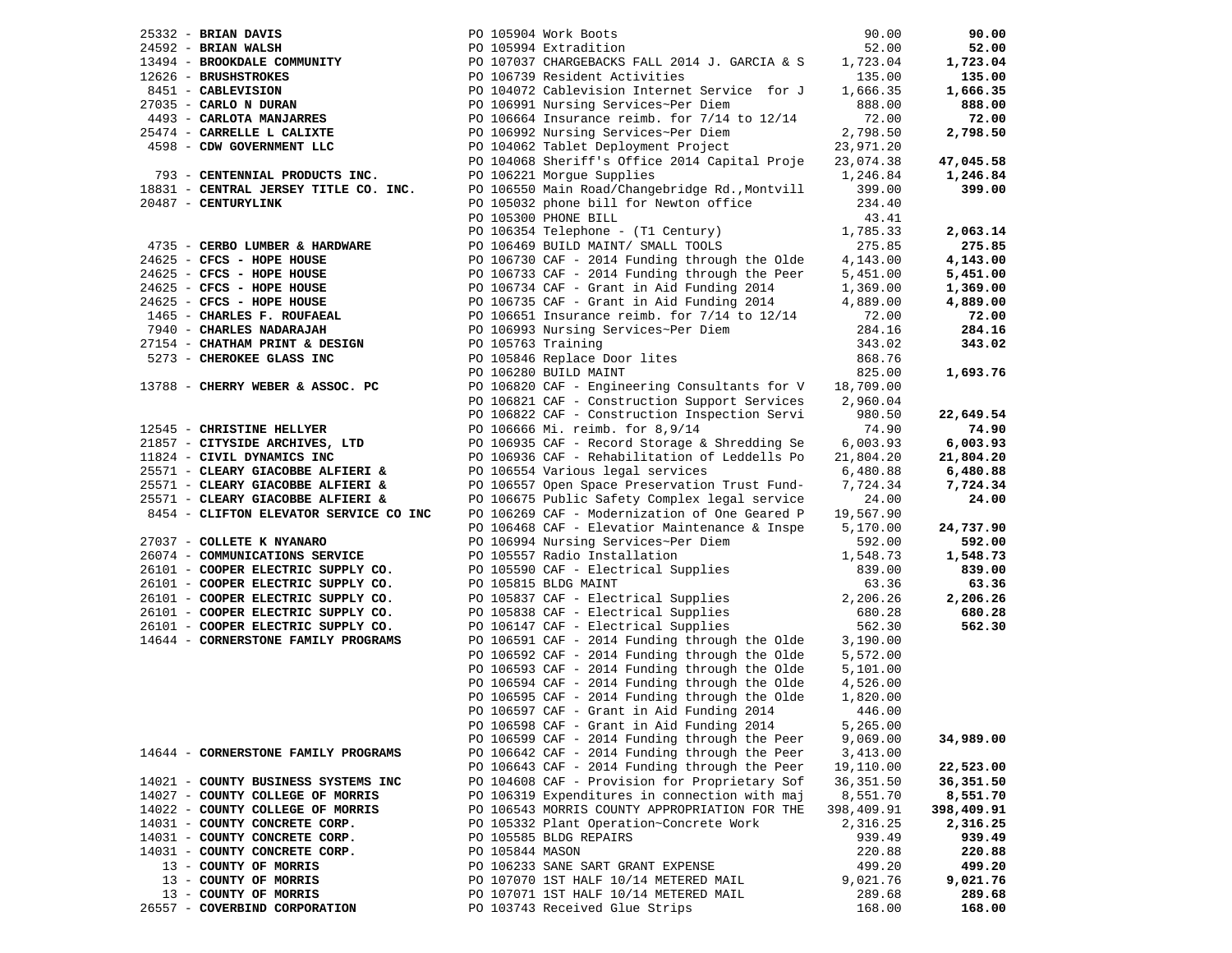| $25332$ - BRIAN DAVIS                  |                    | PO 105904 Work Boots                                                                           | 90.00              | 90.00             |
|----------------------------------------|--------------------|------------------------------------------------------------------------------------------------|--------------------|-------------------|
| $24592$ - BRIAN WALSH                  |                    | PO 105994 Extradition                                                                          | 52.00              | 52.00             |
| 13494 - BROOKDALE COMMUNITY            |                    | PO 107037 CHARGEBACKS FALL 2014 J. GARCIA & S                                                  | 1,723.04           | 1,723.04          |
| 12626 - BRUSHSTROKES                   |                    | PO 106739 Resident Activities                                                                  | 135.00             | 135.00            |
| 8451 - CABLEVISION                     |                    | PO 104072 Cablevision Internet Service for J                                                   | 1,666.35           | 1,666.35          |
| 27035 - CARLO N DURAN                  |                    | PO 106991 Nursing Services~Per Diem                                                            | 888.00             | 888.00            |
| 4493 - CARLOTA MANJARRES               |                    | PO 106664 Insurance reimb. for 7/14 to 12/14                                                   | 72.00              | 72.00             |
| 25474 - CARRELLE L CALIXTE             |                    | PO 106992 Nursing Services~Per Diem                                                            | 2,798.50           | 2,798.50          |
| 4598 - CDW GOVERNMENT LLC              |                    | PO 104062 Tablet Deployment Project                                                            | 23,971.20          |                   |
|                                        |                    | PO 104068 Sheriff's Office 2014 Capital Proje                                                  | 23,074.38          | 47,045.58         |
| 793 - CENTENNIAL PRODUCTS INC.         |                    | PO 106221 Morgue Supplies                                                                      | 1,246.84           | 1,246.84          |
| 18831 - CENTRAL JERSEY TITLE CO. INC.  |                    | PO 106550 Main Road/Changebridge Rd., Montvill                                                 | 399.00             | 399.00            |
| 20487 - CENTURYLINK                    |                    | PO 105032 phone bill for Newton office                                                         | 234.40             |                   |
|                                        |                    | PO 105300 PHONE BILL                                                                           | 43.41              |                   |
|                                        |                    | PO 106354 Telephone - (T1 Century)                                                             | 1,785.33           | 2,063.14          |
| 4735 - CERBO LUMBER & HARDWARE         |                    | PO 106469 BUILD MAINT/ SMALL TOOLS                                                             | 275.85             | 275.85            |
| 24625 - CFCS - HOPE HOUSE              |                    | PO 106730 CAF - 2014 Funding through the Olde                                                  | 4,143.00           | 4,143.00          |
| 24625 - CFCS - HOPE HOUSE              |                    | PO 106733 CAF - 2014 Funding through the Peer                                                  | 5,451.00           | 5,451.00          |
| 24625 - CFCS - HOPE HOUSE              |                    | PO 106734 CAF - Grant in Aid Funding 2014                                                      | 1,369.00           | 1,369.00          |
| 24625 - CFCS - HOPE HOUSE              |                    | PO 106735 CAF - Grant in Aid Funding 2014                                                      | 4,889.00           | 4,889.00          |
| 1465 - CHARLES F. ROUFAEAL             |                    | PO 106651 Insurance reimb. for 7/14 to 12/14                                                   | 72.00              | 72.00             |
| 7940 - CHARLES NADARAJAH               |                    | PO 106993 Nursing Services~Per Diem                                                            | 284.16             | 284.16            |
| 27154 - CHATHAM PRINT & DESIGN         | PO 105763 Training |                                                                                                | 343.02             | 343.02            |
| 5273 - CHEROKEE GLASS INC              |                    | PO 105846 Replace Door lites                                                                   | 868.76             |                   |
|                                        |                    | PO 106280 BUILD MAINT                                                                          | 825.00             | 1,693.76          |
| 13788 - CHERRY WEBER & ASSOC. PC       |                    | PO 106820 CAF - Engineering Consultants for V                                                  | 18,709.00          |                   |
|                                        |                    | PO 106821 CAF - Construction Support Services                                                  | 2,960.04           |                   |
|                                        |                    | PO 106822 CAF - Construction Inspection Servi                                                  | 980.50             | 22,649.54         |
| 12545 - CHRISTINE HELLYER              |                    | PO 106666 Mi. reimb. for 8,9/14                                                                | 74.90              | 74.90             |
| 21857 - CITYSIDE ARCHIVES, LTD         |                    | PO 106935 CAF - Record Storage & Shredding Se                                                  | 6,003.93           | 6,003.93          |
| 11824 - CIVIL DYNAMICS INC             |                    | PO 106936 CAF - Rehabilitation of Leddells Po                                                  | 21,804.20          | 21,804.20         |
| 25571 - CLEARY GIACOBBE ALFIERI &      |                    | PO 106554 Various legal services                                                               | 6,480.88           |                   |
| 25571 - CLEARY GIACOBBE ALFIERI &      |                    |                                                                                                | 7,724.34           | 6,480.88          |
| 25571 - CLEARY GIACOBBE ALFIERI &      |                    | PO 106557 Open Space Preservation Trust Fund-                                                  |                    | 7,724.34<br>24.00 |
| 8454 - CLIFTON ELEVATOR SERVICE CO INC |                    | PO 106675 Public Safety Complex legal service<br>PO 106269 CAF - Modernization of One Geared P | 24.00<br>19,567.90 |                   |
|                                        |                    | PO 106468 CAF - Elevatior Maintenance & Inspe                                                  | 5,170.00           | 24,737.90         |
| 27037 - COLLETE K NYANARO              |                    | PO 106994 Nursing Services~Per Diem                                                            | 592.00             | 592.00            |
| 26074 - COMMUNICATIONS SERVICE         |                    | PO 105557 Radio Installation                                                                   | 1,548.73           | 1,548.73          |
| 26101 - COOPER ELECTRIC SUPPLY CO.     |                    | PO 105590 CAF - Electrical Supplies                                                            | 839.00             | 839.00            |
| 26101 - COOPER ELECTRIC SUPPLY CO.     |                    | PO 105815 BLDG MAINT                                                                           | 63.36              | 63.36             |
| 26101 - COOPER ELECTRIC SUPPLY CO.     |                    |                                                                                                | 2,206.26           | 2,206.26          |
| 26101 - COOPER ELECTRIC SUPPLY CO.     |                    | PO 105837 CAF - Electrical Supplies<br>PO 105838 CAF - Electrical Supplies                     | 680.28             | 680.28            |
| 26101 - COOPER ELECTRIC SUPPLY CO.     |                    | PO 106147 CAF - Electrical Supplies                                                            | 562.30             | 562.30            |
| 14644 - CORNERSTONE FAMILY PROGRAMS    |                    | PO 106591 CAF - 2014 Funding through the Olde                                                  | 3,190.00           |                   |
|                                        |                    | PO 106592 CAF - 2014 Funding through the Olde                                                  | 5,572.00           |                   |
|                                        |                    | PO 106593 CAF - 2014 Funding through the Olde                                                  | 5,101.00           |                   |
|                                        |                    | PO 106594 CAF - 2014 Funding through the Olde                                                  | 4,526.00           |                   |
|                                        |                    | PO 106595 CAF - 2014 Funding through the Olde                                                  | 1,820.00           |                   |
|                                        |                    | PO 106597 CAF - Grant in Aid Funding 2014                                                      | 446.00             |                   |
|                                        |                    | PO 106598 CAF - Grant in Aid Funding 2014                                                      | 5,265.00           |                   |
|                                        |                    | PO 106599 CAF - 2014 Funding through the Peer                                                  | 9,069.00           | 34,989.00         |
| 14644 - CORNERSTONE FAMILY PROGRAMS    |                    | PO 106642 CAF - 2014 Funding through the Peer                                                  | 3,413.00           |                   |
|                                        |                    | PO 106643 CAF - 2014 Funding through the Peer                                                  | 19,110.00          | 22,523.00         |
| 14021 - COUNTY BUSINESS SYSTEMS INC    |                    | PO 104608 CAF - Provision for Proprietary Sof                                                  | 36, 351.50         | 36,351.50         |
| 14027 - COUNTY COLLEGE OF MORRIS       |                    | PO 106319 Expenditures in connection with maj                                                  | 8,551.70           | 8,551.70          |
| 14022 - COUNTY COLLEGE OF MORRIS       |                    | PO 106543 MORRIS COUNTY APPROPRIATION FOR THE                                                  | 398,409.91         | 398,409.91        |
| 14031 - COUNTY CONCRETE CORP.          |                    | PO 105332 Plant Operation~Concrete Work                                                        | 2,316.25           | 2,316.25          |
| 14031 - COUNTY CONCRETE CORP.          |                    | PO 105585 BLDG REPAIRS                                                                         | 939.49             | 939.49            |
| 14031 - COUNTY CONCRETE CORP.          | PO 105844 MASON    |                                                                                                | 220.88             | 220.88            |
| 13 - COUNTY OF MORRIS                  |                    | PO 106233 SANE SART GRANT EXPENSE                                                              | 499.20             | 499.20            |
| 13 - COUNTY OF MORRIS                  |                    | PO 107070 1ST HALF 10/14 METERED MAIL                                                          | 9,021.76           | 9,021.76          |
| 13 - COUNTY OF MORRIS                  |                    | PO 107071 1ST HALF 10/14 METERED MAIL                                                          | 289.68             | 289.68            |
| 26557 - COVERBIND CORPORATION          |                    | PO 103743 Received Glue Strips                                                                 | 168.00             | 168.00            |
|                                        |                    |                                                                                                |                    |                   |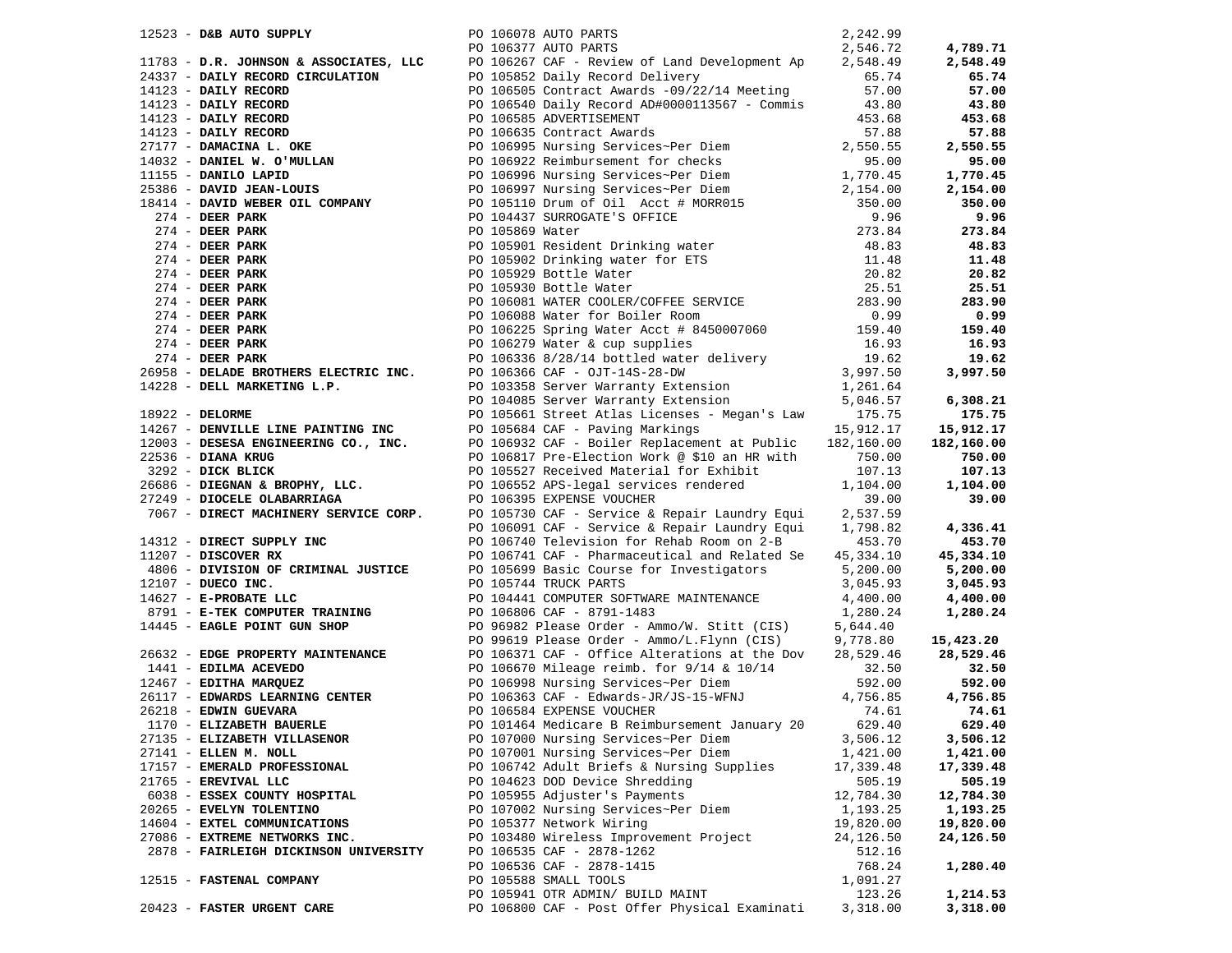| PO 106078 AUTO PARTS<br>$12523$ - D&B AUTO SUPPLY                                                                         |                      |                                                                                                                                                                                                                                      | 2,242.99  |                     |
|---------------------------------------------------------------------------------------------------------------------------|----------------------|--------------------------------------------------------------------------------------------------------------------------------------------------------------------------------------------------------------------------------------|-----------|---------------------|
|                                                                                                                           | PO 106377 AUTO PARTS |                                                                                                                                                                                                                                      | 2,546.72  | 4,789.71            |
|                                                                                                                           |                      |                                                                                                                                                                                                                                      |           | 2,548.49            |
|                                                                                                                           |                      |                                                                                                                                                                                                                                      |           | 65.74               |
|                                                                                                                           |                      |                                                                                                                                                                                                                                      |           | 57.00               |
|                                                                                                                           |                      |                                                                                                                                                                                                                                      |           |                     |
|                                                                                                                           |                      |                                                                                                                                                                                                                                      |           | 43.80               |
|                                                                                                                           |                      |                                                                                                                                                                                                                                      |           | 453.68              |
|                                                                                                                           |                      |                                                                                                                                                                                                                                      |           | 57.88               |
|                                                                                                                           |                      |                                                                                                                                                                                                                                      |           | 2,550.55            |
|                                                                                                                           |                      |                                                                                                                                                                                                                                      |           | 95.00               |
|                                                                                                                           |                      |                                                                                                                                                                                                                                      |           | 1,770.45            |
|                                                                                                                           |                      |                                                                                                                                                                                                                                      |           | 2,154.00            |
|                                                                                                                           |                      |                                                                                                                                                                                                                                      |           | 350.00              |
|                                                                                                                           |                      |                                                                                                                                                                                                                                      |           | 9.96                |
|                                                                                                                           |                      |                                                                                                                                                                                                                                      |           | 273.84              |
|                                                                                                                           |                      |                                                                                                                                                                                                                                      |           | 48.83               |
|                                                                                                                           |                      |                                                                                                                                                                                                                                      |           |                     |
|                                                                                                                           |                      |                                                                                                                                                                                                                                      |           | 11.48               |
|                                                                                                                           |                      |                                                                                                                                                                                                                                      |           | 20.82               |
|                                                                                                                           |                      |                                                                                                                                                                                                                                      |           | 25.51               |
|                                                                                                                           |                      |                                                                                                                                                                                                                                      |           | 283.90              |
|                                                                                                                           |                      |                                                                                                                                                                                                                                      |           | 0.99                |
|                                                                                                                           |                      |                                                                                                                                                                                                                                      |           | 159.40              |
|                                                                                                                           |                      |                                                                                                                                                                                                                                      |           | 16.93               |
|                                                                                                                           |                      |                                                                                                                                                                                                                                      |           | 19.62               |
|                                                                                                                           |                      |                                                                                                                                                                                                                                      |           | 3,997.50            |
|                                                                                                                           |                      |                                                                                                                                                                                                                                      |           |                     |
|                                                                                                                           |                      | 12523 - DEB AUTO SUPELY<br>1783 - D.R. CORMSON & ASSOCIATES, LLCC DO 105377 ANTO PARTS<br>1783 - D.R. CORMSON & ASSOCIATES, LLCCC DO 105377 ANTO PARTS<br>1783 - D.R. CORMSON CIRCULATION<br>1783 - D.R. CORMSON DERIVATION PO 10583 |           | 6,308.21            |
| - DENVILLE LINE PAINTING INC<br>12003 - DESESA ENGINEERING COMPANY<br>22536 - DESESA ENGINEERING COMPANY<br>22536 - DESER |                      |                                                                                                                                                                                                                                      |           | 175.75              |
|                                                                                                                           |                      |                                                                                                                                                                                                                                      |           | 15,912.17           |
|                                                                                                                           |                      |                                                                                                                                                                                                                                      |           | 182,160.00          |
|                                                                                                                           |                      |                                                                                                                                                                                                                                      |           | 750.00              |
|                                                                                                                           |                      |                                                                                                                                                                                                                                      |           | 107.13              |
|                                                                                                                           |                      |                                                                                                                                                                                                                                      |           | 1,104.00            |
|                                                                                                                           |                      |                                                                                                                                                                                                                                      |           | 39.00               |
|                                                                                                                           |                      | 1922 - DEMOKRAT EINE PAINTING INC 100893 CAP - BRVing Markings<br>19267 - DENOKRAT EINE PAINTING CO., INC.<br>1926 - DIANA KROG 100892 CAP - BRVing Markings<br>2023 - DICK BLICK BORNT (D. 1008932 CAP - BRVing Markings 15,912.1   |           |                     |
|                                                                                                                           |                      |                                                                                                                                                                                                                                      |           | 4,336.41            |
|                                                                                                                           |                      |                                                                                                                                                                                                                                      |           | 453.70              |
|                                                                                                                           |                      |                                                                                                                                                                                                                                      |           | 45,334.10           |
|                                                                                                                           |                      |                                                                                                                                                                                                                                      |           |                     |
|                                                                                                                           |                      |                                                                                                                                                                                                                                      |           | 5,200.00            |
|                                                                                                                           |                      |                                                                                                                                                                                                                                      |           | 3,045.93            |
|                                                                                                                           |                      |                                                                                                                                                                                                                                      |           | 4,400.00            |
|                                                                                                                           |                      |                                                                                                                                                                                                                                      |           | 1,280.24            |
|                                                                                                                           |                      |                                                                                                                                                                                                                                      |           |                     |
|                                                                                                                           |                      |                                                                                                                                                                                                                                      |           | 15,423.20           |
|                                                                                                                           |                      |                                                                                                                                                                                                                                      |           | 28,529.46 28,529.46 |
|                                                                                                                           |                      |                                                                                                                                                                                                                                      |           | 32.50               |
|                                                                                                                           |                      |                                                                                                                                                                                                                                      |           | 592.00              |
|                                                                                                                           |                      |                                                                                                                                                                                                                                      |           | 4,756.85            |
| 26218 - <b>EDWIN GUEVARA</b><br>1170 - <b>ELIZABETH BAUERLE</b><br>26218 - EDWIN GUEVARA                                  |                      | PO 106584 EXPENSE VOUCHER                                                                                                                                                                                                            | 74.61     | 74.61               |
|                                                                                                                           |                      | PO 101464 Medicare B Reimbursement January 20                                                                                                                                                                                        | 629.40    | 629.40              |
| 27135 - ELIZABETH VILLASENOR                                                                                              |                      | PO 107000 Nursing Services~Per Diem                                                                                                                                                                                                  | 3,506.12  | 3,506.12            |
| 27141 - ELLEN M. NOLL                                                                                                     |                      | PO 107001 Nursing Services~Per Diem                                                                                                                                                                                                  | 1,421.00  | 1,421.00            |
| 17157 - EMERALD PROFESSIONAL                                                                                              |                      | PO 106742 Adult Briefs & Nursing Supplies                                                                                                                                                                                            | 17,339.48 | 17,339.48           |
| 21765 - EREVIVAL LLC                                                                                                      |                      | PO 104623 DOD Device Shredding                                                                                                                                                                                                       | 505.19    | 505.19              |
| 6038 - ESSEX COUNTY HOSPITAL                                                                                              |                      | PO 105955 Adjuster's Payments                                                                                                                                                                                                        | 12,784.30 | 12,784.30           |
| 20265 - EVELYN TOLENTINO                                                                                                  |                      | PO 107002 Nursing Services~Per Diem                                                                                                                                                                                                  | 1,193.25  | 1,193.25            |
| 14604 - EXTEL COMMUNICATIONS                                                                                              |                      | PO 105377 Network Wiring                                                                                                                                                                                                             | 19,820.00 | 19,820.00           |
| 27086 - EXTREME NETWORKS INC.                                                                                             |                      | PO 103480 Wireless Improvement Project                                                                                                                                                                                               | 24,126.50 | 24,126.50           |
| 2878 - FAIRLEIGH DICKINSON UNIVERSITY                                                                                     |                      | PO 106535 CAF - 2878-1262                                                                                                                                                                                                            | 512.16    |                     |
|                                                                                                                           |                      | PO 106536 CAF - 2878-1415                                                                                                                                                                                                            | 768.24    | 1,280.40            |
| 12515 - FASTENAL COMPANY                                                                                                  |                      | PO 105588 SMALL TOOLS                                                                                                                                                                                                                | 1,091.27  |                     |
|                                                                                                                           |                      | PO 105941 OTR ADMIN/ BUILD MAINT                                                                                                                                                                                                     | 123.26    | 1,214.53            |
| 20423 - FASTER URGENT CARE                                                                                                |                      | PO 106800 CAF - Post Offer Physical Examinati                                                                                                                                                                                        |           |                     |
|                                                                                                                           |                      |                                                                                                                                                                                                                                      | 3,318.00  | 3,318.00            |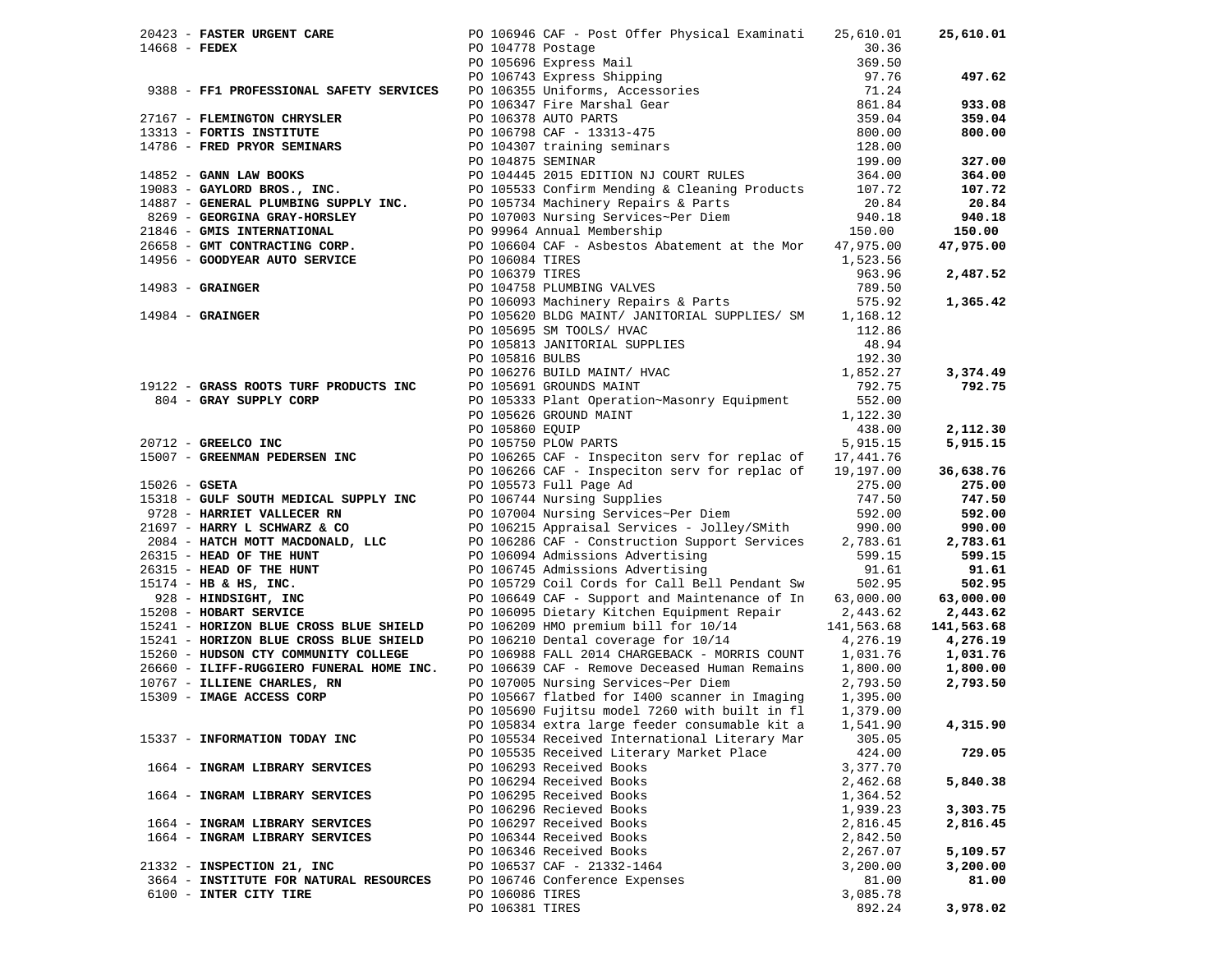|  | 20423 - FASTER URGENT CARE                                                                                           |                 | PO 106946 CAF - Post Offer Physical Examinati                                                                                                                                                                                                                | 25,610.01  | 25,610.01  |
|--|----------------------------------------------------------------------------------------------------------------------|-----------------|--------------------------------------------------------------------------------------------------------------------------------------------------------------------------------------------------------------------------------------------------------------|------------|------------|
|  | $14668$ - FEDEX                                                                                                      |                 | PO 104778 Postage                                                                                                                                                                                                                                            | 30.36      |            |
|  |                                                                                                                      |                 |                                                                                                                                                                                                                                                              | 369.50     |            |
|  |                                                                                                                      |                 |                                                                                                                                                                                                                                                              | 97.76      | 497.62     |
|  | 9388 - FF1 PROFESSIONAL SAFETY SERVICES                                                                              |                 | PO 105696 Express Mail<br>PO 106743 Express Shipping<br>PO 106355 Uniforms, Accessories                                                                                                                                                                      | 71.24      |            |
|  |                                                                                                                      |                 |                                                                                                                                                                                                                                                              | 861.84     | 933.08     |
|  |                                                                                                                      |                 | PO 106347 Fire Marshal Gear<br>PO 106347 Fire Marshal Gear<br>PO 106378 AUTO PARTS<br>PO 106798 CAF - 13313-475<br>PO 104307 training seminars<br>PO 104875 SEMINAR                                                                                          |            |            |
|  | 27167 - FLEMINGTON CHRYSLER                                                                                          |                 |                                                                                                                                                                                                                                                              | 359.04     | 359.04     |
|  | 13313 - FORTIS INSTITUTE                                                                                             |                 |                                                                                                                                                                                                                                                              | 800.00     | 800.00     |
|  | 14786 - FRED PRYOR SEMINARS                                                                                          |                 |                                                                                                                                                                                                                                                              | 128.00     |            |
|  |                                                                                                                      |                 | PO 104875 SEMINAR                                                                                                                                                                                                                                            | 199.00     | 327.00     |
|  | 14852 - GANN LAW BOOKS                                                                                               |                 | PO 104445 2015 EDITION NJ COURT RULES                                                                                                                                                                                                                        | 364.00     | 364.00     |
|  |                                                                                                                      |                 |                                                                                                                                                                                                                                                              |            | 107.72     |
|  |                                                                                                                      |                 |                                                                                                                                                                                                                                                              |            | 20.84      |
|  |                                                                                                                      |                 |                                                                                                                                                                                                                                                              |            | 940.18     |
|  |                                                                                                                      |                 |                                                                                                                                                                                                                                                              |            | 150.00     |
|  |                                                                                                                      |                 |                                                                                                                                                                                                                                                              |            | 47,975.00  |
|  |                                                                                                                      |                 |                                                                                                                                                                                                                                                              |            |            |
|  |                                                                                                                      | PO 106379 TIRES | 19083 - GAYLORD BROS., INC.<br>19083 - GENERAL PLUMBING SUPPLY INC.<br>19083 - GENERAL PLUMBING SUPPLY INC.<br>20.84<br>20.84<br>20.84<br>20.84<br>20.84<br>20.84<br>20.84<br>20.84<br>20.84<br>20.84<br>20.84<br>20.84<br>20.99964 Annual Membership<br>266 | 963.96     | 2,487.52   |
|  |                                                                                                                      |                 | PO 106373 IIRES<br>PO 104758 PLUMBING VALVES                                                                                                                                                                                                                 | 789.50     |            |
|  |                                                                                                                      |                 | PO 106093 Machinery Repairs & Parts                                                                                                                                                                                                                          | 575.92     | 1,365.42   |
|  | 14983 - GRAINGER<br>14984 - GRAINGER                                                                                 |                 | PO 105620 BLDG MAINT/ JANITORIAL SUPPLIES/ SM 1,168.12                                                                                                                                                                                                       |            |            |
|  |                                                                                                                      |                 | PO 105695 SM TOOLS/ HVAC                                                                                                                                                                                                                                     | 112.86     |            |
|  |                                                                                                                      |                 |                                                                                                                                                                                                                                                              |            |            |
|  |                                                                                                                      |                 | PO 105813 JANITORIAL SUPPLIES                                                                                                                                                                                                                                | 48.94      |            |
|  |                                                                                                                      | PO 105816 BULBS |                                                                                                                                                                                                                                                              | 192.30     |            |
|  |                                                                                                                      |                 | PO 106276 BUILD MAINT/ HVAC<br>PO 105691 GROUNDS MAINT                                                                                                                                                                                                       | 1,852.27   | 3,374.49   |
|  | 19122 - GRASS ROOTS TURF PRODUCTS INC                                                                                |                 |                                                                                                                                                                                                                                                              | 792.75     | 792.75     |
|  | 804 - GRAY SUPPLY CORP                                                                                               |                 | PO 105333 Plant Operation~Masonry Equipment                                                                                                                                                                                                                  | 552.00     |            |
|  |                                                                                                                      |                 | PO 105626 GROUND MAINT                                                                                                                                                                                                                                       | 1,122.30   |            |
|  |                                                                                                                      | PO 105860 EQUIP |                                                                                                                                                                                                                                                              | 438.00     | 2,112.30   |
|  | 20712 - GREELCO INC                                                                                                  |                 | PO 105750 PLOW PARTS                                                                                                                                                                                                                                         | 5,915.15   | 5,915.15   |
|  | 15007 - GREENMAN PEDERSEN INC                                                                                        |                 | PO 106265 CAF - Inspeciton serv for replac of 17,441.76                                                                                                                                                                                                      |            |            |
|  |                                                                                                                      |                 | PO 106266 CAF - Inspeciton serv for replac of                                                                                                                                                                                                                | 19,197.00  | 36,638.76  |
|  | $15026$ - GSETA                                                                                                      |                 | PO 105573 Full Page Ad                                                                                                                                                                                                                                       | 275.00     | 275.00     |
|  | 15318 - GULF SOUTH MEDICAL SUPPLY INC                                                                                |                 | PO 106744 Nursing Supplies                                                                                                                                                                                                                                   | 747.50     | 747.50     |
|  | 9728 - HARRIET VALLECER RN                                                                                           |                 | PO 107004 Nursing Services~Per Diem                                                                                                                                                                                                                          | 592.00     | 592.00     |
|  | 21697 - HARRY L SCHWARZ & CO                                                                                         |                 | PO 106215 Appraisal Services - Jolley/SMith                                                                                                                                                                                                                  | 990.00     | 990.00     |
|  | 2084 - HATCH MOTT MACDONALD, LLC                                                                                     |                 | PO 106286 CAF - Construction Support Services                                                                                                                                                                                                                | 2,783.61   | 2,783.61   |
|  | 26315 - HEAD OF THE HUNT                                                                                             |                 | PO 106094 Admissions Advertising                                                                                                                                                                                                                             | 599.15     | 599.15     |
|  | 26315 - HEAD OF THE HUNT                                                                                             |                 | PO 106745 Admissions Advertising                                                                                                                                                                                                                             | 91.61      | 91.61      |
|  | $15174$ - HB & HS, INC.                                                                                              |                 | PO 105729 Coil Cords for Call Bell Pendant Sw                                                                                                                                                                                                                | 502.95     | 502.95     |
|  | 928 - HINDSIGHT, INC                                                                                                 |                 | PO 106649 CAF - Support and Maintenance of In                                                                                                                                                                                                                | 63,000.00  | 63,000.00  |
|  | 15208 - HOBART SERVICE                                                                                               |                 | PO 106095 Dietary Kitchen Equipment Repair                                                                                                                                                                                                                   | 2,443.62   | 2,443.62   |
|  |                                                                                                                      |                 | PO 106209 HMO premium bill for 10/14                                                                                                                                                                                                                         |            |            |
|  | 15241 - HORIZON BLUE CROSS BLUE SHIELD<br>15241 - HORIZON BLUE CROSS BLUE SHIELD PO 106210 Dental coverage for 10/14 |                 |                                                                                                                                                                                                                                                              | 141,563.68 | 141,563.68 |
|  |                                                                                                                      |                 |                                                                                                                                                                                                                                                              | 4,276.19   | 4,276.19   |
|  | 15260 - HUDSON CTY COMMUNITY COLLEGE                                                                                 |                 | PO 106988 FALL 2014 CHARGEBACK - MORRIS COUNT                                                                                                                                                                                                                | 1,031.76   | 1,031.76   |
|  | 26660 - ILIFF-RUGGIERO FUNERAL HOME INC.                                                                             |                 | PO 106639 CAF - Remove Deceased Human Remains 1,800.00                                                                                                                                                                                                       |            | 1,800.00   |
|  | 10767 - ILLIENE CHARLES, RN                                                                                          |                 | PO 107005 Nursing Services~Per Diem                                                                                                                                                                                                                          | 2,793.50   | 2,793.50   |
|  | 15309 - IMAGE ACCESS CORP                                                                                            |                 | PO 105667 flatbed for 1400 scanner in Imaging 1,395.00                                                                                                                                                                                                       |            |            |
|  |                                                                                                                      |                 | PO 105690 Fujitsu model 7260 with built in fl                                                                                                                                                                                                                | 1,379.00   |            |
|  |                                                                                                                      |                 | PO 105834 extra large feeder consumable kit a 1,541.90                                                                                                                                                                                                       |            | 4,315.90   |
|  | 15337 - INFORMATION TODAY INC                                                                                        |                 | PO 105534 Received International Literary Mar                                                                                                                                                                                                                | 305.05     |            |
|  |                                                                                                                      |                 | PO 105535 Received Literary Market Place                                                                                                                                                                                                                     | 424.00     | 729.05     |
|  | 1664 - INGRAM LIBRARY SERVICES                                                                                       |                 | PO 106293 Received Books                                                                                                                                                                                                                                     | 3,377.70   |            |
|  |                                                                                                                      |                 | PO 106294 Received Books                                                                                                                                                                                                                                     | 2,462.68   | 5,840.38   |
|  | 1664 - INGRAM LIBRARY SERVICES                                                                                       |                 | PO 106295 Received Books                                                                                                                                                                                                                                     | 1,364.52   |            |
|  |                                                                                                                      |                 | PO 106296 Recieved Books                                                                                                                                                                                                                                     | 1,939.23   | 3,303.75   |
|  | 1664 - INGRAM LIBRARY SERVICES                                                                                       |                 | PO 106297 Received Books                                                                                                                                                                                                                                     | 2,816.45   | 2,816.45   |
|  | 1664 - INGRAM LIBRARY SERVICES                                                                                       |                 | PO 106344 Received Books                                                                                                                                                                                                                                     | 2,842.50   |            |
|  |                                                                                                                      |                 | PO 106346 Received Books                                                                                                                                                                                                                                     | 2,267.07   | 5,109.57   |
|  | 21332 - INSPECTION 21, INC                                                                                           |                 | PO 106537 CAF - 21332-1464                                                                                                                                                                                                                                   | 3,200.00   | 3,200.00   |
|  | 3664 - INSTITUTE FOR NATURAL RESOURCES                                                                               |                 | PO 106746 Conference Expenses                                                                                                                                                                                                                                | 81.00      | 81.00      |
|  | 6100 - INTER CITY TIRE                                                                                               | PO 106086 TIRES |                                                                                                                                                                                                                                                              | 3,085.78   |            |
|  |                                                                                                                      | PO 106381 TIRES |                                                                                                                                                                                                                                                              |            |            |
|  |                                                                                                                      |                 |                                                                                                                                                                                                                                                              | 892.24     | 3,978.02   |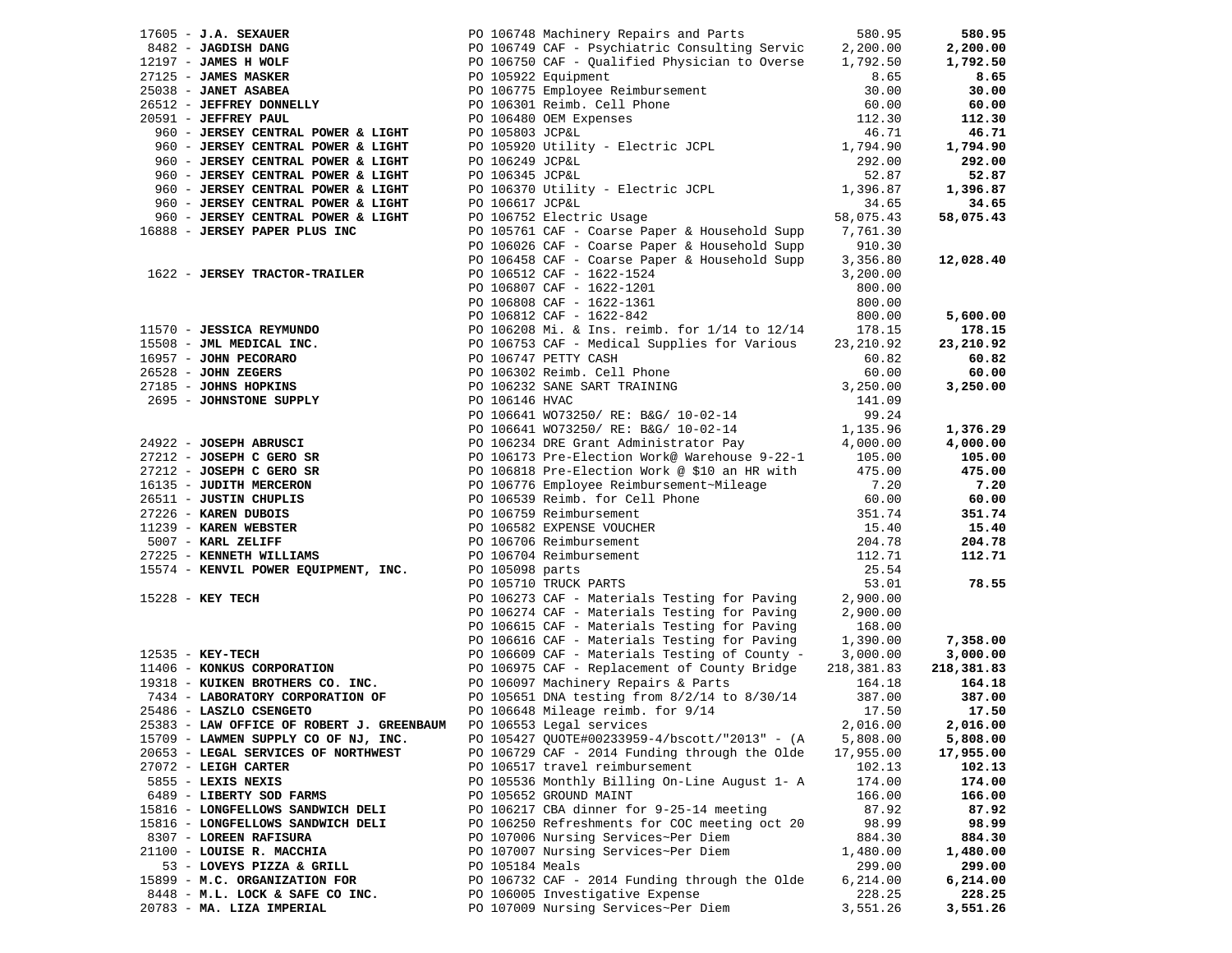|                                                                                                                                                                                                                                                                                              |                 |                                                                                                                                     |                   | 580.95     |
|----------------------------------------------------------------------------------------------------------------------------------------------------------------------------------------------------------------------------------------------------------------------------------------------|-----------------|-------------------------------------------------------------------------------------------------------------------------------------|-------------------|------------|
|                                                                                                                                                                                                                                                                                              |                 |                                                                                                                                     |                   | 2,200.00   |
|                                                                                                                                                                                                                                                                                              |                 |                                                                                                                                     |                   | 1,792.50   |
|                                                                                                                                                                                                                                                                                              |                 |                                                                                                                                     |                   | 8.65       |
| 17605 - J.A. SEXAUER<br>1842 - JAMES HANG PO 106748 Machinery Repairs and Parts<br>19127 - JAMES HANG PO 106749 CAF - Psychiatric Consulting Service<br>27125 - JAMES MASKER PO 106750 CAF - Qualified Physician to Overse<br>27125 -                                                        |                 |                                                                                                                                     |                   | 30.00      |
|                                                                                                                                                                                                                                                                                              |                 |                                                                                                                                     |                   | 60.00      |
|                                                                                                                                                                                                                                                                                              |                 |                                                                                                                                     |                   | 112.30     |
|                                                                                                                                                                                                                                                                                              |                 |                                                                                                                                     |                   | 46.71      |
|                                                                                                                                                                                                                                                                                              |                 |                                                                                                                                     |                   | 1,794.90   |
|                                                                                                                                                                                                                                                                                              |                 |                                                                                                                                     |                   | 292.00     |
|                                                                                                                                                                                                                                                                                              |                 |                                                                                                                                     |                   | 52.87      |
|                                                                                                                                                                                                                                                                                              |                 |                                                                                                                                     |                   |            |
|                                                                                                                                                                                                                                                                                              |                 |                                                                                                                                     |                   | 1,396.87   |
| 960 - JERSEY CENTRAL POWER & LIGHT                                                                                                                                                                                                                                                           | PO 106617 JCP&L |                                                                                                                                     | 34.65             | 34.65      |
| 960 - JERSEY CENTRAL POWER & LIGHT                                                                                                                                                                                                                                                           |                 | PO 106752 Electric Usage<br>PO 105761 CAFL - Carrier -                                                                              | 58,075.43         | 58,075.43  |
| 16888 - JERSEY PAPER PLUS INC                                                                                                                                                                                                                                                                |                 | PO 105761 CAF - Coarse Paper & Household Supp 7,761.30                                                                              |                   |            |
|                                                                                                                                                                                                                                                                                              |                 | PO 106026 CAF - Coarse Paper & Household Supp                                                                                       | 910.30            |            |
|                                                                                                                                                                                                                                                                                              |                 | PO 106458 CAF - Coarse Paper & Household Supp                                                                                       | 3,356.80          | 12,028.40  |
| 1622 - JERSEY TRACTOR-TRAILER                                                                                                                                                                                                                                                                |                 | PO 106512 CAF - 1622-1524<br>PO 106807 CAF - 1622-1201<br>PO 106808 CAF - 1622-1361<br>PO 106812 CAF - 1622-842                     | 3,200.00          |            |
|                                                                                                                                                                                                                                                                                              |                 |                                                                                                                                     | 800.00            |            |
|                                                                                                                                                                                                                                                                                              |                 |                                                                                                                                     | 800.00            |            |
|                                                                                                                                                                                                                                                                                              |                 |                                                                                                                                     | 800.00            | 5,600.00   |
|                                                                                                                                                                                                                                                                                              |                 |                                                                                                                                     | 178.15            | 178.15     |
|                                                                                                                                                                                                                                                                                              |                 |                                                                                                                                     | 23, 210.92        | 23,210.92  |
|                                                                                                                                                                                                                                                                                              |                 |                                                                                                                                     | 60.82             | 60.82      |
|                                                                                                                                                                                                                                                                                              |                 |                                                                                                                                     | 60.00             | 60.00      |
|                                                                                                                                                                                                                                                                                              |                 |                                                                                                                                     | 3,250.00          | 3,250.00   |
|                                                                                                                                                                                                                                                                                              |                 |                                                                                                                                     | 141.09            |            |
|                                                                                                                                                                                                                                                                                              |                 |                                                                                                                                     | 99.24             |            |
| 11570 - <b>JESSICA REYMUNDO</b><br>1570 - <b>JESSICA REYMUNDO</b><br>15508 - <b>JML MEDICAL INC.</b><br>16957 - <b>JOHN PECORARO</b><br>26528 - <b>JOHN PECORARO</b><br>27185 - <b>JOHNS HOPKINS</b><br>2695 - <b>JOHNSTONE SUPPLY</b><br>2695 - <b>JOHNSTONE SUPPLY</b><br>2695 - <b>JO</b> |                 |                                                                                                                                     | 1,135.96          | 1,376.29   |
|                                                                                                                                                                                                                                                                                              |                 |                                                                                                                                     | 4,000.00          | 4,000.00   |
|                                                                                                                                                                                                                                                                                              |                 |                                                                                                                                     |                   | 105.00     |
|                                                                                                                                                                                                                                                                                              |                 |                                                                                                                                     | 105.00            |            |
|                                                                                                                                                                                                                                                                                              |                 |                                                                                                                                     | 475.00            | 475.00     |
|                                                                                                                                                                                                                                                                                              |                 |                                                                                                                                     | 7.20              | 7.20       |
|                                                                                                                                                                                                                                                                                              |                 |                                                                                                                                     | $60.00$<br>351.74 | 60.00      |
|                                                                                                                                                                                                                                                                                              |                 |                                                                                                                                     |                   | 351.74     |
|                                                                                                                                                                                                                                                                                              |                 |                                                                                                                                     | $15.40$<br>204 70 | 15.40      |
|                                                                                                                                                                                                                                                                                              |                 |                                                                                                                                     | 204.78            | 204.78     |
|                                                                                                                                                                                                                                                                                              |                 |                                                                                                                                     | 112.71            | 112.71     |
| 2695 - JOHNSTONE SUPPLY<br>PO 106146 HVAC<br>PO 106641 W073250/RE: B&G/10-02-14<br>PO 106641 W073250/RE: B&G/10-02-14<br>PO 106641 W073250/RE: B&G/10-02-14<br>PO 106234 DRE Grant Administrator Pay<br>27212 - JOSEPH CGRO SR<br>PO 106173                                                  |                 |                                                                                                                                     | 25.54             |            |
|                                                                                                                                                                                                                                                                                              |                 | PO 105710 TRUCK PARTS                                                                                                               | 53.01             | 78.55      |
| 15228 - KEY TECH                                                                                                                                                                                                                                                                             |                 | PO 106273 CAF - Materials Testing for Paving                                                                                        | 2,900.00          |            |
|                                                                                                                                                                                                                                                                                              |                 | PO 106274 CAF - Materials Testing for Paving                                                                                        | 2,900.00          |            |
|                                                                                                                                                                                                                                                                                              |                 | PO 106615 CAF - Materials Testing for Paving                                                                                        | 168.00            |            |
|                                                                                                                                                                                                                                                                                              |                 | PO 106616 CAF - Materials Testing for Paving                                                                                        | 1,390.00          | 7,358.00   |
| $12535 - KEY-TECH$                                                                                                                                                                                                                                                                           |                 | PO 106609 CAF - Materials Testing of County - 3,000.00                                                                              |                   | 3,000.00   |
| 11406 - KONKUS CORPORATION                                                                                                                                                                                                                                                                   |                 | PO 106975 CAF - Replacement of County Bridge<br>PO 106975 CAF - Replacement of County Bridge<br>PO 106097 Machinery Repairs & Parts | 218,381.83        | 218,381.83 |
| 19318 - KUIKEN BROTHERS CO. INC.                                                                                                                                                                                                                                                             |                 |                                                                                                                                     | 164.18            | 164.18     |
| 7434 - LABORATORY CORPORATION OF                                                                                                                                                                                                                                                             |                 | PO 105651 DNA testing from 8/2/14 to 8/30/14                                                                                        | 387.00            | 387.00     |
| 25486 - LASZLO CSENGETO                                                                                                                                                                                                                                                                      |                 | PO 106648 Mileage reimb. for 9/14                                                                                                   | 17.50             | 17.50      |
| 25383 - LAW OFFICE OF ROBERT J. GREENBAUM                                                                                                                                                                                                                                                    |                 | PO 106553 Legal services                                                                                                            | 2,016.00          | 2,016.00   |
| 15709 - LAWMEN SUPPLY CO OF NJ, INC.                                                                                                                                                                                                                                                         |                 | PO 105427 QUOTE#00233959-4/bscott/"2013" - (A                                                                                       | 5,808.00          | 5,808.00   |
| 20653 - LEGAL SERVICES OF NORTHWEST                                                                                                                                                                                                                                                          |                 | PO 106729 CAF - 2014 Funding through the Olde                                                                                       | 17,955.00         | 17,955.00  |
| $27072$ - LEIGH CARTER                                                                                                                                                                                                                                                                       |                 | PO 106517 travel reimbursement                                                                                                      | 102.13            | 102.13     |
| 5855 - LEXIS NEXIS                                                                                                                                                                                                                                                                           |                 | PO 105536 Monthly Billing On-Line August 1- A                                                                                       | 174.00            | 174.00     |
|                                                                                                                                                                                                                                                                                              |                 |                                                                                                                                     |                   |            |
| 6489 - LIBERTY SOD FARMS                                                                                                                                                                                                                                                                     |                 | PO 105652 GROUND MAINT                                                                                                              | 166.00            | 166.00     |
| 15816 - LONGFELLOWS SANDWICH DELI                                                                                                                                                                                                                                                            |                 | PO 106217 CBA dinner for 9-25-14 meeting                                                                                            | 87.92             | 87.92      |
| 15816 - LONGFELLOWS SANDWICH DELI                                                                                                                                                                                                                                                            |                 | PO 106250 Refreshments for COC meeting oct 20                                                                                       | 98.99             | 98.99      |
| 8307 - LOREEN RAFISURA                                                                                                                                                                                                                                                                       |                 | PO 107006 Nursing Services~Per Diem                                                                                                 | 884.30            | 884.30     |
| 21100 - LOUISE R. MACCHIA                                                                                                                                                                                                                                                                    |                 | PO 107007 Nursing Services~Per Diem                                                                                                 | 1,480.00          | 1,480.00   |
| 53 - LOVEYS PIZZA & GRILL                                                                                                                                                                                                                                                                    | PO 105184 Meals |                                                                                                                                     | 299.00            | 299.00     |
| 15899 - M.C. ORGANIZATION FOR                                                                                                                                                                                                                                                                |                 | PO 106732 CAF - 2014 Funding through the Olde                                                                                       | 6,214.00          | 6,214.00   |
| 8448 - M.L. LOCK & SAFE CO INC.                                                                                                                                                                                                                                                              |                 | PO 106005 Investigative Expense                                                                                                     | 228.25            | 228.25     |
| 20783 - MA. LIZA IMPERIAL                                                                                                                                                                                                                                                                    |                 | PO 107009 Nursing Services~Per Diem                                                                                                 | 3,551.26          | 3,551.26   |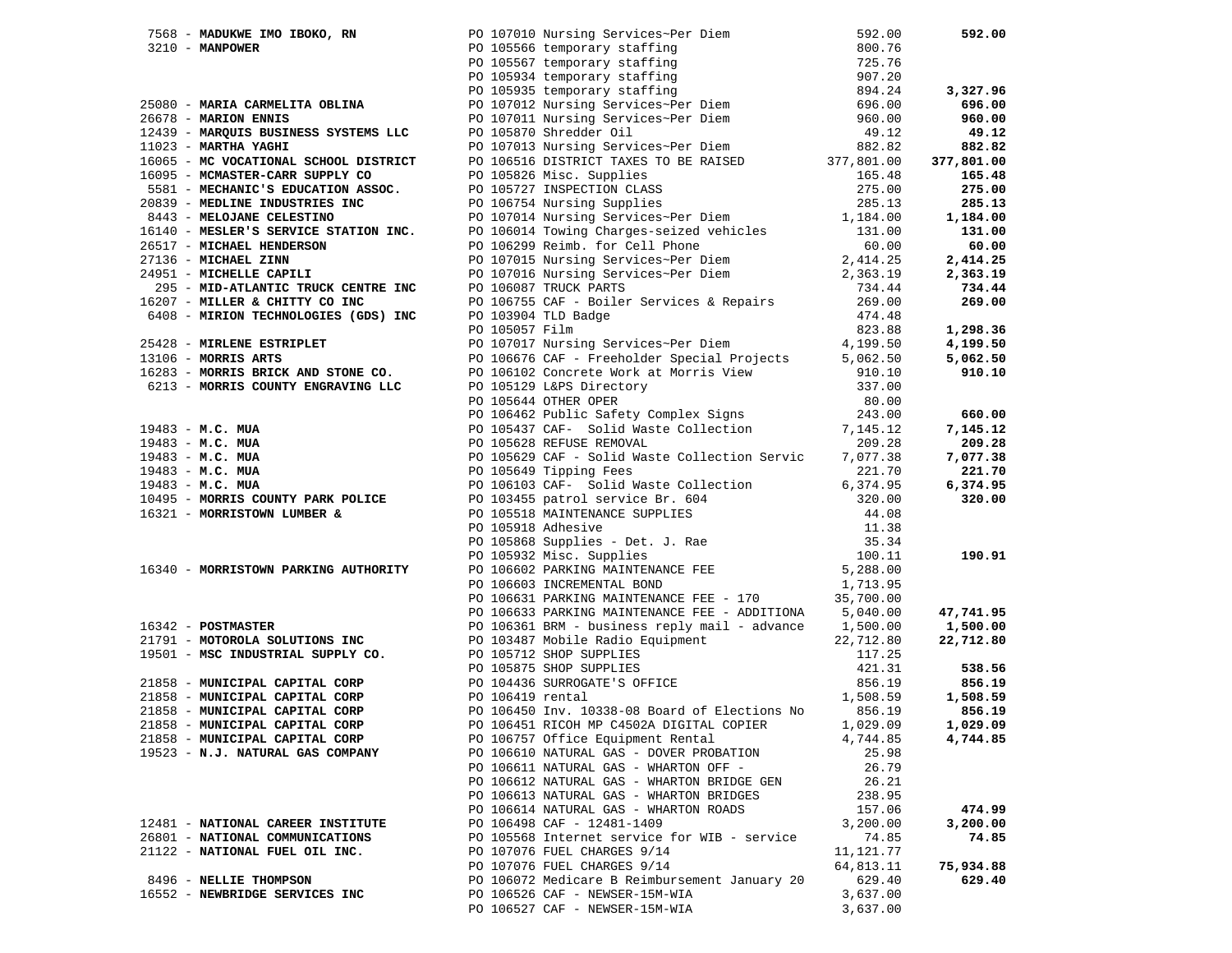|                                                                                                                                                                              | 7568 - MADUKWE IMO IBOKO, RN PO 107010 Nursing Services~Per Diem                                                                                                                                                                                             | 592.00    | 592.00           |
|------------------------------------------------------------------------------------------------------------------------------------------------------------------------------|--------------------------------------------------------------------------------------------------------------------------------------------------------------------------------------------------------------------------------------------------------------|-----------|------------------|
|                                                                                                                                                                              | 3210 - MANPOWER MOTBOKO, RN<br>3210 - MANPOWER PO 107010 Nursing Services-Per Diem<br>25080 - MARIA CARMELITA OBLINA PO 105566 temporary staffing<br>25080 - MARIA CARMELITA OBLINA PO 107012 Nursing Services-Per Diem<br>26678 - MA                        |           |                  |
|                                                                                                                                                                              |                                                                                                                                                                                                                                                              |           |                  |
|                                                                                                                                                                              |                                                                                                                                                                                                                                                              |           |                  |
|                                                                                                                                                                              |                                                                                                                                                                                                                                                              |           | 3,327.96         |
|                                                                                                                                                                              |                                                                                                                                                                                                                                                              |           | 696.00           |
|                                                                                                                                                                              |                                                                                                                                                                                                                                                              |           | 960.00           |
|                                                                                                                                                                              |                                                                                                                                                                                                                                                              |           | 49.12            |
|                                                                                                                                                                              |                                                                                                                                                                                                                                                              |           | 882.82           |
|                                                                                                                                                                              |                                                                                                                                                                                                                                                              |           | 377,801.00       |
|                                                                                                                                                                              |                                                                                                                                                                                                                                                              |           | 165.48           |
|                                                                                                                                                                              | 1065 - MAC VOCATIONAL SCHOOL DISTRICT PO 106516 DISTRICT TAALS IN DET AND 1605 - MC VOCATIONAL SCHOOL DISTRICT PO 105826 Misc. Supplies 16581 - MECHANIC'S EDUCATION ASSOC. PO 105727 INSPECTION CLASS 275.00<br>20839 - MEDLINE                             |           | 275.00           |
|                                                                                                                                                                              |                                                                                                                                                                                                                                                              |           | 285.13           |
|                                                                                                                                                                              |                                                                                                                                                                                                                                                              |           | 1,184.00         |
|                                                                                                                                                                              |                                                                                                                                                                                                                                                              |           | 131.00           |
|                                                                                                                                                                              |                                                                                                                                                                                                                                                              |           | 60.00            |
|                                                                                                                                                                              |                                                                                                                                                                                                                                                              |           |                  |
|                                                                                                                                                                              |                                                                                                                                                                                                                                                              |           | 2,414.25         |
| 24951 - MICHELLE CAPILI<br>295 - MID-ATLANTIC TRUCK CENTRE INC<br>16207 - MILLER & CHITTY CO INC<br>6408 - MIRION TECHNOLOGIES (GDS) INC<br>PO 105959 TELE<br>PO 105957 Film |                                                                                                                                                                                                                                                              |           | 2,363.19         |
|                                                                                                                                                                              |                                                                                                                                                                                                                                                              |           | 734.44           |
| 16207 - MILLER & CHITTY CO INC                                                                                                                                               |                                                                                                                                                                                                                                                              |           | 269.00           |
|                                                                                                                                                                              | 734.44<br>PO 106755 CAF - Boiler Services & Repairs<br>PO 103904 TLD Badge<br>PO 105057 Film<br>PO 105057 Film<br>202.00                                                                                                                                     |           |                  |
|                                                                                                                                                                              |                                                                                                                                                                                                                                                              |           | 1,298.36         |
| 25428 - MIRLENE ESTRIPLET                                                                                                                                                    | PO 107017 Nursing Services~Per Diem                                                                                                                                                                                                                          | 4,199.50  | 4,199.50         |
| $13106$ - MORRIS ARTS                                                                                                                                                        | PO 106676 CAF - Freeholder Special Projects                                                                                                                                                                                                                  | 5,062.50  | 5,062.50         |
|                                                                                                                                                                              |                                                                                                                                                                                                                                                              |           | 910.10           |
|                                                                                                                                                                              |                                                                                                                                                                                                                                                              |           |                  |
|                                                                                                                                                                              |                                                                                                                                                                                                                                                              |           |                  |
|                                                                                                                                                                              |                                                                                                                                                                                                                                                              |           | 660.00           |
|                                                                                                                                                                              |                                                                                                                                                                                                                                                              |           | 7,145.12         |
|                                                                                                                                                                              |                                                                                                                                                                                                                                                              |           | 209.28           |
|                                                                                                                                                                              |                                                                                                                                                                                                                                                              |           | 7,077.38         |
|                                                                                                                                                                              |                                                                                                                                                                                                                                                              |           | 221.70           |
|                                                                                                                                                                              |                                                                                                                                                                                                                                                              |           | 6,374.95         |
|                                                                                                                                                                              |                                                                                                                                                                                                                                                              |           | 320.00           |
|                                                                                                                                                                              |                                                                                                                                                                                                                                                              |           |                  |
|                                                                                                                                                                              |                                                                                                                                                                                                                                                              |           |                  |
|                                                                                                                                                                              |                                                                                                                                                                                                                                                              |           |                  |
|                                                                                                                                                                              |                                                                                                                                                                                                                                                              |           | 190.91           |
|                                                                                                                                                                              | 13106 <b>- MORRIS ARTS</b><br>1623 <b>- MORRIS BUCK AND STONE CO.</b> PO 106676 CAF - Freeholder Special Projects<br>6213 <b>- MORRIS COUNTY ENGRAVING LLC</b> PO 105129 L&FS Directory<br>1910.00 105644 OTHER OPER PERFORE WORK AND PO 105440 OT           |           |                  |
|                                                                                                                                                                              |                                                                                                                                                                                                                                                              |           |                  |
|                                                                                                                                                                              | PO 106631 PARKING MAINTENANCE FEE - 170 $35,700.00$                                                                                                                                                                                                          |           |                  |
|                                                                                                                                                                              | PO 106633 PARKING MAINTENANCE FEE - ADDITIONA 5,040.00                                                                                                                                                                                                       |           | 47,741.95        |
|                                                                                                                                                                              |                                                                                                                                                                                                                                                              |           | 1,500.00         |
|                                                                                                                                                                              | 16342 - POSTMASTER<br>21791 - MOTOROLA SOLUTIONS INC<br>21791 - MOTOROLA SOLUTIONS INC<br>22,712.80<br>22,712.80<br>22,712.80<br>22,712.80<br>22,712.80<br>22,712.80<br>22,712.80<br>22,712.80<br>22,712.80<br>22,712.80<br>22,712.80<br>22,712.80<br>22,712 |           | 22,712.80        |
|                                                                                                                                                                              | 19501 - MSC INDUSTRIAL SUPPLY CO.<br>21858 - MUNICIPAL CAPITAL CORP<br>21858 - MUNICIPAL CAPITAL CORP<br>21858 - MUNICIPAL CAPITAL CORP<br>21858 - MUNICIPAL CAPITAL CORP<br>21858 - MUNICIPAL CAPITAL CORP<br>21858 - MUNICIPAL CAPITAL C                   |           |                  |
|                                                                                                                                                                              |                                                                                                                                                                                                                                                              |           |                  |
|                                                                                                                                                                              |                                                                                                                                                                                                                                                              | 856.19    | 538.56<br>856.19 |
|                                                                                                                                                                              |                                                                                                                                                                                                                                                              |           |                  |
|                                                                                                                                                                              |                                                                                                                                                                                                                                                              | 1,508.59  | 1,508.59         |
|                                                                                                                                                                              |                                                                                                                                                                                                                                                              | 856.19    | 856.19           |
|                                                                                                                                                                              | PO 106451 RICOH MP C4502A DIGITAL COPIER                                                                                                                                                                                                                     | 1,029.09  | 1,029.09         |
| 21858 - MUNICIPAL CAPITAL CORP                                                                                                                                               | PO 106757 Office Equipment Rental                                                                                                                                                                                                                            | 4,744.85  | 4,744.85         |
| 19523 - N.J. NATURAL GAS COMPANY                                                                                                                                             | PO 106610 NATURAL GAS - DOVER PROBATION                                                                                                                                                                                                                      | 25.98     |                  |
|                                                                                                                                                                              | PO 106611 NATURAL GAS - WHARTON OFF -                                                                                                                                                                                                                        | 26.79     |                  |
|                                                                                                                                                                              | PO 106612 NATURAL GAS - WHARTON BRIDGE GEN                                                                                                                                                                                                                   | 26.21     |                  |
|                                                                                                                                                                              | PO 106613 NATURAL GAS - WHARTON BRIDGES                                                                                                                                                                                                                      | 238.95    |                  |
|                                                                                                                                                                              | PO 106614 NATURAL GAS - WHARTON ROADS                                                                                                                                                                                                                        | 157.06    | 474.99           |
| 12481 - NATIONAL CAREER INSTITUTE                                                                                                                                            | PO 106498 CAF - 12481-1409                                                                                                                                                                                                                                   | 3,200.00  | 3,200.00         |
| 26801 - NATIONAL COMMUNICATIONS                                                                                                                                              | PO 105568 Internet service for WIB - service                                                                                                                                                                                                                 | 74.85     | 74.85            |
| 21122 - NATIONAL FUEL OIL INC.                                                                                                                                               | PO 107076 FUEL CHARGES 9/14                                                                                                                                                                                                                                  | 11,121.77 |                  |
|                                                                                                                                                                              | PO 107076 FUEL CHARGES 9/14                                                                                                                                                                                                                                  | 64,813.11 | 75,934.88        |
| 8496 - NELLIE THOMPSON                                                                                                                                                       | PO 106072 Medicare B Reimbursement January 20                                                                                                                                                                                                                | 629.40    | 629.40           |
| 16552 - NEWBRIDGE SERVICES INC                                                                                                                                               | PO 106526 CAF - NEWSER-15M-WIA                                                                                                                                                                                                                               | 3,637.00  |                  |
|                                                                                                                                                                              | PO 106527 CAF - NEWSER-15M-WIA                                                                                                                                                                                                                               | 3,637.00  |                  |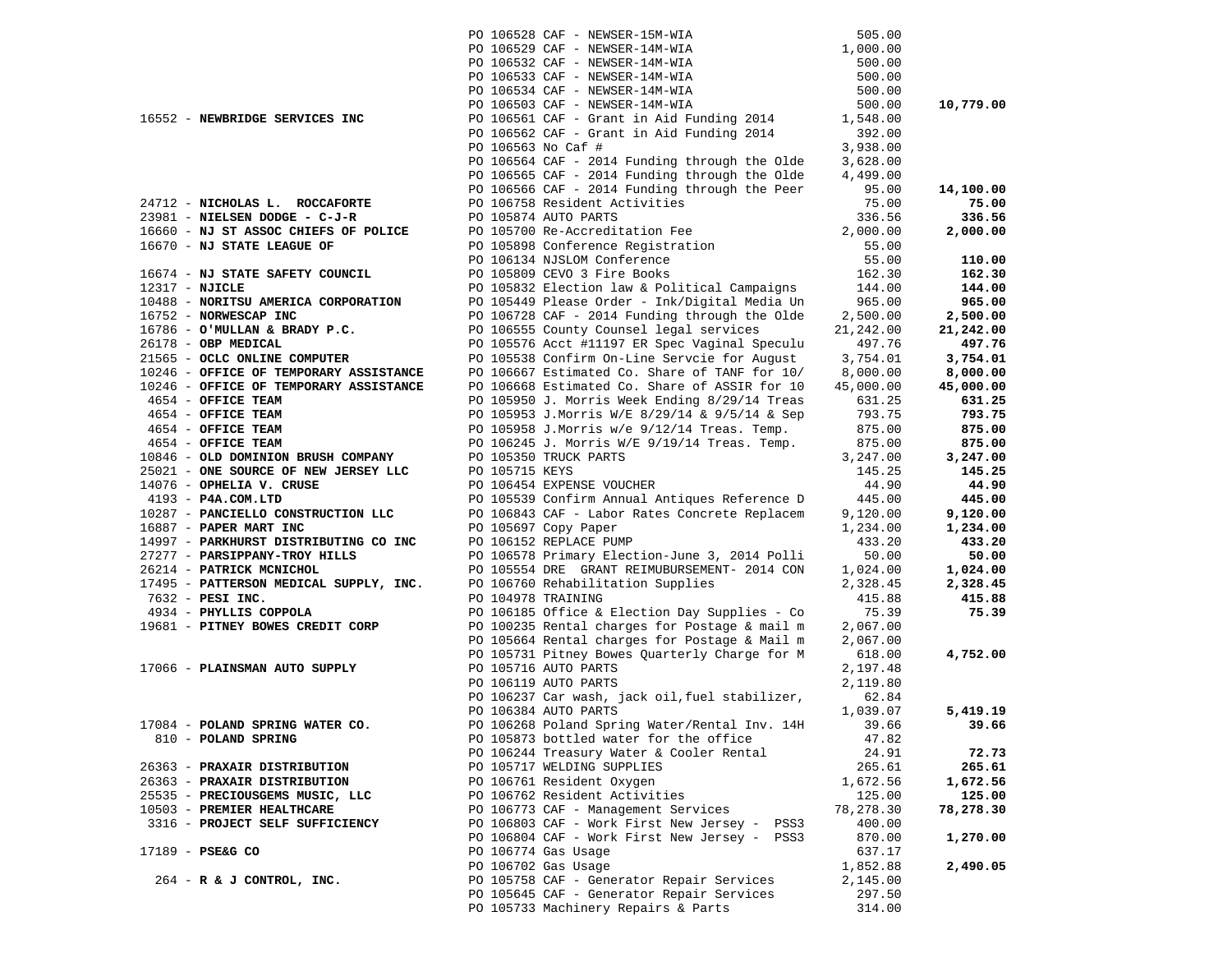|                                            |                        | PO 106528 CAF - NEWSER-15M-WIA                                                                  | 505.00          |                 |
|--------------------------------------------|------------------------|-------------------------------------------------------------------------------------------------|-----------------|-----------------|
|                                            |                        | PO 106529 CAF - NEWSER-14M-WIA                                                                  | 1,000.00        |                 |
|                                            |                        | PO 106532 CAF - NEWSER-14M-WIA                                                                  | 500.00          |                 |
|                                            |                        | PO 106533 CAF - NEWSER-14M-WIA                                                                  | 500.00          |                 |
|                                            |                        | PO 106534 CAF - NEWSER-14M-WIA                                                                  | 500.00          |                 |
|                                            |                        | PO 106503 CAF - NEWSER-14M-WIA                                                                  | 500.00          | 10,779.00       |
| 16552 - NEWBRIDGE SERVICES INC             |                        | PO 106561 CAF - Grant in Aid Funding 2014                                                       | 1,548.00        |                 |
|                                            |                        | PO 106562 CAF - Grant in Aid Funding 2014                                                       | 392.00          |                 |
|                                            | PO 106563 No Caf #     |                                                                                                 | 3,938.00        |                 |
|                                            |                        | PO 106564 CAF - 2014 Funding through the Olde                                                   | 3,628.00        |                 |
|                                            |                        | PO 106565 CAF - 2014 Funding through the Olde                                                   | 4,499.00        |                 |
|                                            |                        | PO 106566 CAF - 2014 Funding through the Peer                                                   | 95.00           | 14,100.00       |
| 24712 - NICHOLAS L. ROCCAFORTE             |                        | PO 106758 Resident Activities                                                                   | 75.00           | 75.00           |
| 23981 - NIELSEN DODGE - C-J-R              | PO 105874 AUTO PARTS   |                                                                                                 | 336.56          | 336.56          |
| 16660 - NJ ST ASSOC CHIEFS OF POLICE       |                        | PO 105700 Re-Accreditation Fee                                                                  | 2,000.00        | 2,000.00        |
| 16670 - NJ STATE LEAGUE OF                 |                        |                                                                                                 | 55.00           |                 |
|                                            |                        | PO 105898 Conference Registration<br>PO 106134 NJSLOM Conference<br>PO 105809 CEVO 3 Fire Books | 55.00           | 110.00          |
| 16674 - NJ STATE SAFETY COUNCIL            |                        | PO 105809 CEVO 3 Fire Books                                                                     | 162.30          | 162.30          |
| 12317 - NJICLE                             |                        | PO 105832 Election law & Political Campaigns 144.00                                             |                 | 144.00          |
| 10488 - NORITSU AMERICA CORPORATION        |                        | PO 105449 Please Order - Ink/Digital Media Un                                                   | 965.00          | 965.00          |
| 16752 - NORWESCAP INC                      |                        | PO 106728 CAF - 2014 Funding through the Olde                                                   | 2,500.00        | 2,500.00        |
| 16786 - O'MULLAN & BRADY P.C.              |                        | PO 106555 County Counsel legal services                                                         | 21,242.00       | 21,242.00       |
| 26178 - OBP MEDICAL                        |                        | PO 105576 Acct #11197 ER Spec Vaginal Speculu                                                   | 497.76          | 497.76          |
| 21565 - OCLC ONLINE COMPUTER               |                        | PO 105538 Confirm On-Line Servcie for August                                                    | 3,754.01        | 3,754.01        |
| 10246 - OFFICE OF TEMPORARY ASSISTANCE     |                        | PO 106667 Estimated Co. Share of TANF for 10/                                                   | 8,000.00        | 8,000.00        |
| 10246 - OFFICE OF TEMPORARY ASSISTANCE     |                        | PO 106668 Estimated Co. Share of ASSIR for 10                                                   | 45,000.00       | 45,000.00       |
| 4654 - OFFICE TEAM                         |                        | PO 105950 J. Morris Week Ending 8/29/14 Treas                                                   | 631.25          | 631.25          |
| 4654 - OFFICE TEAM                         |                        | PO 105953 J.Morris W/E 8/29/14 & 9/5/14 & Sep                                                   | 793.75          | 793.75          |
| 4654 - OFFICE TEAM                         |                        | PO 105958 J.Morris w/e 9/12/14 Treas. Temp.                                                     | 875.00          | 875.00          |
| 4654 - OFFICE TEAM                         |                        | PO 106245 J. Morris W/E 9/19/14 Treas. Temp.                                                    | 875.00          | 875.00          |
| 10846 - OLD DOMINION BRUSH COMPANY         | PO 105350 TRUCK PARTS  |                                                                                                 | 3,247.00        | 3,247.00        |
| 25021 - ONE SOURCE OF NEW JERSEY LLC       | PO 105715 KEYS         |                                                                                                 | 145.25          | 145.25          |
| 14076 - OPHELIA V. CRUSE                   |                        | PO 106454 EXPENSE VOUCHER                                                                       | 44.90           | 44.90           |
| 4193 - P4A.COM.LTD                         |                        | PO 105539 Confirm Annual Antiques Reference D                                                   | 445.00          | 445.00          |
| 10287 - PANCIELLO CONSTRUCTION LLC         |                        | PO 106843 CAF - Labor Rates Concrete Replacem                                                   | 9,120.00        | 9,120.00        |
| 16887 - PAPER MART INC                     | PO 105697 Copy Paper   |                                                                                                 | 1,234.00        | 1,234.00        |
| 14997 - PARKHURST DISTRIBUTING CO INC      | PO 106152 REPLACE PUMP |                                                                                                 | 433.20          | 433.20          |
| 27277 - PARSIPPANY-TROY HILLS              |                        | PO 106578 Primary Election-June 3, 2014 Polli                                                   | 50.00           | 50.00           |
| 26214 - PATRICK MCNICHOL                   |                        | PO 105554 DRE GRANT REIMUBURSEMENT- 2014 CON                                                    | 1,024.00        | 1,024.00        |
| 17495 - PATTERSON MEDICAL SUPPLY, INC.     |                        | PO 106760 Rehabilitation Supplies                                                               | 2,328.45        | 2,328.45        |
| 7632 - PESI INC.<br>4934 - PHYLLIS COPPOLA | PO 104978 TRAINING     |                                                                                                 | 415.88<br>75.39 | 415.88<br>75.39 |
| 19681 - PITNEY BOWES CREDIT CORP           |                        | PO 106185 Office & Election Day Supplies - Co<br>PO 100235 Rental charges for Postage & mail m  | 2,067.00        |                 |
|                                            |                        | PO 105664 Rental charges for Postage & Mail m                                                   | 2,067.00        |                 |
|                                            |                        | PO 105731 Pitney Bowes Quarterly Charge for M                                                   | 618.00          | 4,752.00        |
| 17066 - PLAINSMAN AUTO SUPPLY              | PO 105716 AUTO PARTS   |                                                                                                 | 2,197.48        |                 |
|                                            | PO 106119 AUTO PARTS   |                                                                                                 | 2,119.80        |                 |
|                                            |                        | PO 106237 Car wash, jack oil, fuel stabilizer,                                                  | 62.84           |                 |
|                                            | PO 106384 AUTO PARTS   |                                                                                                 | 1,039.07        | 5,419.19        |
| 17084 - POLAND SPRING WATER CO.            |                        | PO 106268 Poland Spring Water/Rental Inv. 14H                                                   | 39.66           | 39.66           |
| 810 - POLAND SPRING                        |                        | PO 105873 bottled water for the office                                                          | 47.82           |                 |
|                                            |                        | PO 106244 Treasury Water & Cooler Rental                                                        | 24.91           | 72.73           |
| 26363 - PRAXAIR DISTRIBUTION               |                        | PO 105717 WELDING SUPPLIES                                                                      | 265.61          | 265.61          |
| 26363 - PRAXAIR DISTRIBUTION               |                        | PO 106761 Resident Oxygen                                                                       | 1,672.56        | 1,672.56        |
| 25535 - PRECIOUSGEMS MUSIC, LLC            |                        | PO 106762 Resident Activities                                                                   | 125.00          | 125.00          |
| 10503 - PREMIER HEALTHCARE                 |                        | PO 106773 CAF - Management Services                                                             | 78,278.30       | 78,278.30       |
| 3316 - PROJECT SELF SUFFICIENCY            |                        | PO 106803 CAF - Work First New Jersey - PSS3                                                    | 400.00          |                 |
|                                            |                        | PO 106804 CAF - Work First New Jersey - PSS3                                                    | 870.00          | 1,270.00        |
| 17189 - PSE&G CO                           | PO 106774 Gas Usage    |                                                                                                 | 637.17          |                 |
|                                            | PO 106702 Gas Usage    |                                                                                                 | 1,852.88        | 2,490.05        |
| 264 - R & J CONTROL, INC.                  |                        | PO 105758 CAF - Generator Repair Services                                                       | 2,145.00        |                 |
|                                            |                        | PO 105645 CAF - Generator Repair Services                                                       | 297.50          |                 |
|                                            |                        | PO 105733 Machinery Repairs & Parts                                                             | 314.00          |                 |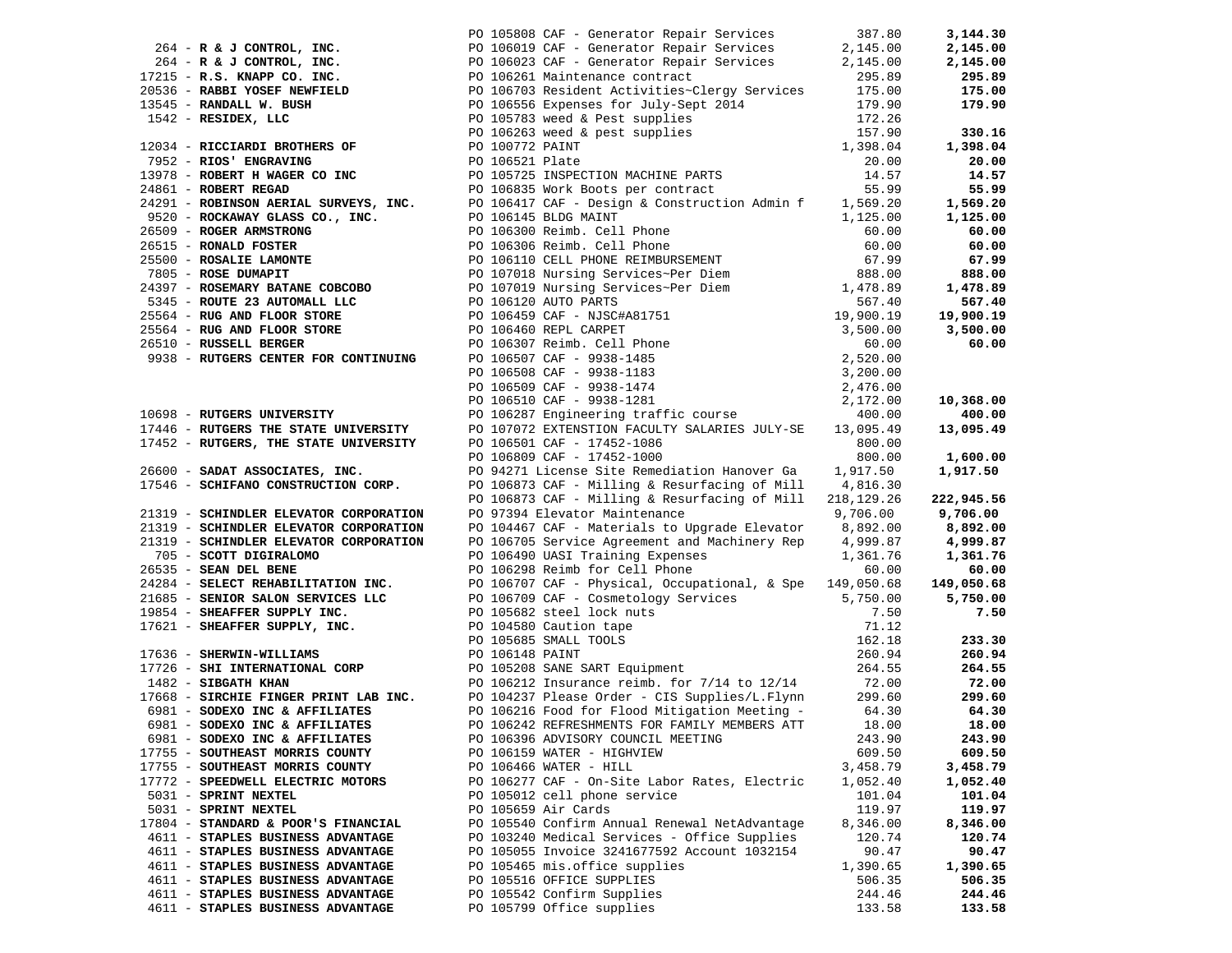| 264 R. A. J. CONTROL, IRC. 52 105899 CMP - Generation Repair Services 2144.00<br>172345 R. A. CONTROL, IRC. 52 105910 CMP - Generation Repair Services 2,145.00 2,144.00<br>273516 - R. A. CONTROL, INC. 200359 R. ARENT MOTOR C |                                                                                                                             |          |            |
|----------------------------------------------------------------------------------------------------------------------------------------------------------------------------------------------------------------------------------|-----------------------------------------------------------------------------------------------------------------------------|----------|------------|
|                                                                                                                                                                                                                                  |                                                                                                                             |          |            |
|                                                                                                                                                                                                                                  |                                                                                                                             |          |            |
|                                                                                                                                                                                                                                  |                                                                                                                             |          |            |
|                                                                                                                                                                                                                                  |                                                                                                                             |          |            |
|                                                                                                                                                                                                                                  |                                                                                                                             |          |            |
|                                                                                                                                                                                                                                  |                                                                                                                             |          |            |
|                                                                                                                                                                                                                                  |                                                                                                                             |          |            |
|                                                                                                                                                                                                                                  |                                                                                                                             |          |            |
|                                                                                                                                                                                                                                  |                                                                                                                             |          |            |
|                                                                                                                                                                                                                                  |                                                                                                                             |          |            |
|                                                                                                                                                                                                                                  |                                                                                                                             |          |            |
|                                                                                                                                                                                                                                  |                                                                                                                             |          |            |
|                                                                                                                                                                                                                                  |                                                                                                                             |          |            |
|                                                                                                                                                                                                                                  |                                                                                                                             |          |            |
|                                                                                                                                                                                                                                  |                                                                                                                             |          |            |
|                                                                                                                                                                                                                                  |                                                                                                                             |          |            |
|                                                                                                                                                                                                                                  |                                                                                                                             |          |            |
|                                                                                                                                                                                                                                  |                                                                                                                             |          |            |
|                                                                                                                                                                                                                                  |                                                                                                                             |          |            |
|                                                                                                                                                                                                                                  |                                                                                                                             |          |            |
|                                                                                                                                                                                                                                  |                                                                                                                             |          |            |
|                                                                                                                                                                                                                                  |                                                                                                                             |          |            |
|                                                                                                                                                                                                                                  |                                                                                                                             |          |            |
|                                                                                                                                                                                                                                  |                                                                                                                             |          |            |
|                                                                                                                                                                                                                                  |                                                                                                                             |          |            |
|                                                                                                                                                                                                                                  |                                                                                                                             |          |            |
|                                                                                                                                                                                                                                  |                                                                                                                             |          |            |
|                                                                                                                                                                                                                                  |                                                                                                                             |          |            |
|                                                                                                                                                                                                                                  |                                                                                                                             |          |            |
|                                                                                                                                                                                                                                  |                                                                                                                             |          |            |
|                                                                                                                                                                                                                                  |                                                                                                                             |          |            |
|                                                                                                                                                                                                                                  |                                                                                                                             |          |            |
|                                                                                                                                                                                                                                  |                                                                                                                             |          |            |
|                                                                                                                                                                                                                                  | PO 106873 CAF - Milling & Resurfacing of Mill 218,129.26                                                                    |          | 222,945.56 |
|                                                                                                                                                                                                                                  | PO 97394 Elevator Maintenance 6 0 9,706.00 9,706.00                                                                         |          |            |
| 21319 - SCHINDLER ELEVATOR CORPORATION<br>21319 - SCHINDLER ELEVATOR CORPORATION                                                                                                                                                 | PO 104467 CAF - Materials to Upgrade Elevator 8,892.00 8,892.00                                                             |          |            |
|                                                                                                                                                                                                                                  |                                                                                                                             |          |            |
| 21319 - SCHINDLER ELEVATOR CORPORATION<br>705 - SCOTT DIGIRALOMO                                                                                                                                                                 | PO 106705 Service Agreement and Machinery Rep 4,999.87<br>PO 106490 UASI Training Expenses 1,361.76<br>1,361.76<br>1,361.76 |          |            |
|                                                                                                                                                                                                                                  |                                                                                                                             |          |            |
|                                                                                                                                                                                                                                  |                                                                                                                             |          |            |
|                                                                                                                                                                                                                                  |                                                                                                                             |          |            |
|                                                                                                                                                                                                                                  |                                                                                                                             |          |            |
|                                                                                                                                                                                                                                  |                                                                                                                             |          |            |
|                                                                                                                                                                                                                                  |                                                                                                                             |          |            |
|                                                                                                                                                                                                                                  |                                                                                                                             |          |            |
|                                                                                                                                                                                                                                  |                                                                                                                             |          |            |
|                                                                                                                                                                                                                                  |                                                                                                                             |          |            |
|                                                                                                                                                                                                                                  |                                                                                                                             |          |            |
|                                                                                                                                                                                                                                  |                                                                                                                             |          |            |
|                                                                                                                                                                                                                                  |                                                                                                                             |          |            |
| 6981 - SODEXO INC & AFFILIATES                                                                                                                                                                                                   | PO 106242 REFRESHMENTS FOR FAMILY MEMBERS ATT                                                                               | 18.00    | 18.00      |
| 6981 - SODEXO INC & AFFILIATES                                                                                                                                                                                                   | PO 106396 ADVISORY COUNCIL MEETING                                                                                          | 243.90   | 243.90     |
| 17755 - SOUTHEAST MORRIS COUNTY                                                                                                                                                                                                  | PO 106159 WATER - HIGHVIEW                                                                                                  | 609.50   | 609.50     |
| 17755 - SOUTHEAST MORRIS COUNTY                                                                                                                                                                                                  | PO 106466 WATER - HILL                                                                                                      | 3,458.79 | 3,458.79   |
| 17772 - SPEEDWELL ELECTRIC MOTORS                                                                                                                                                                                                | PO 106277 CAF - On-Site Labor Rates, Electric                                                                               | 1,052.40 | 1,052.40   |
| 5031 - SPRINT NEXTEL                                                                                                                                                                                                             | PO 105012 cell phone service                                                                                                | 101.04   | 101.04     |
| 5031 - SPRINT NEXTEL                                                                                                                                                                                                             | PO 105659 Air Cards                                                                                                         | 119.97   | 119.97     |
| 17804 - STANDARD & POOR'S FINANCIAL                                                                                                                                                                                              | PO 105540 Confirm Annual Renewal NetAdvantage                                                                               | 8,346.00 | 8,346.00   |
| 4611 - STAPLES BUSINESS ADVANTAGE                                                                                                                                                                                                | PO 103240 Medical Services - Office Supplies                                                                                | 120.74   | 120.74     |
| 4611 - STAPLES BUSINESS ADVANTAGE                                                                                                                                                                                                | PO 105055 Invoice 3241677592 Account 1032154                                                                                | 90.47    | 90.47      |
| 4611 - STAPLES BUSINESS ADVANTAGE                                                                                                                                                                                                | PO 105465 mis.office supplies                                                                                               | 1,390.65 | 1,390.65   |
| 4611 - STAPLES BUSINESS ADVANTAGE                                                                                                                                                                                                | PO 105516 OFFICE SUPPLIES                                                                                                   | 506.35   | 506.35     |
| 4611 - STAPLES BUSINESS ADVANTAGE                                                                                                                                                                                                | PO 105542 Confirm Supplies                                                                                                  | 244.46   | 244.46     |
| 4611 - STAPLES BUSINESS ADVANTAGE                                                                                                                                                                                                | PO 105799 Office supplies                                                                                                   | 133.58   | 133.58     |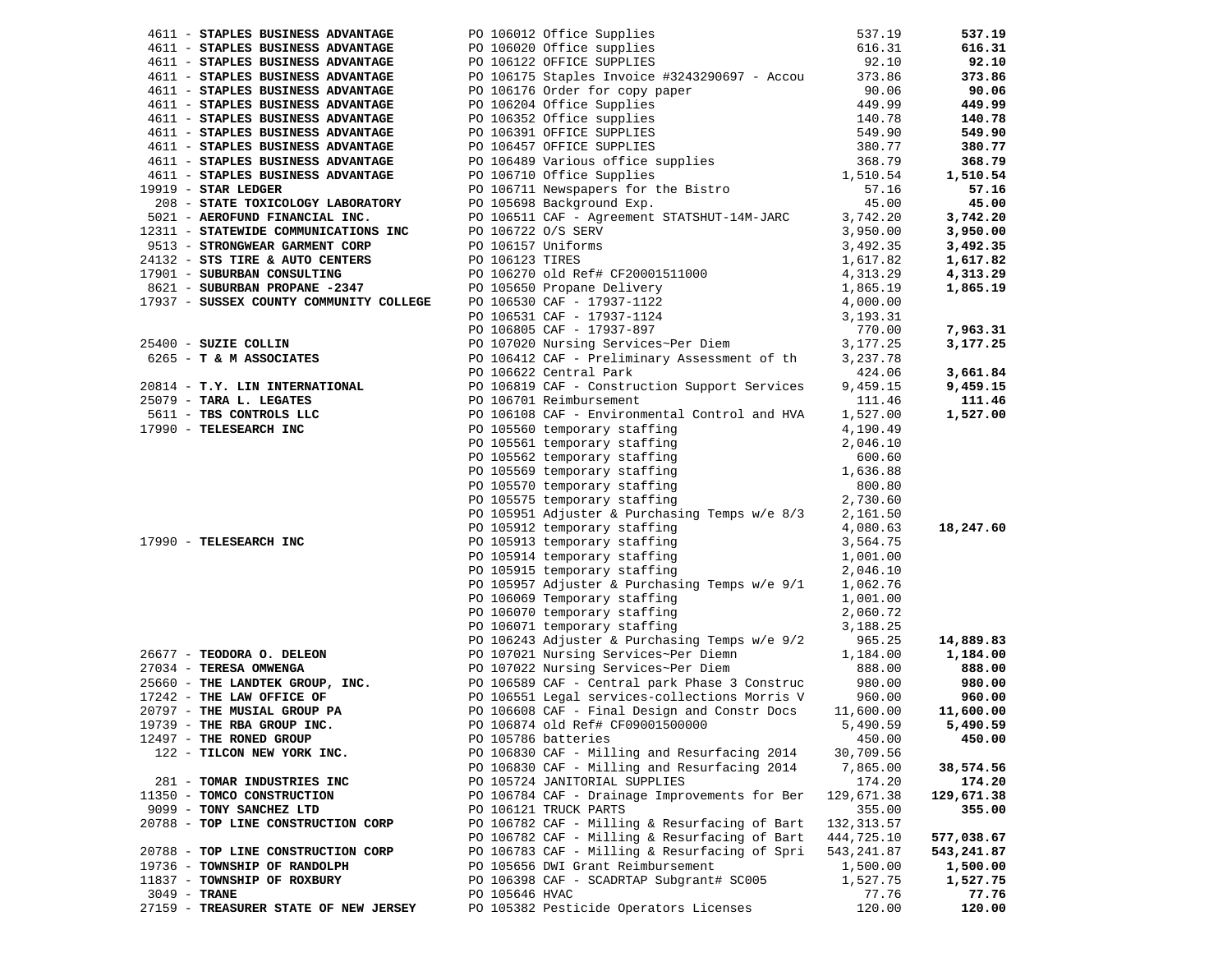| 4611 - STAPLES BUSINESS ADVANTAGE       |                | PO 106012 Office Supplies                                                                                                                                                                                                                                                                                                  | 537.19           | 537.19                |
|-----------------------------------------|----------------|----------------------------------------------------------------------------------------------------------------------------------------------------------------------------------------------------------------------------------------------------------------------------------------------------------------------------|------------------|-----------------------|
| 4611 - STAPLES BUSINESS ADVANTAGE       |                | PO 106020 Office supplies                                                                                                                                                                                                                                                                                                  | 616.31           | 616.31                |
| 4611 - STAPLES BUSINESS ADVANTAGE       |                | PO 106122 OFFICE SUPPLIES                                                                                                                                                                                                                                                                                                  | 92.10            | 92.10                 |
| 4611 - STAPLES BUSINESS ADVANTAGE       |                | PO 106175 Staples Invoice #3243290697 - Accou 373.86                                                                                                                                                                                                                                                                       |                  | 373.86                |
| 4611 - STAPLES BUSINESS ADVANTAGE       |                |                                                                                                                                                                                                                                                                                                                            |                  | 90.06                 |
| 4611 - STAPLES BUSINESS ADVANTAGE       |                |                                                                                                                                                                                                                                                                                                                            |                  | 449.99                |
| 4611 - STAPLES BUSINESS ADVANTAGE       |                |                                                                                                                                                                                                                                                                                                                            |                  | 140.78                |
| 4611 - STAPLES BUSINESS ADVANTAGE       |                |                                                                                                                                                                                                                                                                                                                            |                  | 549.90                |
| 4611 - STAPLES BUSINESS ADVANTAGE       |                |                                                                                                                                                                                                                                                                                                                            |                  | 380.77                |
| 4611 - STAPLES BUSINESS ADVANTAGE       |                |                                                                                                                                                                                                                                                                                                                            |                  | 368.79                |
| 4611 - STAPLES BUSINESS ADVANTAGE       |                | PO 106175 Staples INVOICE #5245250057 - ACCOUNTER 2010175 OF 106176 Order for copy paper<br>PO 106204 Office Supplies<br>PO 106352 Office Supplies<br>PO 106352 Office Supplies<br>PO 106391 OFFICE SUPPLIES<br>PO 106457 OFFICE SUPPLIE                                                                                   |                  | 1,510.54              |
| $19919 - STR LEDGER$                    |                |                                                                                                                                                                                                                                                                                                                            |                  | 57.16                 |
| 208 - STATE TOXICOLOGY LABORATORY       |                |                                                                                                                                                                                                                                                                                                                            |                  | 45.00                 |
| 5021 - AEROFUND FINANCIAL INC.          |                | PO 106511 CAF - Agreement STATSHUT-14M-JARC                                                                                                                                                                                                                                                                                | 3,742.20         | 3,742.20              |
| 12311 - STATEWIDE COMMUNICATIONS INC    |                |                                                                                                                                                                                                                                                                                                                            |                  | 3,950.00              |
| 9513 - STRONGWEAR GARMENT CORP          |                |                                                                                                                                                                                                                                                                                                                            |                  | 3,492.35              |
| 24132 - STS TIRE & AUTO CENTERS         |                |                                                                                                                                                                                                                                                                                                                            |                  | 1,617.82              |
| 17901 - SUBURBAN CONSULTING             |                |                                                                                                                                                                                                                                                                                                                            |                  | 4,313.29              |
| 8621 - SUBURBAN PROPANE -2347           |                |                                                                                                                                                                                                                                                                                                                            |                  | 1,865.19              |
| 17937 - SUSSEX COUNTY COMMUNITY COLLEGE |                |                                                                                                                                                                                                                                                                                                                            |                  |                       |
|                                         |                | PO 106722 0/S SERV<br>PO 106157 Uniforms<br>PO 106157 Uniforms<br>PO 106123 TIRES<br>PO 106270 old Ref# CF20001511000<br>PO 106270 old Ref# CF20001511000<br>4,313.29<br>PO 105650 Propane Delivery<br>1,865.19<br>PO 106530 CAF - 17937-1122<br>4                                                                         |                  |                       |
|                                         |                |                                                                                                                                                                                                                                                                                                                            |                  | 7,963.31              |
| 25400 - SUZIE COLLIN                    |                |                                                                                                                                                                                                                                                                                                                            |                  | 3,177.25              |
| 6265 - T & M ASSOCIATES                 |                | PO 106412 CAF - Preliminary Assessment of th                                                                                                                                                                                                                                                                               | 3,237.78         |                       |
|                                         |                | PO 106622 Central Park                                                                                                                                                                                                                                                                                                     | 424.06           | 3,661.84              |
|                                         |                | 20814 - T.Y. LIN INTERNATIONAL PO 106819 CAF - Construction Support Services                                                                                                                                                                                                                                               | 9,459.15         | 9,459.15              |
| 25079 - TARA L. LEGATES                 |                | PO 106701 Reimbursement                                                                                                                                                                                                                                                                                                    | 111.46           | 111.46                |
| 5611 - TBS CONTROLS LLC                 |                | PO 106108 CAF - Environmental Control and HVA                                                                                                                                                                                                                                                                              | 1,527.00         | 1,527.00              |
| 17990 - TELESEARCH INC                  |                | PO 105560 temporary staffing                                                                                                                                                                                                                                                                                               | 4,190.49         |                       |
|                                         |                | PO 105561 temporary staffing                                                                                                                                                                                                                                                                                               | 2,046.10         |                       |
|                                         |                | PO 105562 temporary staffing<br>PO 105569 temporary staffing                                                                                                                                                                                                                                                               | 600.60           |                       |
|                                         |                |                                                                                                                                                                                                                                                                                                                            | 1,636.88         |                       |
|                                         |                | PO 105570 temporary staffing<br>no 105575 temporary staffing                                                                                                                                                                                                                                                               | 800.80           |                       |
|                                         |                |                                                                                                                                                                                                                                                                                                                            | 2,730.60         |                       |
|                                         |                | PO 105951 Adjuster & Purchasing Temps w/e 8/3                                                                                                                                                                                                                                                                              | 2,161.50         |                       |
|                                         |                | PO 105912 temporary staffing                                                                                                                                                                                                                                                                                               | 4,080.63         | 18,247.60             |
| 17990 - TELESEARCH INC                  |                | PO 105913 temporary staffing<br>PO 105914 temporary staffing                                                                                                                                                                                                                                                               | 3,564.75         |                       |
|                                         |                |                                                                                                                                                                                                                                                                                                                            | 1,001.00         |                       |
|                                         |                | PO 105915 temporary staffing                                                                                                                                                                                                                                                                                               | 2,046.10         |                       |
|                                         |                | PO 105957 Adjuster & Purchasing Temps w/e 9/1                                                                                                                                                                                                                                                                              | 1,062.76         |                       |
|                                         |                | PO 106069 Temporary staffing                                                                                                                                                                                                                                                                                               | 1,001.00         |                       |
|                                         |                | PO 106070 temporary staffing<br>PO 106071 temporary staffing                                                                                                                                                                                                                                                               | 2,060.72         |                       |
|                                         |                | PO 106071 temporary staffing                                                                                                                                                                                                                                                                                               | 3,188.25         |                       |
| 26677 - TEODORA O. DELEON               |                | PO 106243 Adjuster & Purchasing Temps w/e 9/2                                                                                                                                                                                                                                                                              | 965.25           | 14,889.83<br>1,184.00 |
|                                         |                | PO 107021 Nursing Services~Per Diemn<br>PO 107022 Nursing Services~Per Diem 888.00<br>The LAW OFFICE OF THE RAN OFFICE OF THE RAN OFFICE OF THE RAN OFFICE OF THE MUSIAL GROUP PA PO 106551 Legal services-collections Morris V<br>17242 - THE MUSIAL GROUP PA PO 106551 Legal services-collections Morris V<br>19739 - TH |                  | 888.00                |
|                                         |                |                                                                                                                                                                                                                                                                                                                            |                  | 980.00                |
|                                         |                |                                                                                                                                                                                                                                                                                                                            | 980.00<br>960.00 | 960.00                |
|                                         |                |                                                                                                                                                                                                                                                                                                                            | 11,600.00        | 11,600.00             |
|                                         |                | PO 106874 old Ref# CF09001500000                                                                                                                                                                                                                                                                                           | 5,490.59         | 5,490.59              |
| 12497 - THE RONED GROUP                 |                | PO 105786 batteries                                                                                                                                                                                                                                                                                                        | 450.00           | 450.00                |
| 122 - TILCON NEW YORK INC.              |                | PO 106830 CAF - Milling and Resurfacing 2014                                                                                                                                                                                                                                                                               | 30,709.56        |                       |
|                                         |                | PO 106830 CAF - Milling and Resurfacing 2014                                                                                                                                                                                                                                                                               | 7,865.00         | 38,574.56             |
| 281 - TOMAR INDUSTRIES INC              |                | PO 105724 JANITORIAL SUPPLIES                                                                                                                                                                                                                                                                                              | 174.20           | 174.20                |
| 11350 - TOMCO CONSTRUCTION              |                | PO 106784 CAF - Drainage Improvements for Ber                                                                                                                                                                                                                                                                              | 129,671.38       | 129,671.38            |
| 9099 - TONY SANCHEZ LTD                 |                | PO 106121 TRUCK PARTS                                                                                                                                                                                                                                                                                                      | 355.00           | 355.00                |
| 20788 - TOP LINE CONSTRUCTION CORP      |                | PO 106782 CAF - Milling & Resurfacing of Bart                                                                                                                                                                                                                                                                              | 132, 313.57      |                       |
|                                         |                | PO 106782 CAF - Milling & Resurfacing of Bart                                                                                                                                                                                                                                                                              | 444,725.10       | 577,038.67            |
| 20788 - TOP LINE CONSTRUCTION CORP      |                | PO 106783 CAF - Milling & Resurfacing of Spri                                                                                                                                                                                                                                                                              | 543,241.87       | 543,241.87            |
| 19736 - TOWNSHIP OF RANDOLPH            |                | PO 105656 DWI Grant Reimbursement                                                                                                                                                                                                                                                                                          | 1,500.00         | 1,500.00              |
| 11837 - TOWNSHIP OF ROXBURY             |                | PO 106398 CAF - SCADRTAP Subgrant# SC005                                                                                                                                                                                                                                                                                   | 1,527.75         | 1,527.75              |
| 3049 - TRANE                            | PO 105646 HVAC |                                                                                                                                                                                                                                                                                                                            | 77.76            | 77.76                 |
| 27159 - TREASURER STATE OF NEW JERSEY   |                | PO 105382 Pesticide Operators Licenses                                                                                                                                                                                                                                                                                     | 120.00           | 120.00                |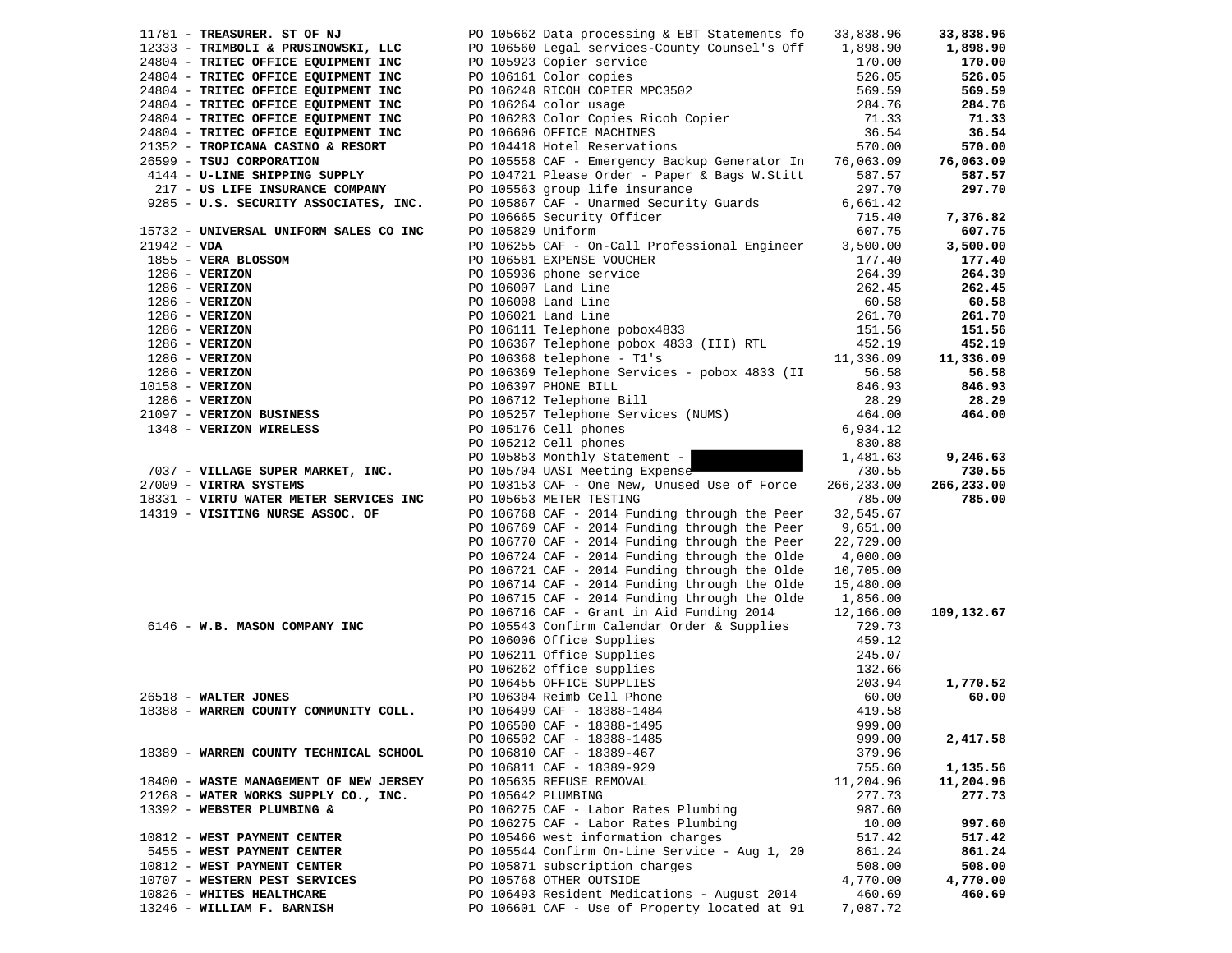|               | 11781 - TREASURER. ST OF NJ                                                                                                                                                                                                                                             |                    | PO 105662 Data processing & EBT Statements fo 33,838.96                                                                                                                                                    |            | 33,838.96  |
|---------------|-------------------------------------------------------------------------------------------------------------------------------------------------------------------------------------------------------------------------------------------------------------------------|--------------------|------------------------------------------------------------------------------------------------------------------------------------------------------------------------------------------------------------|------------|------------|
|               | 12333 - TRIMBOLI & PRUSINOWSKI, LLC                                                                                                                                                                                                                                     |                    | PO 106560 Legal services-County Counsel's Off 1,898.90                                                                                                                                                     |            | 1,898.90   |
|               | 24804 - TRITEC OFFICE EQUIPMENT INC                                                                                                                                                                                                                                     |                    | PO 105923 Copier service                                                                                                                                                                                   | 170.00     | 170.00     |
|               | 24804 - TRITEC OFFICE EQUIPMENT INC                                                                                                                                                                                                                                     |                    |                                                                                                                                                                                                            | 526.05     | 526.05     |
|               | 24804 - TRITEC OFFICE EQUIPMENT INC                                                                                                                                                                                                                                     |                    |                                                                                                                                                                                                            | 569.59     | 569.59     |
|               | 24804 - TRITEC OFFICE EQUIPMENT INC                                                                                                                                                                                                                                     |                    | PO 106161 Color copies<br>PO 106248 RICOH COPIER MPC3502<br>PO 106264 color usage<br>PO 106264 color usage<br>PO 106264 color usage<br>PO 106283 Color Copies Ricoh Copier                                 | 284.76     | 284.76     |
|               | 24804 - TRITEC OFFICE EQUIPMENT INC                                                                                                                                                                                                                                     |                    |                                                                                                                                                                                                            | 71.33      | 71.33      |
|               | 24804 - TRITEC OFFICE EQUIPMENT INC                                                                                                                                                                                                                                     |                    | PO 106606 OFFICE MACHINES                                                                                                                                                                                  | 36.54      | 36.54      |
|               | 21352 - TROPICANA CASINO & RESORT                                                                                                                                                                                                                                       |                    | PO 104418 Hotel Reservations                                                                                                                                                                               | 570.00     | 570.00     |
|               | 26599 - TSUJ CORPORATION                                                                                                                                                                                                                                                |                    | PO 105558 CAF - Emergency Backup Generator In                                                                                                                                                              | 76,063.09  | 76,063.09  |
|               | 4144 - U-LINE SHIPPING SUPPLY                                                                                                                                                                                                                                           |                    | PO 104721 Please Order - Paper & Bags W.Stitt                                                                                                                                                              | 587.57     | 587.57     |
|               | 217 - US LIFE INSURANCE COMPANY                                                                                                                                                                                                                                         |                    | PO 105563 group life insurance                                                                                                                                                                             | 297.70     | 297.70     |
|               | 9285 - U.S. SECURITY ASSOCIATES, INC.                                                                                                                                                                                                                                   |                    | PO 105867 CAF - Unarmed Security Guards                                                                                                                                                                    | 6,661.42   |            |
|               |                                                                                                                                                                                                                                                                         |                    | PO 106665 Security Officer                                                                                                                                                                                 | 715.40     | 7,376.82   |
|               | 15732 - UNIVERSAL UNIFORM SALES CO INC                                                                                                                                                                                                                                  | PO 105829 Uniform  |                                                                                                                                                                                                            | 607.75     | 607.75     |
| $21942 - VDA$ |                                                                                                                                                                                                                                                                         |                    | PO 106255 CAF - On-Call Professional Engineer                                                                                                                                                              | 3,500.00   | 3,500.00   |
|               | 1855 - VERA BLOSSOM                                                                                                                                                                                                                                                     |                    | PO 106581 EXPENSE VOUCHER<br>PO 105936 phone service<br>PO 106007 Land Line<br>PO 106008 Land Line<br>PO 106021 Land Line<br>PO 106111 Telephone pobox4833<br>PO 106111 Telephone pobox4833                | 177.40     | 177.40     |
|               |                                                                                                                                                                                                                                                                         |                    |                                                                                                                                                                                                            | 264.39     | 264.39     |
|               |                                                                                                                                                                                                                                                                         |                    |                                                                                                                                                                                                            | 262.45     | 262.45     |
|               |                                                                                                                                                                                                                                                                         |                    |                                                                                                                                                                                                            | 60.58      | 60.58      |
|               |                                                                                                                                                                                                                                                                         |                    |                                                                                                                                                                                                            | 261.70     | 261.70     |
|               |                                                                                                                                                                                                                                                                         |                    |                                                                                                                                                                                                            | 151.56     | 151.56     |
|               |                                                                                                                                                                                                                                                                         |                    | PO 106367 Telephone pobox 4833 (III) RTL                                                                                                                                                                   | 452.19     | 452.19     |
|               |                                                                                                                                                                                                                                                                         |                    | PO 106368 telephone - T1's                                                                                                                                                                                 | 11,336.09  | 11,336.09  |
|               |                                                                                                                                                                                                                                                                         |                    | PO 106369 Telephone Services - pobox 4833 (II                                                                                                                                                              | 56.58      | 56.58      |
|               |                                                                                                                                                                                                                                                                         |                    | PO 106397 PHONE BILL                                                                                                                                                                                       | 846.93     | 846.93     |
|               |                                                                                                                                                                                                                                                                         |                    | PO 106712 Telephone Bill                                                                                                                                                                                   | 28.29      | 28.29      |
|               | 1855 - VERA BLOSSOM<br>1286 - VERIZON<br>1286 - VERIZON<br>1286 - VERIZON<br>1286 - VERIZON<br>1286 - VERIZON<br>1286 - VERIZON<br>1286 - VERIZON<br>1286 - VERIZON<br>1286 - VERIZON<br>1286 - VERIZON<br>1286 - VERIZON<br>1286 - VERIZON<br>1286 - VERIZON<br>1286 - |                    | PO 105257 Telephone Services (NUMS)                                                                                                                                                                        | 464.00     | 464.00     |
|               | 1348 - VERIZON WIRELESS                                                                                                                                                                                                                                                 |                    | PO 105176 Cell phones                                                                                                                                                                                      | 6,934.12   |            |
|               |                                                                                                                                                                                                                                                                         |                    | PO 105212 Cell phones                                                                                                                                                                                      | 830.88     |            |
|               |                                                                                                                                                                                                                                                                         |                    | PO 105853 Monthly Statement -                                                                                                                                                                              | 1,481.63   | 9,246.63   |
|               | 7037 - VILLAGE SUPER MARKET, INC.                                                                                                                                                                                                                                       |                    | PO 105704 UASI Meeting Expense                                                                                                                                                                             | 730.55     | 730.55     |
|               | 27009 - VIRTRA SYSTEMS                                                                                                                                                                                                                                                  |                    | PO 103153 CAF - One New, Unused Use of Force                                                                                                                                                               | 266,233.00 | 266,233.00 |
|               | 18331 - VIRTU WATER METER SERVICES INC                                                                                                                                                                                                                                  |                    | PO 105653 METER TESTING                                                                                                                                                                                    | 785.00     | 785.00     |
|               | 14319 - VISITING NURSE ASSOC. OF                                                                                                                                                                                                                                        |                    | PO 106768 CAF - 2014 Funding through the Peer                                                                                                                                                              | 32,545.67  |            |
|               |                                                                                                                                                                                                                                                                         |                    | PO 106769 CAF - 2014 Funding through the Peer                                                                                                                                                              | 9,651.00   |            |
|               |                                                                                                                                                                                                                                                                         |                    | PO 106770 CAF - 2014 Funding through the Peer                                                                                                                                                              | 22,729.00  |            |
|               |                                                                                                                                                                                                                                                                         |                    | PO 106724 CAF - 2014 Funding through the Olde                                                                                                                                                              | 4,000.00   |            |
|               |                                                                                                                                                                                                                                                                         |                    | PO 106721 CAF - 2014 Funding through the Olde                                                                                                                                                              | 10,705.00  |            |
|               |                                                                                                                                                                                                                                                                         |                    | PO 106714 CAF - 2014 Funding through the Olde                                                                                                                                                              | 15,480.00  |            |
|               |                                                                                                                                                                                                                                                                         |                    | PO 106715 CAF - 2014 Funding through the Olde                                                                                                                                                              | 1,856.00   |            |
|               |                                                                                                                                                                                                                                                                         |                    | PO 106716 CAF - Grant in Aid Funding 2014                                                                                                                                                                  | 12,166.00  | 109,132.67 |
|               | 6146 - W.B. MASON COMPANY INC                                                                                                                                                                                                                                           |                    | PO 105543 Confirm Calendar Order & Supplies                                                                                                                                                                | 729.73     |            |
|               |                                                                                                                                                                                                                                                                         |                    | PO 106006 Office Supplies                                                                                                                                                                                  | 459.12     |            |
|               |                                                                                                                                                                                                                                                                         |                    |                                                                                                                                                                                                            | 245.07     |            |
|               |                                                                                                                                                                                                                                                                         |                    |                                                                                                                                                                                                            | 132.66     |            |
|               |                                                                                                                                                                                                                                                                         |                    |                                                                                                                                                                                                            | 203.94     | 1,770.52   |
|               | 26518 - WALTER JONES                                                                                                                                                                                                                                                    |                    | PO 106006 Office Supplies<br>PO 106262 office Supplies<br>PO 106262 office supplies<br>PO 106455 OFFICE SUPPLIES<br>PO 106304 Reimb Cell Phone<br>PO 106499 CAF - 18388-1484<br>PO 106500 CAF - 18388-1495 | 60.00      | 60.00      |
|               | 18388 - WARREN COUNTY COMMUNITY COLL.                                                                                                                                                                                                                                   |                    |                                                                                                                                                                                                            | 419.58     |            |
|               |                                                                                                                                                                                                                                                                         |                    | PO 106500 CAF - 18388-1495                                                                                                                                                                                 | 999.00     |            |
|               |                                                                                                                                                                                                                                                                         |                    | PO 106502 CAF - 18388-1485                                                                                                                                                                                 | 999.00     | 2,417.58   |
|               | 18389 - WARREN COUNTY TECHNICAL SCHOOL                                                                                                                                                                                                                                  |                    | PO 106810 CAF - 18389-467                                                                                                                                                                                  | 379.96     |            |
|               |                                                                                                                                                                                                                                                                         |                    | PO 106811 CAF - 18389-929                                                                                                                                                                                  | 755.60     | 1,135.56   |
|               | 18400 - WASTE MANAGEMENT OF NEW JERSEY                                                                                                                                                                                                                                  |                    | PO 105635 REFUSE REMOVAL                                                                                                                                                                                   | 11,204.96  | 11,204.96  |
|               | 21268 - WATER WORKS SUPPLY CO., INC.                                                                                                                                                                                                                                    | PO 105642 PLUMBING |                                                                                                                                                                                                            | 277.73     | 277.73     |
|               | 13392 - WEBSTER PLUMBING &                                                                                                                                                                                                                                              |                    | PO 106275 CAF - Labor Rates Plumbing                                                                                                                                                                       | 987.60     |            |
|               |                                                                                                                                                                                                                                                                         |                    | PO 106275 CAF - Labor Rates Plumbing                                                                                                                                                                       | 10.00      | 997.60     |
|               | 10812 - WEST PAYMENT CENTER                                                                                                                                                                                                                                             |                    | PO 105466 west information charges                                                                                                                                                                         | 517.42     | 517.42     |
|               | 5455 - WEST PAYMENT CENTER                                                                                                                                                                                                                                              |                    | PO 105544 Confirm On-Line Service - Aug 1, 20                                                                                                                                                              | 861.24     | 861.24     |
|               | 10812 - WEST PAYMENT CENTER                                                                                                                                                                                                                                             |                    | PO 105871 subscription charges                                                                                                                                                                             | 508.00     | 508.00     |
|               | 10707 - WESTERN PEST SERVICES                                                                                                                                                                                                                                           |                    | PO 105768 OTHER OUTSIDE                                                                                                                                                                                    | 4,770.00   | 4,770.00   |
|               | 10826 - WHITES HEALTHCARE                                                                                                                                                                                                                                               |                    | PO 106493 Resident Medications - August 2014                                                                                                                                                               | 460.69     | 460.69     |
|               | 13246 - WILLIAM F. BARNISH                                                                                                                                                                                                                                              |                    | PO 106601 CAF - Use of Property located at 91                                                                                                                                                              | 7,087.72   |            |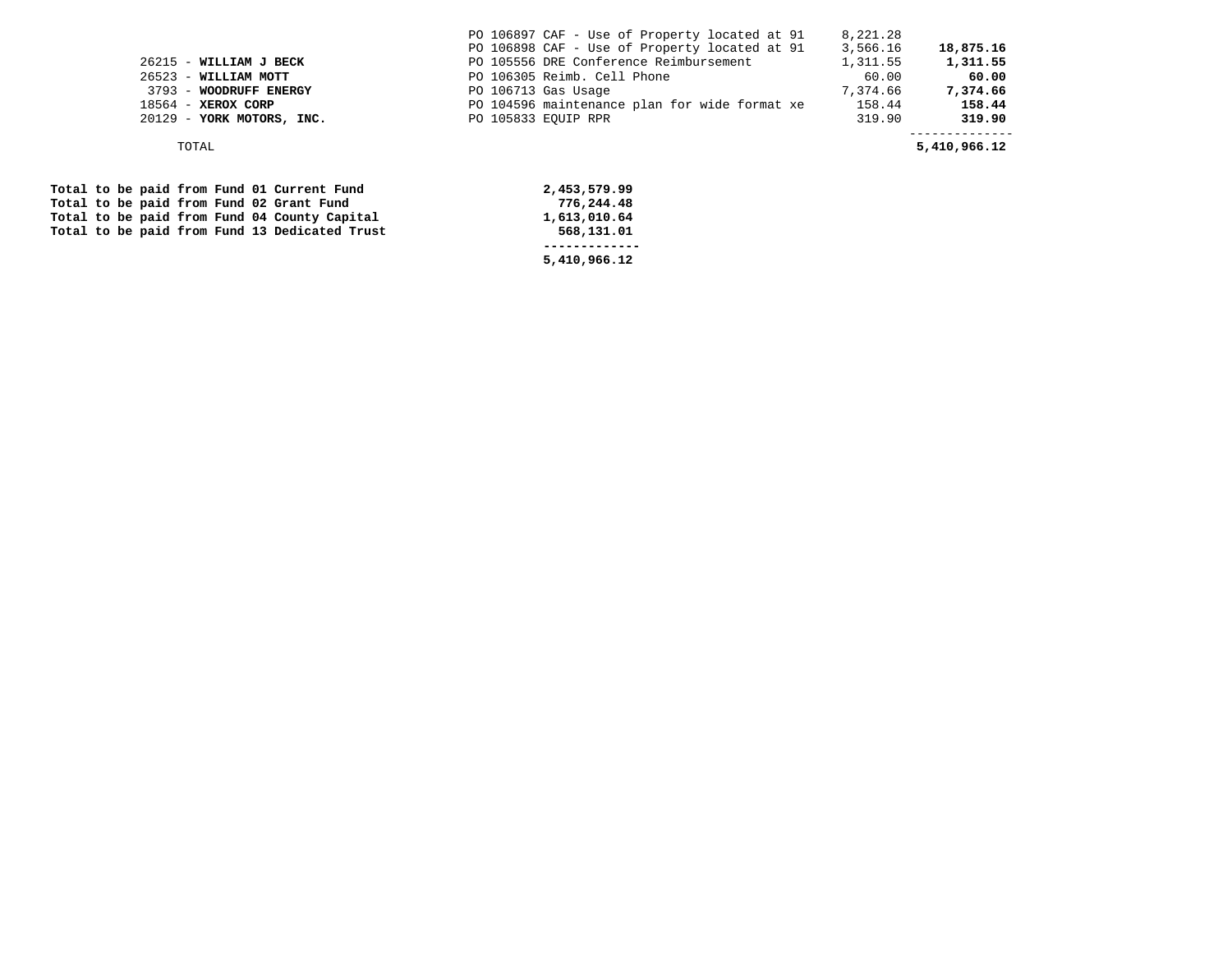|                                               | PO 106897 CAF - Use of Property located at 91 | 8,221.28 |              |
|-----------------------------------------------|-----------------------------------------------|----------|--------------|
|                                               | PO 106898 CAF - Use of Property located at 91 | 3,566.16 | 18,875.16    |
| $26215$ - WILLIAM J BECK                      | PO 105556 DRE Conference Reimbursement        | 1,311.55 | 1,311.55     |
| $26523 -$ WILLIAM MOTT                        | PO 106305 Reimb. Cell Phone                   | 60.00    | 60.00        |
| 3793 - WOODRUFF ENERGY                        | PO 106713 Gas Usage                           | 7,374.66 | 7,374.66     |
| $18564$ - XEROX CORP                          | PO 104596 maintenance plan for wide format xe | 158.44   | 158.44       |
| 20129 - YORK MOTORS, INC.                     | PO 105833 EOUIP RPR                           | 319.90   | 319.90       |
| TOTAL                                         |                                               |          | 5,410,966.12 |
|                                               |                                               |          |              |
| Total to be paid from Fund 01 Current Fund    | 2,453,579.99                                  |          |              |
|                                               |                                               |          |              |
| Total to be paid from Fund 02 Grant Fund      | 776,244.48                                    |          |              |
| Total to be paid from Fund 04 County Capital  | 1,613,010.64                                  |          |              |
| Total to be paid from Fund 13 Dedicated Trust | 568,131.01                                    |          |              |

 **------------- 5,410,966.12**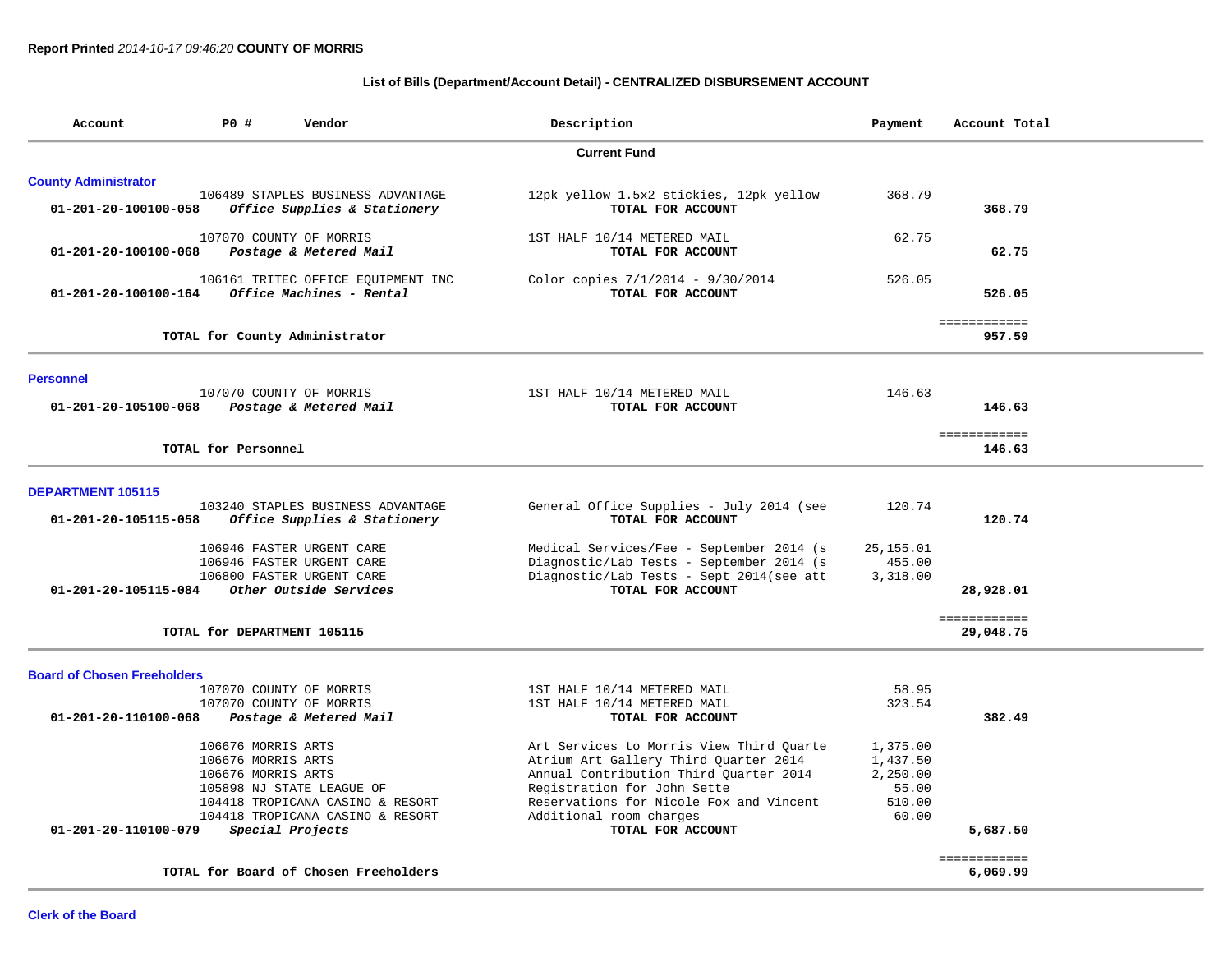# **List of Bills (Department/Account Detail) - CENTRALIZED DISBURSEMENT ACCOUNT**

| Account                            | P0 #                        | Vendor                                               | Description                                  | Payment    | Account Total                |
|------------------------------------|-----------------------------|------------------------------------------------------|----------------------------------------------|------------|------------------------------|
|                                    |                             |                                                      | <b>Current Fund</b>                          |            |                              |
| <b>County Administrator</b>        |                             |                                                      |                                              |            |                              |
|                                    |                             | 106489 STAPLES BUSINESS ADVANTAGE                    | 12pk yellow 1.5x2 stickies, 12pk yellow      | 368.79     |                              |
| 01-201-20-100100-058               |                             | Office Supplies & Stationery                         | TOTAL FOR ACCOUNT                            |            | 368.79                       |
|                                    |                             | 107070 COUNTY OF MORRIS                              | 1ST HALF 10/14 METERED MAIL                  | 62.75      |                              |
| 01-201-20-100100-068               |                             | Postage & Metered Mail                               | TOTAL FOR ACCOUNT                            |            | 62.75                        |
|                                    |                             | 106161 TRITEC OFFICE EQUIPMENT INC                   | Color copies 7/1/2014 - 9/30/2014            | 526.05     |                              |
| 01-201-20-100100-164               |                             | Office Machines - Rental                             | TOTAL FOR ACCOUNT                            |            | 526.05                       |
|                                    |                             | TOTAL for County Administrator                       |                                              |            | <b>EEEEEEEEEEE</b><br>957.59 |
|                                    |                             |                                                      |                                              |            |                              |
| <b>Personnel</b>                   |                             |                                                      |                                              |            |                              |
|                                    |                             | 107070 COUNTY OF MORRIS                              | 1ST HALF 10/14 METERED MAIL                  | 146.63     |                              |
| 01-201-20-105100-068               |                             | Postage & Metered Mail                               | TOTAL FOR ACCOUNT                            |            | 146.63                       |
|                                    |                             |                                                      |                                              |            | ============                 |
|                                    | TOTAL for Personnel         |                                                      |                                              |            | 146.63                       |
| <b>DEPARTMENT 105115</b>           |                             |                                                      |                                              |            |                              |
|                                    |                             | 103240 STAPLES BUSINESS ADVANTAGE                    | General Office Supplies - July 2014 (see     | 120.74     |                              |
| 01-201-20-105115-058               |                             | Office Supplies & Stationery                         | TOTAL FOR ACCOUNT                            |            | 120.74                       |
|                                    |                             | 106946 FASTER URGENT CARE                            | Medical Services/Fee - September 2014 (s)    | 25, 155.01 |                              |
|                                    |                             | 106946 FASTER URGENT CARE                            | Diagnostic/Lab Tests - September 2014 (s     | 455.00     |                              |
|                                    |                             | 106800 FASTER URGENT CARE                            | Diagnostic/Lab Tests - Sept 2014(see att     | 3,318.00   |                              |
| 01-201-20-105115-084               |                             | Other Outside Services                               | TOTAL FOR ACCOUNT                            |            | 28,928.01                    |
|                                    |                             |                                                      |                                              |            | ============                 |
|                                    | TOTAL for DEPARTMENT 105115 |                                                      |                                              |            | 29,048.75                    |
| <b>Board of Chosen Freeholders</b> |                             |                                                      |                                              |            |                              |
|                                    |                             | 107070 COUNTY OF MORRIS                              | 1ST HALF 10/14 METERED MAIL                  | 58.95      |                              |
|                                    |                             | 107070 COUNTY OF MORRIS                              | 1ST HALF 10/14 METERED MAIL                  | 323.54     |                              |
| 01-201-20-110100-068               |                             | Postage & Metered Mail                               | TOTAL FOR ACCOUNT                            |            | 382.49                       |
|                                    | 106676 MORRIS ARTS          |                                                      | Art Services to Morris View Third Quarte     | 1,375.00   |                              |
|                                    | 106676 MORRIS ARTS          |                                                      | Atrium Art Gallery Third Quarter 2014        | 1,437.50   |                              |
|                                    | 106676 MORRIS ARTS          |                                                      | Annual Contribution Third Quarter 2014       | 2,250.00   |                              |
|                                    |                             | 105898 NJ STATE LEAGUE OF                            | Registration for John Sette                  | 55.00      |                              |
|                                    |                             | 104418 TROPICANA CASINO & RESORT                     | Reservations for Nicole Fox and Vincent      | 510.00     |                              |
| 01-201-20-110100-079               |                             | 104418 TROPICANA CASINO & RESORT<br>Special Projects | Additional room charges<br>TOTAL FOR ACCOUNT | 60.00      | 5,687.50                     |
|                                    |                             |                                                      |                                              |            |                              |
|                                    |                             | TOTAL for Board of Chosen Freeholders                |                                              |            | ============<br>6,069.99     |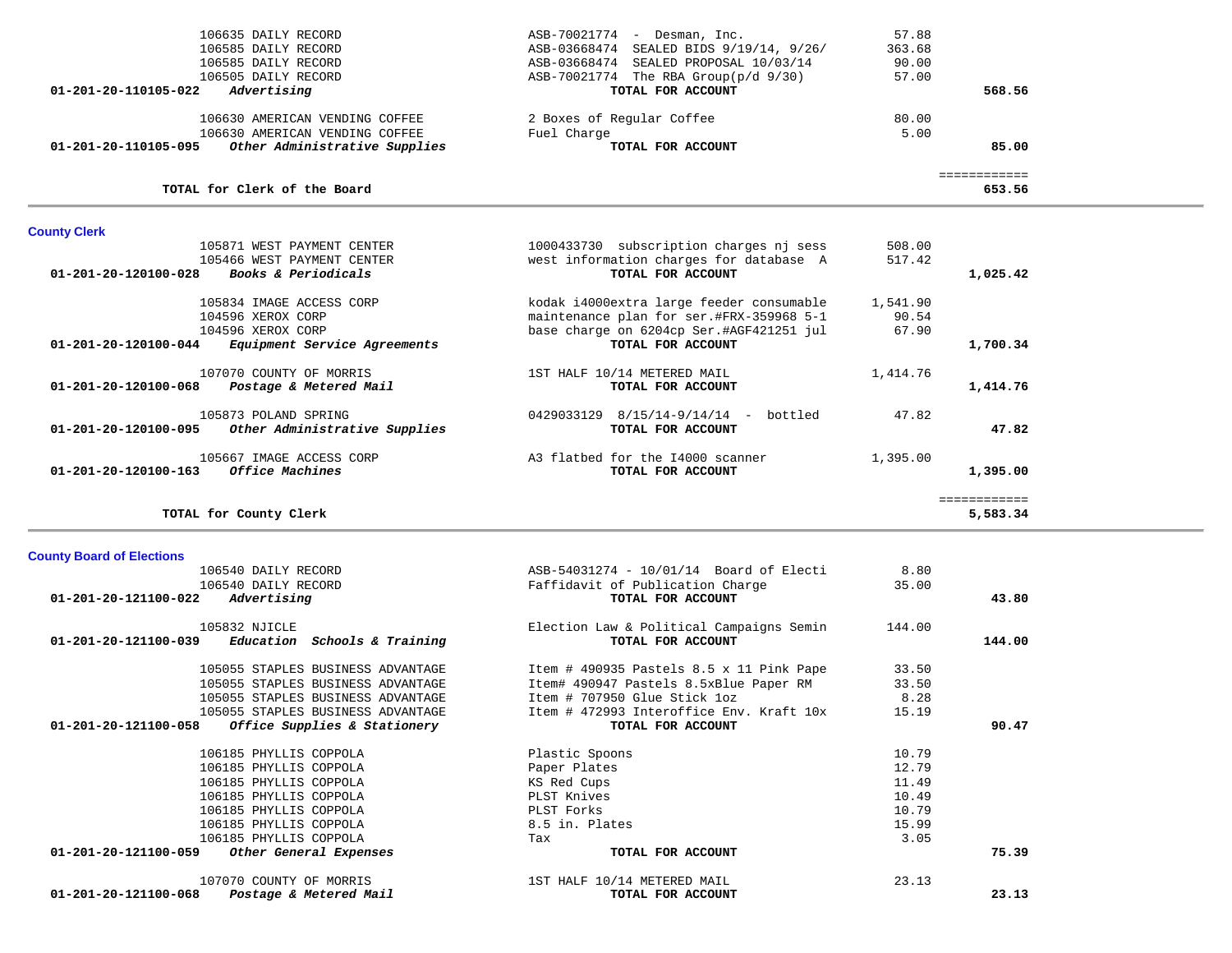| 106585 DAILY RECORD                                                                       | ASB-03668474 SEALED PROPOSAL 10/03/14                         | 90.00          |                          |  |
|-------------------------------------------------------------------------------------------|---------------------------------------------------------------|----------------|--------------------------|--|
| 106505 DAILY RECORD                                                                       | ASB-70021774 The RBA Group(p/d 9/30)                          | 57.00          |                          |  |
| Advertising<br>01-201-20-110105-022                                                       | TOTAL FOR ACCOUNT                                             |                | 568.56                   |  |
| 106630 AMERICAN VENDING COFFEE                                                            | 2 Boxes of Regular Coffee                                     | 80.00          |                          |  |
| 106630 AMERICAN VENDING COFFEE                                                            | Fuel Charge                                                   | 5.00           |                          |  |
| Other Administrative Supplies<br>01-201-20-110105-095                                     | TOTAL FOR ACCOUNT                                             |                | 85.00                    |  |
|                                                                                           |                                                               |                |                          |  |
| TOTAL for Clerk of the Board                                                              |                                                               |                | ============<br>653.56   |  |
| <b>County Clerk</b>                                                                       |                                                               |                |                          |  |
| 105871 WEST PAYMENT CENTER                                                                | 1000433730 subscription charges nj sess                       | 508.00         |                          |  |
| 105466 WEST PAYMENT CENTER                                                                | west information charges for database A                       | 517.42         |                          |  |
| <i>Books &amp; Periodicals</i><br>01-201-20-120100-028                                    | TOTAL FOR ACCOUNT                                             |                | 1,025.42                 |  |
| 105834 IMAGE ACCESS CORP                                                                  | kodak i4000extra large feeder consumable                      | 1,541.90       |                          |  |
| 104596 XEROX CORP                                                                         | maintenance plan for ser.#FRX-359968 5-1                      | 90.54          |                          |  |
| 104596 XEROX CORP                                                                         | base charge on 6204cp Ser.#AGF421251 jul                      | 67.90          |                          |  |
| Equipment Service Agreements<br>01-201-20-120100-044                                      | TOTAL FOR ACCOUNT                                             |                | 1,700.34                 |  |
|                                                                                           |                                                               |                |                          |  |
| 107070 COUNTY OF MORRIS<br>01-201-20-120100-068<br>Postage & Metered Mail                 | 1ST HALF 10/14 METERED MAIL<br>TOTAL FOR ACCOUNT              | 1,414.76       | 1,414.76                 |  |
|                                                                                           |                                                               |                |                          |  |
| 105873 POLAND SPRING                                                                      | 0429033129 8/15/14-9/14/14 - bottled                          | 47.82          |                          |  |
| Other Administrative Supplies<br>01-201-20-120100-095                                     | TOTAL FOR ACCOUNT                                             |                | 47.82                    |  |
| 105667 IMAGE ACCESS CORP                                                                  | A3 flatbed for the I4000 scanner                              | 1,395.00       |                          |  |
| Office Machines<br>01-201-20-120100-163                                                   | TOTAL FOR ACCOUNT                                             |                | 1,395.00                 |  |
|                                                                                           |                                                               |                |                          |  |
|                                                                                           |                                                               |                |                          |  |
| TOTAL for County Clerk                                                                    |                                                               |                | ============<br>5,583.34 |  |
|                                                                                           |                                                               |                |                          |  |
| <b>County Board of Elections</b>                                                          |                                                               |                |                          |  |
| 106540 DAILY RECORD                                                                       | ASB-54031274 - 10/01/14 Board of Electi                       | 8.80           |                          |  |
| 106540 DAILY RECORD                                                                       | Faffidavit of Publication Charge                              | 35.00          |                          |  |
| Advertising<br>01-201-20-121100-022                                                       | TOTAL FOR ACCOUNT                                             |                | 43.80                    |  |
| 105832 NJICLE                                                                             |                                                               | 144.00         |                          |  |
| $01-201-20-121100-039$ Education Schools & Training                                       | Election Law & Political Campaigns Semin<br>TOTAL FOR ACCOUNT |                | 144.00                   |  |
|                                                                                           |                                                               |                |                          |  |
| 105055 STAPLES BUSINESS ADVANTAGE                                                         | Item # 490935 Pastels 8.5 x 11 Pink Pape                      | 33.50          |                          |  |
| 105055 STAPLES BUSINESS ADVANTAGE                                                         | Item# 490947 Pastels 8.5xBlue Paper RM                        | 33.50          |                          |  |
| 105055 STAPLES BUSINESS ADVANTAGE                                                         | Item # 707950 Glue Stick 1oz                                  | 8.28           |                          |  |
| 105055 STAPLES BUSINESS ADVANTAGE<br>01-201-20-121100-058<br>Office Supplies & Stationery | Item # 472993 Interoffice Env. Kraft 10x<br>TOTAL FOR ACCOUNT | 15.19          | 90.47                    |  |
|                                                                                           |                                                               |                |                          |  |
| 106185 PHYLLIS COPPOLA                                                                    | Plastic Spoons                                                | 10.79          |                          |  |
| 106185 PHYLLIS COPPOLA                                                                    | Paper Plates                                                  | 12.79          |                          |  |
| 106185 PHYLLIS COPPOLA                                                                    | KS Red Cups                                                   | 11.49          |                          |  |
| 106185 PHYLLIS COPPOLA                                                                    | PLST Knives                                                   | 10.49          |                          |  |
| 106185 PHYLLIS COPPOLA<br>106185 PHYLLIS COPPOLA                                          | PLST Forks<br>8.5 in. Plates                                  | 10.79<br>15.99 |                          |  |
| 106185 PHYLLIS COPPOLA                                                                    | Tax                                                           | 3.05           |                          |  |
| 01-201-20-121100-059<br>Other General Expenses                                            | TOTAL FOR ACCOUNT                                             |                | 75.39                    |  |
|                                                                                           |                                                               |                |                          |  |
| 107070 COUNTY OF MORRIS<br>01-201-20-121100-068<br>Postage & Metered Mail                 | 1ST HALF 10/14 METERED MAIL<br>TOTAL FOR ACCOUNT              | 23.13          | 23.13                    |  |

106635 DAILY RECORD ASB-70021774 - Desman, Inc. 57.88

ASB-03668474 SEALED BIDS 9/19/14, 9/26/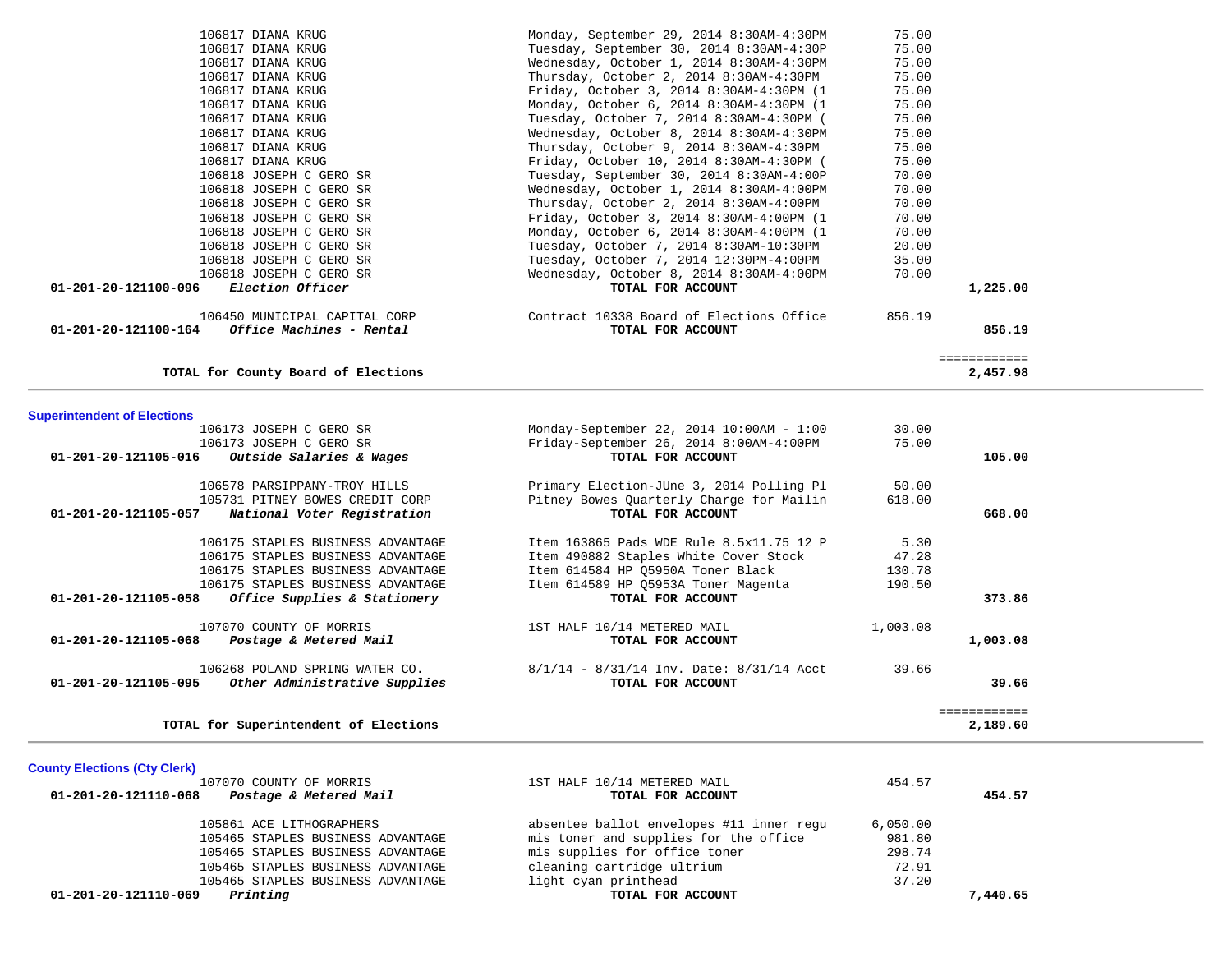| 106817 DIANA KRUG                                                     | Tuesday, October 7, 2014 8:30AM-4:30PM (       | 75.00    |              |  |
|-----------------------------------------------------------------------|------------------------------------------------|----------|--------------|--|
| 106817 DIANA KRUG                                                     | Wednesday, October 8, 2014 8:30AM-4:30PM       | 75.00    |              |  |
| 106817 DIANA KRUG                                                     | Thursday, October 9, 2014 8:30AM-4:30PM        | 75.00    |              |  |
| 106817 DIANA KRUG                                                     | Friday, October 10, 2014 8:30AM-4:30PM (       | 75.00    |              |  |
| 106818 JOSEPH C GERO SR                                               | Tuesday, September 30, 2014 8:30AM-4:00P       | 70.00    |              |  |
| 106818 JOSEPH C GERO SR                                               | Wednesday, October 1, 2014 8:30AM-4:00PM       | 70.00    |              |  |
| 106818 JOSEPH C GERO SR                                               | Thursday, October 2, 2014 8:30AM-4:00PM        | 70.00    |              |  |
| 106818 JOSEPH C GERO SR                                               | Friday, October 3, 2014 8:30AM-4:00PM (1       | 70.00    |              |  |
| 106818 JOSEPH C GERO SR                                               | Monday, October 6, 2014 8:30AM-4:00PM (1       | 70.00    |              |  |
| 106818 JOSEPH C GERO SR                                               | Tuesday, October 7, 2014 8:30AM-10:30PM        | 20.00    |              |  |
| 106818 JOSEPH C GERO SR                                               | Tuesday, October 7, 2014 12:30PM-4:00PM        | 35.00    |              |  |
| 106818 JOSEPH C GERO SR                                               | Wednesday, October 8, 2014 8:30AM-4:00PM       | 70.00    |              |  |
| 01-201-20-121100-096<br>Election Officer                              | TOTAL FOR ACCOUNT                              |          | 1,225.00     |  |
|                                                                       |                                                |          |              |  |
| 106450 MUNICIPAL CAPITAL CORP                                         | Contract 10338 Board of Elections Office       | 856.19   |              |  |
| Office Machines - Rental<br>01-201-20-121100-164                      | TOTAL FOR ACCOUNT                              |          | 856.19       |  |
|                                                                       |                                                |          | ============ |  |
| TOTAL for County Board of Elections                                   |                                                |          | 2,457.98     |  |
|                                                                       |                                                |          |              |  |
| <b>Superintendent of Elections</b>                                    |                                                |          |              |  |
| 106173 JOSEPH C GERO SR                                               | Monday-September 22, 2014 10:00AM - 1:00       | 30.00    |              |  |
| 106173 JOSEPH C GERO SR                                               | Friday-September 26, 2014 8:00AM-4:00PM        | 75.00    |              |  |
| 01-201-20-121105-016<br>Outside Salaries & Wages                      | TOTAL FOR ACCOUNT                              |          | 105.00       |  |
| 106578 PARSIPPANY-TROY HILLS                                          | Primary Election-JUne 3, 2014 Polling Pl       | 50.00    |              |  |
| 105731 PITNEY BOWES CREDIT CORP                                       | Pitney Bowes Ouarterly Charge for Mailin       | 618.00   |              |  |
| National Voter Registration<br>01-201-20-121105-057                   | TOTAL FOR ACCOUNT                              |          | 668.00       |  |
|                                                                       |                                                |          |              |  |
| 106175 STAPLES BUSINESS ADVANTAGE                                     | Item 163865 Pads WDE Rule 8.5x11.75 12 P       | 5.30     |              |  |
| 106175 STAPLES BUSINESS ADVANTAGE                                     | Item 490882 Staples White Cover Stock          | 47.28    |              |  |
| 106175 STAPLES BUSINESS ADVANTAGE                                     | Item 614584 HP Q5950A Toner Black              | 130.78   |              |  |
| 106175 STAPLES BUSINESS ADVANTAGE                                     | Item 614589 HP Q5953A Toner Magenta            | 190.50   |              |  |
| Office Supplies & Stationery<br>01-201-20-121105-058                  | TOTAL FOR ACCOUNT                              |          | 373.86       |  |
| 107070 COUNTY OF MORRIS                                               | 1ST HALF 10/14 METERED MAIL                    | 1,003.08 |              |  |
| 01-201-20-121105-068<br>Postage & Metered Mail                        | TOTAL FOR ACCOUNT                              |          | 1,003.08     |  |
|                                                                       |                                                |          |              |  |
| 106268 POLAND SPRING WATER CO.                                        | $8/1/14$ - $8/31/14$ Inv. Date: $8/31/14$ Acct | 39.66    |              |  |
| Other Administrative Supplies<br>01-201-20-121105-095                 | TOTAL FOR ACCOUNT                              |          | 39.66        |  |
|                                                                       |                                                |          | ============ |  |
| TOTAL for Superintendent of Elections                                 |                                                |          | 2,189.60     |  |
|                                                                       |                                                |          |              |  |
| <b>County Elections (Cty Clerk)</b>                                   |                                                |          |              |  |
| 107070 COUNTY OF MORRIS                                               | 1ST HALF 10/14 METERED MAIL                    | 454.57   |              |  |
| 01-201-20-121110-068<br>Postage & Metered Mail                        | TOTAL FOR ACCOUNT                              |          | 454.57       |  |
| 105861 ACE LITHOGRAPHERS                                              | absentee ballot envelopes #11 inner requ       | 6,050.00 |              |  |
| 105465 STAPLES BUSINESS ADVANTAGE                                     | mis toner and supplies for the office          | 981.80   |              |  |
| 105465 STAPLES BUSINESS ADVANTAGE                                     |                                                | 298.74   |              |  |
|                                                                       | mis supplies for office toner                  | 72.91    |              |  |
| 105465 STAPLES BUSINESS ADVANTAGE                                     | cleaning cartridge ultrium                     |          |              |  |
| 105465 STAPLES BUSINESS ADVANTAGE<br>01-201-20-121110-069<br>Printing | light cyan printhead<br>TOTAL FOR ACCOUNT      | 37.20    | 7,440.65     |  |
|                                                                       |                                                |          |              |  |
|                                                                       |                                                |          |              |  |
|                                                                       |                                                |          |              |  |

 106817 DIANA KRUG Monday, September 29, 2014 8:30AM-4:30PM 75.00 106817 DIANA KRUG Tuesday, September 30, 2014 8:30AM-4:30P 75.00 106817 DIANA KRUG Wednesday, October 1, 2014 8:30AM-4:30PM 75.00 106817 DIANA KRUG Thursday, October 2, 2014 8:30AM-4:30PM 75.00 106817 DIANA KRUG Friday, October 3, 2014 8:30AM-4:30PM (1 75.00 106817 DIANA KRUG Monday, October 6, 2014 8:30AM-4:30PM (1 75.00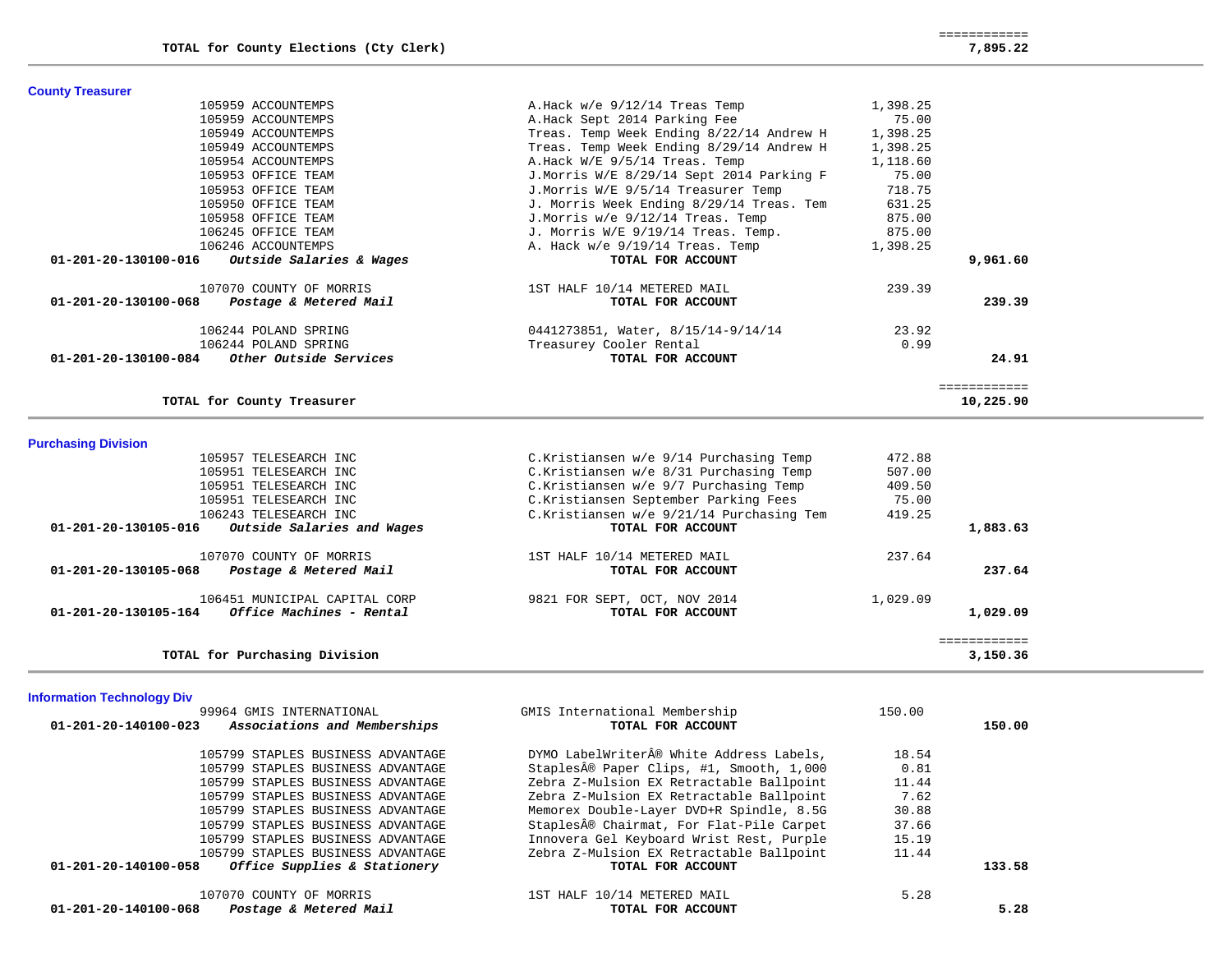============

| <b>County Treasurer</b>                            |                                          |          |              |
|----------------------------------------------------|------------------------------------------|----------|--------------|
| 105959 ACCOUNTEMPS                                 | A. Hack $w/e$ 9/12/14 Treas Temp         | 1,398.25 |              |
| 105959 ACCOUNTEMPS                                 | A.Hack Sept 2014 Parking Fee             | 75.00    |              |
| 105949 ACCOUNTEMPS                                 | Treas. Temp Week Ending 8/22/14 Andrew H | 1,398.25 |              |
| 105949 ACCOUNTEMPS                                 | Treas. Temp Week Ending 8/29/14 Andrew H | 1,398.25 |              |
| 105954 ACCOUNTEMPS                                 | A.Hack W/E 9/5/14 Treas. Temp            | 1,118.60 |              |
| 105953 OFFICE TEAM                                 | J.Morris W/E 8/29/14 Sept 2014 Parking F | 75.00    |              |
| 105953 OFFICE TEAM                                 | J.Morris W/E 9/5/14 Treasurer Temp       | 718.75   |              |
| 105950 OFFICE TEAM                                 | J. Morris Week Ending 8/29/14 Treas. Tem | 631.25   |              |
| 105958 OFFICE TEAM                                 | J.Morris w/e 9/12/14 Treas. Temp         | 875.00   |              |
| 106245 OFFICE TEAM                                 | J. Morris W/E 9/19/14 Treas. Temp.       | 875.00   |              |
| 106246 ACCOUNTEMPS                                 | A. Hack $w/e$ 9/19/14 Treas. Temp        | 1,398.25 |              |
| Outside Salaries & Wages<br>01-201-20-130100-016   | TOTAL FOR ACCOUNT                        |          | 9,961.60     |
| 107070 COUNTY OF MORRIS                            | 1ST HALF 10/14 METERED MAIL              | 239.39   |              |
| 01-201-20-130100-068<br>Postage & Metered Mail     | TOTAL FOR ACCOUNT                        |          | 239.39       |
| 106244 POLAND SPRING                               | 0441273851, Water, 8/15/14-9/14/14       | 23.92    |              |
| 106244 POLAND SPRING                               | Treasurey Cooler Rental                  | 0.99     |              |
| 01-201-20-130100-084<br>Other Outside Services     | TOTAL FOR ACCOUNT                        |          | 24.91        |
|                                                    |                                          |          | ============ |
| TOTAL for County Treasurer                         |                                          |          | 10,225.90    |
| <b>Purchasing Division</b>                         |                                          |          |              |
| 105957 TELESEARCH INC                              | C.Kristiansen w/e 9/14 Purchasing Temp   | 472.88   |              |
| 105951 TELESEARCH INC                              | C.Kristiansen w/e 8/31 Purchasing Temp   | 507.00   |              |
| 105951 TELESEARCH INC                              | C.Kristiansen w/e 9/7 Purchasing Temp    | 409.50   |              |
| 105951 TELESEARCH INC                              | C.Kristiansen September Parking Fees     | 75.00    |              |
| 106243 TELESEARCH INC                              | C.Kristiansen w/e 9/21/14 Purchasing Tem | 419.25   |              |
| 01-201-20-130105-016<br>Outside Salaries and Wages | TOTAL FOR ACCOUNT                        |          | 1,883.63     |

 **01-201-20-130105-016** *Outside Salaries and Wages* **TOTAL FOR ACCOUNT 1,883.63**

| 107070 COUNTY OF MORRIS<br>01-201-20-130105-068<br>Postage & Metered Mail         | 1ST HALF 10/14 METERED MAIL<br>TOTAL FOR ACCOUNT  | 237.64<br>237.64     |
|-----------------------------------------------------------------------------------|---------------------------------------------------|----------------------|
| 106451 MUNICIPAL CAPITAL CORP<br>Office Machines - Rental<br>01-201-20-130105-164 | 9821 FOR SEPT, OCT, NOV 2014<br>TOTAL FOR ACCOUNT | 1,029.09<br>1,029.09 |

 ============ **TOTAL for Purchasing Division 3,150.36**

## **Information Technology Div**

| 99964 GMIS INTERNATIONAL                             | GMIS International Membership            | 150.00 |        |
|------------------------------------------------------|------------------------------------------|--------|--------|
| 01-201-20-140100-023<br>Associations and Memberships | TOTAL FOR ACCOUNT                        |        | 150.00 |
| 105799 STAPLES BUSINESS ADVANTAGE                    | DYMO LabelWriter® White Address Labels,  | 18.54  |        |
| 105799 STAPLES BUSINESS ADVANTAGE                    | Staples® Paper Clips, #1, Smooth, 1,000  | 0.81   |        |
| 105799 STAPLES BUSINESS ADVANTAGE                    | Zebra Z-Mulsion EX Retractable Ballpoint | 11.44  |        |
| 105799 STAPLES BUSINESS ADVANTAGE                    | Zebra Z-Mulsion EX Retractable Ballpoint | 7.62   |        |
| 105799 STAPLES BUSINESS ADVANTAGE                    | Memorex Double-Layer DVD+R Spindle, 8.5G | 30.88  |        |
| 105799 STAPLES BUSINESS ADVANTAGE                    | Staples® Chairmat, For Flat-Pile Carpet  | 37.66  |        |
| 105799 STAPLES BUSINESS ADVANTAGE                    | Innovera Gel Keyboard Wrist Rest, Purple | 15.19  |        |
| 105799 STAPLES BUSINESS ADVANTAGE                    | Zebra Z-Mulsion EX Retractable Ballpoint | 11.44  |        |
| Office Supplies & Stationery<br>01-201-20-140100-058 | TOTAL FOR ACCOUNT                        |        | 133.58 |
| 107070 COUNTY OF MORRIS                              | 1ST HALF 10/14 METERED MAIL              | 5.28   |        |
| 01-201-20-140100-068<br>Postage & Metered Mail       | TOTAL FOR ACCOUNT                        |        | 5.28   |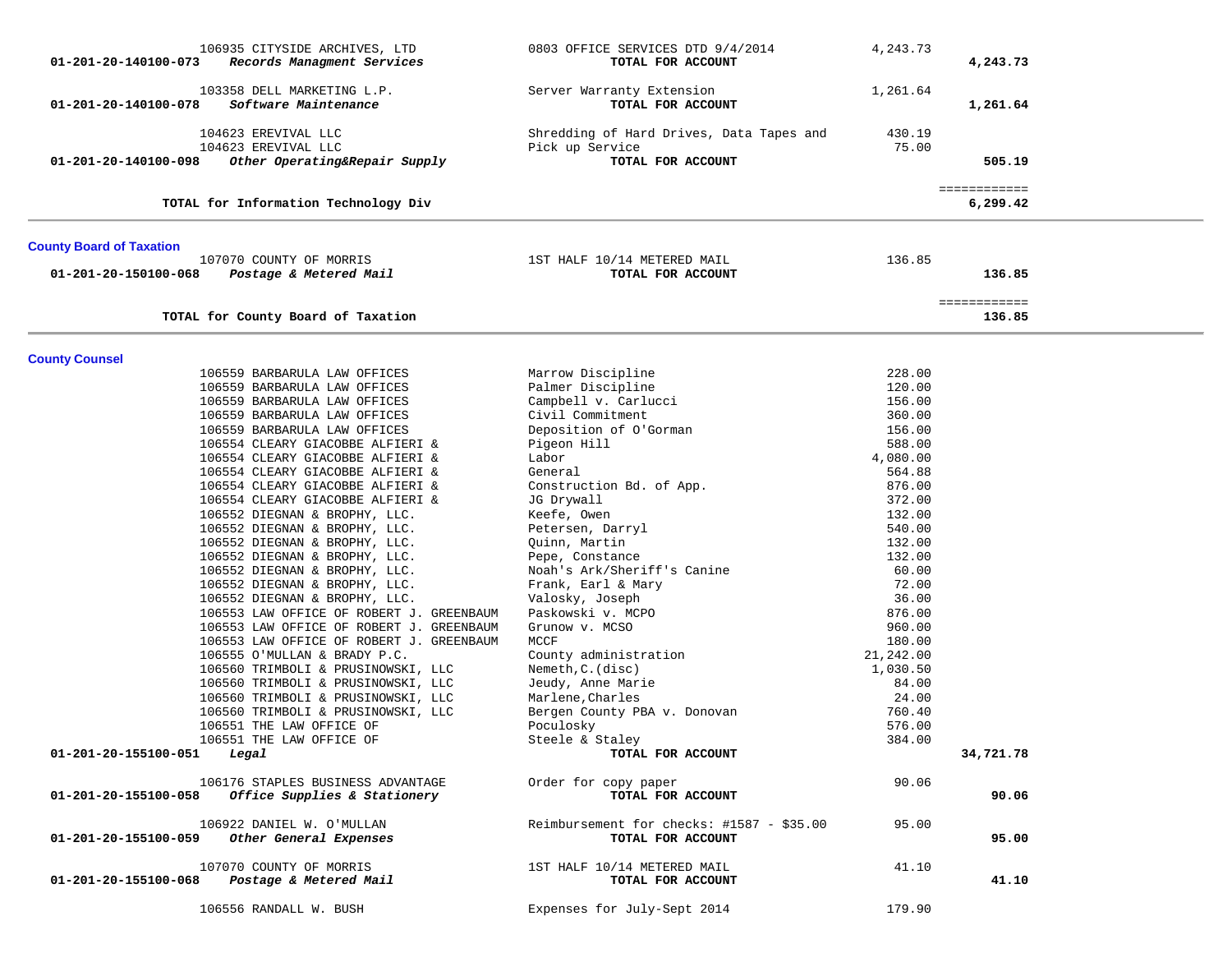| 01-201-20-140100-073                 | 106935 CITYSIDE ARCHIVES, LTD<br>Records Managment Services                              | 0803 OFFICE SERVICES DTD 9/4/2014<br>TOTAL FOR ACCOUNT         | 4,243.73         | 4,243.73                 |  |
|--------------------------------------|------------------------------------------------------------------------------------------|----------------------------------------------------------------|------------------|--------------------------|--|
| 01-201-20-140100-078                 | 103358 DELL MARKETING L.P.<br>Software Maintenance                                       | Server Warranty Extension<br>TOTAL FOR ACCOUNT                 | 1,261.64         | 1,261.64                 |  |
|                                      | 104623 EREVIVAL LLC                                                                      | Shredding of Hard Drives, Data Tapes and                       | 430.19           |                          |  |
|                                      | 104623 EREVIVAL LLC                                                                      | Pick up Service                                                | 75.00            |                          |  |
| 01-201-20-140100-098                 | Other Operating&Repair Supply                                                            | TOTAL FOR ACCOUNT                                              |                  | 505.19                   |  |
|                                      | TOTAL for Information Technology Div                                                     |                                                                |                  | ============<br>6,299.42 |  |
| <b>County Board of Taxation</b>      |                                                                                          |                                                                |                  |                          |  |
|                                      | 107070 COUNTY OF MORRIS                                                                  | 1ST HALF 10/14 METERED MAIL                                    | 136.85           |                          |  |
| 01-201-20-150100-068                 | Postage & Metered Mail                                                                   | TOTAL FOR ACCOUNT                                              |                  | 136.85                   |  |
|                                      | TOTAL for County Board of Taxation                                                       |                                                                |                  | ============<br>136.85   |  |
|                                      |                                                                                          |                                                                |                  |                          |  |
| <b>County Counsel</b>                |                                                                                          |                                                                |                  |                          |  |
|                                      | 106559 BARBARULA LAW OFFICES<br>106559 BARBARULA LAW OFFICES                             | Marrow Discipline<br>Palmer Discipline                         | 228.00<br>120.00 |                          |  |
|                                      | 106559 BARBARULA LAW OFFICES                                                             | Campbell v. Carlucci                                           | 156.00           |                          |  |
|                                      | 106559 BARBARULA LAW OFFICES                                                             | Civil Commitment                                               | 360.00           |                          |  |
|                                      | 106559 BARBARULA LAW OFFICES                                                             | Deposition of O'Gorman                                         | 156.00           |                          |  |
|                                      | 106554 CLEARY GIACOBBE ALFIERI &                                                         | Pigeon Hill                                                    | 588.00           |                          |  |
|                                      | 106554 CLEARY GIACOBBE ALFIERI &                                                         | Labor                                                          | 4,080.00         |                          |  |
|                                      | 106554 CLEARY GIACOBBE ALFIERI &                                                         | General                                                        | 564.88           |                          |  |
|                                      | 106554 CLEARY GIACOBBE ALFIERI &                                                         | Construction Bd. of App.                                       | 876.00           |                          |  |
|                                      | 106554 CLEARY GIACOBBE ALFIERI &                                                         | JG Drywall                                                     | 372.00           |                          |  |
|                                      | 106552 DIEGNAN & BROPHY, LLC.                                                            | Keefe, Owen                                                    | 132.00           |                          |  |
|                                      | 106552 DIEGNAN & BROPHY, LLC.                                                            | Petersen, Darryl                                               | 540.00           |                          |  |
|                                      | 106552 DIEGNAN & BROPHY, LLC.                                                            | Quinn, Martin                                                  | 132.00           |                          |  |
|                                      | 106552 DIEGNAN & BROPHY, LLC.                                                            | Pepe, Constance                                                | 132.00           |                          |  |
|                                      | 106552 DIEGNAN & BROPHY, LLC.                                                            | Noah's Ark/Sheriff's Canine                                    | 60.00            |                          |  |
|                                      | 106552 DIEGNAN & BROPHY, LLC.                                                            | Frank, Earl & Mary                                             | 72.00            |                          |  |
|                                      | 106552 DIEGNAN & BROPHY, LLC.                                                            | Valosky, Joseph                                                | 36.00            |                          |  |
|                                      | 106553 LAW OFFICE OF ROBERT J. GREENBAUM                                                 | Paskowski v. MCPO                                              | 876.00           |                          |  |
|                                      | 106553 LAW OFFICE OF ROBERT J. GREENBAUM                                                 | Grunow v. MCSO                                                 | 960.00           |                          |  |
|                                      | 106553 LAW OFFICE OF ROBERT J. GREENBAUM                                                 | MCCF                                                           | 180.00           |                          |  |
|                                      | 106555 O'MULLAN & BRADY P.C.                                                             | County administration                                          | 21,242.00        |                          |  |
|                                      | 106560 TRIMBOLI & PRUSINOWSKI, LLC                                                       | Nemeth, C. (disc)                                              | 1,030.50         |                          |  |
|                                      | 106560 TRIMBOLI & PRUSINOWSKI, LLC                                                       | Jeudy, Anne Marie                                              | 84.00            |                          |  |
|                                      | 106560 TRIMBOLI & PRUSINOWSKI, LLC                                                       | Marlene, Charles                                               | 24.00            |                          |  |
|                                      | 106560 TRIMBOLI & PRUSINOWSKI, LLC                                                       | Bergen County PBA v. Donovan                                   | 760.40           |                          |  |
|                                      | 106551 THE LAW OFFICE OF                                                                 | Poculosky                                                      | 576.00           |                          |  |
|                                      | 106551 THE LAW OFFICE OF                                                                 | Steele & Staley                                                | 384.00           |                          |  |
| $01 - 201 - 20 - 155100 - 051$ Legal |                                                                                          | TOTAL FOR ACCOUNT                                              |                  | 34,721.78                |  |
|                                      | 106176 STAPLES BUSINESS ADVANTAGE<br>$01-201-20-155100-058$ Office Supplies & Stationery | Order for copy paper<br>TOTAL FOR ACCOUNT                      | 90.06            | 90.06                    |  |
|                                      |                                                                                          |                                                                |                  |                          |  |
| 01-201-20-155100-059                 | 106922 DANIEL W. O'MULLAN<br>Other General Expenses                                      | Reimbursement for checks: #1587 - \$35.00<br>TOTAL FOR ACCOUNT | 95.00            | 95.00                    |  |
|                                      | 107070 COUNTY OF MORRIS                                                                  | 1ST HALF 10/14 METERED MAIL                                    | 41.10            |                          |  |
| 01-201-20-155100-068                 | Postage & Metered Mail                                                                   | TOTAL FOR ACCOUNT                                              |                  | 41.10                    |  |
|                                      | 106556 RANDALL W. BUSH                                                                   | Expenses for July-Sept 2014                                    | 179.90           |                          |  |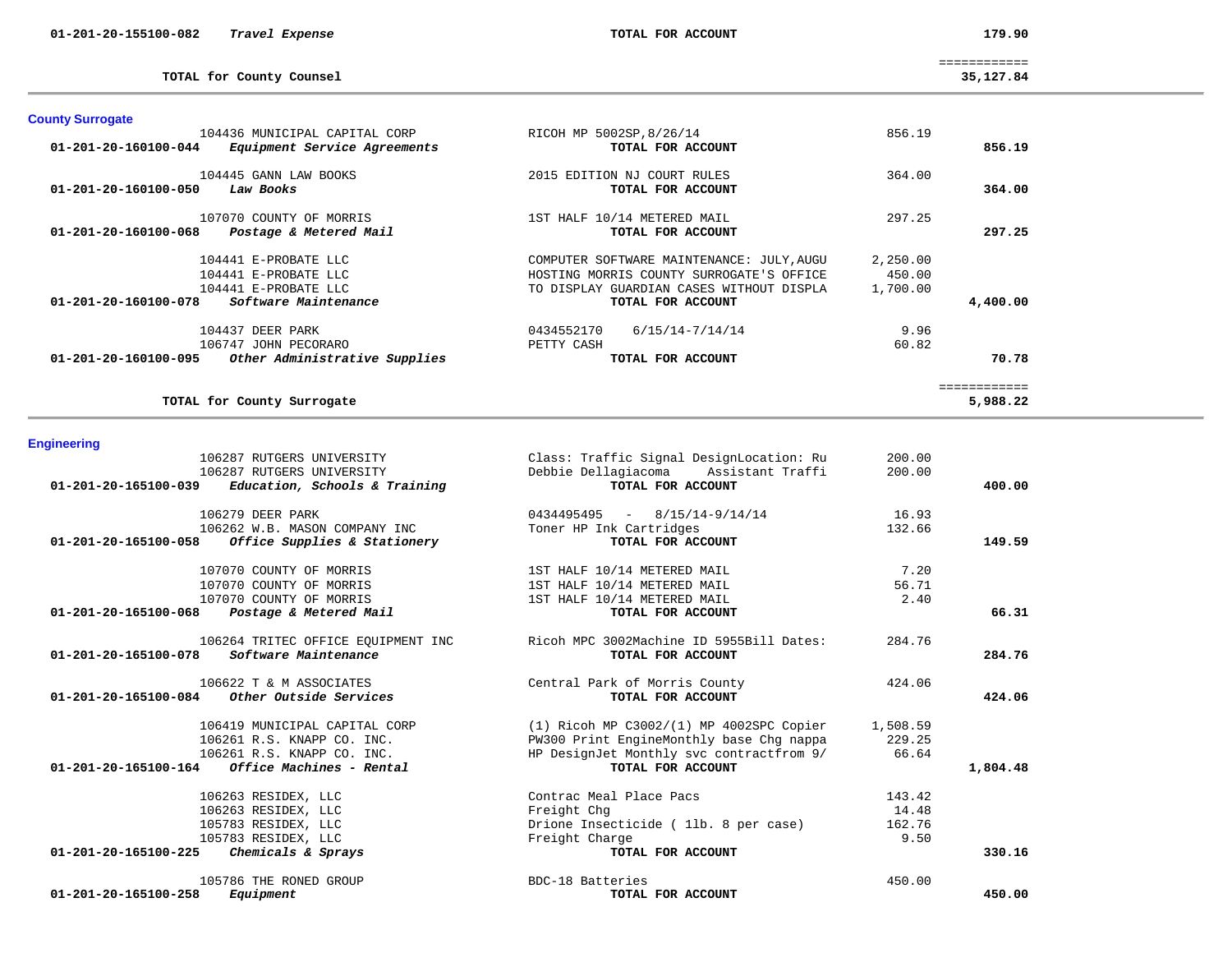| 106279 DEER PARK<br>106262 W.B. MASON COMPANY INC                                  | $0434495495 - 8/15/14-9/14/14$<br>Toner HP Ink Cartridges     | 16.93<br>132.66 |          |
|------------------------------------------------------------------------------------|---------------------------------------------------------------|-----------------|----------|
| 01-201-20-165100-058 Office Supplies & Stationery                                  | TOTAL FOR ACCOUNT                                             |                 | 149.59   |
| 107070 COUNTY OF MORRIS                                                            | 1ST HALF 10/14 METERED MAIL                                   | 7.20            |          |
| 107070 COUNTY OF MORRIS                                                            | 1ST HALF 10/14 METERED MAIL                                   | 56.71           |          |
| 107070 COUNTY OF MORRIS                                                            | 1ST HALF 10/14 METERED MAIL                                   | 2.40            |          |
| 01-201-20-165100-068 Postage & Metered Mail                                        | TOTAL FOR ACCOUNT                                             |                 | 66.31    |
| 106264 TRITEC OFFICE EQUIPMENT INC<br>Software Maintenance<br>01-201-20-165100-078 | Ricoh MPC 3002Machine ID 5955Bill Dates:<br>TOTAL FOR ACCOUNT | 284.76          | 284.76   |
| 106622 T & M ASSOCIATES<br>$01-201-20-165100-084$ Other Outside Services           | Central Park of Morris County<br>TOTAL FOR ACCOUNT            | 424.06          | 424.06   |
| 106419 MUNICIPAL CAPITAL CORP                                                      | $(1)$ Ricoh MP C3002/ $(1)$ MP 4002SPC Copier                 | 1,508.59        |          |
| 106261 R.S. KNAPP CO. INC.                                                         | PW300 Print EngineMonthly base Chg nappa                      | 229.25          |          |
| 106261 R.S. KNAPP CO. INC.                                                         | HP DesignJet Monthly svc contractfrom 9/                      | 66.64           |          |
| $01 - 201 - 20 - 165100 - 164$ Office Machines - Rental                            | TOTAL FOR ACCOUNT                                             |                 | 1,804.48 |
| 106263 RESIDEX, LLC                                                                | Contrac Meal Place Pacs                                       | 143.42          |          |
| 106263 RESIDEX, LLC                                                                | Freight Chg                                                   | 14.48           |          |
| 105783 RESIDEX, LLC                                                                | Drione Insecticide (11b. 8 per case)                          | 162.76          |          |
| 105783 RESIDEX, LLC                                                                | Freight Charge                                                | 9.50            |          |
| 01-201-20-165100-225 Chemicals & Sprays                                            | TOTAL FOR ACCOUNT                                             |                 | 330.16   |
| 105786 THE RONED GROUP                                                             | BDC-18 Batteries                                              | 450.00          |          |
| 01-201-20-165100-258<br>Equipment                                                  | TOTAL FOR ACCOUNT                                             |                 | 450.00   |

**Engineering** 

| <b>County Surrogate</b>                               |                                           |          |          |
|-------------------------------------------------------|-------------------------------------------|----------|----------|
| 104436 MUNICIPAL CAPITAL CORP                         | RICOH MP 5002SP, 8/26/14                  | 856.19   |          |
| 01-201-20-160100-044<br>Equipment Service Agreements  | TOTAL FOR ACCOUNT                         |          | 856.19   |
| 104445 GANN LAW BOOKS                                 | 2015 EDITION NJ COURT RULES               | 364.00   |          |
| Law Books<br>01-201-20-160100-050                     | TOTAL FOR ACCOUNT                         |          | 364.00   |
| 107070 COUNTY OF MORRIS                               | 1ST HALF 10/14 METERED MAIL               | 297.25   |          |
| Postage & Metered Mail<br>01-201-20-160100-068        | TOTAL FOR ACCOUNT                         |          | 297.25   |
| 104441 E-PROBATE LLC                                  | COMPUTER SOFTWARE MAINTENANCE: JULY, AUGU | 2,250.00 |          |
| 104441 E-PROBATE LLC                                  | HOSTING MORRIS COUNTY SURROGATE'S OFFICE  | 450.00   |          |
| 104441 E-PROBATE LLC                                  | TO DISPLAY GUARDIAN CASES WITHOUT DISPLA  | 1,700.00 |          |
| 01-201-20-160100-078<br>Software Maintenance          | TOTAL FOR ACCOUNT                         |          | 4,400.00 |
| 104437 DEER PARK                                      | 0434552170<br>$6/15/14 - 7/14/14$         | 9.96     |          |
| 106747 JOHN PECORARO                                  | PETTY CASH                                | 60.82    |          |
| Other Administrative Supplies<br>01-201-20-160100-095 | TOTAL FOR ACCOUNT                         |          | 70.78    |
|                                                       |                                           |          |          |
| TOTAL for County Surrogate                            |                                           |          | 5,988.22 |

106287 RUTGERS UNIVERSITY Class: Traffic Signal DesignLocation: Ru 200.00

 **01-201-20-165100-039** *Education, Schools & Training* **TOTAL FOR ACCOUNT 400.00**

106287 RUTGERS UNIVERSITY Debbie Dellagiacoma Assistant Traffi 200.00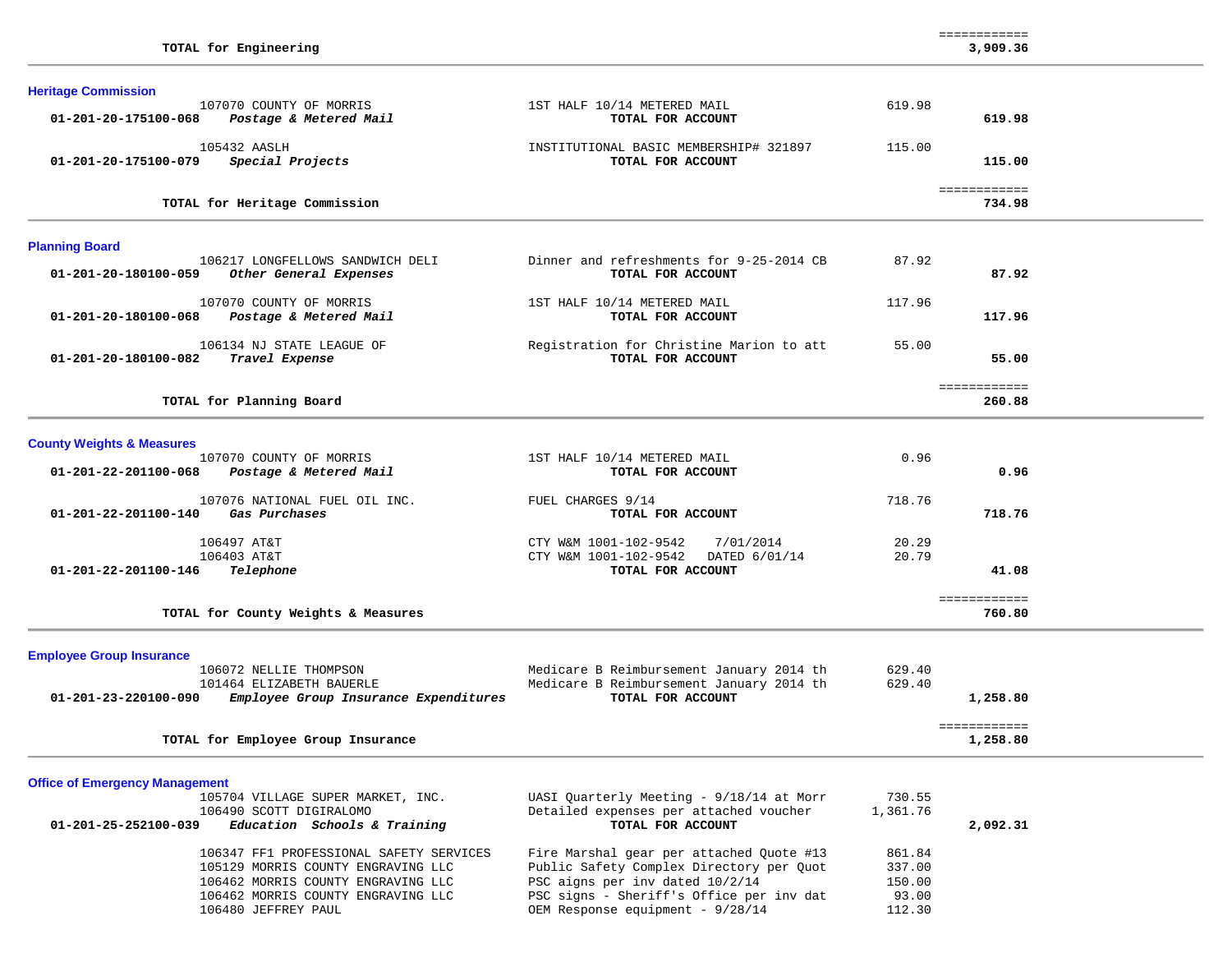|                                                                                                                                                           |                                                                                                                                                                     |                                     | ============             |  |
|-----------------------------------------------------------------------------------------------------------------------------------------------------------|---------------------------------------------------------------------------------------------------------------------------------------------------------------------|-------------------------------------|--------------------------|--|
| TOTAL for Engineering                                                                                                                                     |                                                                                                                                                                     |                                     | 3,909.36                 |  |
| <b>Heritage Commission</b>                                                                                                                                |                                                                                                                                                                     |                                     |                          |  |
| 107070 COUNTY OF MORRIS<br>01-201-20-175100-068<br>Postage & Metered Mail                                                                                 | 1ST HALF 10/14 METERED MAIL<br>TOTAL FOR ACCOUNT                                                                                                                    | 619.98                              | 619.98                   |  |
| 105432 AASLH<br>Special Projects<br>01-201-20-175100-079                                                                                                  | INSTITUTIONAL BASIC MEMBERSHIP# 321897<br>TOTAL FOR ACCOUNT                                                                                                         | 115.00                              | 115.00                   |  |
| TOTAL for Heritage Commission                                                                                                                             |                                                                                                                                                                     |                                     | ============<br>734.98   |  |
| <b>Planning Board</b>                                                                                                                                     |                                                                                                                                                                     |                                     |                          |  |
| 106217 LONGFELLOWS SANDWICH DELI<br>01-201-20-180100-059<br>Other General Expenses                                                                        | Dinner and refreshments for 9-25-2014 CB<br>TOTAL FOR ACCOUNT                                                                                                       | 87.92                               | 87.92                    |  |
| 107070 COUNTY OF MORRIS<br>01-201-20-180100-068<br>Postage & Metered Mail                                                                                 | 1ST HALF 10/14 METERED MAIL<br>TOTAL FOR ACCOUNT                                                                                                                    | 117.96                              | 117.96                   |  |
| 106134 NJ STATE LEAGUE OF<br>01-201-20-180100-082<br>Travel Expense                                                                                       | Registration for Christine Marion to att<br>TOTAL FOR ACCOUNT                                                                                                       | 55.00                               | 55.00                    |  |
| TOTAL for Planning Board                                                                                                                                  |                                                                                                                                                                     |                                     | ============<br>260.88   |  |
| <b>County Weights &amp; Measures</b>                                                                                                                      |                                                                                                                                                                     |                                     |                          |  |
| 107070 COUNTY OF MORRIS<br>01-201-22-201100-068<br>Postage & Metered Mail                                                                                 | 1ST HALF 10/14 METERED MAIL<br>TOTAL FOR ACCOUNT                                                                                                                    | 0.96                                | 0.96                     |  |
| 107076 NATIONAL FUEL OIL INC.<br>Gas Purchases<br>01-201-22-201100-140                                                                                    | FUEL CHARGES 9/14<br>TOTAL FOR ACCOUNT                                                                                                                              | 718.76                              | 718.76                   |  |
| 106497 AT&T<br>106403 AT&T<br>01-201-22-201100-146<br>Telephone                                                                                           | CTY W&M 1001-102-9542<br>7/01/2014<br>CTY W&M 1001-102-9542<br>DATED 6/01/14<br>TOTAL FOR ACCOUNT                                                                   | 20.29<br>20.79                      | 41.08                    |  |
| TOTAL for County Weights & Measures                                                                                                                       |                                                                                                                                                                     |                                     | ============<br>760.80   |  |
| <b>Employee Group Insurance</b>                                                                                                                           |                                                                                                                                                                     |                                     |                          |  |
| 106072 NELLIE THOMPSON<br>101464 ELIZABETH BAUERLE<br>01-201-23-220100-090<br>Employee Group Insurance Expenditures                                       | Medicare B Reimbursement January 2014 th<br>Medicare B Reimbursement January 2014 th<br>TOTAL FOR ACCOUNT                                                           | 629.40<br>629.40                    | 1,258.80                 |  |
| TOTAL for Employee Group Insurance                                                                                                                        |                                                                                                                                                                     |                                     | ============<br>1,258.80 |  |
| <b>Office of Emergency Management</b>                                                                                                                     |                                                                                                                                                                     |                                     |                          |  |
| 105704 VILLAGE SUPER MARKET, INC.<br>106490 SCOTT DIGIRALOMO<br>Education Schools & Training<br>01-201-25-252100-039                                      | UASI Quarterly Meeting - 9/18/14 at Morr<br>Detailed expenses per attached voucher<br>TOTAL FOR ACCOUNT                                                             | 730.55<br>1,361.76                  | 2,092.31                 |  |
| 106347 FF1 PROFESSIONAL SAFETY SERVICES<br>105129 MORRIS COUNTY ENGRAVING LLC<br>106462 MORRIS COUNTY ENGRAVING LLC<br>106462 MORRIS COUNTY ENGRAVING LLC | Fire Marshal gear per attached Quote #13<br>Public Safety Complex Directory per Ouot<br>PSC aigns per inv dated 10/2/14<br>PSC signs - Sheriff's Office per inv dat | 861.84<br>337.00<br>150.00<br>93.00 |                          |  |

106480 JEFFREY PAUL OEM Response equipment - 9/28/14 112.30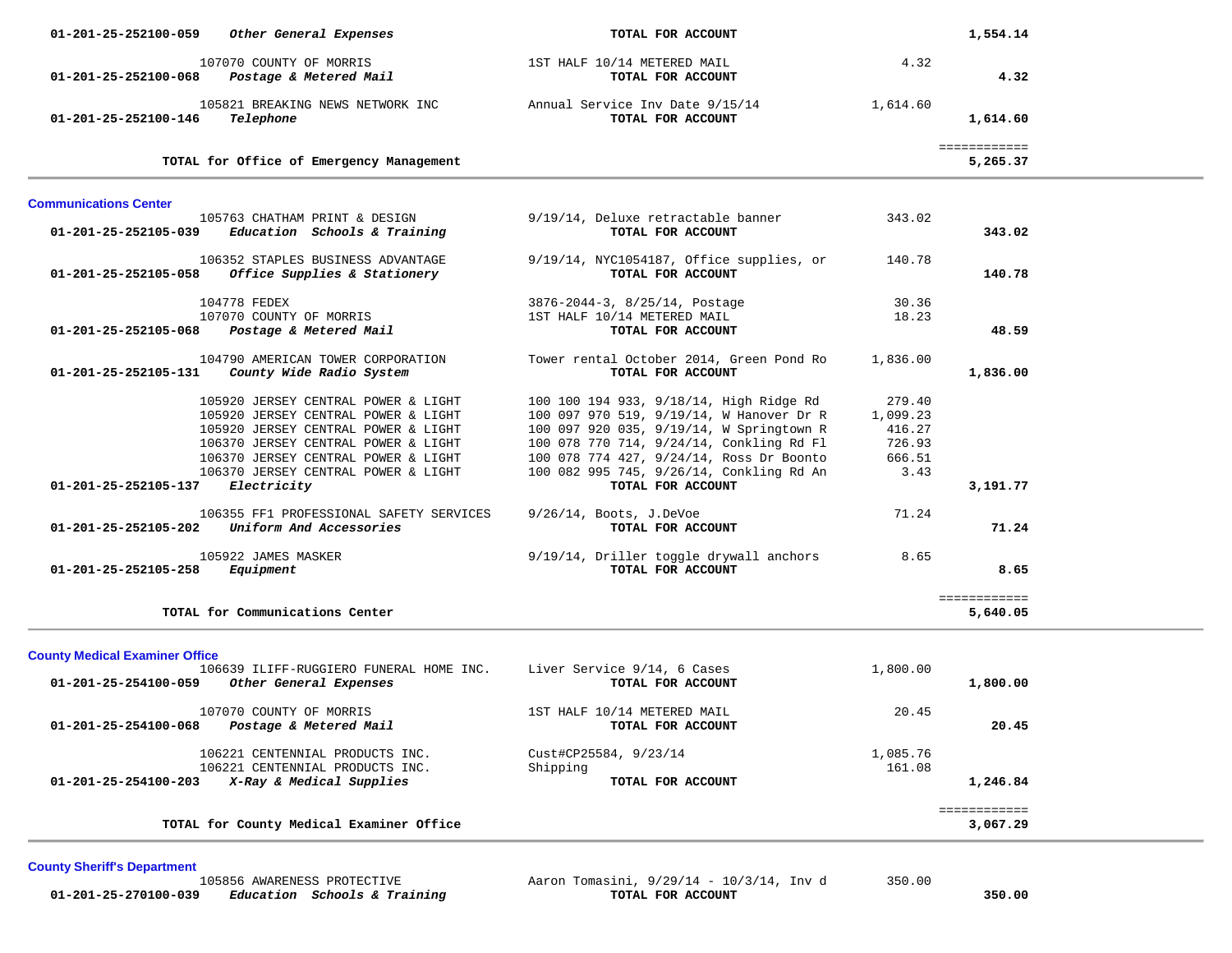| 01-201-25-252100-059<br>Other General Expenses                                                                                                                                                                                         | TOTAL FOR ACCOUNT                                                                                                                                                                                                                                                   |                                                          | 1,554.14                 |  |
|----------------------------------------------------------------------------------------------------------------------------------------------------------------------------------------------------------------------------------------|---------------------------------------------------------------------------------------------------------------------------------------------------------------------------------------------------------------------------------------------------------------------|----------------------------------------------------------|--------------------------|--|
| 107070 COUNTY OF MORRIS<br>Postage & Metered Mail<br>01-201-25-252100-068                                                                                                                                                              | 1ST HALF 10/14 METERED MAIL<br>TOTAL FOR ACCOUNT                                                                                                                                                                                                                    | 4.32                                                     | 4.32                     |  |
| 105821 BREAKING NEWS NETWORK INC<br>Telephone<br>01-201-25-252100-146                                                                                                                                                                  | Annual Service Inv Date 9/15/14<br>TOTAL FOR ACCOUNT                                                                                                                                                                                                                | 1,614.60                                                 | 1,614.60                 |  |
| TOTAL for Office of Emergency Management                                                                                                                                                                                               |                                                                                                                                                                                                                                                                     |                                                          | ============<br>5,265.37 |  |
| <b>Communications Center</b>                                                                                                                                                                                                           |                                                                                                                                                                                                                                                                     |                                                          |                          |  |
| 105763 CHATHAM PRINT & DESIGN<br>$01-201-25-252105-039$ Education Schools & Training                                                                                                                                                   | 9/19/14, Deluxe retractable banner<br>TOTAL FOR ACCOUNT                                                                                                                                                                                                             | 343.02                                                   | 343.02                   |  |
| 106352 STAPLES BUSINESS ADVANTAGE<br><i>Office Supplies &amp; Stationery</i><br>01-201-25-252105-058                                                                                                                                   | 9/19/14, NYC1054187, Office supplies, or<br>TOTAL FOR ACCOUNT                                                                                                                                                                                                       | 140.78                                                   | 140.78                   |  |
| 104778 FEDEX<br>107070 COUNTY OF MORRIS<br>01-201-25-252105-068<br>Postage & Metered Mail                                                                                                                                              | 3876-2044-3, 8/25/14, Postage<br>1ST HALF 10/14 METERED MAIL<br>TOTAL FOR ACCOUNT                                                                                                                                                                                   | 30.36<br>18.23                                           | 48.59                    |  |
| 104790 AMERICAN TOWER CORPORATION<br>01-201-25-252105-131<br>County Wide Radio System                                                                                                                                                  | Tower rental October 2014, Green Pond Ro<br>TOTAL FOR ACCOUNT                                                                                                                                                                                                       | 1,836.00                                                 | 1,836.00                 |  |
| 105920 JERSEY CENTRAL POWER & LIGHT<br>105920 JERSEY CENTRAL POWER & LIGHT<br>105920 JERSEY CENTRAL POWER & LIGHT<br>106370 JERSEY CENTRAL POWER & LIGHT<br>106370 JERSEY CENTRAL POWER & LIGHT<br>106370 JERSEY CENTRAL POWER & LIGHT | 100 100 194 933, 9/18/14, High Ridge Rd<br>100 097 970 519, 9/19/14, W Hanover Dr R<br>100 097 920 035, 9/19/14, W Springtown R<br>100 078 770 714, 9/24/14, Conkling Rd Fl<br>100 078 774 427, 9/24/14, Ross Dr Boonto<br>100 082 995 745, 9/26/14, Conkling Rd An | 279.40<br>1,099.23<br>416.27<br>726.93<br>666.51<br>3.43 |                          |  |
| 01-201-25-252105-137<br>Electricity<br>106355 FF1 PROFESSIONAL SAFETY SERVICES<br>Uniform And Accessories<br>01-201-25-252105-202                                                                                                      | TOTAL FOR ACCOUNT<br>$9/26/14$ , Boots, J.DeVoe<br>TOTAL FOR ACCOUNT                                                                                                                                                                                                | 71.24                                                    | 3,191.77<br>71.24        |  |
| 105922 JAMES MASKER<br>01-201-25-252105-258<br>Equipment                                                                                                                                                                               | 9/19/14, Driller toggle drywall anchors<br>TOTAL FOR ACCOUNT                                                                                                                                                                                                        | 8.65                                                     | 8.65                     |  |
| TOTAL for Communications Center                                                                                                                                                                                                        |                                                                                                                                                                                                                                                                     |                                                          | ============<br>5,640.05 |  |
| <b>County Medical Examiner Office</b><br>106639 ILIFF-RUGGIERO FUNERAL HOME INC.<br>Other General Expenses<br>01-201-25-254100-059                                                                                                     | Liver Service 9/14, 6 Cases<br>TOTAL FOR ACCOUNT                                                                                                                                                                                                                    | 1,800.00                                                 | 1,800.00                 |  |
| 107070 COUNTY OF MORRIS<br>Postage & Metered Mail<br>01-201-25-254100-068                                                                                                                                                              | 1ST HALF 10/14 METERED MAIL<br>TOTAL FOR ACCOUNT                                                                                                                                                                                                                    | 20.45                                                    | 20.45                    |  |
| 106221 CENTENNIAL PRODUCTS INC.<br>106221 CENTENNIAL PRODUCTS INC.<br>01-201-25-254100-203 X-Ray & Medical Supplies                                                                                                                    | Cust#CP25584, 9/23/14<br>Shipping<br>TOTAL FOR ACCOUNT                                                                                                                                                                                                              | 1,085.76<br>161.08                                       | 1,246.84                 |  |
| TOTAL for County Medical Examiner Office                                                                                                                                                                                               |                                                                                                                                                                                                                                                                     |                                                          | ============<br>3,067.29 |  |

**County Sheriff's Department**

105856 AWARENESS PROTECTIVE Aaron Tomasini, 9/29/14 - 10/3/14, Inv d 350.00  **01-201-25-270100-039** *Education Schools & Training* **TOTAL FOR ACCOUNT 350.00**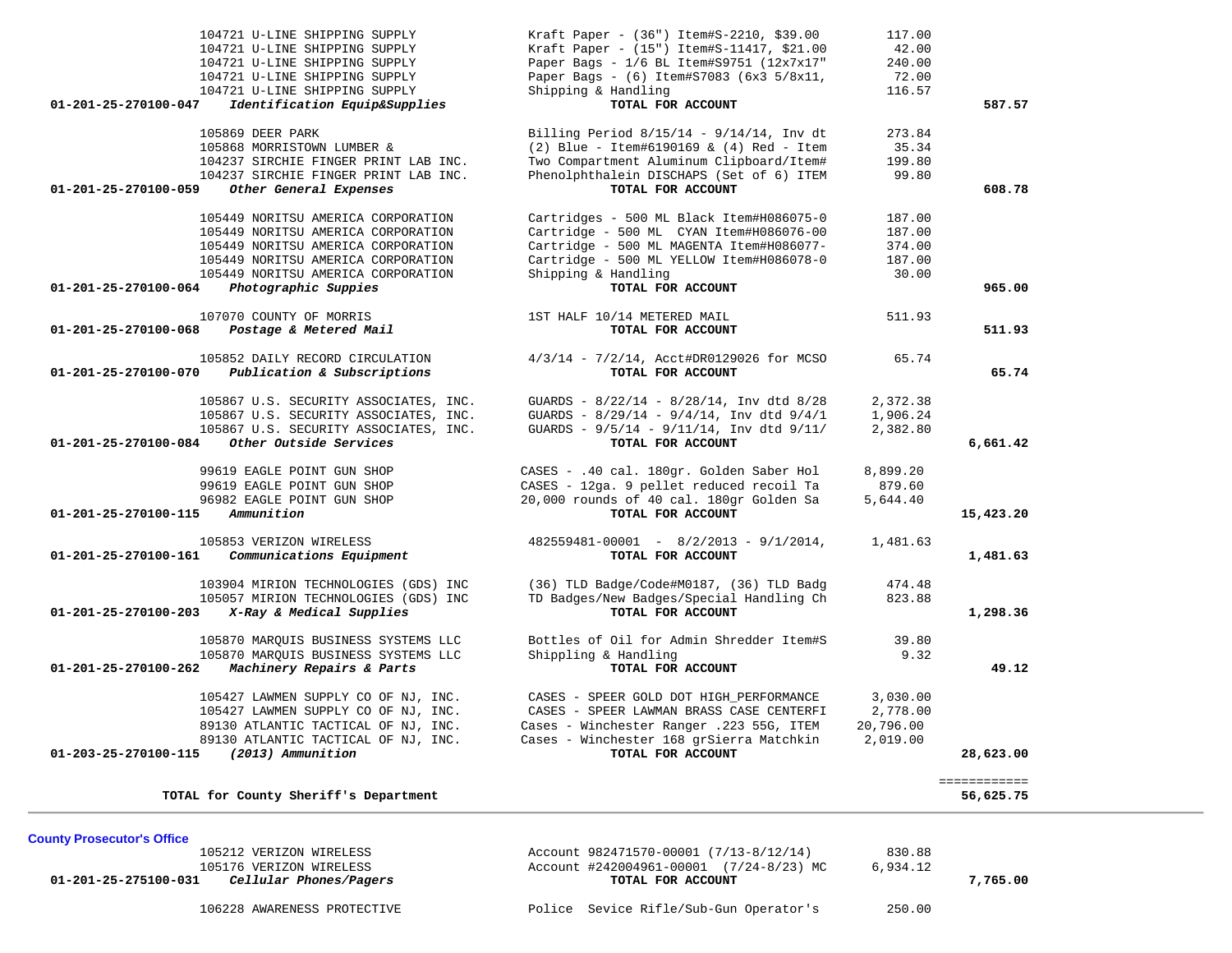| 104721 U-LINE SHIPPING SUPPLY<br>104721 U-LINE SHIPPING SUPPLY<br>104721 U-LINE SHIPPING SUPPLY<br>104721 U-LINE SHIPPING SUPPLY<br>104721 U-LINE SHIPPING SUPPLY                                                                          | Kraft Paper - (36") Item#S-2210, \$39.00<br>Kraft Paper - (15") Item#S-11417, \$21.00<br>Paper Bags - 1/6 BL Item#S9751 (12x7x17"<br>Paper Bags - (6) Item#S7083 (6x3 5/8x11,<br>Shipping & Handling                    | 117.00<br>42.00<br>240.00<br>72.00<br>116.57  |                           |
|--------------------------------------------------------------------------------------------------------------------------------------------------------------------------------------------------------------------------------------------|-------------------------------------------------------------------------------------------------------------------------------------------------------------------------------------------------------------------------|-----------------------------------------------|---------------------------|
| 01-201-25-270100-047<br>Identification Equip&Supplies                                                                                                                                                                                      | TOTAL FOR ACCOUNT                                                                                                                                                                                                       |                                               | 587.57                    |
| 105869 DEER PARK<br>105868 MORRISTOWN LUMBER &<br>104237 SIRCHIE FINGER PRINT LAB INC.<br>104237 SIRCHIE FINGER PRINT LAB INC.<br>Other General Expenses<br>01-201-25-270100-059                                                           | Billing Period $8/15/14 - 9/14/14$ , Inv dt<br>$(2)$ Blue - Item#6190169 & $(4)$ Red - Item<br>Two Compartment Aluminum Clipboard/Item#<br>Phenolphthalein DISCHAPS (Set of 6) ITEM<br>TOTAL FOR ACCOUNT                | 273.84<br>35.34<br>199.80<br>99.80            | 608.78                    |
| 105449 NORITSU AMERICA CORPORATION<br>105449 NORITSU AMERICA CORPORATION<br>105449 NORITSU AMERICA CORPORATION<br>105449 NORITSU AMERICA CORPORATION<br>105449 NORITSU AMERICA CORPORATION<br>01-201-25-270100-064<br>Photographic Suppies | Cartridges - 500 ML Black Item#H086075-0<br>Cartridge - 500 ML CYAN Item#H086076-00<br>Cartridge - 500 ML MAGENTA Item#H086077-<br>Cartridge - 500 ML YELLOW Item#H086078-0<br>Shipping & Handling<br>TOTAL FOR ACCOUNT | 187.00<br>187.00<br>374.00<br>187.00<br>30.00 | 965.00                    |
| 107070 COUNTY OF MORRIS                                                                                                                                                                                                                    | 1ST HALF 10/14 METERED MAIL                                                                                                                                                                                             | 511.93                                        |                           |
| 01-201-25-270100-068<br>Postage & Metered Mail                                                                                                                                                                                             | TOTAL FOR ACCOUNT                                                                                                                                                                                                       |                                               | 511.93                    |
| 105852 DAILY RECORD CIRCULATION<br>01-201-25-270100-070<br>Publication & Subscriptions                                                                                                                                                     | 4/3/14 - 7/2/14, Acct#DR0129026 for MCSO<br>TOTAL FOR ACCOUNT                                                                                                                                                           | 65.74                                         | 65.74                     |
| 105867 U.S. SECURITY ASSOCIATES, INC.<br>105867 U.S. SECURITY ASSOCIATES, INC.<br>105867 U.S. SECURITY ASSOCIATES, INC.<br>01-201-25-270100-084<br>Other Outside Services                                                                  | GUARDS - 8/22/14 - 8/28/14, Inv dtd 8/28<br>GUARDS - 8/29/14 - 9/4/14, Inv dtd 9/4/1<br>GUARDS - $9/5/14$ - $9/11/14$ , Inv dtd $9/11/$<br>TOTAL FOR ACCOUNT                                                            | 2,372.38<br>1,906.24<br>2,382.80              | 6,661.42                  |
| 99619 EAGLE POINT GUN SHOP<br>99619 EAGLE POINT GUN SHOP<br>96982 EAGLE POINT GUN SHOP<br>Ammunition<br>01-201-25-270100-115                                                                                                               | CASES - .40 cal. 180gr. Golden Saber Hol<br>CASES - 12ga. 9 pellet reduced recoil Ta<br>20,000 rounds of 40 cal. 180gr Golden Sa<br>TOTAL FOR ACCOUNT                                                                   | 8,899.20<br>879.60<br>5,644.40                | 15,423.20                 |
| 105853 VERIZON WIRELESS<br>01-201-25-270100-161<br>Communications Equipment                                                                                                                                                                | $482559481 - 00001 - 8/2/2013 - 9/1/2014$ ,<br>TOTAL FOR ACCOUNT                                                                                                                                                        | 1,481.63                                      | 1,481.63                  |
| 103904 MIRION TECHNOLOGIES (GDS) INC<br>105057 MIRION TECHNOLOGIES (GDS) INC<br>01-201-25-270100-203<br>X-Ray & Medical Supplies                                                                                                           | (36) TLD Badge/Code#M0187, (36) TLD Badg<br>TD Badges/New Badges/Special Handling Ch<br>TOTAL FOR ACCOUNT                                                                                                               | 474.48<br>823.88                              | 1,298.36                  |
| 105870 MARQUIS BUSINESS SYSTEMS LLC<br>105870 MARQUIS BUSINESS SYSTEMS LLC<br>01-201-25-270100-262<br>Machinery Repairs & Parts                                                                                                            | Bottles of Oil for Admin Shredder Item#S<br>Shippling & Handling<br>TOTAL FOR ACCOUNT                                                                                                                                   | 39.80<br>9.32                                 | 49.12                     |
| 105427 LAWMEN SUPPLY CO OF NJ, INC.<br>105427 LAWMEN SUPPLY CO OF NJ, INC.<br>89130 ATLANTIC TACTICAL OF NJ, INC.<br>89130 ATLANTIC TACTICAL OF NJ, INC.<br>(2013) Ammunition<br>01-203-25-270100-115                                      | CASES - SPEER GOLD DOT HIGH_PERFORMANCE<br>CASES - SPEER LAWMAN BRASS CASE CENTERFI<br>Cases - Winchester Ranger .223 55G, ITEM<br>Cases - Winchester 168 grSierra Matchkin<br>TOTAL FOR ACCOUNT                        | 3,030.00<br>2,778.00<br>20,796.00<br>2,019.00 | 28,623.00                 |
| TOTAL for County Sheriff's Department                                                                                                                                                                                                      |                                                                                                                                                                                                                         |                                               | ============<br>56,625.75 |

**County Prosecutor's Office**<br>105212 VERIZON WIRELESS 105212 VERIZON WIRELESS Account 982471570-00001 (7/13-8/12/14) 830.88<br>105176 VERIZON WIRELESS Account #242004961-00001 (7/24-8/23) MC 6,934.12 10506110 10506116 VERIZON WIRELESS Account #242004961-00001 (7/24-8/23) MC 6,934.12  **01-201-25-275100-031** *Cellular Phones/Pagers* **TOTAL FOR ACCOUNT 7,765.00**

106228 AWARENESS PROTECTIVE Police Sevice Rifle/Sub-Gun Operator's 250.00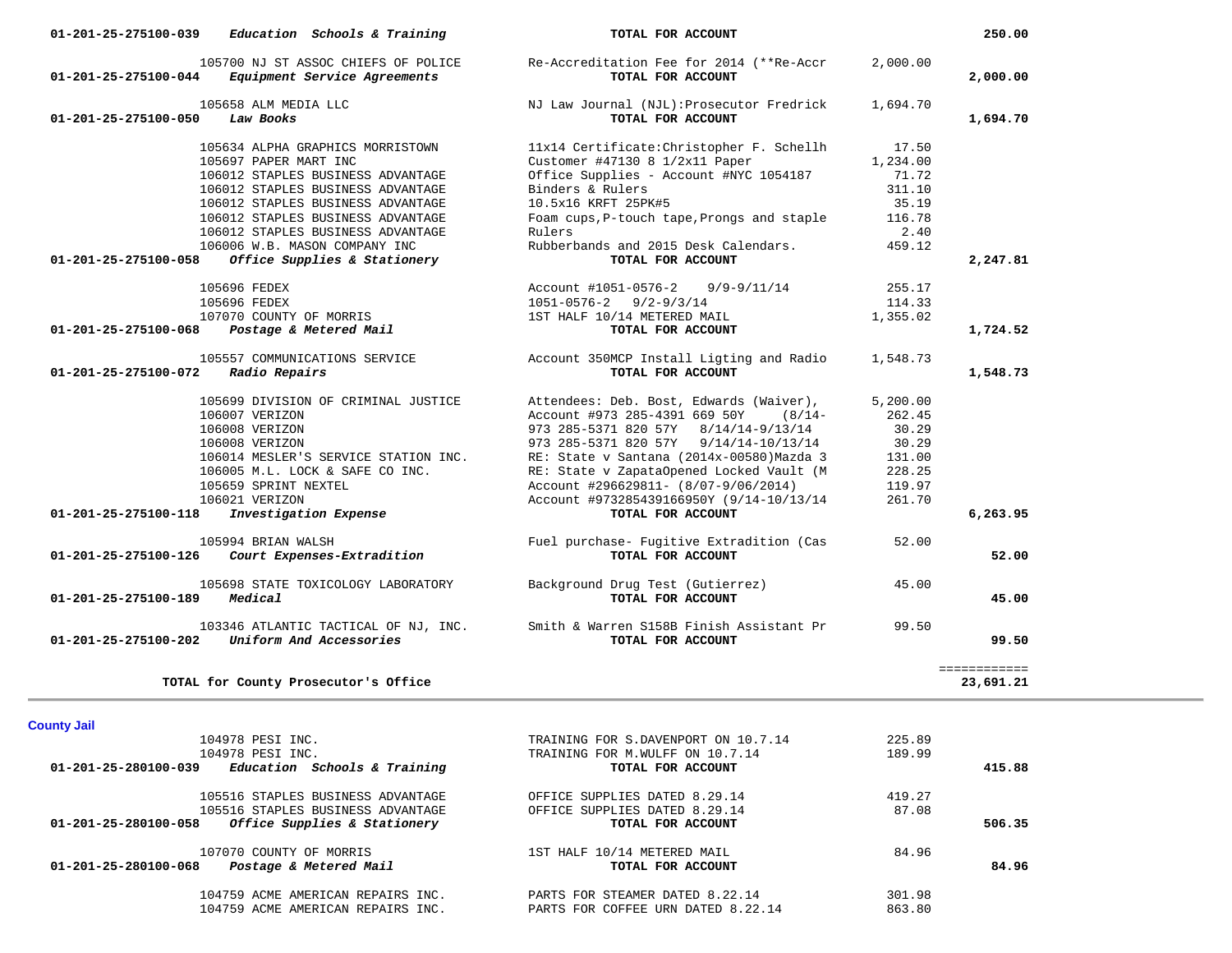| 01-201-25-275100-039<br>Education Schools & Training            | TOTAL FOR ACCOUNT                                             |          | 250.00       |
|-----------------------------------------------------------------|---------------------------------------------------------------|----------|--------------|
| 105700 NJ ST ASSOC CHIEFS OF POLICE                             | Re-Accreditation Fee for 2014 (**Re-Accr                      | 2,000.00 |              |
| 01-201-25-275100-044<br>Equipment Service Agreements            | TOTAL FOR ACCOUNT                                             |          | 2,000.00     |
| 105658 ALM MEDIA LLC                                            | NJ Law Journal (NJL): Prosecutor Fredrick                     | 1,694.70 |              |
| 01-201-25-275100-050<br>Law Books                               | TOTAL FOR ACCOUNT                                             |          | 1,694.70     |
|                                                                 |                                                               |          |              |
| 105634 ALPHA GRAPHICS MORRISTOWN                                | 11x14 Certificate: Christopher F. Schellh                     | 17.50    |              |
| 105697 PAPER MART INC                                           | Customer #47130 8 1/2x11 Paper                                | 1,234.00 |              |
| 106012 STAPLES BUSINESS ADVANTAGE                               | Office Supplies - Account #NYC 1054187                        | 71.72    |              |
| 106012 STAPLES BUSINESS ADVANTAGE                               | Binders & Rulers                                              | 311.10   |              |
| 106012 STAPLES BUSINESS ADVANTAGE                               | 10.5x16 KRFT 25PK#5                                           | 35.19    |              |
| 106012 STAPLES BUSINESS ADVANTAGE                               | Foam cups, P-touch tape, Prongs and staple                    | 116.78   |              |
| 106012 STAPLES BUSINESS ADVANTAGE                               | Rulers                                                        | 2.40     |              |
| 106006 W.B. MASON COMPANY INC                                   | Rubberbands and 2015 Desk Calendars.                          | 459.12   |              |
| Office Supplies & Stationery<br>01-201-25-275100-058            | TOTAL FOR ACCOUNT                                             |          | 2,247.81     |
| 105696 FEDEX                                                    | Account #1051-0576-2 9/9-9/11/14                              | 255.17   |              |
| 105696 FEDEX                                                    | $1051 - 0576 - 2$ 9/2-9/3/14                                  | 114.33   |              |
| 107070 COUNTY OF MORRIS                                         | 1ST HALF 10/14 METERED MAIL                                   | 1,355.02 |              |
| Postage & Metered Mail<br>01-201-25-275100-068                  | TOTAL FOR ACCOUNT                                             |          | 1,724.52     |
|                                                                 |                                                               |          |              |
| 105557 COMMUNICATIONS SERVICE                                   | Account 350MCP Install Ligting and Radio                      | 1,548.73 |              |
| Radio Repairs<br>01-201-25-275100-072                           | TOTAL FOR ACCOUNT                                             |          | 1,548.73     |
| 105699 DIVISION OF CRIMINAL JUSTICE                             | Attendees: Deb. Bost, Edwards (Waiver),                       | 5,200.00 |              |
| 106007 VERIZON                                                  | Account #973 285-4391 669 50Y (8/14-                          | 262.45   |              |
| 106008 VERIZON                                                  | 973 285-5371 820 57Y 8/14/14-9/13/14                          | 30.29    |              |
| 106008 VERIZON                                                  | 973 285-5371 820 57Y 9/14/14-10/13/14                         | 30.29    |              |
| 106014 MESLER'S SERVICE STATION INC.                            | RE: State v Santana (2014x-00580) Mazda 3                     | 131.00   |              |
| 106005 M.L. LOCK & SAFE CO INC.                                 | RE: State v ZapataOpened Locked Vault (M                      | 228.25   |              |
| 105659 SPRINT NEXTEL                                            |                                                               | 119.97   |              |
|                                                                 | Account #296629811- (8/07-9/06/2014)                          |          |              |
| 106021 VERIZON<br>Investigation Expense<br>01-201-25-275100-118 | Account #973285439166950Y (9/14-10/13/14<br>TOTAL FOR ACCOUNT | 261.70   | 6,263.95     |
|                                                                 |                                                               |          |              |
| 105994 BRIAN WALSH                                              | Fuel purchase- Fugitive Extradition (Cas                      | 52.00    |              |
| 01-201-25-275100-126<br>Court Expenses-Extradition              | TOTAL FOR ACCOUNT                                             |          | 52.00        |
| 105698 STATE TOXICOLOGY LABORATORY                              | Background Drug Test (Gutierrez)                              | 45.00    |              |
| Medical<br>01-201-25-275100-189                                 | TOTAL FOR ACCOUNT                                             |          | 45.00        |
|                                                                 |                                                               |          |              |
| 103346 ATLANTIC TACTICAL OF NJ, INC.                            | Smith & Warren S158B Finish Assistant Pr                      | 99.50    |              |
| 01-201-25-275100-202 Uniform And Accessories                    | TOTAL FOR ACCOUNT                                             |          | 99.50        |
|                                                                 |                                                               |          |              |
|                                                                 |                                                               |          | ============ |
| TOTAL for County Prosecutor's Office                            |                                                               |          | 23,691.21    |
|                                                                 |                                                               |          |              |
| <b>County Jail</b>                                              |                                                               | 225.89   |              |
| 104978 PESI INC.                                                | TRAINING FOR S.DAVENPORT ON 10.7.14                           | 189.99   |              |
| 104978 PESI INC.<br>01-201-25-280100-039                        | TRAINING FOR M.WULFF ON 10.7.14<br>TOTAL FOR ACCOUNT          |          |              |
| Education Schools & Training                                    |                                                               |          | 415.88       |
| 105516 STAPLES BUSINESS ADVANTAGE                               | OFFICE SUPPLIES DATED 8.29.14                                 | 419.27   |              |
| 105516 STAPLES BUSINESS ADVANTAGE                               | OFFICE SUPPLIES DATED 8.29.14                                 | 87.08    |              |
| 01-201-25-280100-058<br>Office Supplies & Stationery            | TOTAL FOR ACCOUNT                                             |          | 506.35       |
|                                                                 |                                                               |          |              |
| 107070 COUNTRY OF MORRIE                                        |                                                               | 0.100    |              |

107070 COUNTY OF MORRIS 1ST HALF 10/14 METERED MAIL 84.96  **01-201-25-280100-068** *Postage & Metered Mail* **TOTAL FOR ACCOUNT 84.96**

 104759 ACME AMERICAN REPAIRS INC. PARTS FOR STEAMER DATED 8.22.14 301.98 104759 ACME AMERICAN REPAIRS INC. PARTS FOR COFFEE URN DATED 8.22.14 863.80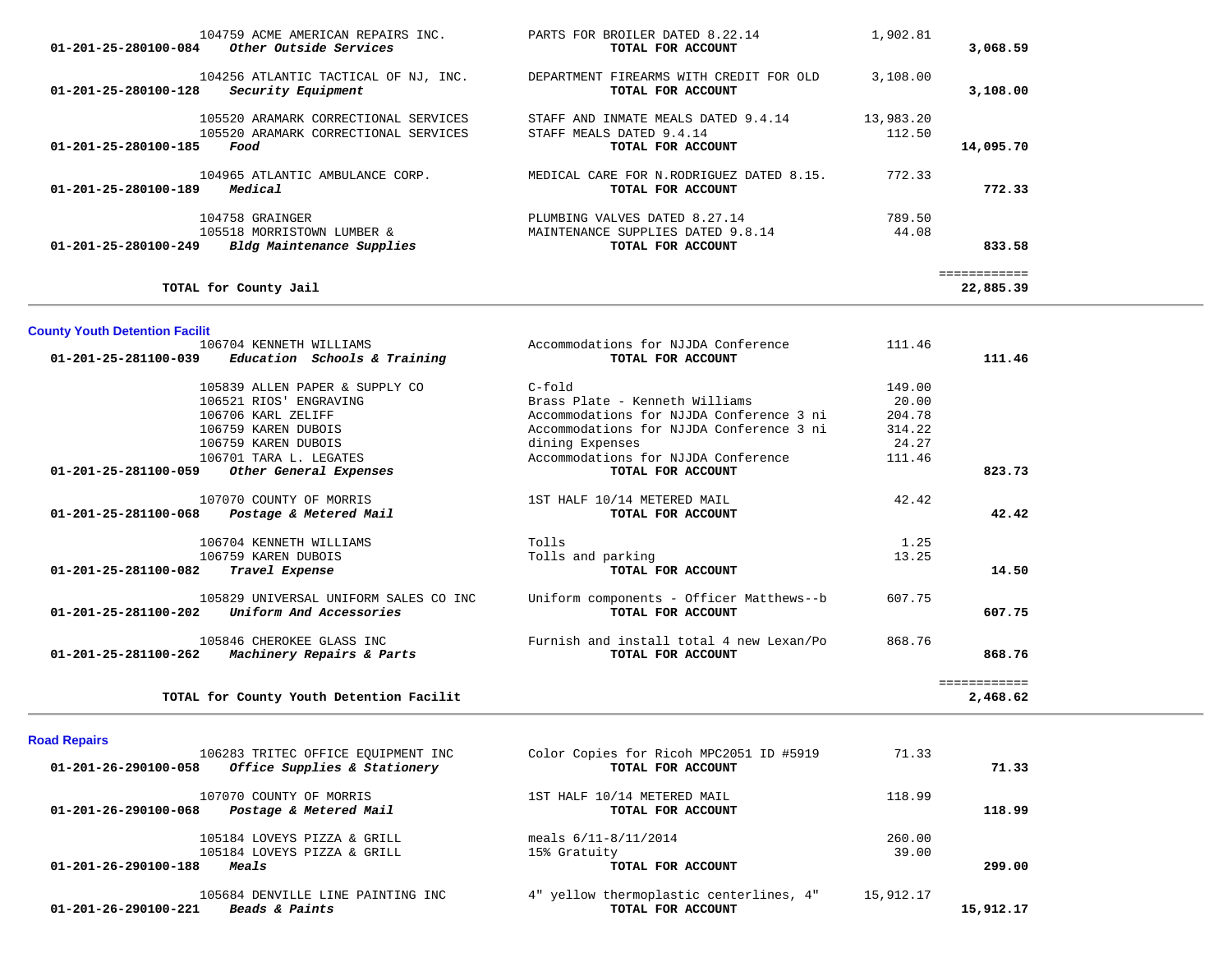| 104759 ACME AMERICAN REPAIRS INC.<br>Other Outside Services<br>01-201-25-280100-084                          | BROILER DATED 8.22.14<br>PARTS FOR<br>TOTAL FOR ACCOUNT                                 | 1,902.81            | 3,068.59  |
|--------------------------------------------------------------------------------------------------------------|-----------------------------------------------------------------------------------------|---------------------|-----------|
| 104256 ATLANTIC TACTICAL OF NJ, INC.<br>Security Equipment<br>01-201-25-280100-128                           | DEPARTMENT FIREARMS WITH CREDIT FOR OLD<br>TOTAL FOR ACCOUNT                            | 3,108.00            | 3,108.00  |
| 105520 ARAMARK CORRECTIONAL SERVICES<br>105520 ARAMARK CORRECTIONAL SERVICES<br>01-201-25-280100-185<br>Food | STAFF AND INMATE MEALS DATED 9.4.14<br>STAFF MEALS DATED 9.4.14<br>TOTAL FOR ACCOUNT    | 13,983.20<br>112.50 | 14,095.70 |
| 104965 ATLANTIC AMBULANCE CORP.<br>Medical<br>01-201-25-280100-189                                           | MEDICAL CARE FOR N.RODRIGUEZ DATED 8.15.<br>TOTAL FOR ACCOUNT                           | 772.33              | 772.33    |
| 104758 GRAINGER<br>105518 MORRISTOWN LUMBER &<br>$01 - 201 - 25 - 280100 - 249$<br>Bldg Maintenance Supplies | PLUMBING VALVES DATED 8.27.14<br>MAINTENANCE SUPPLIES DATED 9.8.14<br>TOTAL FOR ACCOUNT | 789.50<br>44.08     | 833.58    |
| TOTAL for County Jail                                                                                        |                                                                                         |                     | 22,885.39 |

# **County Youth Detention Facilit**

|        | 111.46 | Accommodations for NJJDA Conference      | 106704 KENNETH WILLIAMS                                     |
|--------|--------|------------------------------------------|-------------------------------------------------------------|
| 111.46 |        | TOTAL FOR ACCOUNT                        | Education Schools & Training<br>01-201-25-281100-039        |
|        | 149.00 | C-fold                                   | 105839 ALLEN PAPER & SUPPLY CO                              |
|        | 20.00  | Brass Plate - Kenneth Williams           | 106521 RIOS' ENGRAVING                                      |
|        | 204.78 | Accommodations for NJJDA Conference 3 ni | 106706 KARL ZELIFF                                          |
|        | 314.22 | Accommodations for NJJDA Conference 3 ni | 106759 KAREN DUBOIS                                         |
|        | 24.27  | dining Expenses                          | 106759 KAREN DUBOIS                                         |
|        | 111.46 | Accommodations for NJJDA Conference      | 106701 TARA L. LEGATES                                      |
| 823.73 |        | TOTAL FOR ACCOUNT                        | 01-201-25-281100-059<br>Other General Expenses              |
|        | 42.42  | 1ST HALF 10/14 METERED MAIL              | 107070 COUNTY OF MORRIS                                     |
| 42.42  |        | TOTAL FOR ACCOUNT                        | 01-201-25-281100-068<br>Postage & Metered Mail              |
|        | 1.25   | Tolls                                    | 106704 KENNETH WILLIAMS                                     |
|        | 13.25  | Tolls and parking                        | 106759 KAREN DUBOIS                                         |
| 14.50  |        | TOTAL FOR ACCOUNT                        | 01-201-25-281100-082<br>Travel Expense                      |
|        | 607.75 | Uniform components - Officer Matthews--b | 105829 UNIVERSAL UNIFORM SALES CO INC                       |
| 607.75 |        | TOTAL FOR ACCOUNT                        | 01-201-25-281100-202<br>Uniform And Accessories             |
|        | 868.76 | Furnish and install total 4 new Lexan/Po | 105846 CHEROKEE GLASS INC                                   |
| 868.76 |        | TOTAL FOR ACCOUNT                        | $01 - 201 - 25 - 281100 - 262$<br>Machinery Repairs & Parts |

# **Road Repairs**

| 01-201-26-290100-188<br>Meals                        | TOTAL FOR ACCOUNT                       |        | 299.00 |
|------------------------------------------------------|-----------------------------------------|--------|--------|
| 105184 LOVEYS PIZZA & GRILL                          | 15% Gratuity                            | 39.00  |        |
| 105184 LOVEYS PIZZA & GRILL                          | meals $6/11-8/11/2014$                  | 260.00 |        |
| 01-201-26-290100-068<br>Postage & Metered Mail       | TOTAL FOR ACCOUNT                       |        | 118.99 |
| 107070 COUNTY OF MORRIS                              | 1ST HALF 10/14 METERED MAIL             | 118.99 |        |
| Office Supplies & Stationery<br>01-201-26-290100-058 | TOTAL FOR ACCOUNT                       |        | 71.33  |
| 106283 TRITEC OFFICE EQUIPMENT INC                   | Color Copies for Ricoh MPC2051 ID #5919 | 71.33  |        |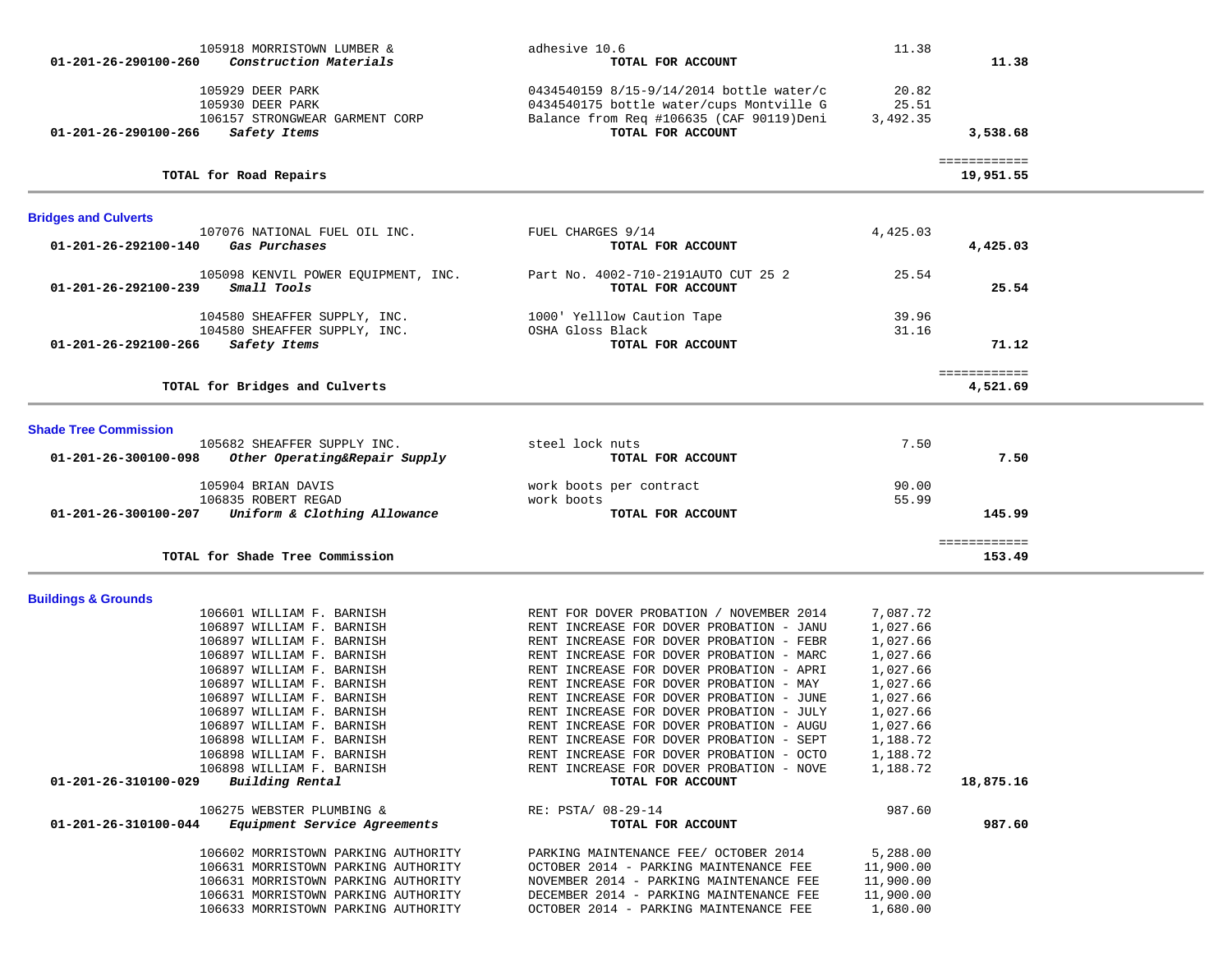|                                | 105918 MORRISTOWN LUMBER &                                   | adhesive 10.6                                                 | 11.38     |                           |  |
|--------------------------------|--------------------------------------------------------------|---------------------------------------------------------------|-----------|---------------------------|--|
| 01-201-26-290100-260           | Construction Materials                                       | TOTAL FOR ACCOUNT                                             |           | 11.38                     |  |
|                                | 105929 DEER PARK                                             | 0434540159 8/15-9/14/2014 bottle water/c                      | 20.82     |                           |  |
|                                | 105930 DEER PARK                                             | 0434540175 bottle water/cups Montville G                      | 25.51     |                           |  |
|                                | 106157 STRONGWEAR GARMENT CORP                               | Balance from Req #106635 (CAF 90119)Deni                      | 3,492.35  |                           |  |
| 01-201-26-290100-266           | Safety Items                                                 | TOTAL FOR ACCOUNT                                             |           | 3,538.68                  |  |
|                                | TOTAL for Road Repairs                                       |                                                               |           | ============<br>19,951.55 |  |
| <b>Bridges and Culverts</b>    |                                                              |                                                               |           |                           |  |
|                                | 107076 NATIONAL FUEL OIL INC.                                | FUEL CHARGES 9/14                                             | 4,425.03  |                           |  |
| 01-201-26-292100-140           | Gas Purchases                                                | TOTAL FOR ACCOUNT                                             |           | 4,425.03                  |  |
|                                | 105098 KENVIL POWER EQUIPMENT, INC.                          | Part No. 4002-710-2191AUTO CUT 25 2                           | 25.54     |                           |  |
| 01-201-26-292100-239           | Small Tools                                                  | TOTAL FOR ACCOUNT                                             |           | 25.54                     |  |
|                                |                                                              |                                                               | 39.96     |                           |  |
|                                | 104580 SHEAFFER SUPPLY, INC.<br>104580 SHEAFFER SUPPLY, INC. | 1000' Yelllow Caution Tape<br>OSHA Gloss Black                | 31.16     |                           |  |
| 01-201-26-292100-266           | Safety Items                                                 | TOTAL FOR ACCOUNT                                             |           | 71.12                     |  |
|                                |                                                              |                                                               |           |                           |  |
|                                | TOTAL for Bridges and Culverts                               |                                                               |           | ============<br>4,521.69  |  |
|                                |                                                              |                                                               |           |                           |  |
| <b>Shade Tree Commission</b>   |                                                              |                                                               |           |                           |  |
|                                | 105682 SHEAFFER SUPPLY INC.                                  | steel lock nuts                                               | 7.50      |                           |  |
| 01-201-26-300100-098           | Other Operating&Repair Supply                                | TOTAL FOR ACCOUNT                                             |           | 7.50                      |  |
|                                | 105904 BRIAN DAVIS                                           | work boots per contract                                       | 90.00     |                           |  |
|                                | 106835 ROBERT REGAD                                          | work boots                                                    | 55.99     |                           |  |
| 01-201-26-300100-207           | Uniform & Clothing Allowance                                 | TOTAL FOR ACCOUNT                                             |           | 145.99                    |  |
|                                |                                                              |                                                               |           | ============              |  |
|                                | TOTAL for Shade Tree Commission                              |                                                               |           | 153.49                    |  |
|                                |                                                              |                                                               |           |                           |  |
| <b>Buildings &amp; Grounds</b> | 106601 WILLIAM F. BARNISH                                    | RENT FOR DOVER PROBATION / NOVEMBER 2014                      | 7,087.72  |                           |  |
|                                | 106897 WILLIAM F. BARNISH                                    | RENT INCREASE FOR DOVER PROBATION - JANU                      | 1,027.66  |                           |  |
|                                | 106897 WILLIAM F. BARNISH                                    | RENT INCREASE FOR DOVER PROBATION - FEBR                      | 1,027.66  |                           |  |
|                                | 106897 WILLIAM F. BARNISH                                    | RENT INCREASE FOR DOVER PROBATION - MARC                      | 1,027.66  |                           |  |
|                                | 106897 WILLIAM F. BARNISH                                    | RENT INCREASE FOR DOVER PROBATION - APRI                      | 1,027.66  |                           |  |
|                                | 106897 WILLIAM F. BARNISH                                    | RENT INCREASE FOR DOVER PROBATION - MAY                       | 1,027.66  |                           |  |
|                                | 106897 WILLIAM F. BARNISH                                    | RENT INCREASE FOR DOVER PROBATION - JUNE                      | 1,027.66  |                           |  |
|                                | 106897 WILLIAM F. BARNISH                                    | RENT INCREASE FOR DOVER PROBATION - JULY                      | 1,027.66  |                           |  |
|                                | 106897 WILLIAM F. BARNISH                                    | RENT INCREASE FOR DOVER PROBATION - AUGU                      | 1,027.66  |                           |  |
|                                | 106898 WILLIAM F. BARNISH                                    | RENT INCREASE FOR DOVER PROBATION - SEPT                      | 1,188.72  |                           |  |
|                                | 106898 WILLIAM F. BARNISH                                    | RENT INCREASE FOR DOVER PROBATION - OCTO                      | 1,188.72  |                           |  |
| 01-201-26-310100-029           | 106898 WILLIAM F. BARNISH<br>Building Rental                 | RENT INCREASE FOR DOVER PROBATION - NOVE<br>TOTAL FOR ACCOUNT | 1,188.72  | 18,875.16                 |  |
|                                |                                                              |                                                               |           |                           |  |
|                                | 106275 WEBSTER PLUMBING &                                    | RE: PSTA/ 08-29-14                                            | 987.60    |                           |  |
| 01-201-26-310100-044           | Equipment Service Agreements                                 | TOTAL FOR ACCOUNT                                             |           | 987.60                    |  |
|                                | 106602 MORRISTOWN PARKING AUTHORITY                          | PARKING MAINTENANCE FEE/ OCTOBER 2014                         | 5,288.00  |                           |  |
|                                | 106631 MORRISTOWN PARKING AUTHORITY                          | OCTOBER 2014 - PARKING MAINTENANCE FEE                        | 11,900.00 |                           |  |
|                                | 106631 MORRISTOWN PARKING AUTHORITY                          | NOVEMBER 2014 - PARKING MAINTENANCE FEE                       | 11,900.00 |                           |  |
|                                | 106631 MORRISTOWN PARKING AUTHORITY                          | DECEMBER 2014 - PARKING MAINTENANCE FEE                       | 11,900.00 |                           |  |
|                                | 106633 MORRISTOWN PARKING AUTHORITY                          | OCTOBER 2014 - PARKING MAINTENANCE FEE                        | 1,680.00  |                           |  |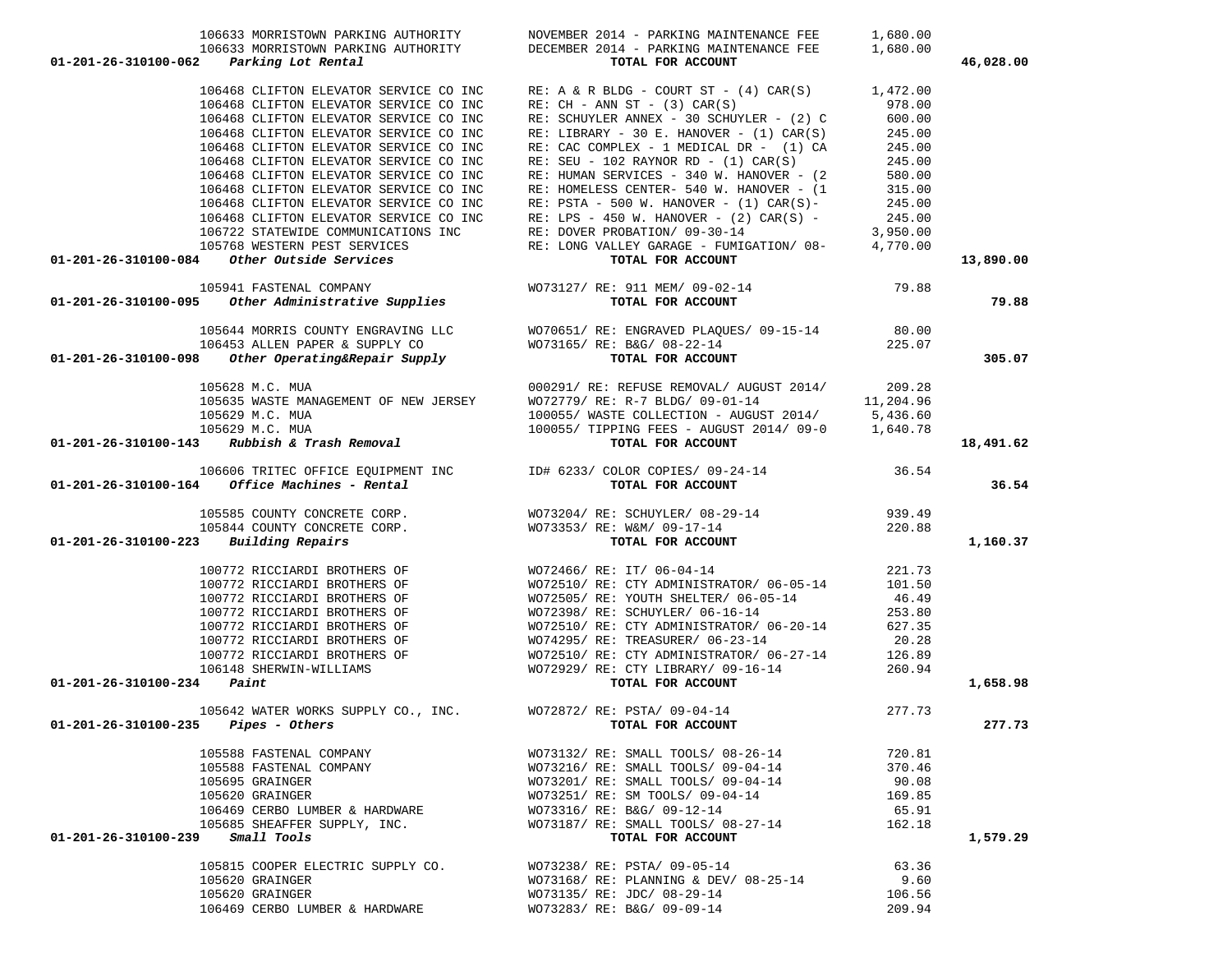| 106633 MORRISTOWN PARKING AUTHORITY<br>01-201-26-310100-062 Parking Lot Rental                                                                                                                                                                      | DECEMBER 2014 - PARKING MAINTENANCE FEE<br>TOTAL FOR ACCOUNT                                                                                                                                                                                  | 1,680.00 | 46,028.00 |
|-----------------------------------------------------------------------------------------------------------------------------------------------------------------------------------------------------------------------------------------------------|-----------------------------------------------------------------------------------------------------------------------------------------------------------------------------------------------------------------------------------------------|----------|-----------|
| 106468 CLIFTON ELEVATOR SERVICE CO INC                                                                                                                                                                                                              | RE: A & R BLDG - COURT ST - $(4)$ CAR $(S)$ 1,472.00                                                                                                                                                                                          |          |           |
| 106468 CLIFTON ELEVATOR SERVICE CO INC                                                                                                                                                                                                              | $RE: CH - ANN ST - (3) CAR(S)$                                                                                                                                                                                                                | 978.00   |           |
| 106468 CLIFTON ELEVATOR SERVICE CO INC                                                                                                                                                                                                              |                                                                                                                                                                                                                                               |          |           |
| 106468 CLIFTON ELEVATOR SERVICE CO INC                                                                                                                                                                                                              | RE: SCHUYLER ANNEX - 30 SCHUYLER - (2) C 600.00<br>RE: LIBRARY - 30 E. HANOVER - (1) CAR(S) 245.00                                                                                                                                            |          |           |
| 106468 CLIFTON ELEVATOR SERVICE CO INC                                                                                                                                                                                                              |                                                                                                                                                                                                                                               | 245.00   |           |
| 106468 CLIFTON ELEVATOR SERVICE CO INC                                                                                                                                                                                                              | RE: CAC COMPLEX - 1 MEDICAL DR - (1) CA<br>RE: SEU - 102 RAYNOR RD - (1) CAR(S)                                                                                                                                                               | 245.00   |           |
| 106468 CLIFTON ELEVATOR SERVICE CO INC                                                                                                                                                                                                              |                                                                                                                                                                                                                                               |          |           |
| 106468 CLIFTON ELEVATOR SERVICE CO INC                                                                                                                                                                                                              | RE: HUMAN SERVICES - 340 W. HANOVER - $(2$ 580.00<br>RE: HOMELESS CENTER- 540 W. HANOVER - $(1$ 315.00                                                                                                                                        |          |           |
| 106468 CLIFTON ELEVATOR SERVICE CO INC                                                                                                                                                                                                              | RE: PSTA - 500 W. HANOVER - (1) CAR(S) - 245.00<br>RE: LPS - 450 W. HANOVER - (2) CAR(S) - 245.00                                                                                                                                             |          |           |
| 106468 CLIFTON ELEVATOR SERVICE CO INC                                                                                                                                                                                                              |                                                                                                                                                                                                                                               |          |           |
|                                                                                                                                                                                                                                                     |                                                                                                                                                                                                                                               |          |           |
|                                                                                                                                                                                                                                                     |                                                                                                                                                                                                                                               |          |           |
| 106722 STATEWIDE COMMUNICATIONS INC<br>105768 WESTERN PEST SERVICES<br>105768 WESTERN PEST SERVICES<br>105768 WESTERN PEST SERVICES<br>105768 WESTERN PEST SERVICES<br>105768 WESTERN PEST SERVICES<br>105768 WESTERN PEST SERVICES<br>1078L FOR AC |                                                                                                                                                                                                                                               |          | 13,890.00 |
| 105941 FASTENAL COMPANY WOT3127/ RE: 911 MEM/ 09-02-14<br><b>01-201-26-310100-095</b> Other Administrative Supplies TOTAL FOR ACCOUNT                                                                                                               |                                                                                                                                                                                                                                               |          |           |
|                                                                                                                                                                                                                                                     |                                                                                                                                                                                                                                               |          | 79.88     |
|                                                                                                                                                                                                                                                     | 105644 MORRIS COUNTY ENGRAVING LLC WO70651/RE: ENGRAVED PLAQUES/ 09-15-14 80.00                                                                                                                                                               |          |           |
|                                                                                                                                                                                                                                                     | WO73165/ RE: B&G/ 08-22-14<br><b>TOTAL FOR ACCOUNT</b> 225.07                                                                                                                                                                                 |          |           |
|                                                                                                                                                                                                                                                     |                                                                                                                                                                                                                                               |          | 305.07    |
| 105628 M.C. MUA                                                                                                                                                                                                                                     | 000291/ RE: REFUSE REMOVAL/ AUGUST 2014/ 209.28                                                                                                                                                                                               |          |           |
| 105635 WASTE MANAGEMENT OF NEW JERSEY                                                                                                                                                                                                               |                                                                                                                                                                                                                                               |          |           |
| 105629 M.C. MUA                                                                                                                                                                                                                                     | W072779/ RE: R-7 BLDG/ 09-01-14 11,204.96<br>100055/ WASTE COLLECTION - AUGUST 2014/ 5,436.60                                                                                                                                                 |          |           |
| 105629 M.C. MUA                                                                                                                                                                                                                                     |                                                                                                                                                                                                                                               |          |           |
| $01-201-26-310100-143$ Rubbish & Trash Removal                                                                                                                                                                                                      | $\frac{100055}{NASTE}$ COLLECTION - AUGUST 2014/09-0 1,640.78<br>100055/TIPPING FEES - AUGUST 2014/09-0 1,640.78                                                                                                                              |          | 18,491.62 |
|                                                                                                                                                                                                                                                     |                                                                                                                                                                                                                                               |          |           |
| $01-201-26-310100-164$ Office Machines - Rental                                                                                                                                                                                                     |                                                                                                                                                                                                                                               |          | 36.54     |
|                                                                                                                                                                                                                                                     |                                                                                                                                                                                                                                               |          |           |
|                                                                                                                                                                                                                                                     |                                                                                                                                                                                                                                               |          |           |
| $01 - 201 - 26 - 310100 - 223$ Building Repairs                                                                                                                                                                                                     |                                                                                                                                                                                                                                               |          | 1,160.37  |
|                                                                                                                                                                                                                                                     | 100772 RICCIARDI BROTHERS OF $\,$ WO72466/ RE: IT/ 06-04-14<br>100772 RICCIARDI BROTHERS OF $\,$ WO72510/ RE: CTY ADMINISTRATOR/ 06-05-14                                                                                                     | 221.73   |           |
|                                                                                                                                                                                                                                                     |                                                                                                                                                                                                                                               | 101.50   |           |
| 100772 RICCIARDI BROTHERS OF                                                                                                                                                                                                                        | WO72505/RE: YOUTH SHELTER/06-05-14                                                                                                                                                                                                            | 46.49    |           |
| 100772 RICCIARDI BROTHERS OF                                                                                                                                                                                                                        | WO72398/ RE: SCHUYLER/ 06-16-14<br>WO72510/ RE: CTY ADMINISTRATOR/ 06-20-14 627.35                                                                                                                                                            | 253.80   |           |
| 100772 RICCIARDI BROTHERS OF                                                                                                                                                                                                                        |                                                                                                                                                                                                                                               |          |           |
|                                                                                                                                                                                                                                                     |                                                                                                                                                                                                                                               |          |           |
|                                                                                                                                                                                                                                                     |                                                                                                                                                                                                                                               |          |           |
| 01-201-26-310100-234                                                                                                                                                                                                                                | 100772 RICCIARDI BROTHERS OF WO74295/ RE: TREASURER/ 06-23-14<br>100772 RICCIARDI BROTHERS OF WO72510/ RE: CTY ADMINISTRATOR/ 06-27-14 126.89<br>106148 SHERWIN-WILLIAMS WO72929/ RE: CTY LIBRARY/ 09-16-14 260.94<br><b>TOTAL FOR ACCOUN</b> |          | 1,658.98  |
|                                                                                                                                                                                                                                                     | 4 Faint<br>105642 WATER WORKS SUPPLY CO., INC. WO72872/ RE: PSTA/ 09-04-14<br><b>TOTAL FOR ACCOUNT</b>                                                                                                                                        |          |           |
| $01 - 201 - 26 - 310100 - 235$ Pipes - Others                                                                                                                                                                                                       |                                                                                                                                                                                                                                               |          | 277.73    |
| 105588 FASTENAL COMPANY                                                                                                                                                                                                                             | WO73132/ RE: SMALL TOOLS/ 08-26-14                                                                                                                                                                                                            | 720.81   |           |
| 105588 FASTENAL COMPANY                                                                                                                                                                                                                             | WO73216/ RE: SMALL TOOLS/ 09-04-14                                                                                                                                                                                                            | 370.46   |           |
| 105695 GRAINGER                                                                                                                                                                                                                                     | WO73201/ RE: SMALL TOOLS/ 09-04-14                                                                                                                                                                                                            | 90.08    |           |
| 105620 GRAINGER                                                                                                                                                                                                                                     | WO73251/ RE: SM TOOLS/ 09-04-14                                                                                                                                                                                                               | 169.85   |           |
| 106469 CERBO LUMBER & HARDWARE                                                                                                                                                                                                                      | WO73316/ RE: B&G/ 09-12-14                                                                                                                                                                                                                    | 65.91    |           |
| 105685 SHEAFFER SUPPLY, INC.                                                                                                                                                                                                                        | WO73187/ RE: SMALL TOOLS/ 08-27-14                                                                                                                                                                                                            | 162.18   |           |
| Small Tools<br>01-201-26-310100-239                                                                                                                                                                                                                 | TOTAL FOR ACCOUNT                                                                                                                                                                                                                             |          | 1,579.29  |
| 105815 COOPER ELECTRIC SUPPLY CO.                                                                                                                                                                                                                   | WO73238/ RE: PSTA/ 09-05-14                                                                                                                                                                                                                   | 63.36    |           |
| 105620 GRAINGER                                                                                                                                                                                                                                     | WO73168/ RE: PLANNING & DEV/ 08-25-14                                                                                                                                                                                                         | 9.60     |           |
| 105620 GRAINGER                                                                                                                                                                                                                                     | WO73135/ RE: JDC/ 08-29-14                                                                                                                                                                                                                    | 106.56   |           |
| 106469 CERBO LUMBER & HARDWARE                                                                                                                                                                                                                      | WO73283/ RE: B&G/ 09-09-14                                                                                                                                                                                                                    | 209.94   |           |

106633 MORRISTOWN PARKING AUTHORITY NOVEMBER 2014 - PARKING MAINTENANCE FEE 1,680.00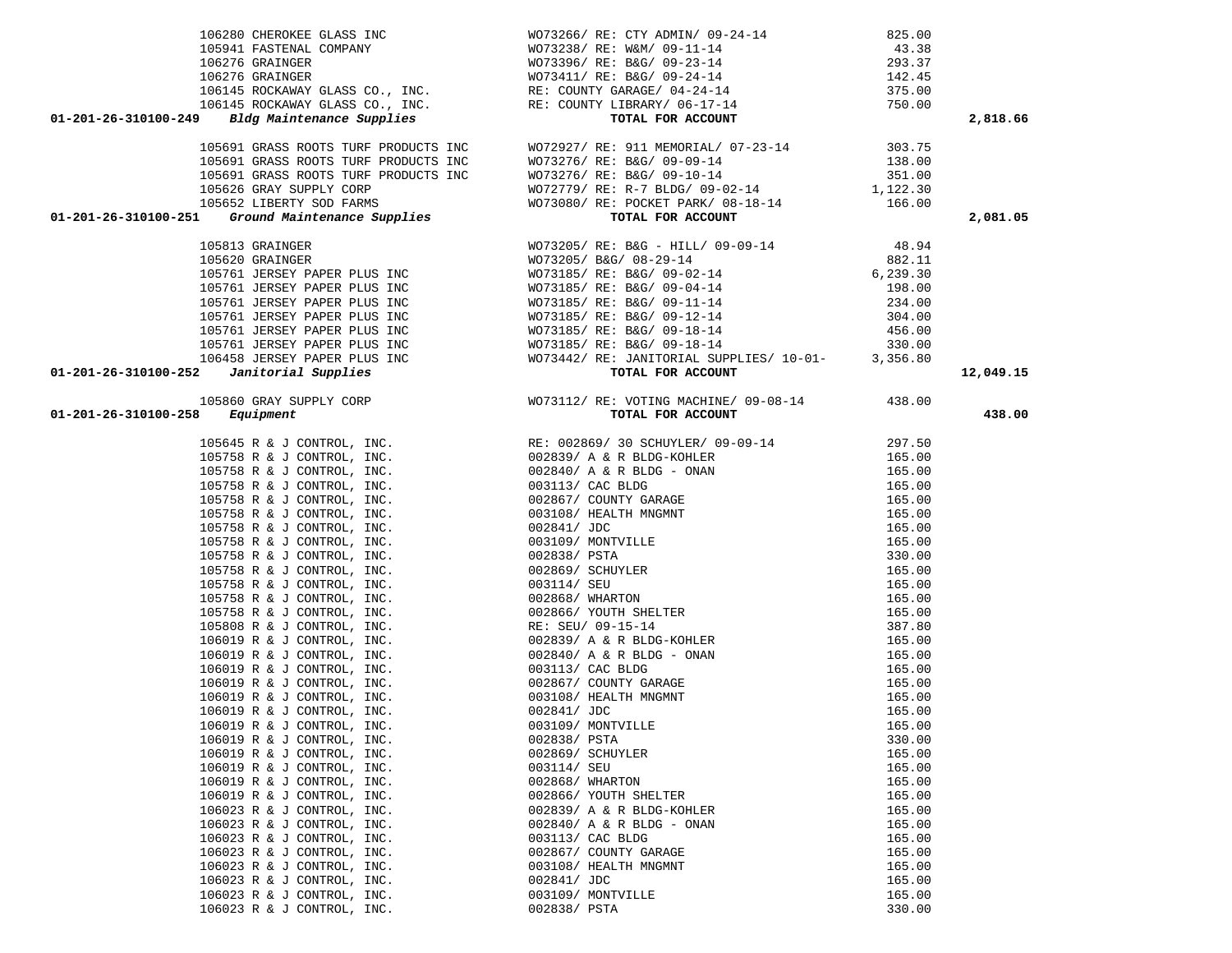|                                                          |                                                                                                                                                                                                                                                                                                                    |                  | 2,818.66  |
|----------------------------------------------------------|--------------------------------------------------------------------------------------------------------------------------------------------------------------------------------------------------------------------------------------------------------------------------------------------------------------------|------------------|-----------|
|                                                          |                                                                                                                                                                                                                                                                                                                    |                  |           |
|                                                          |                                                                                                                                                                                                                                                                                                                    |                  |           |
|                                                          |                                                                                                                                                                                                                                                                                                                    |                  |           |
|                                                          |                                                                                                                                                                                                                                                                                                                    |                  |           |
|                                                          |                                                                                                                                                                                                                                                                                                                    |                  |           |
|                                                          |                                                                                                                                                                                                                                                                                                                    |                  |           |
|                                                          |                                                                                                                                                                                                                                                                                                                    |                  | 2,081.05  |
|                                                          |                                                                                                                                                                                                                                                                                                                    |                  |           |
|                                                          |                                                                                                                                                                                                                                                                                                                    |                  |           |
|                                                          |                                                                                                                                                                                                                                                                                                                    |                  |           |
|                                                          |                                                                                                                                                                                                                                                                                                                    |                  |           |
|                                                          |                                                                                                                                                                                                                                                                                                                    |                  |           |
|                                                          |                                                                                                                                                                                                                                                                                                                    |                  |           |
|                                                          |                                                                                                                                                                                                                                                                                                                    |                  |           |
|                                                          |                                                                                                                                                                                                                                                                                                                    |                  |           |
|                                                          |                                                                                                                                                                                                                                                                                                                    |                  |           |
|                                                          |                                                                                                                                                                                                                                                                                                                    |                  |           |
|                                                          |                                                                                                                                                                                                                                                                                                                    |                  | 12,049.15 |
|                                                          | $\begin{tabular}{cccccccc} 1.5340 & .0480 & .0480 & .0480 & .0480 & .0480 & .0480 & .0480 & .0480 & .0480 & .0480 & .0480 & .0480 & .0480 & .0480 & .0480 & .0480 & .0480 & .0480 & .0480 & .0480 & .0480 & .0480 & .0480 & .0480 & .0480 & .0480 & .0480 & .0480 & .0480 & .0480 & .0480 & .0480 & .0480 & .0480$ |                  |           |
|                                                          |                                                                                                                                                                                                                                                                                                                    |                  | 438.00    |
|                                                          |                                                                                                                                                                                                                                                                                                                    |                  |           |
|                                                          |                                                                                                                                                                                                                                                                                                                    |                  |           |
|                                                          |                                                                                                                                                                                                                                                                                                                    |                  |           |
|                                                          |                                                                                                                                                                                                                                                                                                                    |                  |           |
|                                                          |                                                                                                                                                                                                                                                                                                                    |                  |           |
|                                                          |                                                                                                                                                                                                                                                                                                                    |                  |           |
|                                                          |                                                                                                                                                                                                                                                                                                                    |                  |           |
|                                                          |                                                                                                                                                                                                                                                                                                                    |                  |           |
|                                                          |                                                                                                                                                                                                                                                                                                                    |                  |           |
|                                                          |                                                                                                                                                                                                                                                                                                                    |                  |           |
|                                                          |                                                                                                                                                                                                                                                                                                                    |                  |           |
|                                                          |                                                                                                                                                                                                                                                                                                                    |                  |           |
|                                                          |                                                                                                                                                                                                                                                                                                                    |                  |           |
|                                                          |                                                                                                                                                                                                                                                                                                                    |                  |           |
|                                                          |                                                                                                                                                                                                                                                                                                                    |                  |           |
|                                                          |                                                                                                                                                                                                                                                                                                                    |                  |           |
|                                                          |                                                                                                                                                                                                                                                                                                                    |                  |           |
|                                                          |                                                                                                                                                                                                                                                                                                                    |                  |           |
|                                                          |                                                                                                                                                                                                                                                                                                                    |                  |           |
|                                                          |                                                                                                                                                                                                                                                                                                                    |                  |           |
|                                                          |                                                                                                                                                                                                                                                                                                                    |                  |           |
| 106019 R & J CONTROL, INC.                               | 003109/ MONTVILLE                                                                                                                                                                                                                                                                                                  | 165.00           |           |
| 106019 R & J CONTROL, INC.                               | 002838/ PSTA                                                                                                                                                                                                                                                                                                       | 330.00           |           |
| 106019 R & J CONTROL, INC.                               | 002869/ SCHUYLER                                                                                                                                                                                                                                                                                                   | 165.00           |           |
| 106019 R & J CONTROL, INC.                               | 003114/ SEU                                                                                                                                                                                                                                                                                                        | 165.00           |           |
| 106019 R & J CONTROL, INC.                               | 002868/ WHARTON                                                                                                                                                                                                                                                                                                    | 165.00           |           |
| 106019 R & J CONTROL, INC.                               | 002866/ YOUTH SHELTER                                                                                                                                                                                                                                                                                              | 165.00           |           |
| 106023 R & J CONTROL, INC.                               | 002839/ A & R BLDG-KOHLER                                                                                                                                                                                                                                                                                          | 165.00           |           |
| 106023 R & J CONTROL, INC.                               | $002840/$ A & R BLDG - ONAN                                                                                                                                                                                                                                                                                        | 165.00           |           |
| 106023 R & J CONTROL, INC.                               | 003113/ CAC BLDG                                                                                                                                                                                                                                                                                                   | 165.00           |           |
| 106023 R & J CONTROL, INC.                               | 002867/ COUNTY GARAGE                                                                                                                                                                                                                                                                                              | 165.00           |           |
| 106023 R & J CONTROL, INC.                               | 003108/ HEALTH MNGMNT                                                                                                                                                                                                                                                                                              | 165.00           |           |
| 106023 R & J CONTROL, INC.                               | 002841/ JDC                                                                                                                                                                                                                                                                                                        | 165.00           |           |
| 106023 R & J CONTROL, INC.<br>106023 R & J CONTROL, INC. | 003109/ MONTVILLE<br>002838/ PSTA                                                                                                                                                                                                                                                                                  | 165.00<br>330.00 |           |
|                                                          |                                                                                                                                                                                                                                                                                                                    |                  |           |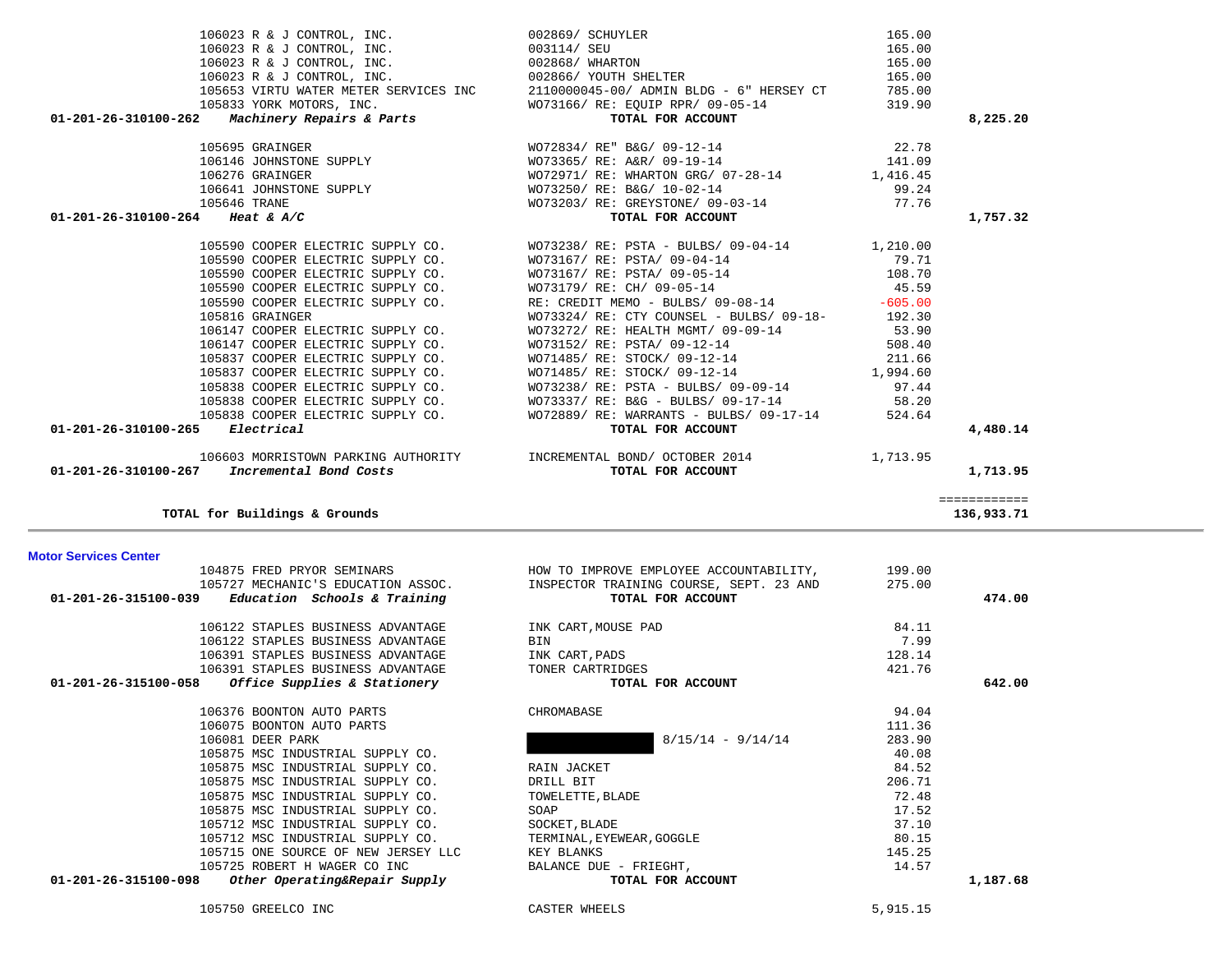| 106122 STAPLES BUSINESS ADVANTAGE<br>106122 STAPLES BUSINESS ADVANTAGE<br>106391 STAPLES BUSINESS ADVANTAGE | INK CART, MOUSE PAD<br>BIN<br>INK CART, PADS | 84.11<br>7.99<br>128.14 |          |
|-------------------------------------------------------------------------------------------------------------|----------------------------------------------|-------------------------|----------|
| 106391 STAPLES BUSINESS ADVANTAGE                                                                           | TONER CARTRIDGES                             | 421.76                  |          |
| Office Supplies & Stationery<br>01-201-26-315100-058                                                        | TOTAL FOR ACCOUNT                            |                         | 642.00   |
| 106376 BOONTON AUTO PARTS                                                                                   | CHROMABASE                                   | 94.04                   |          |
| 106075 BOONTON AUTO PARTS                                                                                   |                                              | 111.36                  |          |
| 106081 DEER PARK                                                                                            | $8/15/14 - 9/14/14$                          | 283.90                  |          |
| 105875 MSC INDUSTRIAL SUPPLY CO.                                                                            |                                              | 40.08                   |          |
| 105875 MSC INDUSTRIAL SUPPLY CO.                                                                            | RAIN JACKET                                  | 84.52                   |          |
| 105875 MSC INDUSTRIAL SUPPLY CO.                                                                            | DRILL BIT                                    | 206.71                  |          |
| 105875 MSC INDUSTRIAL SUPPLY CO.                                                                            | TOWELETTE, BLADE                             | 72.48                   |          |
| 105875 MSC INDUSTRIAL SUPPLY CO.                                                                            | SOAP                                         | 17.52                   |          |
| 105712 MSC INDUSTRIAL SUPPLY CO.                                                                            | SOCKET, BLADE                                | 37.10                   |          |
| 105712 MSC INDUSTRIAL SUPPLY CO.                                                                            | TERMINAL, EYEWEAR, GOGGLE                    | 80.15                   |          |
| 105715 ONE SOURCE OF NEW JERSEY LLC                                                                         | KEY BLANKS                                   | 145.25                  |          |
| 105725 ROBERT H WAGER CO INC                                                                                | BALANCE DUE - FRIEGHT,                       | 14.57                   |          |
| 01-201-26-315100-098<br>Other Operating&Repair Supply                                                       | TOTAL FOR ACCOUNT                            |                         | 1,187.68 |

============

105727 MECHANIC'S EDUCATION ASSOC. INSPECTOR TRAINING COURSE, SEPT. 23 AND 275.00  **01-201-26-315100-039** *Education Schools & Training* **TOTAL FOR ACCOUNT 474.00**

104875 FRED PRYOR SEMINARS HOW TO IMPROVE EMPLOYEE ACCOUNTABILITY, 199.00

### **Motor Services Center**

**TOTAL for Buildings & Grounds 136,933.71**

|                                                                                                           | 002869/ SCHUYLER                                                                                                                                                                                                                                                                                                                                                               | 165.00 |          |
|-----------------------------------------------------------------------------------------------------------|--------------------------------------------------------------------------------------------------------------------------------------------------------------------------------------------------------------------------------------------------------------------------------------------------------------------------------------------------------------------------------|--------|----------|
| 106023 R & J CONTROL, INC.<br>106023 R & J CONTROL, INC.                                                  | 003114/ SEU                                                                                                                                                                                                                                                                                                                                                                    | 165.00 |          |
|                                                                                                           |                                                                                                                                                                                                                                                                                                                                                                                | 165.00 |          |
|                                                                                                           |                                                                                                                                                                                                                                                                                                                                                                                | 165.00 |          |
|                                                                                                           | 106023 R & J CONTROL, INC.<br>106023 R & J CONTROL, INC. 002868/ WHARTON<br>106023 R & J CONTROL, INC. 002866/ YOUTH SHELTER<br>105653 VIRTU WATER METER SERVICES INC 211000045-00/ ADMIN BLDG - 6" HERSEY CT                                                                                                                                                                  | 785.00 |          |
|                                                                                                           |                                                                                                                                                                                                                                                                                                                                                                                | 319.90 |          |
| 105833 YORK MOTORS, INC.<br>01-201-26-310100-262 Machinery Repairs & Parts WOT3166/RE: EQUIP RPR/09-05-14 |                                                                                                                                                                                                                                                                                                                                                                                |        | 8,225.20 |
|                                                                                                           | $\begin{array}{cccccc} 105695 & \text{GRAINGER} & & & & & & & & & & 22.78 \\ 106146 & \text{JOHNSTONE} & \text{SUPPLY} & & & & & & & & 22.78 \\ 106276 & \text{GRAINGER} & & & & & & & & 141.09 \\ 106276 & \text{GRAINGER} & & & & & & & & 141.09 \\ 106641 & \text{JOHNSTONE} & \text{SUPPLY} & & & & & & & 106446 & 1000000 \\ 106641 & \text{JOHNSTONE} & \text{SUPPLY} &$ |        |          |
|                                                                                                           |                                                                                                                                                                                                                                                                                                                                                                                |        |          |
|                                                                                                           |                                                                                                                                                                                                                                                                                                                                                                                |        |          |
|                                                                                                           |                                                                                                                                                                                                                                                                                                                                                                                |        |          |
|                                                                                                           |                                                                                                                                                                                                                                                                                                                                                                                |        |          |
| 01-201-26-310100-264 Heat & A/C                                                                           |                                                                                                                                                                                                                                                                                                                                                                                |        | 1,757.32 |
| 105590 COOPER ELECTRIC SUPPLY CO.                                                                         | WO73238/ RE: PSTA - BULBS/ 09-04-14 1,210.00                                                                                                                                                                                                                                                                                                                                   |        |          |
| 105590 COOPER ELECTRIC SUPPLY CO.                                                                         | WO73167/ RE: PSTA/ 09-04-14                                                                                                                                                                                                                                                                                                                                                    | 79.71  |          |
|                                                                                                           |                                                                                                                                                                                                                                                                                                                                                                                |        |          |
| 105590 COOPER ELECTRIC SUPPLY CO.<br>105590 COOPER ELECTRIC SUPPLY CO.                                    | WO73167/RE: PSTA/09-05-14<br>WO73179/RE: CH/09-05-14 45.59                                                                                                                                                                                                                                                                                                                     |        |          |
| 105590 COOPER ELECTRIC SUPPLY CO.                                                                         | RE: CREDIT MEMO - BULBS/ 09-08-14 -605.00                                                                                                                                                                                                                                                                                                                                      |        |          |
| 105816 GRAINGER                                                                                           | $WO73324/RE: CTY COUNSEL - BULBS/ 09-18- 192.30$                                                                                                                                                                                                                                                                                                                               |        |          |
| 106147 COOPER ELECTRIC SUPPLY CO.                                                                         | WO73272/ RE: HEALTH MGMT/ 09-09-14 53.90                                                                                                                                                                                                                                                                                                                                       |        |          |
| 106147 COOPER ELECTRIC SUPPLY CO.                                                                         | WO73152/RE: PSTA/09-12-14<br>WO71485/RE: STOCK/09-12-14<br>NOT1485/RE: STOCK/09-12-14<br>211.66                                                                                                                                                                                                                                                                                |        |          |
| 105837 COOPER ELECTRIC SUPPLY CO.                                                                         |                                                                                                                                                                                                                                                                                                                                                                                |        |          |
| 105837 COOPER ELECTRIC SUPPLY CO.                                                                         | WO71485/ RE: STOCK/ 09-12-14 1,994.60                                                                                                                                                                                                                                                                                                                                          |        |          |
| 105838 COOPER ELECTRIC SUPPLY CO.                                                                         | WO73238/ RE: PSTA - BULBS/ 09-09-14 97.44                                                                                                                                                                                                                                                                                                                                      |        |          |
| 105838 COOPER ELECTRIC SUPPLY CO.                                                                         | WO73337/ RE: B&G - BULBS/ 09-17-14 58.20                                                                                                                                                                                                                                                                                                                                       |        |          |
|                                                                                                           | 105838 COOPER ELECTRIC SUPPLY CO. WO72889/RE: WARRANTS - BULBS/09-17-14                                                                                                                                                                                                                                                                                                        | 524.64 |          |
| $01 - 201 - 26 - 310100 - 265$ Electrical                                                                 | TOTAL FOR ACCOUNT                                                                                                                                                                                                                                                                                                                                                              |        | 4,480.14 |
|                                                                                                           | 1,713.95 106603 MORRISTOWN PARKING AUTHORITY TIMCREMENTAL BOND/ OCTOBER 2014                                                                                                                                                                                                                                                                                                   |        |          |
| $01-201-26-310100-267$ Incremental Bond Costs                                                             | TOTAL FOR ACCOUNT                                                                                                                                                                                                                                                                                                                                                              |        | 1,713.95 |
|                                                                                                           |                                                                                                                                                                                                                                                                                                                                                                                |        |          |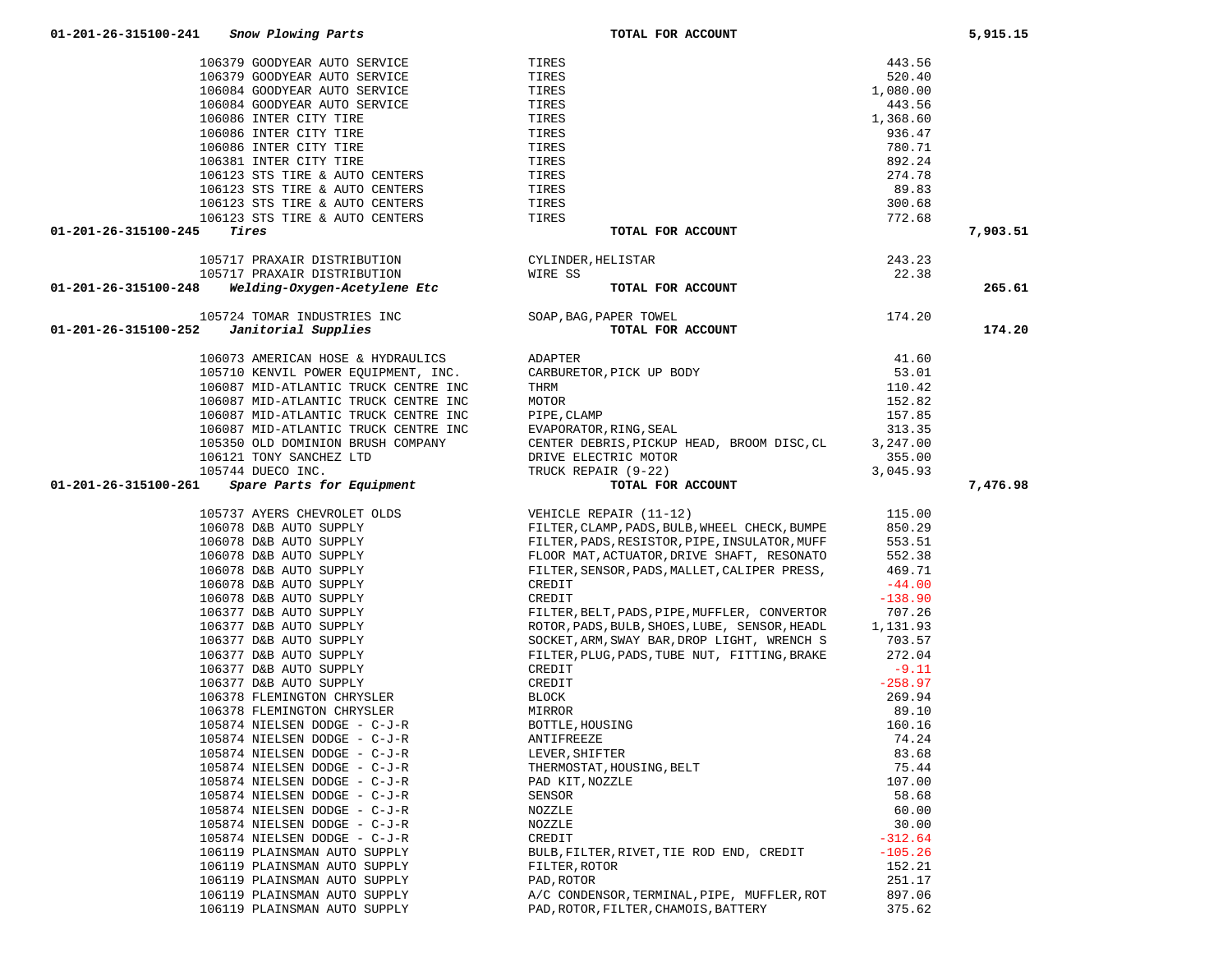| 106084 GOODYEAR AUTO SERVICE                                                                         | TIRES                                                          | 443.56    |          |
|------------------------------------------------------------------------------------------------------|----------------------------------------------------------------|-----------|----------|
| 106086 INTER CITY TIRE                                                                               | TIRES                                                          | 1,368.60  |          |
| 106086 INTER CITY TIRE                                                                               | TIRES                                                          | 936.47    |          |
| 106086 INTER CITY TIRE                                                                               | TIRES                                                          | 780.71    |          |
| 106381 INTER CITY TIRE                                                                               | TIRES                                                          | 892.24    |          |
| 106123 STS TIRE & AUTO CENTERS                                                                       | TIRES                                                          | 274.78    |          |
| 106123 STS TIRE & AUTO CENTERS                                                                       | TIRES                                                          | 89.83     |          |
| 106123 STS TIRE & AUTO CENTERS                                                                       | TIRES                                                          | 300.68    |          |
| 106123 STS TIRE & AUTO CENTERS                                                                       | TIRES                                                          | 772.68    |          |
| Tires<br>01-201-26-315100-245                                                                        | TOTAL FOR ACCOUNT                                              |           | 7,903.51 |
|                                                                                                      |                                                                |           |          |
| 105717 PRAXAIR DISTRIBUTION                                                                          | CYLINDER, HELISTAR                                             | 243.23    |          |
| 105717 PRAXAIR DISTRIBUTION                                                                          | WIRE SS                                                        | 22.38     |          |
| Welding-Oxygen-Acetylene Etc<br>01-201-26-315100-248                                                 | TOTAL FOR ACCOUNT                                              |           | 265.61   |
|                                                                                                      |                                                                |           |          |
| 105724 TOMAR INDUSTRIES INC                                                                          | SOAP, BAG, PAPER TOWEL                                         | 174.20    |          |
| Janitorial Supplies<br>01-201-26-315100-252                                                          | TOTAL FOR ACCOUNT                                              |           | 174.20   |
| 106073 AMERICAN HOSE & HYDRAULICS                                                                    | ADAPTER                                                        | 41.60     |          |
| 105710 KENVIL POWER EQUIPMENT, INC.                                                                  | CARBURETOR, PICK UP BODY                                       | 53.01     |          |
| 106087 MID-ATLANTIC TRUCK CENTRE INC                                                                 | THRM                                                           | 110.42    |          |
| 106087 MID-ATLANTIC TRUCK CENTRE INC                                                                 |                                                                |           |          |
|                                                                                                      | MOTOR                                                          | 152.82    |          |
| 106087 MID-ATLANTIC TRUCK CENTRE INC                                                                 | PIPE, CLAMP                                                    | 157.85    |          |
| 106087 MID-ATLANTIC TRUCK CENTRE INC                                                                 | EVAPORATOR, RING, SEAL                                         | 313.35    |          |
| 105350 OLD DOMINION BRUSH COMPANY                                                                    | CENTER DEBRIS, PICKUP HEAD, BROOM DISC, CL                     | 3,247.00  |          |
| 106121 TONY SANCHEZ LTD                                                                              | DRIVE ELECTRIC MOTOR                                           | 355.00    |          |
| 105744 DUECO INC.                                                                                    | TRUCK REPAIR (9-22)                                            | 3,045.93  |          |
| 01-201-26-315100-261<br><i>Spare Parts for Equipment</i>                                             | TOTAL FOR ACCOUNT                                              |           | 7,476.98 |
| 105737 AYERS CHEVROLET OLDS                                                                          | VEHICLE REPAIR (11-12)                                         | 115.00    |          |
| 106078 D&B AUTO SUPPLY                                                                               | FILTER, CLAMP, PADS, BULB, WHEEL CHECK, BUMPE                  | 850.29    |          |
| 106078 D&B AUTO SUPPLY                                                                               | FILTER, PADS, RESISTOR, PIPE, INSULATOR, MUFF                  | 553.51    |          |
|                                                                                                      | FLOOR MAT, ACTUATOR, DRIVE SHAFT, RESONATO                     | 552.38    |          |
| 106078 D&B AUTO SUPPLY<br>106078 D&B AUTO SUPPLY<br>106078 D&B AUTO SUPPLY<br>106078 D&B AUTO SUPPLY | FILTER, SENSOR, PADS, MALLET, CALIPER PRESS,                   | 469.71    |          |
|                                                                                                      | CREDIT                                                         | $-44.00$  |          |
|                                                                                                      |                                                                |           |          |
| 106078 D&B AUTO SUPPLY<br>106377 D&B AUTO SUPPLY                                                     | CREDIT                                                         | $-138.90$ |          |
|                                                                                                      | FILTER, BELT, PADS, PIPE, MUFFLER, CONVERTOR                   | 707.26    |          |
| 106377 D&B AUTO SUPPLY                                                                               | ROTOR, PADS, BULB, SHOES, LUBE, SENSOR, HEADL                  | 1,131.93  |          |
| 106377 D&B AUTO SUPPLY                                                                               | SOCKET, ARM, SWAY BAR, DROP LIGHT, WRENCH S                    | 703.57    |          |
| 106377 D&B AUTO SUPPLY                                                                               | FILTER, PLUG, PADS, TUBE NUT, FITTING, BRAKE                   | 272.04    |          |
| 106377 D&B AUTO SUPPLY                                                                               | CREDIT                                                         | $-9.11$   |          |
| 106377 D&B AUTO SUPPLY                                                                               | CREDIT                                                         | $-258.97$ |          |
| 106378 FLEMINGTON CHRYSLER                                                                           | BLOCK                                                          | 269.94    |          |
| 106378 FLEMINGTON CHRYSLER                                                                           | MIRROR                                                         | 89.10     |          |
| 105874 NIELSEN DODGE - C-J-R                                                                         | BOTTLE, HOUSING                                                | 160.16    |          |
| 105874 NIELSEN DODGE - C-J-R                                                                         | ANTIFREEZE                                                     | 74.24     |          |
| 105874 NIELSEN DODGE - C-J-R                                                                         |                                                                | 83.68     |          |
| 105874 NIELSEN DODGE - C-J-R                                                                         |                                                                | 75.44     |          |
| 105874 NIELSEN DODGE - C-J-R                                                                         | LEVER, SHIFTER<br>THERMOSTAT, HOUSING, BELT<br>PAD KIT, NOZZLE | 107.00    |          |
| 105874 NIELSEN DODGE - C-J-R                                                                         | SENSOR                                                         | 58.68     |          |
| 105874 NIELSEN DODGE - C-J-R                                                                         | NOZZLE                                                         | 60.00     |          |
| 105874 NIELSEN DODGE - C-J-R                                                                         | NOZZLE                                                         | 30.00     |          |
| 105874 NIELSEN DODGE - C-J-R                                                                         | CREDIT                                                         | $-312.64$ |          |
| 106119 PLAINSMAN AUTO SUPPLY                                                                         | BULB, FILTER, RIVET, TIE ROD END, CREDIT                       | $-105.26$ |          |
| 106119 PLAINSMAN AUTO SUPPLY                                                                         | FILTER, ROTOR                                                  | 152.21    |          |
| 106119 PLAINSMAN AUTO SUPPLY                                                                         | PAD, ROTOR                                                     | 251.17    |          |
| 106119 PLAINSMAN AUTO SUPPLY                                                                         | A/C CONDENSOR, TERMINAL, PIPE, MUFFLER, ROT                    | 897.06    |          |
| 106119 PLAINSMAN AUTO SUPPLY                                                                         | PAD, ROTOR, FILTER, CHAMOIS, BATTERY                           | 375.62    |          |
|                                                                                                      |                                                                |           |          |

 106379 GOODYEAR AUTO SERVICE TIRES 443.56 106379 GOODYEAR AUTO SERVICE TIRES 520.40

106084 GOODYEAR AUTO SERVICE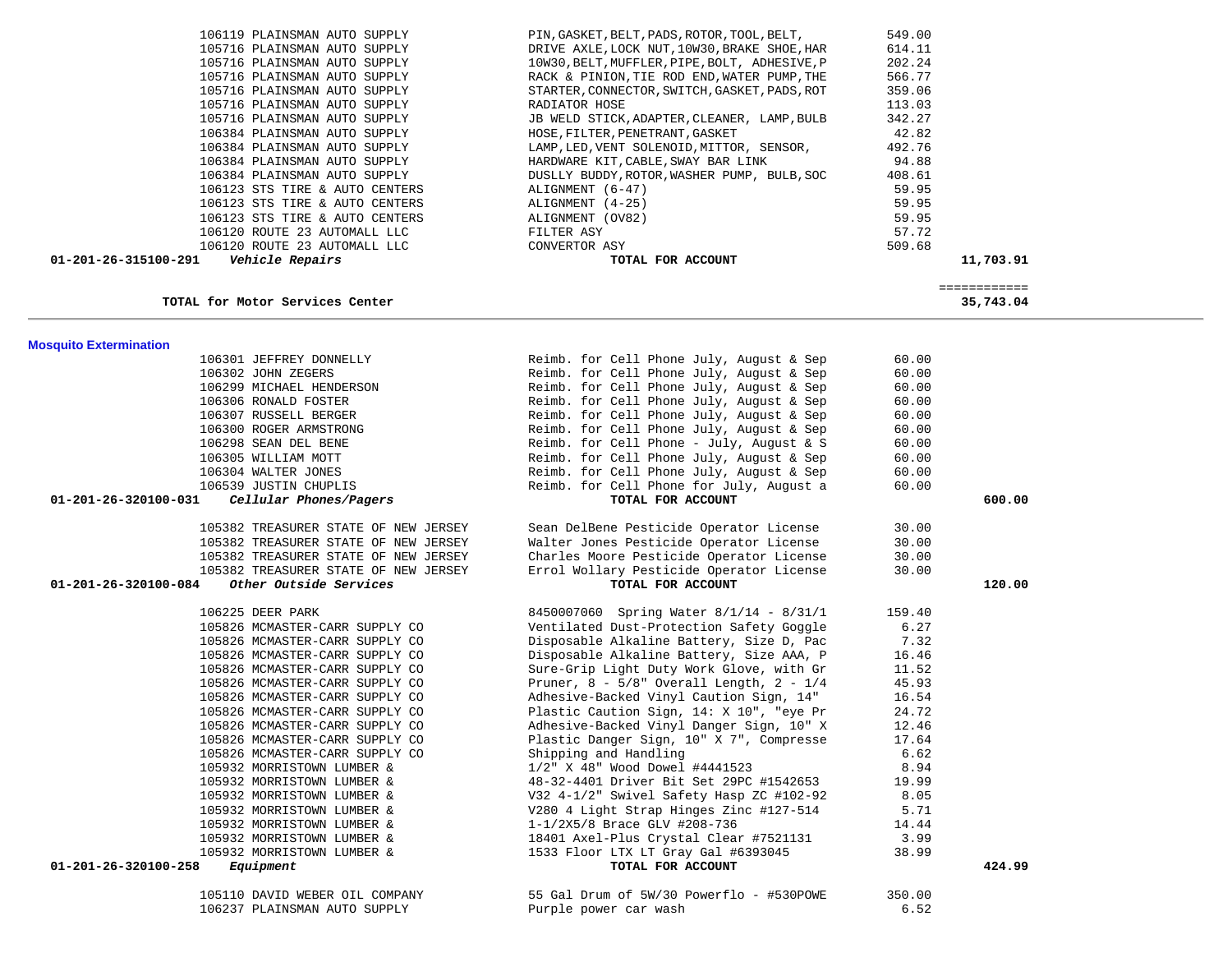| TOTAL for Motor Services Center                                 |                                               |        | 35,743.04 |
|-----------------------------------------------------------------|-----------------------------------------------|--------|-----------|
| <b>Mosquito Extermination</b>                                   |                                               |        |           |
| 106301 JEFFREY DONNELLY                                         | Reimb. for Cell Phone July, August & Sep      | 60.00  |           |
| 106302 JOHN ZEGERS                                              | Reimb. for Cell Phone July, August & Sep      | 60.00  |           |
| 106299 MICHAEL HENDERSON                                        | Reimb. for Cell Phone July, August & Sep      | 60.00  |           |
| 106306 RONALD FOSTER                                            | Reimb. for Cell Phone July, August & Sep      | 60.00  |           |
| 106307 RUSSELL BERGER                                           | Reimb. for Cell Phone July, August & Sep      | 60.00  |           |
| 106300 ROGER ARMSTRONG                                          | Reimb. for Cell Phone July, August & Sep      | 60.00  |           |
| 106298 SEAN DEL BENE                                            | Reimb. for Cell Phone - July, August & S      | 60.00  |           |
| 106305 WILLIAM MOTT                                             | Reimb. for Cell Phone July, August & Sep      | 60.00  |           |
| 106304 WALTER JONES                                             | Reimb. for Cell Phone July, August & Sep      | 60.00  |           |
| 106539 JUSTIN CHUPLIS                                           | Reimb. for Cell Phone for July, August a      | 60.00  |           |
| 01-201-26-320100-031<br>Cellular Phones/Pagers                  | TOTAL FOR ACCOUNT                             |        | 600.00    |
|                                                                 |                                               |        |           |
| 105382 TREASURER STATE OF NEW JERSEY                            | Sean DelBene Pesticide Operator License       | 30.00  |           |
| 105382 TREASURER STATE OF NEW JERSEY                            | Walter Jones Pesticide Operator License       | 30.00  |           |
| 105382 TREASURER STATE OF NEW JERSEY                            | Charles Moore Pesticide Operator License      | 30.00  |           |
| 105382 TREASURER STATE OF NEW JERSEY                            | Errol Wollary Pesticide Operator License      | 30.00  |           |
| $01 - 201 - 26 - 320100 - 084$<br><i>Other Outside Services</i> | TOTAL FOR ACCOUNT                             |        | 120.00    |
|                                                                 |                                               |        |           |
| 106225 DEER PARK                                                | 8450007060 Spring Water 8/1/14 - 8/31/1       | 159.40 |           |
| 105826 MCMASTER-CARR SUPPLY CO                                  | Ventilated Dust-Protection Safety Goggle      | 6.27   |           |
| 105826 MCMASTER-CARR SUPPLY CO                                  | Disposable Alkaline Battery, Size D, Pac      | 7.32   |           |
| 105826 MCMASTER-CARR SUPPLY CO                                  | Disposable Alkaline Battery, Size AAA, P      | 16.46  |           |
| 105826 MCMASTER-CARR SUPPLY CO                                  | Sure-Grip Light Duty Work Glove, with Gr      | 11.52  |           |
| 105826 MCMASTER-CARR SUPPLY CO                                  | Pruner, $8 - 5/8$ " Overall Length, $2 - 1/4$ | 45.93  |           |
| 105826 MCMASTER-CARR SUPPLY CO                                  | Adhesive-Backed Vinyl Caution Sign, 14"       | 16.54  |           |
| 105826 MCMASTER-CARR SUPPLY CO                                  | Plastic Caution Sign, 14: X 10", "eye Pr      | 24.72  |           |
| 105826 MCMASTER-CARR SUPPLY CO                                  | Adhesive-Backed Vinyl Danger Sign, 10" X      | 12.46  |           |
| 105826 MCMASTER-CARR SUPPLY CO                                  | Plastic Danger Sign, 10" X 7", Compresse      | 17.64  |           |
| 105826 MCMASTER-CARR SUPPLY CO                                  | Shipping and Handling                         | 6.62   |           |
| 105932 MORRISTOWN LUMBER &                                      | 1/2" X 48" Wood Dowel #4441523                | 8.94   |           |
| 105932 MORRISTOWN LUMBER &                                      | 48-32-4401 Driver Bit Set 29PC #1542653       | 19.99  |           |
| 105932 MORRISTOWN LUMBER &                                      | V32 4-1/2" Swivel Safety Hasp ZC #102-92      | 8.05   |           |
| 105932 MORRISTOWN LUMBER &                                      | V280 4 Light Strap Hinges Zinc #127-514       | 5.71   |           |
| 105932 MORRISTOWN LUMBER &                                      | 1-1/2X5/8 Brace GLV #208-736                  | 14.44  |           |
| 105932 MORRISTOWN LUMBER &                                      | 18401 Axel-Plus Crystal Clear #7521131        | 3.99   |           |
| 105932 MORRISTOWN LUMBER &                                      | 1533 Floor LTX LT Gray Gal #6393045           | 38.99  |           |
| Equipment<br>01-201-26-320100-258                               | TOTAL FOR ACCOUNT                             |        | 424.99    |
|                                                                 |                                               |        |           |
| 105110 DAVID WEBER OIL COMPANY                                  | 55 Gal Drum of 5W/30 Powerflo - #530POWE      | 350.00 |           |
| 106237 PLAINSMAN AUTO SUPPLY                                    | Purple power car wash                         | 6.52   |           |

105716 PLAINSMAN AUTO SUPPLY<br>105716 PLAINSMAN AUTO SUPPLY 10W 105716 PLAINSMAN AUTO SUPPLY 10W<br>105716 PLAINSMAN AUTO SUPPLY 10W300,BAC 105716 PLAINSMAN AUTO SUPPLY RACK RACK RACK BULAINSMAN AUTO SUPPLY RESERVE 105716 PLAINSMAN AUTO SUPPLY STARTER, STARTER, STARTER, STARTER, STARTER, STARTER, STARTER, STARTER, STARTER,<br>The starter, switch, gas in the starter, switch, and starter, starter, starter, starter, starter, starter, sta 105716 PLAINSMAN AUTO SUPPLY RADIATOR HOSE 113.03 105716 PLAINSMAN AUTO SUPPLY JB<br>106384 PLAINSMAN AUTO SUPPLY BUCK 106384 PLAINSMAN AUTO SUPPLY HOSE, HOSE, HOSE, HOSE, HOSE, HOSE, HOSE, HOSE, HOSE, HOSE, HOSE, HOSE, HOSE, HOS<br>ILANT, TARINI, HOSE, HOSE, HOSE, HOSE, HOSE, HOSE, HOSE, HOSE, HOSE, HOSE, HOSE, HOSE, HOSE, HOSE, HOSE, HOSE, 106384 PLAINSMAN AUTO SUPPLY LAMP, LAMP, LAMP, LAMP, LAMP, SOLENO SUPPLY SOLENOID, HARRY SOLENOID, SENSOR, 492<br>106384 PLAINSMAN AUTO SUPPLY SOLENOID, HARRY SOLENOID, HARRY SOLENOID, HARRY SOLENOID, HARRY SOLENOID, HARRY S 106384 PLAINSMAN AUTO SUPPLY HARDWARE KIT, HARDWARE KIT, CABLE, SWARE CHABRE.<br>106384 PLAINSMAN AUTO SUPPLY 106384 PLAINSMAN AUTO SUPPLY DUS<br>106123 STS TIRE & AUTO CENTERS ALL 106123 STS TIRE & AUTO CENTERS ALIGNALIA ALIGNALISM CONTERS ALIGNALISM. 106123 STS TIRE & AUTO CENTERS ALIGNALIGNALISTS TIRE & AUTO CENTERS ALI 106123 STS TIRE & AUTO CENTERS ALIGNALL ALIGNALLY CONTROLLER ALIGNALLY STATE RESERVE THE STATE OF STATE STATE STATE STATE STATE STATE STATE STATE STATE STATE STATE STATE STATE STATE STATE STATE STATE STATE STATE STATE STAT 106120 ROUTE 23 AUTOMALL LLC FILTER ASY 57.72 106120 ROUTE 23 AUTOMALL LLC 01-201-26-315100-291 Vehicle Repairs

| <i>Vehicle Repairs</i>         | TOTAL FOR ACCOUNT                             |        | 11,703.91 |
|--------------------------------|-----------------------------------------------|--------|-----------|
| 106120 ROUTE 23 AUTOMALL LLC   | CONVERTOR ASY                                 | 509.68 |           |
| 106120 ROUTE 23 AUTOMALL LLC   | FILTER ASY                                    | 57.72  |           |
| 106123 STS TIRE & AUTO CENTERS | ALIGNMENT (OV82)                              | 59.95  |           |
| 106123 STS TIRE & AUTO CENTERS | ALIGNMENT (4-25)                              | 59.95  |           |
| 106123 STS TIRE & AUTO CENTERS | ALIGNMENT (6-47)                              | 59.95  |           |
| 106384 PLAINSMAN AUTO SUPPLY   | DUSLLY BUDDY, ROTOR, WASHER PUMP, BULB, SOC   | 408.61 |           |
| 106384 PLAINSMAN AUTO SUPPLY   | HARDWARE KIT, CABLE, SWAY BAR LINK 694.88     |        |           |
| 106384 PLAINSMAN AUTO SUPPLY   | LAMP, LED, VENT SOLENOID, MITTOR, SENSOR,     | 492.76 |           |
| 106384 PLAINSMAN AUTO SUPPLY   | HOSE, FILTER, PENETRANT, GASKET               | 42.82  |           |
| 105716 PLAINSMAN AUTO SUPPLY   | JB WELD STICK, ADAPTER, CLEANER, LAMP, BULB   | 342.27 |           |
| 105716 PLAINSMAN AUTO SUPPLY   | RADIATOR HOSE                                 | 113.03 |           |
| 105716 PLAINSMAN AUTO SUPPLY   | STARTER, CONNECTOR, SWITCH, GASKET, PADS, ROT | 359.06 |           |
| 105716 PLAINSMAN AUTO SUPPLY   | RACK & PINION, TIE ROD END, WATER PUMP, THE   | 566.77 |           |
| 105716 PLAINSMAN AUTO SUPPLY   | 10W30, BELT, MUFFLER, PIPE, BOLT, ADHESIVE, P | 202.24 |           |
| 105716 PLAINSMAN AUTO SUPPLY   | DRIVE AXLE, LOCK NUT, 10W30, BRAKE SHOE, HAR  | 614.11 |           |
| 106119 PLAINSMAN AUTO SUPPLY   | PIN, GASKET, BELT, PADS, ROTOR, TOOL, BELT,   | 549.00 |           |
|                                |                                               |        |           |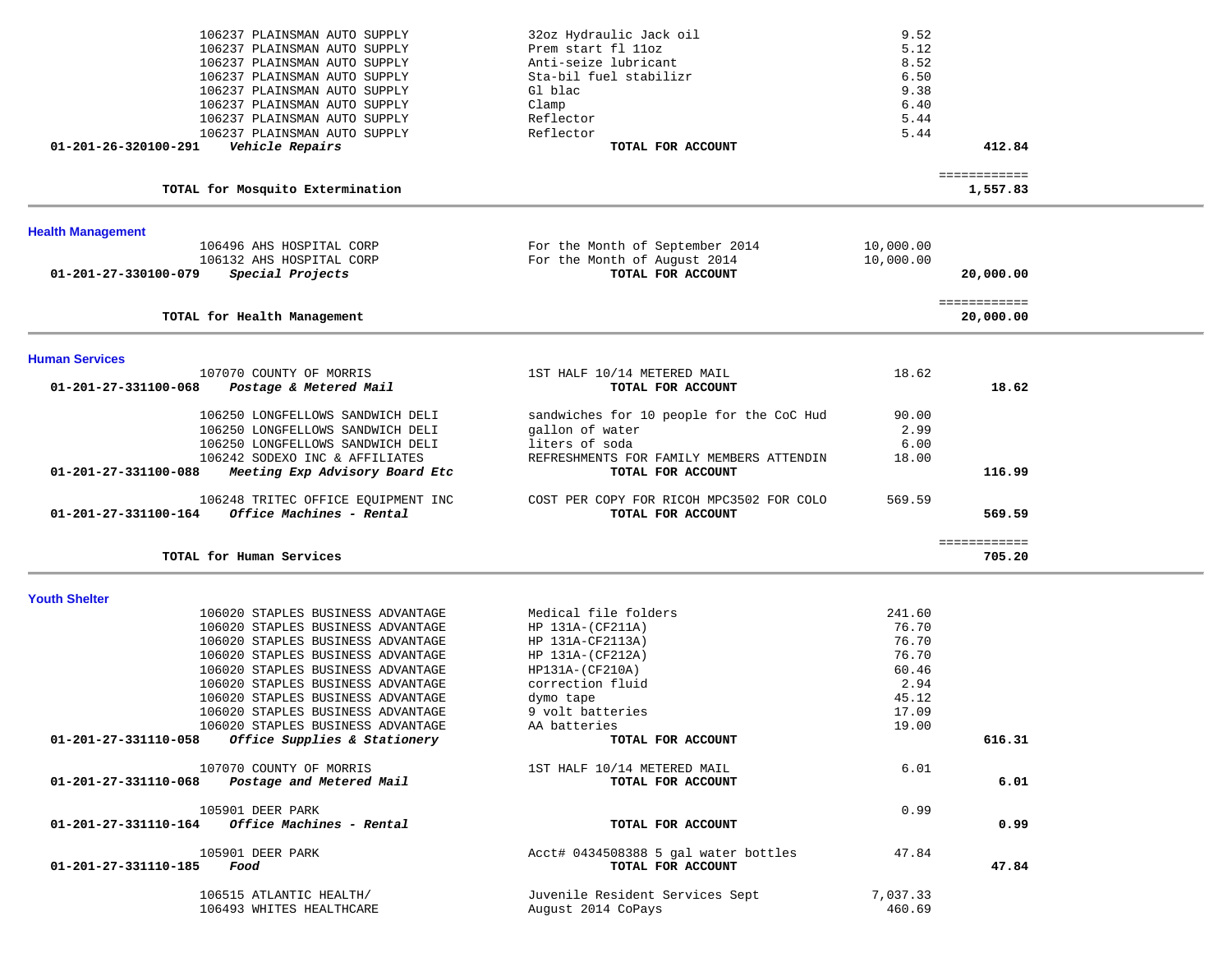|                          | 106237 PLAINSMAN AUTO SUPPLY<br>106237 PLAINSMAN AUTO SUPPLY           | 32oz Hydraulic Jack oil<br>Prem start fl 11oz                 | 9.52<br>5.12       |                           |  |
|--------------------------|------------------------------------------------------------------------|---------------------------------------------------------------|--------------------|---------------------------|--|
|                          | 106237 PLAINSMAN AUTO SUPPLY                                           | Anti-seize lubricant                                          | 8.52               |                           |  |
|                          | 106237 PLAINSMAN AUTO SUPPLY                                           | Sta-bil fuel stabilizr                                        | 6.50               |                           |  |
|                          | 106237 PLAINSMAN AUTO SUPPLY<br>106237 PLAINSMAN AUTO SUPPLY           | Gl blac<br>Clamp                                              | 9.38<br>6.40       |                           |  |
|                          | 106237 PLAINSMAN AUTO SUPPLY                                           | Reflector                                                     | 5.44               |                           |  |
|                          | 106237 PLAINSMAN AUTO SUPPLY                                           | Reflector                                                     | 5.44               |                           |  |
| 01-201-26-320100-291     | Vehicle Repairs                                                        | TOTAL FOR ACCOUNT                                             |                    | 412.84                    |  |
|                          | TOTAL for Mosquito Extermination                                       |                                                               |                    | ============<br>1,557.83  |  |
| <b>Health Management</b> |                                                                        |                                                               |                    |                           |  |
|                          | 106496 AHS HOSPITAL CORP                                               | For the Month of September 2014                               | 10,000.00          |                           |  |
|                          | 106132 AHS HOSPITAL CORP                                               | For the Month of August 2014                                  | 10,000.00          |                           |  |
| 01-201-27-330100-079     | Special Projects                                                       | TOTAL FOR ACCOUNT                                             |                    | 20,000.00                 |  |
|                          | TOTAL for Health Management                                            |                                                               |                    | ============<br>20,000.00 |  |
| <b>Human Services</b>    |                                                                        |                                                               |                    |                           |  |
|                          | 107070 COUNTY OF MORRIS                                                | 1ST HALF 10/14 METERED MAIL                                   | 18.62              |                           |  |
| 01-201-27-331100-068     | Postage & Metered Mail                                                 | TOTAL FOR ACCOUNT                                             |                    | 18.62                     |  |
|                          | 106250 LONGFELLOWS SANDWICH DELI                                       | sandwiches for 10 people for the CoC Hud                      | 90.00              |                           |  |
|                          | 106250 LONGFELLOWS SANDWICH DELI                                       | gallon of water                                               | 2.99               |                           |  |
|                          | 106250 LONGFELLOWS SANDWICH DELI                                       | liters of soda                                                | 6.00               |                           |  |
| 01-201-27-331100-088     | 106242 SODEXO INC & AFFILIATES<br>Meeting Exp Advisory Board Etc       | REFRESHMENTS FOR FAMILY MEMBERS ATTENDIN<br>TOTAL FOR ACCOUNT | 18.00              | 116.99                    |  |
| 01-201-27-331100-164     | 106248 TRITEC OFFICE EQUIPMENT INC<br>Office Machines - Rental         | COST PER COPY FOR RICOH MPC3502 FOR COLO<br>TOTAL FOR ACCOUNT | 569.59             | 569.59                    |  |
|                          |                                                                        |                                                               |                    |                           |  |
|                          | TOTAL for Human Services                                               |                                                               |                    | ============<br>705.20    |  |
| <b>Youth Shelter</b>     |                                                                        |                                                               |                    |                           |  |
|                          | 106020 STAPLES BUSINESS ADVANTAGE                                      | Medical file folders                                          | 241.60             |                           |  |
|                          | 106020 STAPLES BUSINESS ADVANTAGE                                      | HP 131A-(CF211A)                                              | 76.70              |                           |  |
|                          | 106020 STAPLES BUSINESS ADVANTAGE                                      | HP 131A-CF2113A)                                              | 76.70              |                           |  |
|                          | 106020 STAPLES BUSINESS ADVANTAGE                                      | HP 131A-(CF212A)                                              | 76.70              |                           |  |
|                          | 106020 STAPLES BUSINESS ADVANTAGE                                      | HP131A-(CF210A)                                               | 60.46              |                           |  |
|                          | 106020 STAPLES BUSINESS ADVANTAGE<br>106020 STAPLES BUSINESS ADVANTAGE | correction fluid<br>dymo tape                                 | 2.94<br>45.12      |                           |  |
|                          | 106020 STAPLES BUSINESS ADVANTAGE                                      | 9 volt batteries                                              | 17.09              |                           |  |
|                          | 106020 STAPLES BUSINESS ADVANTAGE                                      | AA batteries                                                  | 19.00              |                           |  |
| 01-201-27-331110-058     | Office Supplies & Stationery                                           | TOTAL FOR ACCOUNT                                             |                    | 616.31                    |  |
| 01-201-27-331110-068     | 107070 COUNTY OF MORRIS<br>Postage and Metered Mail                    | 1ST HALF 10/14 METERED MAIL<br>TOTAL FOR ACCOUNT              | 6.01               | 6.01                      |  |
|                          | 105901 DEER PARK                                                       |                                                               | 0.99               |                           |  |
|                          | $01-201-27-331110-164$ Office Machines - Rental                        | TOTAL FOR ACCOUNT                                             |                    | 0.99                      |  |
| 01-201-27-331110-185     | 105901 DEER PARK<br>Food                                               | Acct# 0434508388 5 gal water bottles<br>TOTAL FOR ACCOUNT     | 47.84              | 47.84                     |  |
|                          | 106515 ATLANTIC HEALTH/<br>106493 WHITES HEALTHCARE                    | Juvenile Resident Services Sept<br>August 2014 CoPays         | 7,037.33<br>460.69 |                           |  |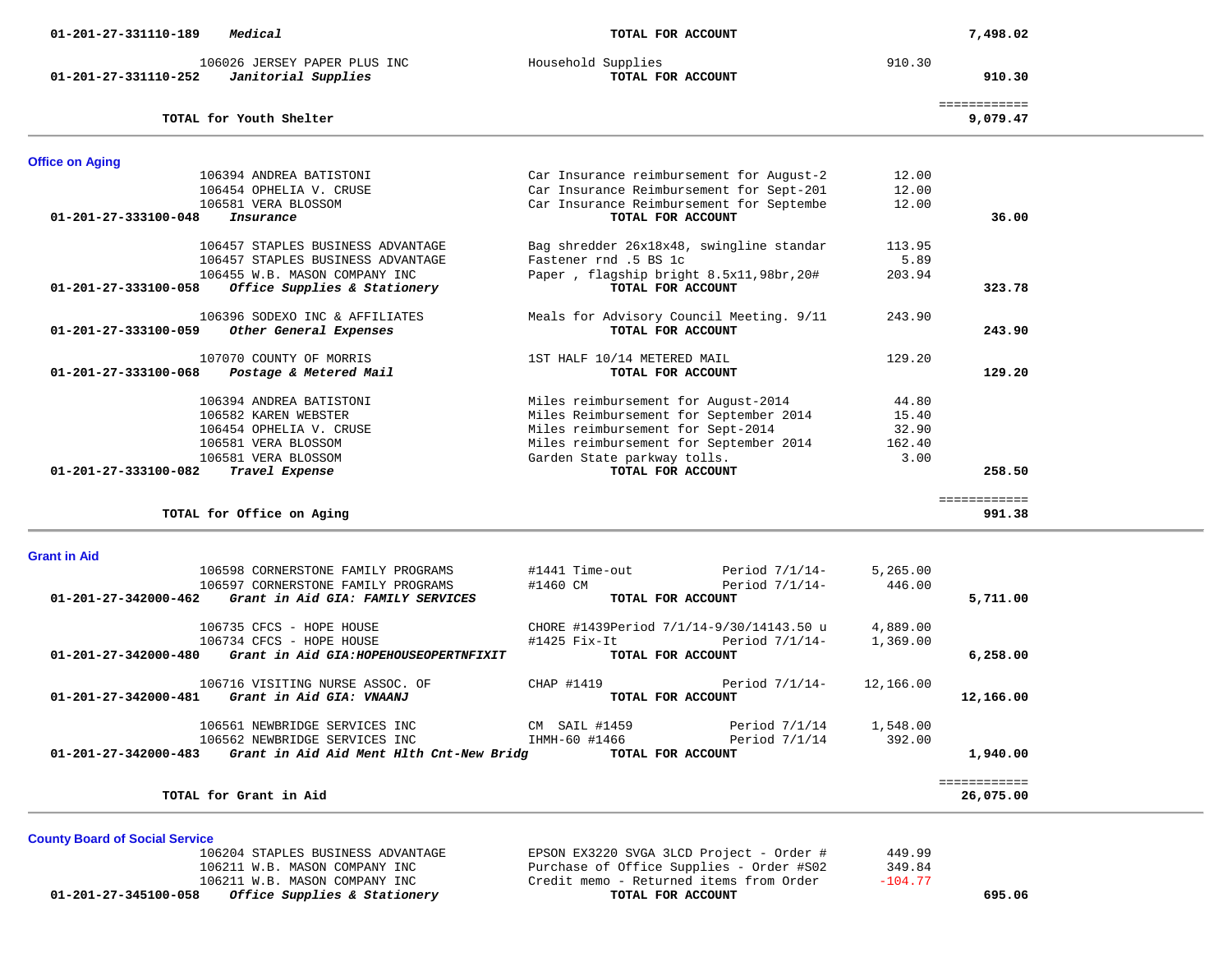| Medical<br>01-201-27-331110-189                                             | TOTAL FOR ACCOUNT                        |                   |           | 7,498.02                 |  |
|-----------------------------------------------------------------------------|------------------------------------------|-------------------|-----------|--------------------------|--|
| 106026 JERSEY PAPER PLUS INC<br>Janitorial Supplies<br>01-201-27-331110-252 | Household Supplies<br>TOTAL FOR ACCOUNT  |                   | 910.30    | 910.30                   |  |
| TOTAL for Youth Shelter                                                     |                                          |                   |           | ============<br>9,079.47 |  |
| <b>Office on Aging</b>                                                      |                                          |                   |           |                          |  |
| 106394 ANDREA BATISTONI                                                     | Car Insurance reimbursement for August-2 |                   | 12.00     |                          |  |
| 106454 OPHELIA V. CRUSE                                                     | Car Insurance Reimbursement for Sept-201 |                   | 12.00     |                          |  |
| 106581 VERA BLOSSOM                                                         | Car Insurance Reimbursement for Septembe |                   | 12.00     |                          |  |
| 01-201-27-333100-048<br>Insurance                                           | TOTAL FOR ACCOUNT                        |                   |           | 36.00                    |  |
| 106457 STAPLES BUSINESS ADVANTAGE                                           | Bag shredder 26x18x48, swingline standar |                   | 113.95    |                          |  |
| 106457 STAPLES BUSINESS ADVANTAGE                                           | Fastener rnd .5 BS 1c                    |                   | 5.89      |                          |  |
| 106455 W.B. MASON COMPANY INC                                               | Paper, flagship bright 8.5x11,98br,20#   |                   | 203.94    |                          |  |
| 01-201-27-333100-058<br>Office Supplies & Stationery                        | TOTAL FOR ACCOUNT                        |                   |           | 323.78                   |  |
| 106396 SODEXO INC & AFFILIATES                                              | Meals for Advisory Council Meeting. 9/11 |                   | 243.90    |                          |  |
| 01-201-27-333100-059<br>Other General Expenses                              | TOTAL FOR ACCOUNT                        |                   |           | 243.90                   |  |
| 107070 COUNTY OF MORRIS                                                     | 1ST HALF 10/14 METERED MAIL              |                   | 129.20    |                          |  |
| Postage & Metered Mail<br>01-201-27-333100-068                              | TOTAL FOR ACCOUNT                        |                   |           | 129.20                   |  |
| 106394 ANDREA BATISTONI                                                     | Miles reimbursement for August-2014      |                   | 44.80     |                          |  |
| 106582 KAREN WEBSTER                                                        | Miles Reimbursement for September 2014   |                   | 15.40     |                          |  |
| 106454 OPHELIA V. CRUSE                                                     | Miles reimbursement for Sept-2014        |                   | 32.90     |                          |  |
| 106581 VERA BLOSSOM                                                         | Miles reimbursement for September 2014   |                   | 162.40    |                          |  |
| 106581 VERA BLOSSOM                                                         | Garden State parkway tolls.              |                   | 3.00      |                          |  |
| 01-201-27-333100-082<br>Travel Expense                                      | TOTAL FOR ACCOUNT                        |                   |           | 258.50                   |  |
|                                                                             |                                          |                   |           | ============             |  |
| TOTAL for Office on Aging                                                   |                                          |                   |           | 991.38                   |  |
|                                                                             |                                          |                   |           |                          |  |
| <b>Grant in Aid</b><br>106598 CORNERSTONE FAMILY PROGRAMS                   | #1441 Time-out                           | Period $7/1/14-$  | 5,265.00  |                          |  |
| 106597 CORNERSTONE FAMILY PROGRAMS                                          | #1460 CM                                 | Period $7/1/14$ - | 446.00    |                          |  |
| 01-201-27-342000-462<br>Grant in Aid GIA: FAMILY SERVICES                   | TOTAL FOR ACCOUNT                        |                   |           | 5,711.00                 |  |
| 106735 CFCS - HOPE HOUSE                                                    | CHORE #1439Period 7/1/14-9/30/14143.50 u |                   | 4,889.00  |                          |  |
| 106734 CFCS - HOPE HOUSE                                                    | #1425 Fix-It                             | Period $7/1/14-$  | 1,369.00  |                          |  |
| Grant in Aid GIA: HOPEHOUSEOPERTNFIXIT<br>01-201-27-342000-480              | TOTAL FOR ACCOUNT                        |                   |           | 6,258.00                 |  |
| 106716 VISITING NURSE ASSOC. OF                                             | CHAP #1419                               | Period 7/1/14-    | 12,166.00 |                          |  |

|                                | TOTAL for Grant in Aid                                      |                                          |                  |                 | 26,075.00 |
|--------------------------------|-------------------------------------------------------------|------------------------------------------|------------------|-----------------|-----------|
| 01-201-27-342000-483           | Grant in Aid Aid Ment Hlth Cnt-New Bridg                    | TOTAL FOR ACCOUNT                        |                  |                 | 1,940.00  |
|                                | 106562 NEWBRIDGE SERVICES INC                               | IHMH-60 #1466                            | Period 7/1/14    | 392.00          |           |
|                                | 106561 NEWBRIDGE SERVICES INC                               | CM SAIL #1459                            | Period 7/1/14    | 1,548.00        |           |
| $01 - 201 - 27 - 342000 - 481$ | 106716 VISITING NURSE ASSOC. OF<br>Grant in Aid GIA: VNAANJ | CHAP #1419<br>TOTAL FOR ACCOUNT          | Period $7/1/14-$ | 12,166.00       | 12,166.00 |
| 01-201-27-342000-480           | Grant in Aid GIA: HOPEHOUSEOPERTNFIXIT                      | TOTAL FOR ACCOUNT                        |                  |                 | 6,258.00  |
|                                | 106734 CFCS - HOPE HOUSE                                    | #1425 Fix-It                             | Period 7/1/14-   | 1,369.00        |           |
|                                | 106735 CFCS - HOPE HOUSE                                    | CHORE #1439Period 7/1/14-9/30/14143.50 u |                  | 4,889.00        |           |
| $01 - 201 - 27 - 342000 - 462$ | Grant in Aid GIA: FAMILY SERVICES                           | TOTAL FOR ACCOUNT                        |                  |                 | 5,711.00  |
|                                | 106597 CORNERSTONE FAMILY PROGRAMS                          | #1460 CM                                 | Period $7/1/14-$ | 446.00          |           |
|                                | TUUSIZO UUNINEINOITUNE PAMITII PATARAMO                     | HITTI IIMCTUUL                           | FELIUU 771717    | <b>0,400.00</b> |           |

**County Board of Social Service** 106204 STAPLES BUSINESS ADVANTAGE EPSON EX3220 SVGA 3LCD Project - Order # 449.99<br>106211 W.B. MASON COMPANY INC Purchase of Office Supplies - Order # 502 349.84 106211 W.B. MASON COMPANY INC Purchase of Office Supplies - Order #S02 349.84  **01-201-27-345100-058** *Office Supplies & Stationery* **TOTAL FOR ACCOUNT 695.06**

10621 Credit memo - Returned items from Order -106.777 TOTAL FOR ACCOUNT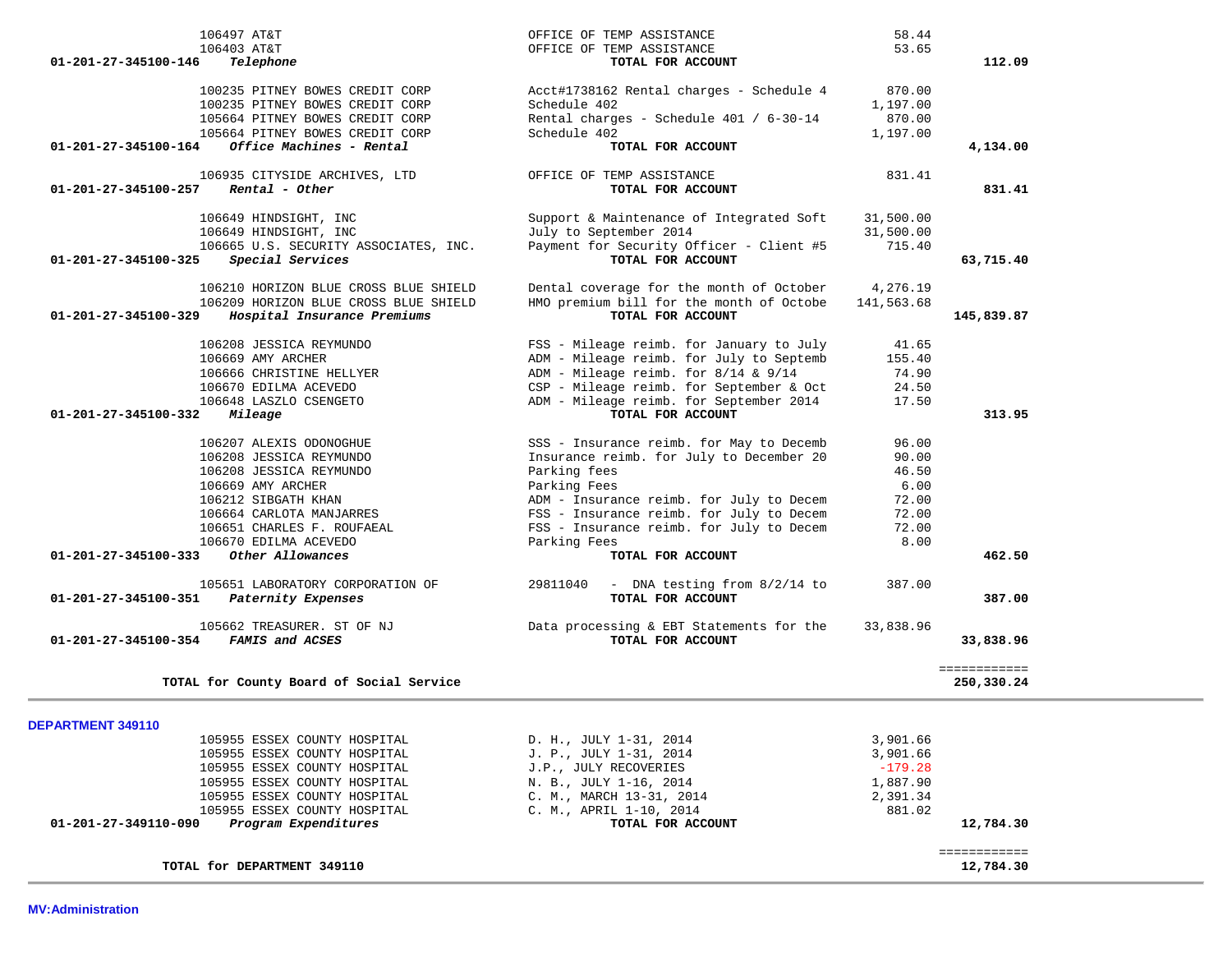| 105662 TREASURER. ST OF NJ<br>FAMIS and ACSES<br>01-201-27-345100-354 | Data processing & EBT Statements for the<br>TOTAL FOR ACCOUNT | 33,838.96<br>33,838.96     |
|-----------------------------------------------------------------------|---------------------------------------------------------------|----------------------------|
| TOTAL for County Board of Social Service                              |                                                               | ============<br>250,330.24 |
| DEPARTMENT 349110                                                     |                                                               |                            |
| 105955 ESSEX COUNTY HOSPITAL                                          | D. H., JULY 1-31, 2014                                        | 3,901.66                   |
| 105955 ESSEX COUNTY HOSPITAL                                          | J. P., JULY 1-31, 2014                                        | 3,901.66                   |
| 105955 ESSEX COUNTY HOSPITAL                                          | J.P., JULY RECOVERIES                                         | $-179.28$                  |
| 105955 ESSEX COUNTY HOSPITAL                                          | N. B., JULY 1-16, 2014                                        | 1,887.90                   |
| 105955 ESSEX COUNTY HOSPITAL                                          | C. M., MARCH 13-31, 2014                                      | 2,391.34                   |
| 105955 ESSEX COUNTY HOSPITAL                                          | C. M., APRIL 1-10, 2014                                       | 881.02                     |
| 01-201-27-349110-090<br>Program Expenditures                          | TOTAL FOR ACCOUNT                                             | 12,784.30                  |
|                                                                       |                                                               | ============               |
| TOTAL for DEPARTMENT 349110                                           |                                                               | 12,784.30                  |

| 106497 AT&T<br>106403 AT&T<br>01-201-27-345100-146<br>Telephone                                                                          | OFFICE OF TEMP ASSISTANCE<br>OFFICE OF TEMP ASSISTANCE<br>TOTAL FOR ACCOUNT                                         | 58.44<br>53.65                           | 112.09     |
|------------------------------------------------------------------------------------------------------------------------------------------|---------------------------------------------------------------------------------------------------------------------|------------------------------------------|------------|
| 100235 PITNEY BOWES CREDIT CORP<br>100235 PITNEY BOWES CREDIT CORP<br>105664 PITNEY BOWES CREDIT CORP<br>105664 PITNEY BOWES CREDIT CORP | Acct#1738162 Rental charges - Schedule 4<br>Schedule 402<br>Rental charges - Schedule 401 / 6-30-14<br>Schedule 402 | 870.00<br>1,197.00<br>870.00<br>1,197.00 |            |
| Office Machines - Rental<br>01-201-27-345100-164                                                                                         | TOTAL FOR ACCOUNT                                                                                                   |                                          | 4,134.00   |
| 106935 CITYSIDE ARCHIVES, LTD<br>$01-201-27-345100-257$ Rental - Other                                                                   | OFFICE OF TEMP ASSISTANCE<br>TOTAL FOR ACCOUNT                                                                      | 831.41                                   | 831.41     |
| 106649 HINDSIGHT, INC                                                                                                                    | Support & Maintenance of Integrated Soft                                                                            | 31,500.00                                |            |
| 106649 HINDSIGHT, INC                                                                                                                    | July to September 2014<br>Payment for Security Officer - Client #5                                                  | 31,500.00<br>715.40                      |            |
| 106665 U.S. SECURITY ASSOCIATES, INC.<br>01-201-27-345100-325<br>Special Services                                                        | TOTAL FOR ACCOUNT                                                                                                   |                                          | 63,715.40  |
| 106210 HORIZON BLUE CROSS BLUE SHIELD                                                                                                    | Dental coverage for the month of October                                                                            | 4,276.19                                 |            |
| 106209 HORIZON BLUE CROSS BLUE SHIELD<br>01-201-27-345100-329<br>Hospital Insurance Premiums                                             | HMO premium bill for the month of Octobe<br>TOTAL FOR ACCOUNT                                                       | 141,563.68                               | 145,839.87 |
|                                                                                                                                          |                                                                                                                     |                                          |            |
| 106208 JESSICA REYMUNDO                                                                                                                  | FSS - Mileage reimb. for January to July                                                                            | 41.65                                    |            |
| 106669 AMY ARCHER                                                                                                                        | ADM - Mileage reimb. for July to Septemb                                                                            | 155.40                                   |            |
| 106666 CHRISTINE HELLYER                                                                                                                 | ADM - Mileage reimb. for $8/14$ & $9/14$                                                                            | 74.90                                    |            |
| 106670 EDILMA ACEVEDO                                                                                                                    | CSP - Mileage reimb. for September & Oct                                                                            | 24.50                                    |            |
| 106648 LASZLO CSENGETO<br>01-201-27-345100-332<br>Mileage                                                                                | ADM - Mileage reimb. for September 2014<br>TOTAL FOR ACCOUNT                                                        | 17.50                                    | 313.95     |
|                                                                                                                                          |                                                                                                                     |                                          |            |
| 106207 ALEXIS ODONOGHUE                                                                                                                  | SSS - Insurance reimb. for May to Decemb                                                                            | 96.00                                    |            |
| 106208 JESSICA REYMUNDO                                                                                                                  | Insurance reimb. for July to December 20                                                                            | 90.00                                    |            |
| 106208 JESSICA REYMUNDO                                                                                                                  | Parking fees                                                                                                        | 46.50                                    |            |
| 106669 AMY ARCHER                                                                                                                        | Parking Fees                                                                                                        | 6.00                                     |            |
| 106212 SIBGATH KHAN                                                                                                                      | ADM - Insurance reimb. for July to Decem                                                                            | 72.00                                    |            |
| 106664 CARLOTA MANJARRES                                                                                                                 | FSS - Insurance reimb. for July to Decem                                                                            | 72.00                                    |            |
| 106651 CHARLES F. ROUFAEAL<br>106670 EDILMA ACEVEDO                                                                                      | FSS - Insurance reimb. for July to Decem<br>Parking Fees                                                            | 72.00<br>8.00                            |            |
| Other Allowances<br>01-201-27-345100-333                                                                                                 | TOTAL FOR ACCOUNT                                                                                                   |                                          | 462.50     |
|                                                                                                                                          |                                                                                                                     |                                          |            |
| 105651 LABORATORY CORPORATION OF<br>01-201-27-345100-351<br>Paternity Expenses                                                           | 29811040<br>- DNA testing from 8/2/14 to<br>TOTAL FOR ACCOUNT                                                       | 387.00                                   | 387.00     |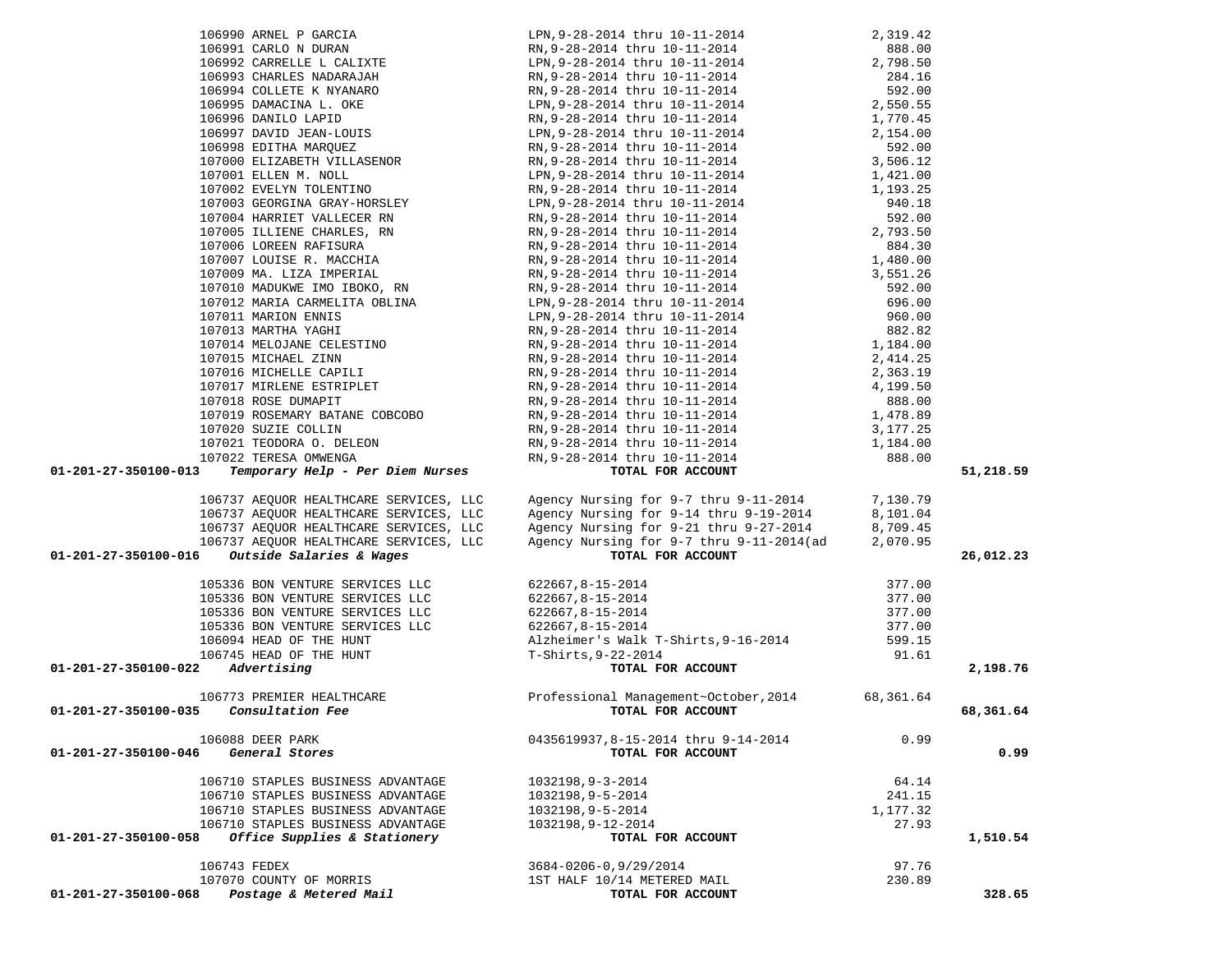|                                              | 107016 MICHELLE CAPILI                                                       | RN, 9-28-2014 thru 10-11-2014<br>RN, 9-28-2014 thru 10-11-2014<br>RN, 9-28-2014 thru 10-11-2014<br>RN, 9-28-2014 thru 10-11-2014<br>RN, 9-28-2014 thru 10-11-2014<br>1, 478.89 |           |           |
|----------------------------------------------|------------------------------------------------------------------------------|--------------------------------------------------------------------------------------------------------------------------------------------------------------------------------|-----------|-----------|
|                                              | 107017 MIRLENE ESTRIPLET                                                     |                                                                                                                                                                                |           |           |
|                                              | 107018 ROSE DUMAPIT<br>107018 ROSE DUMAPIT<br>107019 ROSEMARY BATANE COBCOBO |                                                                                                                                                                                |           |           |
|                                              |                                                                              |                                                                                                                                                                                |           |           |
|                                              | 107020 SUZIE COLLIN                                                          |                                                                                                                                                                                |           |           |
|                                              | 107020 SOZIE COLLIN<br>107021 TEODORA O. DELEON<br>107022 TERESA OMWENGA     |                                                                                                                                                                                |           |           |
|                                              | 107022 TERESA OMWENGA                                                        |                                                                                                                                                                                |           |           |
|                                              |                                                                              |                                                                                                                                                                                |           |           |
| 01-201-27-350100-013                         | Temporary Help - Per Diem Nurses                                             |                                                                                                                                                                                |           | 51,218.59 |
|                                              |                                                                              | RN, 9-28-2014 thru 10-11-2014<br>RN, 9-28-2014 thru 10-11-2014<br>RN, 9-28-2014 thru 10-11-2014<br>TOTAL FOR ACCOUNT                                                           |           |           |
|                                              | 106737 AEQUOR HEALTHCARE SERVICES, LLC                                       |                                                                                                                                                                                |           |           |
|                                              | 106737 AEQUOR HEALTHCARE SERVICES, LLC                                       | Agency Nursing for 9-7 thru 9-11-2014 7,130.79                                                                                                                                 |           |           |
|                                              | 106737 AEQUOR HEALTHCARE SERVICES, LLC                                       |                                                                                                                                                                                |           |           |
|                                              |                                                                              |                                                                                                                                                                                |           |           |
|                                              | 106737 AEQUOR HEALTHCARE SERVICES, LLC                                       | Agency Nursing for 9-14 thru 9-19-2014 8,101.04<br>Agency Nursing for 9-21 thru 9-27-2014 8,709.45<br>Agency Nursing for 9-7 thru 9-11-2014(ad 2,070.95                        |           |           |
| 01-201-27-350100-016                         | Outside Salaries & Wages                                                     |                                                                                                                                                                                |           | 26,012.23 |
|                                              |                                                                              |                                                                                                                                                                                |           |           |
|                                              | 105336 BON VENTURE SERVICES LLC                                              |                                                                                                                                                                                | 377.00    |           |
|                                              | 105336 BON VENTURE SERVICES LLC                                              |                                                                                                                                                                                | 377.00    |           |
|                                              | 105336 BON VENTURE SERVICES LLC                                              |                                                                                                                                                                                | 377.00    |           |
|                                              | 105336 BON VENTURE SERVICES LLC                                              |                                                                                                                                                                                | 377.00    |           |
|                                              | 106094 HEAD OF THE HUNT                                                      |                                                                                                                                                                                | 599.15    |           |
|                                              | 106745 HEAD OF THE HUNT                                                      | T-Shirts, 9-22-2014                                                                                                                                                            | 91.61     |           |
| 01-201-27-350100-022                         | Advertising                                                                  |                                                                                                                                                                                |           | 2,198.76  |
|                                              |                                                                              |                                                                                                                                                                                |           |           |
|                                              | 106773 PREMIER HEALTHCARE                                                    |                                                                                                                                                                                | 68,361.64 |           |
| 01-201-27-350100-035                         | Consultation Fee                                                             | Professional Management~October, 2014<br>TOTAL FOR ACCOUNT                                                                                                                     |           | 68,361.64 |
|                                              |                                                                              |                                                                                                                                                                                |           |           |
|                                              | 106088 DEER PARK                                                             |                                                                                                                                                                                | 0.99      |           |
|                                              | General Stores                                                               | TOTAL FOR ACCOUNT                                                                                                                                                              |           | 0.99      |
|                                              |                                                                              |                                                                                                                                                                                |           |           |
|                                              | 106710 STAPLES BUSINESS ADVANTAGE                                            | 1032198,9-3-2014                                                                                                                                                               | 64.14     |           |
|                                              |                                                                              |                                                                                                                                                                                |           |           |
|                                              | 106710 STAPLES BUSINESS ADVANTAGE                                            | 1032198,9-5-2014                                                                                                                                                               | 241.15    |           |
|                                              | 106710 STAPLES BUSINESS ADVANTAGE                                            | 1032198,9-5-2014                                                                                                                                                               | 1,177.32  |           |
|                                              | 106710 STAPLES BUSINESS ADVANTAGE                                            | 1032198,9-12-2014                                                                                                                                                              | 27.93     |           |
|                                              | Office Supplies & Stationery                                                 | TOTAL FOR ACCOUNT                                                                                                                                                              |           | 1,510.54  |
|                                              |                                                                              |                                                                                                                                                                                |           |           |
| 01-201-27-350100-046<br>01-201-27-350100-058 | 106743 FEDEX                                                                 | 3684-0206-0,9/29/2014                                                                                                                                                          | 97.76     |           |
| 01-201-27-350100-068                         | 107070 COUNTY OF MORRIS<br>Postage & Metered Mail                            | 1ST HALF 10/14 METERED MAIL<br>TOTAL FOR ACCOUNT                                                                                                                               | 230.89    | 328.65    |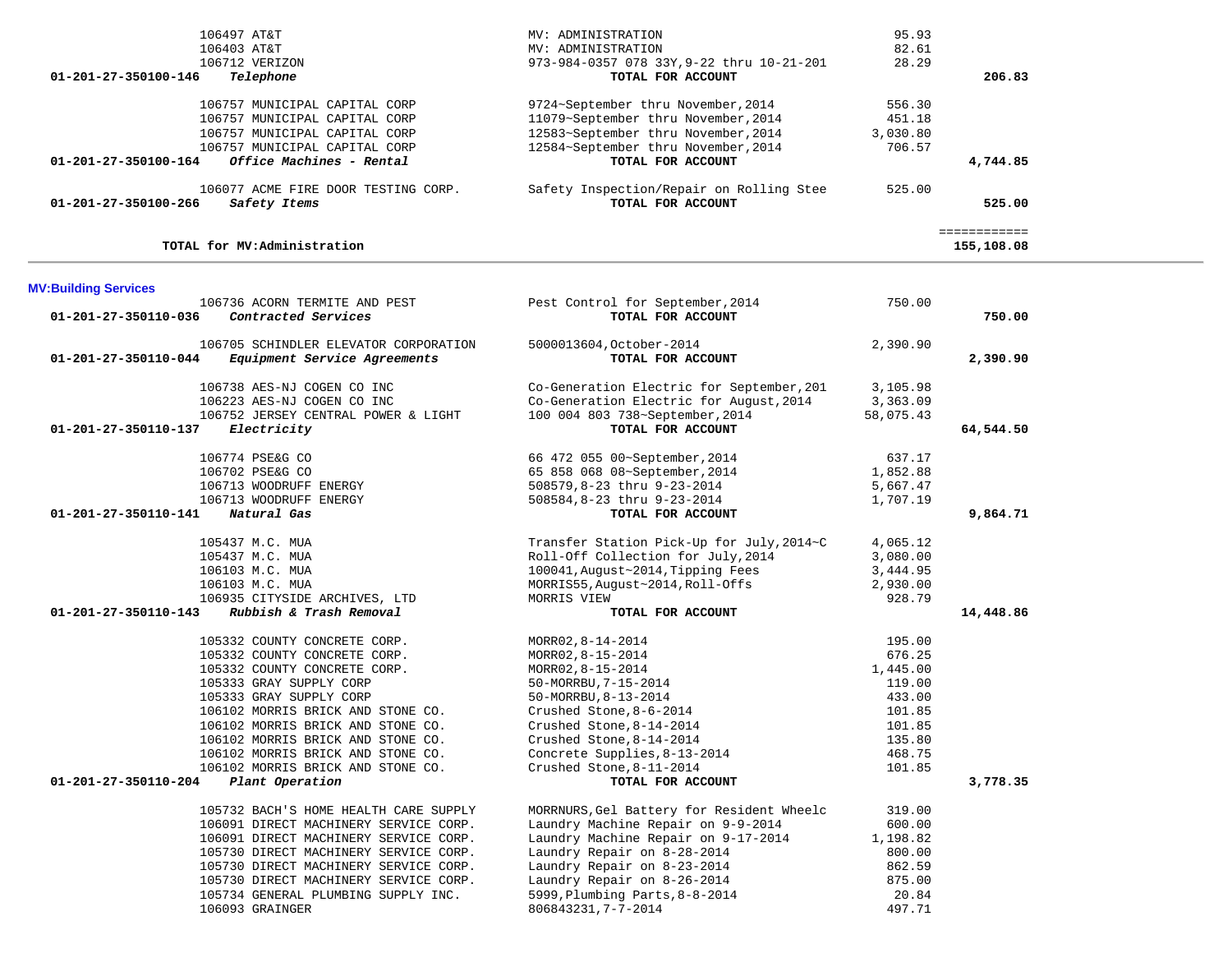| 106497 AT&T                                          | MV: ADMINISTRATION                        | 95.93     |              |  |
|------------------------------------------------------|-------------------------------------------|-----------|--------------|--|
| 106403 AT&T                                          | MV: ADMINISTRATION                        | 82.61     |              |  |
| 106712 VERIZON                                       | 973-984-0357 078 33Y, 9-22 thru 10-21-201 | 28.29     |              |  |
| 01-201-27-350100-146<br>Telephone                    | TOTAL FOR ACCOUNT                         |           | 206.83       |  |
|                                                      |                                           |           |              |  |
| 106757 MUNICIPAL CAPITAL CORP                        | 9724~September thru November, 2014        | 556.30    |              |  |
| 106757 MUNICIPAL CAPITAL CORP                        | 11079~September thru November, 2014       | 451.18    |              |  |
| 106757 MUNICIPAL CAPITAL CORP                        | 12583~September thru November, 2014       | 3,030.80  |              |  |
| 106757 MUNICIPAL CAPITAL CORP                        | 12584~September thru November, 2014       | 706.57    |              |  |
| Office Machines - Rental<br>01-201-27-350100-164     | TOTAL FOR ACCOUNT                         |           | 4,744.85     |  |
| 106077 ACME FIRE DOOR TESTING CORP.                  | Safety Inspection/Repair on Rolling Stee  | 525.00    |              |  |
| 01-201-27-350100-266<br>Safety Items                 | TOTAL FOR ACCOUNT                         |           | 525.00       |  |
|                                                      |                                           |           | ============ |  |
| TOTAL for MV:Administration                          |                                           |           | 155,108.08   |  |
| <b>MV:Building Services</b>                          |                                           |           |              |  |
| 106736 ACORN TERMITE AND PEST                        | Pest Control for September, 2014          | 750.00    |              |  |
| 01-201-27-350110-036<br>Contracted Services          | TOTAL FOR ACCOUNT                         |           | 750.00       |  |
| 106705 SCHINDLER ELEVATOR CORPORATION                | 5000013604, October-2014                  | 2,390.90  |              |  |
| Equipment Service Agreements<br>01-201-27-350110-044 | TOTAL FOR ACCOUNT                         |           | 2,390.90     |  |
|                                                      |                                           |           |              |  |
| 106738 AES-NJ COGEN CO INC                           | Co-Generation Electric for September, 201 | 3,105.98  |              |  |
| 106223 AES-NJ COGEN CO INC                           | Co-Generation Electric for August, 2014   | 3,363.09  |              |  |
| 106752 JERSEY CENTRAL POWER & LIGHT                  | 100 004 803 738~September, 2014           |           |              |  |
|                                                      |                                           | 58,075.43 |              |  |
| Electricity<br>01-201-27-350110-137                  | TOTAL FOR ACCOUNT                         |           | 64,544.50    |  |
| 106774 PSE&G CO                                      |                                           |           |              |  |
|                                                      | 66 472 055 00~September, 2014             | 637.17    |              |  |
| 106702 PSE&G CO                                      | 65 858 068 08~September, 2014             | 1,852.88  |              |  |
| 106713 WOODRUFF ENERGY                               | 508579,8-23 thru 9-23-2014                | 5,667.47  |              |  |
| 106713 WOODRUFF ENERGY                               | 508584,8-23 thru 9-23-2014                | 1,707.19  |              |  |
| Natural Gas<br>01-201-27-350110-141                  | TOTAL FOR ACCOUNT                         |           | 9,864.71     |  |
|                                                      |                                           |           |              |  |
| 105437 M.C. MUA                                      | Transfer Station Pick-Up for July, 2014~C | 4,065.12  |              |  |
| 105437 M.C. MUA                                      | Roll-Off Collection for July, 2014        | 3,080.00  |              |  |
| 106103 M.C. MUA                                      | 100041, August~2014, Tipping Fees         | 3,444.95  |              |  |
| 106103 M.C. MUA                                      | MORRIS55, August~2014, Roll-Offs          | 2,930.00  |              |  |
| 106935 CITYSIDE ARCHIVES, LTD                        | MORRIS VIEW                               | 928.79    |              |  |
| Rubbish & Trash Removal<br>01-201-27-350110-143      | TOTAL FOR ACCOUNT                         |           | 14,448.86    |  |
| 105332 COUNTY CONCRETE CORP.                         | MORR02, 8-14-2014                         | 195.00    |              |  |
| 105332 COUNTY CONCRETE CORP.                         | MORR02, 8-15-2014                         | 676.25    |              |  |
| 105332 COUNTY CONCRETE CORP.                         | MORR02, 8-15-2014                         | 1,445.00  |              |  |
| 105333 GRAY SUPPLY CORP                              | 50-MORRBU, 7-15-2014                      | 119.00    |              |  |
| 105333 GRAY SUPPLY CORP                              | 50-MORRBU, 8-13-2014                      | 433.00    |              |  |
| 106102 MORRIS BRICK AND STONE CO.                    | Crushed Stone, 8-6-2014                   | 101.85    |              |  |
| 106102 MORRIS BRICK AND STONE CO.                    | Crushed Stone, 8-14-2014                  | 101.85    |              |  |
|                                                      | Crushed Stone, 8-14-2014                  |           |              |  |
| 106102 MORRIS BRICK AND STONE CO.                    |                                           | 135.80    |              |  |
| 106102 MORRIS BRICK AND STONE CO.                    | Concrete Supplies, 8-13-2014              | 468.75    |              |  |
| 106102 MORRIS BRICK AND STONE CO.                    | Crushed Stone, 8-11-2014                  | 101.85    |              |  |
| 01-201-27-350110-204<br>Plant Operation              | TOTAL FOR ACCOUNT                         |           | 3,778.35     |  |
| 105732 BACH'S HOME HEALTH CARE SUPPLY                | MORRNURS, Gel Battery for Resident Wheelc | 319.00    |              |  |
| 106091 DIRECT MACHINERY SERVICE CORP.                | Laundry Machine Repair on 9-9-2014        | 600.00    |              |  |
| 106091 DIRECT MACHINERY SERVICE CORP.                | Laundry Machine Repair on 9-17-2014       | 1,198.82  |              |  |
| 105730 DIRECT MACHINERY SERVICE CORP.                | Laundry Repair on 8-28-2014               | 800.00    |              |  |
| 105730 DIRECT MACHINERY SERVICE CORP.                | Laundry Repair on 8-23-2014               | 862.59    |              |  |
| 105730 DIRECT MACHINERY SERVICE CORP.                | Laundry Repair on 8-26-2014               | 875.00    |              |  |
|                                                      |                                           |           |              |  |
| 105734 GENERAL PLUMBING SUPPLY INC.                  | 5999, Plumbing Parts, 8-8-2014            | 20.84     |              |  |
| 106093 GRAINGER                                      | 806843231, 7-7-2014                       | 497.71    |              |  |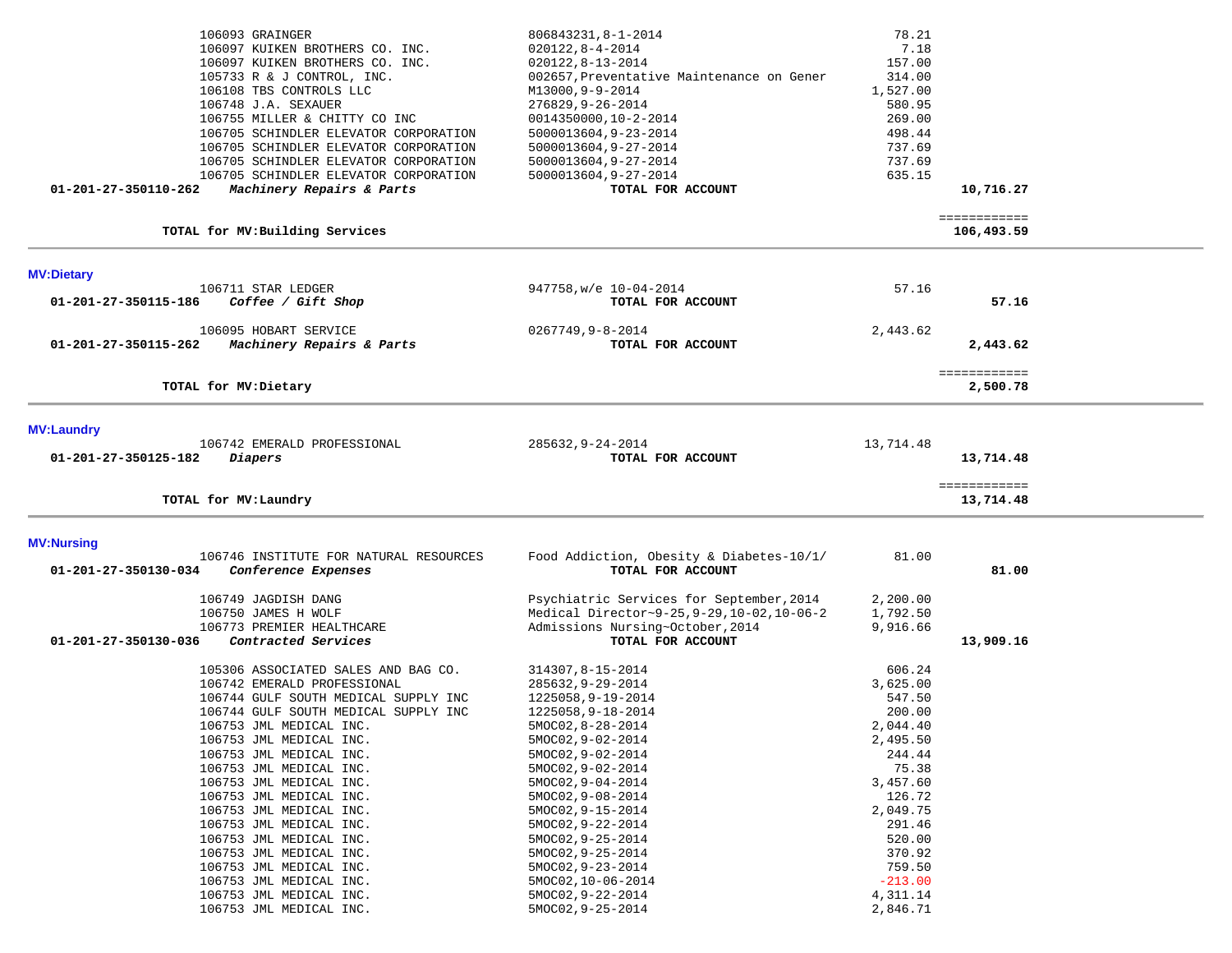| 01-201-27-350110-262 | 106093 GRAINGER<br>106097 KUIKEN BROTHERS CO. INC.<br>106097 KUIKEN BROTHERS CO. INC.<br>105733 R & J CONTROL, INC.<br>106108 TBS CONTROLS LLC<br>106748 J.A. SEXAUER<br>106755 MILLER & CHITTY CO INC<br>106705 SCHINDLER ELEVATOR CORPORATION<br>106705 SCHINDLER ELEVATOR CORPORATION<br>106705 SCHINDLER ELEVATOR CORPORATION<br>106705 SCHINDLER ELEVATOR CORPORATION<br>Machinery Repairs & Parts | 806843231, 8-1-2014<br>$020122, 8 - 4 - 2014$<br>$020122, 8 - 13 - 2014$<br>002657, Preventative Maintenance on Gener<br>M13000,9-9-2014<br>276829, 9-26-2014<br>0014350000,10-2-2014<br>5000013604,9-23-2014<br>5000013604,9-27-2014<br>5000013604,9-27-2014<br>5000013604,9-27-2014<br>TOTAL FOR ACCOUNT | 78.21<br>7.18<br>157.00<br>314.00<br>1,527.00<br>580.95<br>269.00<br>498.44<br>737.69<br>737.69<br>635.15 | 10,716.27<br>============ |  |
|----------------------|---------------------------------------------------------------------------------------------------------------------------------------------------------------------------------------------------------------------------------------------------------------------------------------------------------------------------------------------------------------------------------------------------------|------------------------------------------------------------------------------------------------------------------------------------------------------------------------------------------------------------------------------------------------------------------------------------------------------------|-----------------------------------------------------------------------------------------------------------|---------------------------|--|
|                      | TOTAL for MV: Building Services                                                                                                                                                                                                                                                                                                                                                                         |                                                                                                                                                                                                                                                                                                            |                                                                                                           | 106,493.59                |  |
| <b>MV:Dietary</b>    |                                                                                                                                                                                                                                                                                                                                                                                                         |                                                                                                                                                                                                                                                                                                            |                                                                                                           |                           |  |
| 01-201-27-350115-186 | 106711 STAR LEDGER<br>Coffee / Gift Shop                                                                                                                                                                                                                                                                                                                                                                | 947758, w/e 10-04-2014<br>TOTAL FOR ACCOUNT                                                                                                                                                                                                                                                                | 57.16                                                                                                     | 57.16                     |  |
| 01-201-27-350115-262 | 106095 HOBART SERVICE<br>Machinery Repairs & Parts                                                                                                                                                                                                                                                                                                                                                      | $0267749, 9 - 8 - 2014$<br>TOTAL FOR ACCOUNT                                                                                                                                                                                                                                                               | 2,443.62                                                                                                  | 2,443.62                  |  |
|                      | TOTAL for MV: Dietary                                                                                                                                                                                                                                                                                                                                                                                   |                                                                                                                                                                                                                                                                                                            |                                                                                                           | ============<br>2,500.78  |  |
| <b>MV:Laundry</b>    |                                                                                                                                                                                                                                                                                                                                                                                                         |                                                                                                                                                                                                                                                                                                            |                                                                                                           |                           |  |
| 01-201-27-350125-182 | 106742 EMERALD PROFESSIONAL<br>Diapers                                                                                                                                                                                                                                                                                                                                                                  | 285632,9-24-2014<br>TOTAL FOR ACCOUNT                                                                                                                                                                                                                                                                      | 13,714.48                                                                                                 | 13,714.48                 |  |
|                      | TOTAL for MV: Laundry                                                                                                                                                                                                                                                                                                                                                                                   |                                                                                                                                                                                                                                                                                                            |                                                                                                           | ============<br>13,714.48 |  |
| <b>MV:Nursing</b>    |                                                                                                                                                                                                                                                                                                                                                                                                         |                                                                                                                                                                                                                                                                                                            |                                                                                                           |                           |  |
| 01-201-27-350130-034 | 106746 INSTITUTE FOR NATURAL RESOURCES<br>Conference Expenses                                                                                                                                                                                                                                                                                                                                           | Food Addiction, Obesity & Diabetes-10/1/<br>TOTAL FOR ACCOUNT                                                                                                                                                                                                                                              | 81.00                                                                                                     | 81.00                     |  |
| 01-201-27-350130-036 | 106749 JAGDISH DANG<br>106750 JAMES H WOLF<br>106773 PREMIER HEALTHCARE<br>Contracted Services                                                                                                                                                                                                                                                                                                          | Psychiatric Services for September, 2014<br>Medical Director~9-25, 9-29, 10-02, 10-06-2<br>Admissions Nursing~October, 2014<br>TOTAL FOR ACCOUNT                                                                                                                                                           | 2,200.00<br>1,792.50<br>9,916.66                                                                          | 13,909.16                 |  |
|                      | 105306 ASSOCIATED SALES AND BAG CO.<br>106742 EMERALD PROFESSIONAL<br>106744 GULF SOUTH MEDICAL SUPPLY INC<br>106744 GULF SOUTH MEDICAL SUPPLY INC<br>106753 JML MEDICAL INC.<br>106753 JML MEDICAL INC.<br>106753 JML MEDICAL INC.<br>106753 JML MEDICAL INC.<br>106753 JML MEDICAL INC.<br>106753 JML MEDICAL INC.                                                                                    | 314307,8-15-2014<br>285632, 9-29-2014<br>1225058,9-19-2014<br>1225058,9-18-2014<br>5MOC02,8-28-2014<br>5MOC02, 9-02-2014<br>5MOC02, 9-02-2014<br>5MOC02, 9-02-2014<br>5MOC02, 9-04-2014<br>5MOC02, 9-08-2014                                                                                               | 606.24<br>3,625.00<br>547.50<br>200.00<br>2,044.40<br>2,495.50<br>244.44<br>75.38<br>3,457.60<br>126.72   |                           |  |
|                      | 106753 JML MEDICAL INC.<br>106753 JML MEDICAL INC.<br>106753 JML MEDICAL INC.<br>106753 JML MEDICAL INC.<br>106753 JML MEDICAL INC.<br>106753 JML MEDICAL INC.<br>106753 JML MEDICAL INC.<br>106753 JML MEDICAL INC.                                                                                                                                                                                    | 5MOC02,9-15-2014<br>5MOC02, 9-22-2014<br>5MOC02, 9-25-2014<br>5MOC02, 9-25-2014<br>5MOC02, 9-23-2014<br>5MOC02,10-06-2014<br>5MOC02, 9-22-2014<br>5MOC02, 9-25-2014                                                                                                                                        | 2,049.75<br>291.46<br>520.00<br>370.92<br>759.50<br>$-213.00$<br>4,311.14<br>2,846.71                     |                           |  |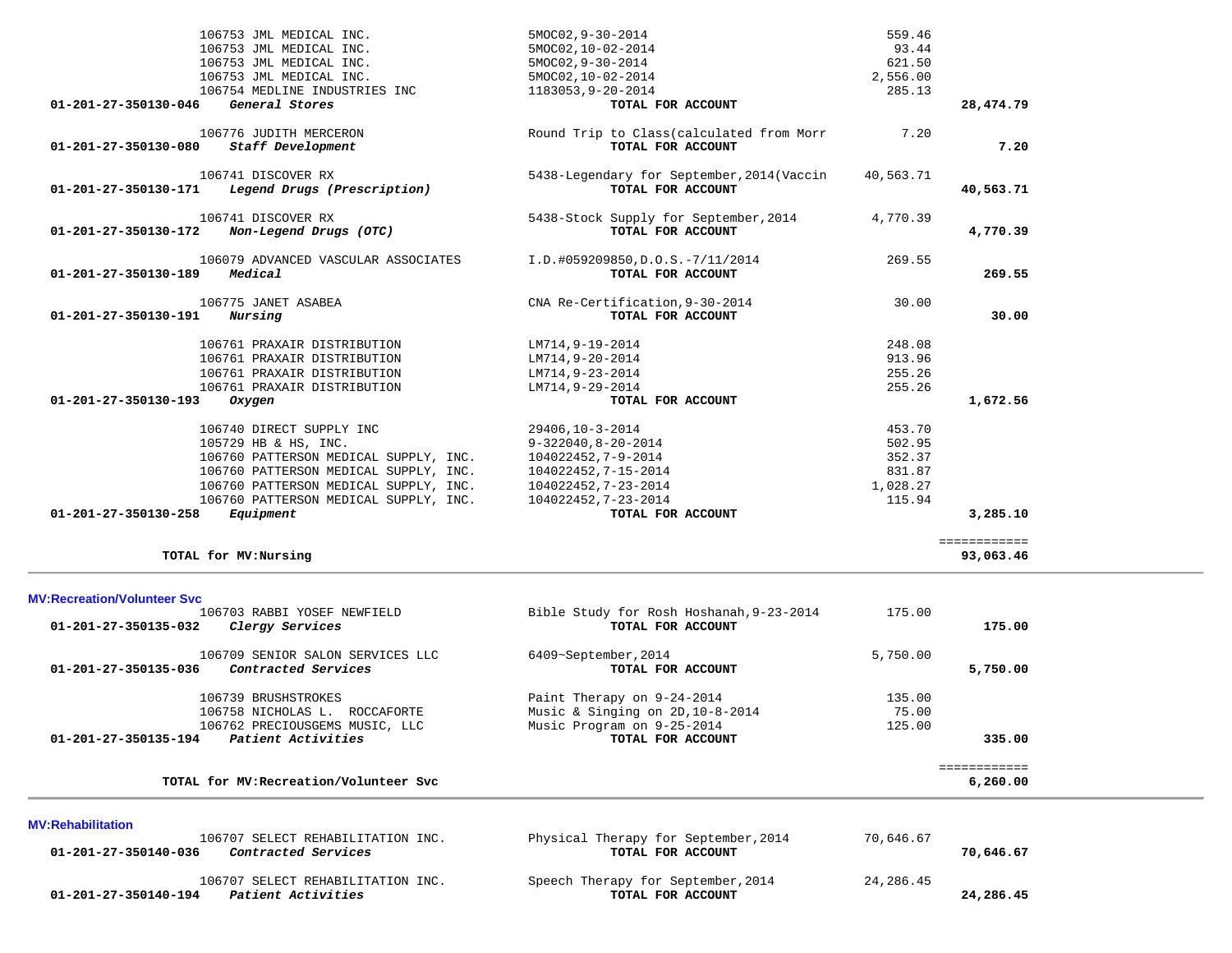| 106753 JML MEDICAL INC.                                                      | 5MOC02, 9-30-2014                          | 559.46     |              |
|------------------------------------------------------------------------------|--------------------------------------------|------------|--------------|
| 106753 JML MEDICAL INC.                                                      | 5MOC02,10-02-2014                          | 93.44      |              |
| 106753 JML MEDICAL INC.                                                      | 5MOC02,9-30-2014                           | 621.50     |              |
| 106753 JML MEDICAL INC.                                                      | 5MOC02,10-02-2014                          | 2,556.00   |              |
| 106754 MEDLINE INDUSTRIES INC                                                | 1183053,9-20-2014                          | 285.13     |              |
| General Stores<br>01-201-27-350130-046                                       | TOTAL FOR ACCOUNT                          |            | 28,474.79    |
| 106776 JUDITH MERCERON                                                       | Round Trip to Class (calculated from Morr  | 7.20       |              |
| Staff Development<br>01-201-27-350130-080                                    | TOTAL FOR ACCOUNT                          |            | 7.20         |
|                                                                              |                                            |            |              |
| 106741 DISCOVER RX                                                           | 5438-Legendary for September, 2014 (Vaccin | 40,563.71  |              |
| Legend Drugs (Prescription)<br>01-201-27-350130-171                          | TOTAL FOR ACCOUNT                          |            | 40,563.71    |
| 106741 DISCOVER RX                                                           | 5438-Stock Supply for September, 2014      | 4,770.39   |              |
| Non-Legend Drugs (OTC)<br>01-201-27-350130-172                               | TOTAL FOR ACCOUNT                          |            | 4,770.39     |
|                                                                              |                                            |            |              |
| 106079 ADVANCED VASCULAR ASSOCIATES                                          | I.D.#059209850,D.O.S.-7/11/2014            | 269.55     |              |
| Medical<br>01-201-27-350130-189                                              | TOTAL FOR ACCOUNT                          |            | 269.55       |
| 106775 JANET ASABEA                                                          | CNA Re-Certification, 9-30-2014            | 30.00      |              |
| 01-201-27-350130-191<br>Nursing                                              | TOTAL FOR ACCOUNT                          |            | 30.00        |
| 106761 PRAXAIR DISTRIBUTION                                                  | LM714,9-19-2014                            | 248.08     |              |
| 106761 PRAXAIR DISTRIBUTION                                                  | LM714,9-20-2014                            | 913.96     |              |
| 106761 PRAXAIR DISTRIBUTION                                                  | LM714, 9-23-2014                           | 255.26     |              |
| 106761 PRAXAIR DISTRIBUTION                                                  | LM714,9-29-2014                            | 255.26     |              |
| 01-201-27-350130-193<br>Oxygen                                               | TOTAL FOR ACCOUNT                          |            | 1,672.56     |
|                                                                              |                                            |            |              |
| 106740 DIRECT SUPPLY INC                                                     | 29406,10-3-2014                            | 453.70     |              |
| 105729 HB & HS, INC.                                                         | 9-322040,8-20-2014                         | 502.95     |              |
| 106760 PATTERSON MEDICAL SUPPLY, INC.                                        | 104022452,7-9-2014                         | 352.37     |              |
| 106760 PATTERSON MEDICAL SUPPLY, INC.                                        | 104022452,7-15-2014                        | 831.87     |              |
| 106760 PATTERSON MEDICAL SUPPLY, INC.                                        | 104022452,7-23-2014                        | 1,028.27   |              |
| 106760 PATTERSON MEDICAL SUPPLY, INC.                                        | 104022452,7-23-2014                        | 115.94     |              |
| Equipment<br>01-201-27-350130-258                                            | TOTAL FOR ACCOUNT                          |            | 3,285.10     |
|                                                                              |                                            |            | ============ |
| TOTAL for MV:Nursing                                                         |                                            |            | 93,063.46    |
|                                                                              |                                            |            |              |
| <b>MV:Recreation/Volunteer Svc</b>                                           |                                            |            |              |
| 106703 RABBI YOSEF NEWFIELD                                                  | Bible Study for Rosh Hoshanah, 9-23-2014   | 175.00     |              |
| 01-201-27-350135-032<br>Clergy Services                                      | TOTAL FOR ACCOUNT                          |            | 175.00       |
| 106709 SENIOR SALON SERVICES LLC                                             | 6409~September, 2014                       | 5,750.00   |              |
| 01-201-27-350135-036 Contracted Services                                     | TOTAL FOR ACCOUNT                          |            | 5,750.00     |
|                                                                              |                                            |            |              |
| 106739 BRUSHSTROKES                                                          | Paint Therapy on 9-24-2014                 | 135.00     |              |
| 106758 NICHOLAS L. ROCCAFORTE                                                | Music & Singing on 2D, 10-8-2014           | 75.00      |              |
| 106762 PRECIOUSGEMS MUSIC, LLC<br>Patient Activities<br>01-201-27-350135-194 | Music Program on 9-25-2014                 | 125.00     | 335.00       |
|                                                                              | TOTAL FOR ACCOUNT                          |            |              |
|                                                                              |                                            |            | ============ |
| TOTAL for MV: Recreation/Volunteer Svc                                       |                                            |            | 6,260.00     |
|                                                                              |                                            |            |              |
| <b>MV:Rehabilitation</b>                                                     |                                            |            |              |
| 106707 SELECT REHABILITATION INC.                                            | Physical Therapy for September, 2014       | 70,646.67  |              |
| 01-201-27-350140-036<br>Contracted Services                                  | TOTAL FOR ACCOUNT                          |            | 70,646.67    |
| 106707 SELECT REHABILITATION INC.                                            | Speech Therapy for September, 2014         | 24, 286.45 |              |
| $01 - 201 - 27 - 350140 - 194$ Patient Activities                            | TOTAL FOR ACCOUNT                          |            | 24,286.45    |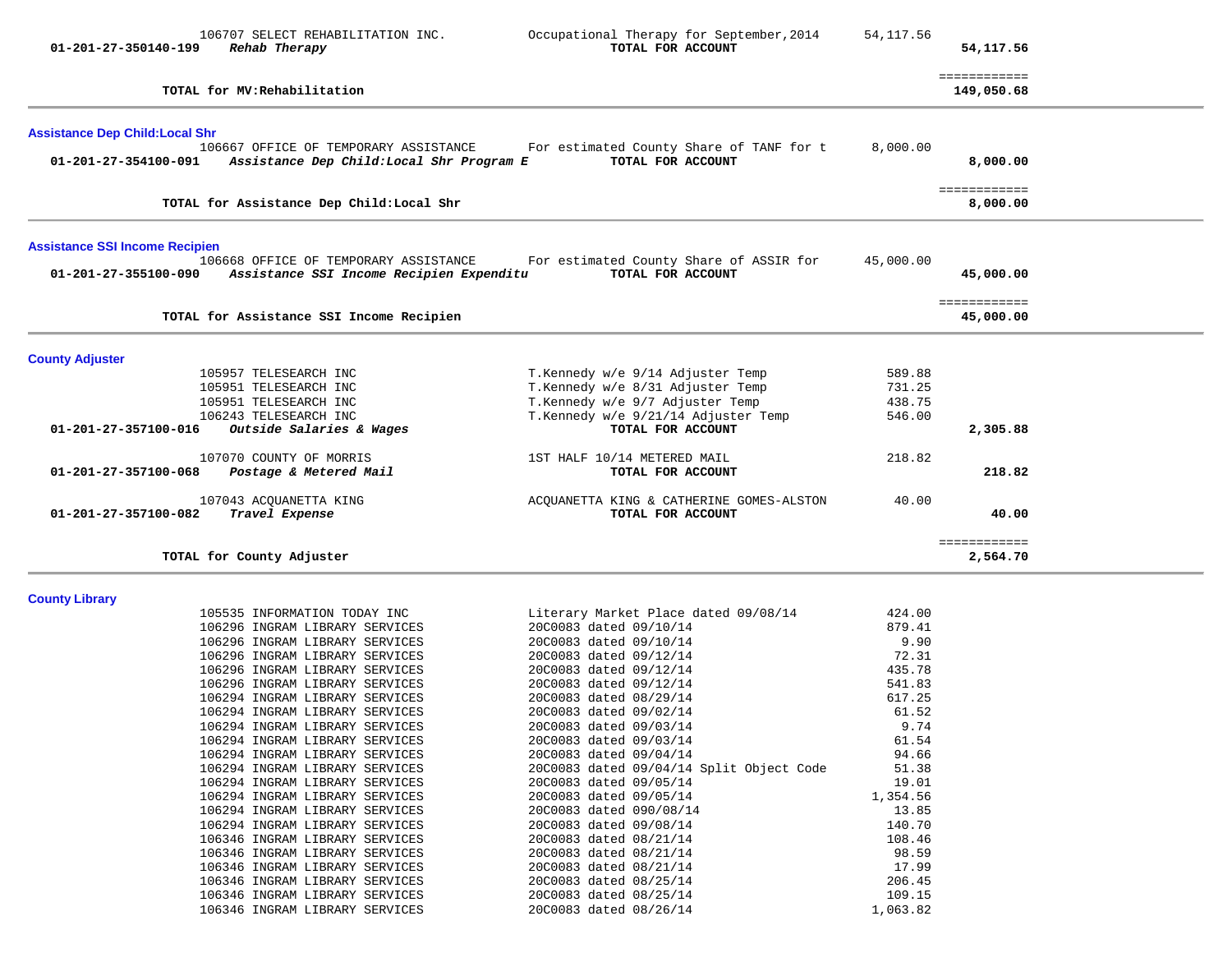| 01-201-27-350140-199                                          | 106707 SELECT REHABILITATION INC.<br>Rehab Therapy                                 | Occupational Therapy for September, 2014<br>TOTAL FOR ACCOUNT | 54,117.56        | 54,117.56                  |  |
|---------------------------------------------------------------|------------------------------------------------------------------------------------|---------------------------------------------------------------|------------------|----------------------------|--|
|                                                               | TOTAL for MV: Rehabilitation                                                       |                                                               |                  | ============<br>149,050.68 |  |
| <b>Assistance Dep Child: Local Shr</b>                        |                                                                                    |                                                               |                  |                            |  |
| 01-201-27-354100-091                                          | 106667 OFFICE OF TEMPORARY ASSISTANCE<br>Assistance Dep Child: Local Shr Program E | For estimated County Share of TANF for t<br>TOTAL FOR ACCOUNT | 8,000.00         | 8,000.00                   |  |
|                                                               | TOTAL for Assistance Dep Child: Local Shr                                          |                                                               |                  | ============<br>8,000.00   |  |
| <b>Assistance SSI Income Recipien</b><br>01-201-27-355100-090 | 106668 OFFICE OF TEMPORARY ASSISTANCE<br>Assistance SSI Income Recipien Expenditu  | For estimated County Share of ASSIR for<br>TOTAL FOR ACCOUNT  | 45,000.00        | 45,000.00                  |  |
|                                                               | TOTAL for Assistance SSI Income Recipien                                           |                                                               |                  | ============<br>45,000.00  |  |
| <b>County Adjuster</b>                                        |                                                                                    |                                                               |                  |                            |  |
|                                                               | 105957 TELESEARCH INC                                                              | T.Kennedy w/e 9/14 Adjuster Temp                              | 589.88           |                            |  |
|                                                               | 105951 TELESEARCH INC                                                              | T.Kennedy w/e 8/31 Adjuster Temp                              | 731.25           |                            |  |
|                                                               | 105951 TELESEARCH INC                                                              | T.Kennedy w/e 9/7 Adjuster Temp                               | 438.75           |                            |  |
|                                                               | 106243 TELESEARCH INC                                                              | T.Kennedy w/e 9/21/14 Adjuster Temp                           | 546.00           |                            |  |
| 01-201-27-357100-016                                          | Outside Salaries & Wages                                                           | TOTAL FOR ACCOUNT                                             |                  | 2,305.88                   |  |
|                                                               | 107070 COUNTY OF MORRIS                                                            | 1ST HALF 10/14 METERED MAIL                                   | 218.82           |                            |  |
| 01-201-27-357100-068                                          | Postage & Metered Mail                                                             | TOTAL FOR ACCOUNT                                             |                  | 218.82                     |  |
|                                                               | 107043 ACQUANETTA KING                                                             |                                                               | 40.00            |                            |  |
| 01-201-27-357100-082                                          | Travel Expense                                                                     | ACQUANETTA KING & CATHERINE GOMES-ALSTON<br>TOTAL FOR ACCOUNT |                  | 40.00                      |  |
|                                                               |                                                                                    |                                                               |                  | ============               |  |
|                                                               | TOTAL for County Adjuster                                                          |                                                               |                  | 2,564.70                   |  |
| <b>County Library</b>                                         |                                                                                    |                                                               |                  |                            |  |
|                                                               | 105535 INFORMATION TODAY INC                                                       | Literary Market Place dated 09/08/14                          | 424.00           |                            |  |
|                                                               | 106296 INGRAM LIBRARY SERVICES                                                     | 20C0083 dated 09/10/14                                        | 879.41           |                            |  |
|                                                               | 106296 INGRAM LIBRARY SERVICES                                                     | 20C0083 dated 09/10/14                                        | 9.90             |                            |  |
|                                                               | 106296 INGRAM LIBRARY SERVICES                                                     | 20C0083 dated 09/12/14                                        | 72.31            |                            |  |
|                                                               | 106296 INGRAM LIBRARY SERVICES<br>106296 INGRAM LIBRARY SERVICES                   | 20C0083 dated 09/12/14<br>20C0083 dated 09/12/14              | 435.78<br>541.83 |                            |  |
|                                                               | 106294 INGRAM LIBRARY SERVICES                                                     | 20C0083 dated 08/29/14                                        | 617.25           |                            |  |
|                                                               | 106294 INGRAM LIBRARY SERVICES                                                     | 20C0083 dated 09/02/14                                        | 61.52            |                            |  |
|                                                               | 106294 INGRAM LIBRARY SERVICES                                                     | 20C0083 dated 09/03/14                                        | 9.74             |                            |  |
|                                                               | 106294 INGRAM LIBRARY SERVICES                                                     | 20C0083 dated 09/03/14                                        | 61.54            |                            |  |
|                                                               | 106294 INGRAM LIBRARY SERVICES                                                     | 20C0083 dated 09/04/14                                        | 94.66            |                            |  |
|                                                               | 106294 INGRAM LIBRARY SERVICES                                                     | 20C0083 dated 09/04/14 Split Object Code                      | 51.38            |                            |  |
|                                                               | 106294 INGRAM LIBRARY SERVICES                                                     | 20C0083 dated 09/05/14                                        | 19.01            |                            |  |
|                                                               | 106294 INGRAM LIBRARY SERVICES                                                     | 20C0083 dated 09/05/14                                        | 1,354.56         |                            |  |
|                                                               | 106294 INGRAM LIBRARY SERVICES                                                     | 20C0083 dated 090/08/14                                       | 13.85            |                            |  |
|                                                               | 106294 INGRAM LIBRARY SERVICES                                                     | 20C0083 dated 09/08/14                                        | 140.70           |                            |  |

106294 INGRAM LIBRARY SERVICES 20C0083 dated 09/08/14 140.70<br>106346 INGRAM LIBRARY SERVICES 20C0083 dated 08/21/14 108.46 106346 INGRAM LIBRARY SERVICES 20C0083 dated 08/21/14 106346 INGRAM LIBRARY SERVICES 20C0083 dated 08/21/14 98.59 106346 INGRAM LIBRARY SERVICES 20C0083 dated 08/21/14 98.59 106346 INGRAM LIBRARY SERVICES 20C0083 dated 08/21/14 17.99 106346 INGRAM LIBRARY SERVICES 20C0083 dated 08/25/14 206.45<br>106346 INGRAM LIBRARY SERVICES 20C0083 dated 08/25/14 109.15 106346 INGRAM LIBRARY SERVICES 20C0083 dated 08/25/14 109.15<br>106346 INGRAM LIBRARY SERVICES 20C0083 dated 08/26/14 109.163.82

106346 INGRAM LIBRARY SERVICES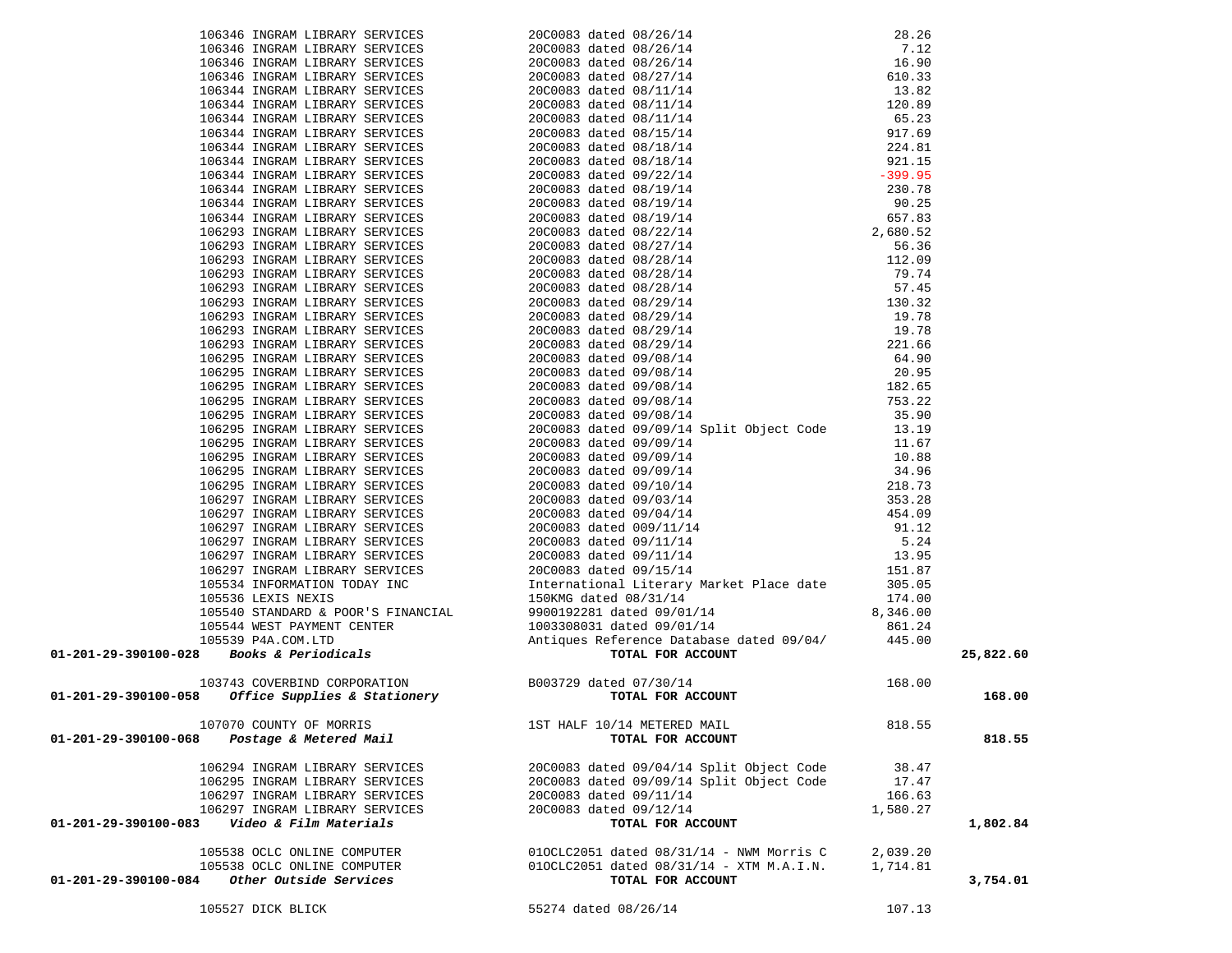| 01-201-29-390100-028 Books & Periodicals                                            |                                              |          | 25,822.60 |
|-------------------------------------------------------------------------------------|----------------------------------------------|----------|-----------|
|                                                                                     |                                              |          |           |
|                                                                                     |                                              | 168.00   |           |
| 103743 COVERBIND CORPORATION<br>- 103743 COVERBIND CORPORATION<br>TOTAL FOR ACCOUNT |                                              |          |           |
| 01-201-29-390100-058                                                                |                                              |          | 168.00    |
|                                                                                     |                                              |          |           |
| 107070 COUNTY OF MORRIS                                                             | 1ST HALF 10/14 METERED MAIL                  | 818.55   |           |
| 01-201-29-390100-068<br>Postage & Metered Mail                                      | TOTAL FOR ACCOUNT                            |          | 818.55    |
|                                                                                     |                                              |          |           |
| 106294 INGRAM LIBRARY SERVICES                                                      | 20C0083 dated 09/04/14 Split Object Code     | 38.47    |           |
| 106295 INGRAM LIBRARY SERVICES                                                      | 20C0083 dated 09/09/14 Split Object Code     | 17.47    |           |
| 106297 INGRAM LIBRARY SERVICES                                                      | 20C0083 dated 09/11/14                       | 166.63   |           |
| 106297 INGRAM LIBRARY SERVICES                                                      | 20C0083 dated 09/12/14                       | 1,580.27 |           |
| Video & Film Materials<br>01-201-29-390100-083                                      | TOTAL FOR ACCOUNT                            |          | 1,802.84  |
|                                                                                     |                                              |          |           |
| 105538 OCLC ONLINE COMPUTER                                                         | 010CLC2051 dated 08/31/14 - NWM Morris C     | 2,039.20 |           |
| 105538 OCLC ONLINE COMPUTER                                                         | $010CLC2051$ dated $08/31/14$ - XTM M.A.I.N. | 1,714.81 |           |
| Other Outside Services<br>01-201-29-390100-084                                      | TOTAL FOR ACCOUNT                            |          | 3,754.01  |
|                                                                                     |                                              |          |           |
| 105527 DICK BLICK                                                                   | 55274 dated 08/26/14                         | 107.13   |           |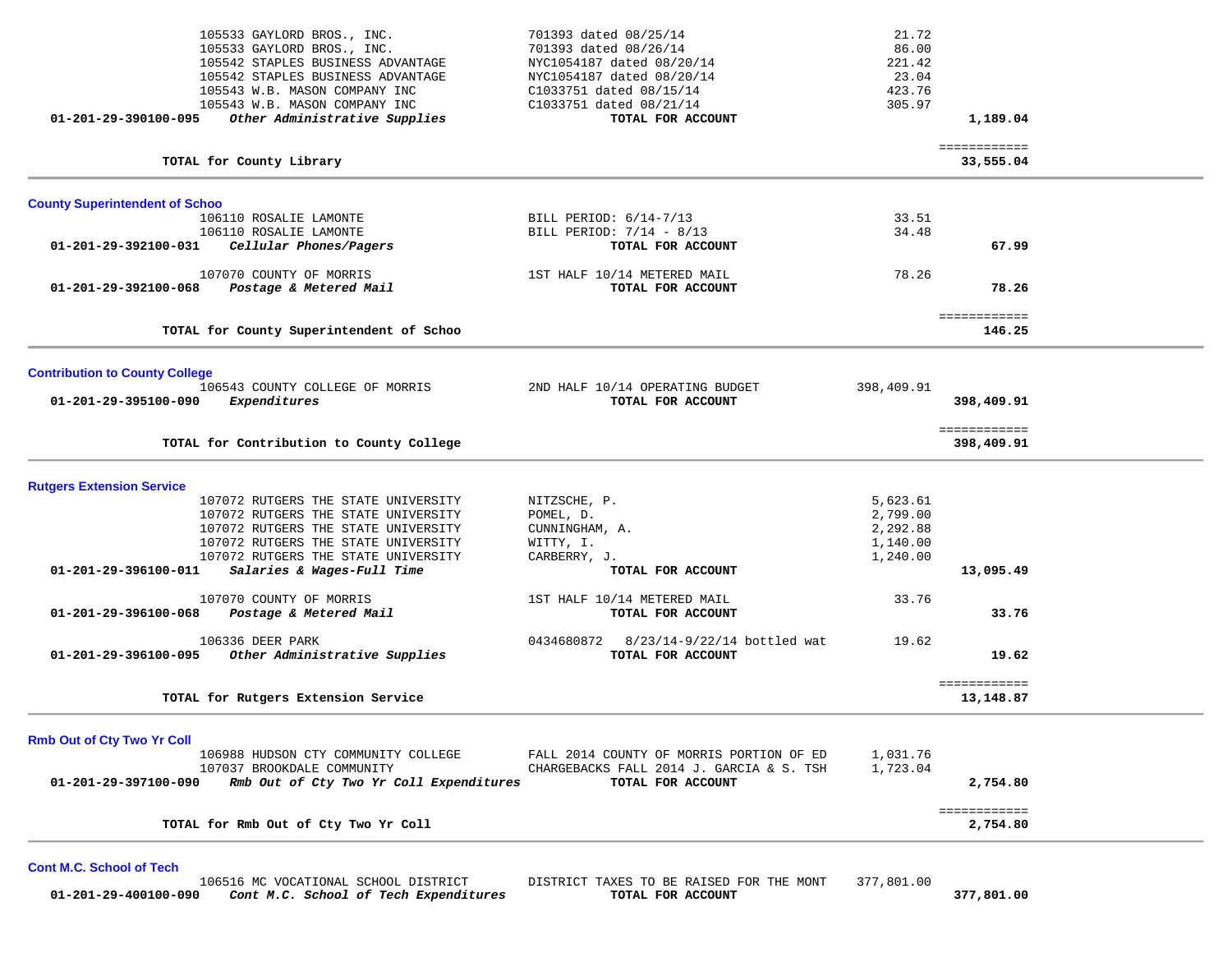| 701393 dated 08/26/14<br>NYC1054187 dated 08/20/14 | 86.00<br>221.42                                                                                                                                                                                                                        |                                                             |                                                                                                  |
|----------------------------------------------------|----------------------------------------------------------------------------------------------------------------------------------------------------------------------------------------------------------------------------------------|-------------------------------------------------------------|--------------------------------------------------------------------------------------------------|
| C1033751 dated 08/15/14                            | 423.76                                                                                                                                                                                                                                 |                                                             |                                                                                                  |
| TOTAL FOR ACCOUNT                                  |                                                                                                                                                                                                                                        | 1,189.04                                                    |                                                                                                  |
|                                                    |                                                                                                                                                                                                                                        | 33,555.04                                                   |                                                                                                  |
|                                                    |                                                                                                                                                                                                                                        |                                                             |                                                                                                  |
| BILL PERIOD: 6/14-7/13                             | 33.51                                                                                                                                                                                                                                  |                                                             |                                                                                                  |
| BILL PERIOD: 7/14 - 8/13                           |                                                                                                                                                                                                                                        |                                                             |                                                                                                  |
|                                                    |                                                                                                                                                                                                                                        |                                                             |                                                                                                  |
| 1ST HALF 10/14 METERED MAIL                        | 78.26                                                                                                                                                                                                                                  |                                                             |                                                                                                  |
| TOTAL FOR ACCOUNT                                  |                                                                                                                                                                                                                                        | 78.26                                                       |                                                                                                  |
|                                                    |                                                                                                                                                                                                                                        | 146.25                                                      |                                                                                                  |
|                                                    |                                                                                                                                                                                                                                        |                                                             |                                                                                                  |
|                                                    |                                                                                                                                                                                                                                        |                                                             |                                                                                                  |
|                                                    |                                                                                                                                                                                                                                        |                                                             |                                                                                                  |
|                                                    |                                                                                                                                                                                                                                        |                                                             |                                                                                                  |
|                                                    |                                                                                                                                                                                                                                        | 398,409.91                                                  |                                                                                                  |
|                                                    |                                                                                                                                                                                                                                        |                                                             |                                                                                                  |
|                                                    |                                                                                                                                                                                                                                        |                                                             |                                                                                                  |
| POMEL, D.                                          | 2,799.00                                                                                                                                                                                                                               |                                                             |                                                                                                  |
| CUNNINGHAM, A.                                     | 2,292.88                                                                                                                                                                                                                               |                                                             |                                                                                                  |
| WITTY, I.                                          | 1,140.00                                                                                                                                                                                                                               |                                                             |                                                                                                  |
| CARBERRY, J.                                       | 1,240.00                                                                                                                                                                                                                               |                                                             |                                                                                                  |
| TOTAL FOR ACCOUNT                                  |                                                                                                                                                                                                                                        | 13,095.49                                                   |                                                                                                  |
| 1ST HALF 10/14 METERED MAIL                        | 33.76                                                                                                                                                                                                                                  |                                                             |                                                                                                  |
| TOTAL FOR ACCOUNT                                  |                                                                                                                                                                                                                                        | 33.76                                                       |                                                                                                  |
|                                                    |                                                                                                                                                                                                                                        |                                                             |                                                                                                  |
| TOTAL FOR ACCOUNT                                  |                                                                                                                                                                                                                                        | 19.62                                                       |                                                                                                  |
|                                                    |                                                                                                                                                                                                                                        |                                                             |                                                                                                  |
|                                                    |                                                                                                                                                                                                                                        |                                                             |                                                                                                  |
|                                                    |                                                                                                                                                                                                                                        |                                                             |                                                                                                  |
| FALL 2014 COUNTY OF MORRIS PORTION OF ED           | 1,031.76                                                                                                                                                                                                                               |                                                             |                                                                                                  |
| CHARGEBACKS FALL 2014 J. GARCIA & S. TSH           | 1,723.04                                                                                                                                                                                                                               |                                                             |                                                                                                  |
| TOTAL FOR ACCOUNT                                  |                                                                                                                                                                                                                                        | 2,754.80                                                    |                                                                                                  |
|                                                    |                                                                                                                                                                                                                                        | ============                                                |                                                                                                  |
|                                                    |                                                                                                                                                                                                                                        | 2,754.80                                                    |                                                                                                  |
|                                                    | NYC1054187 dated 08/20/14<br>C1033751 dated 08/21/14<br>TOTAL FOR ACCOUNT<br>2ND HALF 10/14 OPERATING BUDGET<br>TOTAL FOR ACCOUNT<br>NITZSCHE, P.<br>0434680872 8/23/14-9/22/14 bottled wat<br>Rmb Out of Cty Two Yr Coll Expenditures | 23.04<br>305.97<br>34.48<br>398,409.91<br>5,623.61<br>19.62 | ============<br>67.99<br>============<br>398,409.91<br>============<br>============<br>13,148.87 |

**Cont M.C. School of Tech** 

106516 MC VOCATIONAL SCHOOL DISTRICT DISTRICT TAXES TO BE RAISED FOR THE MONT 377,801.00<br>0 **Cont M.C. School of Tech Expenditures TOTAL FOR ACCOUNT 01-201-29-400100-090** *Cont M.C. School of Tech Expenditures* **TOTAL FOR ACCOUNT 377,801.00**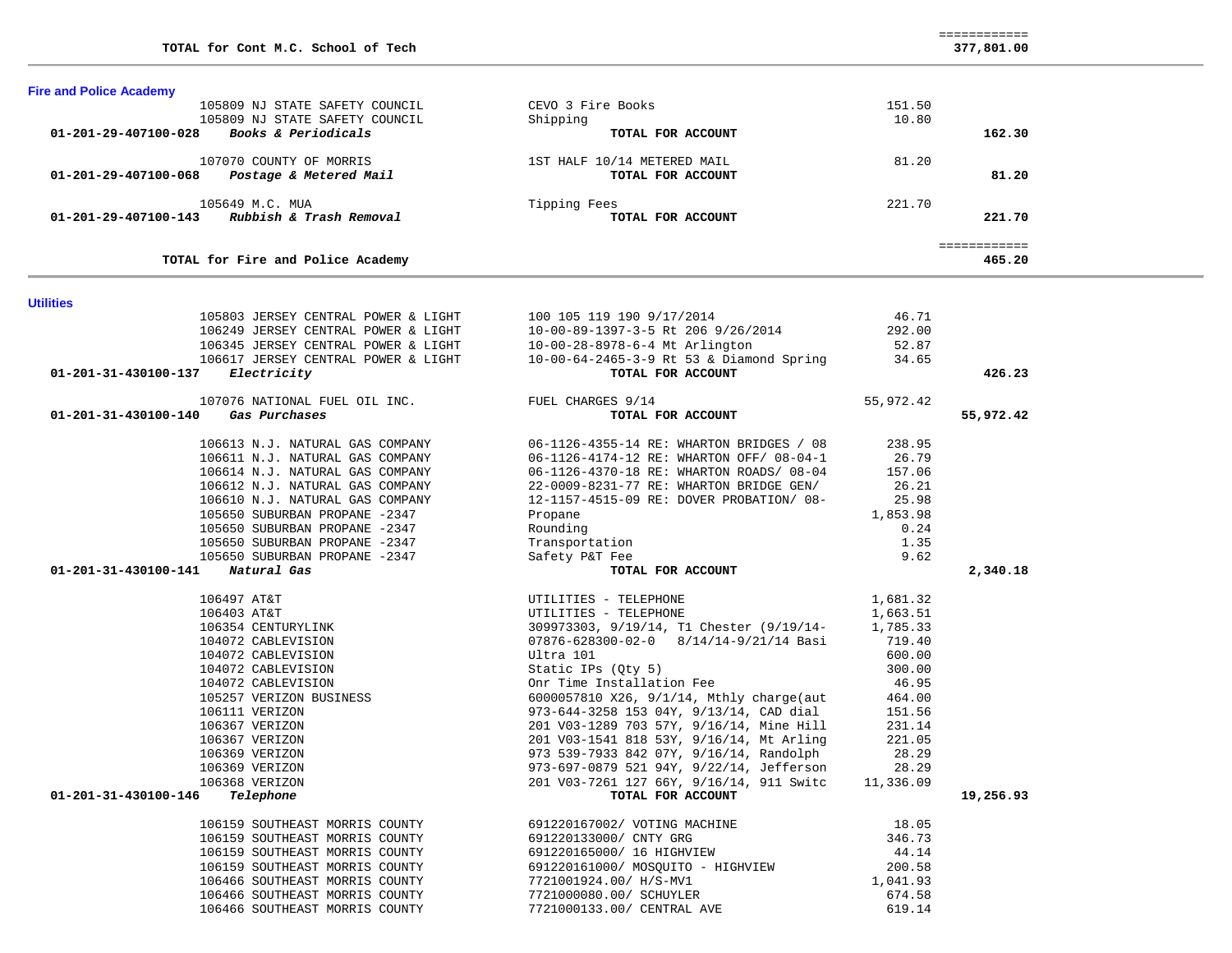| 107070 COUNTY OF MORRIS 18 18T HALF $10/14$ METERED MAIL<br>B <b>Postage &amp; Metered Mail 18T TOTAL FOR ACCOUNT</b><br>81.20<br>81.20<br>01-201-29-407100-068<br>105649 M.C. MUA<br>221.70<br>Tipping Fees<br>01-201-29-407100-143 Rubbish & Trash Removal<br>TOTAL FOR ACCOUNT<br>221.70<br>============<br>TOTAL for Fire and Police Academy<br>465.20<br><b>Utilities</b><br>105803 JERSEY CENTRAL POWER & LIGHT<br>46.71<br>100 105 119 190 9/17/2014<br>105803 JERSEY CENIRAL POWER & LIGHT<br>106249 JERSEY CENTRAL POWER & LIGHT<br>10-00-89-1397-3-5 Rt 206 9/26/2014<br>292.00<br>106345 JERSEY CENTRAL POWER & LIGHT<br>10-00-28-8978-6-4 Mt Arlington<br>52.87<br>106617 JERSEY CENTRAL POWER & LIGHT 10-00-64-2465-3-9 Rt 53 & Diamond Spring 34.65<br>426.23<br>01-201-31-430100-137 Electricity<br>TOTAL FOR ACCOUNT<br>107076 NATIONAL FUEL OIL INC. TUEL CHARGES 9/14<br>55,972.42<br>Gas Purchases<br>01-201-31-430100-140<br>TOTAL FOR ACCOUNT<br>55,972.42<br>106613 N.J. NATURAL GAS COMPANY<br>06-1126-4355-14 RE: WHARTON BRIDGES / 08<br>238.95<br>106611 N.J. NATURAL GAS COMPANY<br>06-1126-4174-12 RE: WHARTON OFF/ 08-04-1<br>26.79<br>106614 N.J. NATURAL GAS COMPANY<br>06-1126-4370-18 RE: WHARTON ROADS/ 08-04<br>157.06<br>106612 N.J. NATURAL GAS COMPANY<br>22-0009-8231-77 RE: WHARTON BRIDGE GEN/<br>26.21<br>106610 N.J. NATURAL GAS COMPANY<br>12-1157-4515-09 RE: DOVER PROBATION/ 08-<br>25.98<br>105650 SUBURBAN PROPANE -2347<br>Propane<br>1,853.98<br>105650 SUBURBAN PROPANE -2347<br>Rounding<br>0.24<br>1.35<br>105650 SUBURBAN PROPANE -2347<br>Transportation<br>105650 SUBURBAN PROPANE -2347<br>9.62<br>Safety P&T Fee<br>01-201-31-430100-141 Natural Gas<br>TOTAL FOR ACCOUNT<br>2,340.18<br>106497 AT&T<br>UTILITIES - TELEPHONE<br>1,681.32<br>106403 AT&T<br>UTILITIES - TELEPHONE<br>1,663.51<br>106354 CENTURYLINK<br>309973303, 9/19/14, T1 Chester (9/19/14-<br>1,785.33<br>07876-628300-02-0 8/14/14-9/21/14 Basi<br>104072 CABLEVISION<br>719.40<br>104072 CABLEVISION<br>Ultra 101<br>600.00<br>104072 CABLEVISION<br>Static IPs (Qty 5)<br>300.00<br>Onr Time Installation Fee<br>46.95<br>104072 CABLEVISION<br>6000057810 X26, 9/1/14, Mthly charge(aut<br>105257 VERIZON BUSINESS<br>464.00<br>973-644-3258 153 04Y, 9/13/14, CAD dial<br>106111 VERIZON<br>151.56<br>201 V03-1289 703 57Y, 9/16/14, Mine Hill<br>106367 VERIZON<br>231.14<br>106367 VERIZON<br>201 V03-1541 818 53Y, 9/16/14, Mt Arling<br>221.05<br>106369 VERIZON<br>973 539-7933 842 07Y, 9/16/14, Randolph<br>28.29<br>106369 VERIZON<br>973-697-0879 521 94Y, 9/22/14, Jefferson<br>28.29<br>201 V03-7261 127 66Y, 9/16/14, 911 Switc<br>11,336.09<br>106368 VERIZON<br>19,256.93<br>01-201-31-430100-146<br>Telephone<br>TOTAL FOR ACCOUNT<br>18.05<br>106159 SOUTHEAST MORRIS COUNTY<br>691220167002/ VOTING MACHINE<br>106159 SOUTHEAST MORRIS COUNTY<br>691220133000/ CNTY GRG<br>346.73<br>106159 SOUTHEAST MORRIS COUNTY<br>44.14<br>691220165000/ 16 HIGHVIEW<br>200.58<br>106159 SOUTHEAST MORRIS COUNTY<br>691220161000/ MOSQUITO - HIGHVIEW<br>106466 SOUTHEAST MORRIS COUNTY<br>7721001924.00/ H/S-MV1<br>1,041.93<br>106466 SOUTHEAST MORRIS COUNTY<br>674.58<br>7721000080.00/ SCHUYLER<br>106466 SOUTHEAST MORRIS COUNTY | 01-201-29-407100-028 Books & Periodicals | 105809 NJ STATE SAFETY COUNCIL<br>105809 NJ STATE SAFETY COUNCIL | CEVO 3 Fire Books<br>Shipping<br>TOTAL FOR ACCOUNT | 151.50<br>10.80 | 162.30 |  |
|-----------------------------------------------------------------------------------------------------------------------------------------------------------------------------------------------------------------------------------------------------------------------------------------------------------------------------------------------------------------------------------------------------------------------------------------------------------------------------------------------------------------------------------------------------------------------------------------------------------------------------------------------------------------------------------------------------------------------------------------------------------------------------------------------------------------------------------------------------------------------------------------------------------------------------------------------------------------------------------------------------------------------------------------------------------------------------------------------------------------------------------------------------------------------------------------------------------------------------------------------------------------------------------------------------------------------------------------------------------------------------------------------------------------------------------------------------------------------------------------------------------------------------------------------------------------------------------------------------------------------------------------------------------------------------------------------------------------------------------------------------------------------------------------------------------------------------------------------------------------------------------------------------------------------------------------------------------------------------------------------------------------------------------------------------------------------------------------------------------------------------------------------------------------------------------------------------------------------------------------------------------------------------------------------------------------------------------------------------------------------------------------------------------------------------------------------------------------------------------------------------------------------------------------------------------------------------------------------------------------------------------------------------------------------------------------------------------------------------------------------------------------------------------------------------------------------------------------------------------------------------------------------------------------------------------------------------------------------------------------------------------------------------------------------------------------------------------------------------------------------------------------------------------------------------------------------------------------------------------------------------------------------------------|------------------------------------------|------------------------------------------------------------------|----------------------------------------------------|-----------------|--------|--|
|                                                                                                                                                                                                                                                                                                                                                                                                                                                                                                                                                                                                                                                                                                                                                                                                                                                                                                                                                                                                                                                                                                                                                                                                                                                                                                                                                                                                                                                                                                                                                                                                                                                                                                                                                                                                                                                                                                                                                                                                                                                                                                                                                                                                                                                                                                                                                                                                                                                                                                                                                                                                                                                                                                                                                                                                                                                                                                                                                                                                                                                                                                                                                                                                                                                                                   |                                          |                                                                  |                                                    |                 |        |  |
|                                                                                                                                                                                                                                                                                                                                                                                                                                                                                                                                                                                                                                                                                                                                                                                                                                                                                                                                                                                                                                                                                                                                                                                                                                                                                                                                                                                                                                                                                                                                                                                                                                                                                                                                                                                                                                                                                                                                                                                                                                                                                                                                                                                                                                                                                                                                                                                                                                                                                                                                                                                                                                                                                                                                                                                                                                                                                                                                                                                                                                                                                                                                                                                                                                                                                   |                                          |                                                                  |                                                    |                 |        |  |
|                                                                                                                                                                                                                                                                                                                                                                                                                                                                                                                                                                                                                                                                                                                                                                                                                                                                                                                                                                                                                                                                                                                                                                                                                                                                                                                                                                                                                                                                                                                                                                                                                                                                                                                                                                                                                                                                                                                                                                                                                                                                                                                                                                                                                                                                                                                                                                                                                                                                                                                                                                                                                                                                                                                                                                                                                                                                                                                                                                                                                                                                                                                                                                                                                                                                                   |                                          |                                                                  |                                                    |                 |        |  |
|                                                                                                                                                                                                                                                                                                                                                                                                                                                                                                                                                                                                                                                                                                                                                                                                                                                                                                                                                                                                                                                                                                                                                                                                                                                                                                                                                                                                                                                                                                                                                                                                                                                                                                                                                                                                                                                                                                                                                                                                                                                                                                                                                                                                                                                                                                                                                                                                                                                                                                                                                                                                                                                                                                                                                                                                                                                                                                                                                                                                                                                                                                                                                                                                                                                                                   |                                          |                                                                  |                                                    |                 |        |  |
|                                                                                                                                                                                                                                                                                                                                                                                                                                                                                                                                                                                                                                                                                                                                                                                                                                                                                                                                                                                                                                                                                                                                                                                                                                                                                                                                                                                                                                                                                                                                                                                                                                                                                                                                                                                                                                                                                                                                                                                                                                                                                                                                                                                                                                                                                                                                                                                                                                                                                                                                                                                                                                                                                                                                                                                                                                                                                                                                                                                                                                                                                                                                                                                                                                                                                   |                                          |                                                                  |                                                    |                 |        |  |
|                                                                                                                                                                                                                                                                                                                                                                                                                                                                                                                                                                                                                                                                                                                                                                                                                                                                                                                                                                                                                                                                                                                                                                                                                                                                                                                                                                                                                                                                                                                                                                                                                                                                                                                                                                                                                                                                                                                                                                                                                                                                                                                                                                                                                                                                                                                                                                                                                                                                                                                                                                                                                                                                                                                                                                                                                                                                                                                                                                                                                                                                                                                                                                                                                                                                                   |                                          |                                                                  |                                                    |                 |        |  |
|                                                                                                                                                                                                                                                                                                                                                                                                                                                                                                                                                                                                                                                                                                                                                                                                                                                                                                                                                                                                                                                                                                                                                                                                                                                                                                                                                                                                                                                                                                                                                                                                                                                                                                                                                                                                                                                                                                                                                                                                                                                                                                                                                                                                                                                                                                                                                                                                                                                                                                                                                                                                                                                                                                                                                                                                                                                                                                                                                                                                                                                                                                                                                                                                                                                                                   |                                          |                                                                  |                                                    |                 |        |  |
|                                                                                                                                                                                                                                                                                                                                                                                                                                                                                                                                                                                                                                                                                                                                                                                                                                                                                                                                                                                                                                                                                                                                                                                                                                                                                                                                                                                                                                                                                                                                                                                                                                                                                                                                                                                                                                                                                                                                                                                                                                                                                                                                                                                                                                                                                                                                                                                                                                                                                                                                                                                                                                                                                                                                                                                                                                                                                                                                                                                                                                                                                                                                                                                                                                                                                   |                                          |                                                                  |                                                    |                 |        |  |
|                                                                                                                                                                                                                                                                                                                                                                                                                                                                                                                                                                                                                                                                                                                                                                                                                                                                                                                                                                                                                                                                                                                                                                                                                                                                                                                                                                                                                                                                                                                                                                                                                                                                                                                                                                                                                                                                                                                                                                                                                                                                                                                                                                                                                                                                                                                                                                                                                                                                                                                                                                                                                                                                                                                                                                                                                                                                                                                                                                                                                                                                                                                                                                                                                                                                                   |                                          |                                                                  |                                                    |                 |        |  |
|                                                                                                                                                                                                                                                                                                                                                                                                                                                                                                                                                                                                                                                                                                                                                                                                                                                                                                                                                                                                                                                                                                                                                                                                                                                                                                                                                                                                                                                                                                                                                                                                                                                                                                                                                                                                                                                                                                                                                                                                                                                                                                                                                                                                                                                                                                                                                                                                                                                                                                                                                                                                                                                                                                                                                                                                                                                                                                                                                                                                                                                                                                                                                                                                                                                                                   |                                          |                                                                  |                                                    |                 |        |  |
|                                                                                                                                                                                                                                                                                                                                                                                                                                                                                                                                                                                                                                                                                                                                                                                                                                                                                                                                                                                                                                                                                                                                                                                                                                                                                                                                                                                                                                                                                                                                                                                                                                                                                                                                                                                                                                                                                                                                                                                                                                                                                                                                                                                                                                                                                                                                                                                                                                                                                                                                                                                                                                                                                                                                                                                                                                                                                                                                                                                                                                                                                                                                                                                                                                                                                   |                                          |                                                                  |                                                    |                 |        |  |
|                                                                                                                                                                                                                                                                                                                                                                                                                                                                                                                                                                                                                                                                                                                                                                                                                                                                                                                                                                                                                                                                                                                                                                                                                                                                                                                                                                                                                                                                                                                                                                                                                                                                                                                                                                                                                                                                                                                                                                                                                                                                                                                                                                                                                                                                                                                                                                                                                                                                                                                                                                                                                                                                                                                                                                                                                                                                                                                                                                                                                                                                                                                                                                                                                                                                                   |                                          |                                                                  |                                                    |                 |        |  |
|                                                                                                                                                                                                                                                                                                                                                                                                                                                                                                                                                                                                                                                                                                                                                                                                                                                                                                                                                                                                                                                                                                                                                                                                                                                                                                                                                                                                                                                                                                                                                                                                                                                                                                                                                                                                                                                                                                                                                                                                                                                                                                                                                                                                                                                                                                                                                                                                                                                                                                                                                                                                                                                                                                                                                                                                                                                                                                                                                                                                                                                                                                                                                                                                                                                                                   |                                          |                                                                  |                                                    |                 |        |  |
|                                                                                                                                                                                                                                                                                                                                                                                                                                                                                                                                                                                                                                                                                                                                                                                                                                                                                                                                                                                                                                                                                                                                                                                                                                                                                                                                                                                                                                                                                                                                                                                                                                                                                                                                                                                                                                                                                                                                                                                                                                                                                                                                                                                                                                                                                                                                                                                                                                                                                                                                                                                                                                                                                                                                                                                                                                                                                                                                                                                                                                                                                                                                                                                                                                                                                   |                                          |                                                                  |                                                    |                 |        |  |
|                                                                                                                                                                                                                                                                                                                                                                                                                                                                                                                                                                                                                                                                                                                                                                                                                                                                                                                                                                                                                                                                                                                                                                                                                                                                                                                                                                                                                                                                                                                                                                                                                                                                                                                                                                                                                                                                                                                                                                                                                                                                                                                                                                                                                                                                                                                                                                                                                                                                                                                                                                                                                                                                                                                                                                                                                                                                                                                                                                                                                                                                                                                                                                                                                                                                                   |                                          |                                                                  |                                                    |                 |        |  |
|                                                                                                                                                                                                                                                                                                                                                                                                                                                                                                                                                                                                                                                                                                                                                                                                                                                                                                                                                                                                                                                                                                                                                                                                                                                                                                                                                                                                                                                                                                                                                                                                                                                                                                                                                                                                                                                                                                                                                                                                                                                                                                                                                                                                                                                                                                                                                                                                                                                                                                                                                                                                                                                                                                                                                                                                                                                                                                                                                                                                                                                                                                                                                                                                                                                                                   |                                          |                                                                  |                                                    |                 |        |  |
|                                                                                                                                                                                                                                                                                                                                                                                                                                                                                                                                                                                                                                                                                                                                                                                                                                                                                                                                                                                                                                                                                                                                                                                                                                                                                                                                                                                                                                                                                                                                                                                                                                                                                                                                                                                                                                                                                                                                                                                                                                                                                                                                                                                                                                                                                                                                                                                                                                                                                                                                                                                                                                                                                                                                                                                                                                                                                                                                                                                                                                                                                                                                                                                                                                                                                   |                                          |                                                                  |                                                    |                 |        |  |
|                                                                                                                                                                                                                                                                                                                                                                                                                                                                                                                                                                                                                                                                                                                                                                                                                                                                                                                                                                                                                                                                                                                                                                                                                                                                                                                                                                                                                                                                                                                                                                                                                                                                                                                                                                                                                                                                                                                                                                                                                                                                                                                                                                                                                                                                                                                                                                                                                                                                                                                                                                                                                                                                                                                                                                                                                                                                                                                                                                                                                                                                                                                                                                                                                                                                                   |                                          |                                                                  |                                                    |                 |        |  |
|                                                                                                                                                                                                                                                                                                                                                                                                                                                                                                                                                                                                                                                                                                                                                                                                                                                                                                                                                                                                                                                                                                                                                                                                                                                                                                                                                                                                                                                                                                                                                                                                                                                                                                                                                                                                                                                                                                                                                                                                                                                                                                                                                                                                                                                                                                                                                                                                                                                                                                                                                                                                                                                                                                                                                                                                                                                                                                                                                                                                                                                                                                                                                                                                                                                                                   |                                          |                                                                  |                                                    |                 |        |  |
|                                                                                                                                                                                                                                                                                                                                                                                                                                                                                                                                                                                                                                                                                                                                                                                                                                                                                                                                                                                                                                                                                                                                                                                                                                                                                                                                                                                                                                                                                                                                                                                                                                                                                                                                                                                                                                                                                                                                                                                                                                                                                                                                                                                                                                                                                                                                                                                                                                                                                                                                                                                                                                                                                                                                                                                                                                                                                                                                                                                                                                                                                                                                                                                                                                                                                   |                                          |                                                                  |                                                    |                 |        |  |
|                                                                                                                                                                                                                                                                                                                                                                                                                                                                                                                                                                                                                                                                                                                                                                                                                                                                                                                                                                                                                                                                                                                                                                                                                                                                                                                                                                                                                                                                                                                                                                                                                                                                                                                                                                                                                                                                                                                                                                                                                                                                                                                                                                                                                                                                                                                                                                                                                                                                                                                                                                                                                                                                                                                                                                                                                                                                                                                                                                                                                                                                                                                                                                                                                                                                                   |                                          |                                                                  |                                                    |                 |        |  |
|                                                                                                                                                                                                                                                                                                                                                                                                                                                                                                                                                                                                                                                                                                                                                                                                                                                                                                                                                                                                                                                                                                                                                                                                                                                                                                                                                                                                                                                                                                                                                                                                                                                                                                                                                                                                                                                                                                                                                                                                                                                                                                                                                                                                                                                                                                                                                                                                                                                                                                                                                                                                                                                                                                                                                                                                                                                                                                                                                                                                                                                                                                                                                                                                                                                                                   |                                          |                                                                  |                                                    |                 |        |  |
|                                                                                                                                                                                                                                                                                                                                                                                                                                                                                                                                                                                                                                                                                                                                                                                                                                                                                                                                                                                                                                                                                                                                                                                                                                                                                                                                                                                                                                                                                                                                                                                                                                                                                                                                                                                                                                                                                                                                                                                                                                                                                                                                                                                                                                                                                                                                                                                                                                                                                                                                                                                                                                                                                                                                                                                                                                                                                                                                                                                                                                                                                                                                                                                                                                                                                   |                                          |                                                                  |                                                    |                 |        |  |
|                                                                                                                                                                                                                                                                                                                                                                                                                                                                                                                                                                                                                                                                                                                                                                                                                                                                                                                                                                                                                                                                                                                                                                                                                                                                                                                                                                                                                                                                                                                                                                                                                                                                                                                                                                                                                                                                                                                                                                                                                                                                                                                                                                                                                                                                                                                                                                                                                                                                                                                                                                                                                                                                                                                                                                                                                                                                                                                                                                                                                                                                                                                                                                                                                                                                                   |                                          |                                                                  |                                                    |                 |        |  |
|                                                                                                                                                                                                                                                                                                                                                                                                                                                                                                                                                                                                                                                                                                                                                                                                                                                                                                                                                                                                                                                                                                                                                                                                                                                                                                                                                                                                                                                                                                                                                                                                                                                                                                                                                                                                                                                                                                                                                                                                                                                                                                                                                                                                                                                                                                                                                                                                                                                                                                                                                                                                                                                                                                                                                                                                                                                                                                                                                                                                                                                                                                                                                                                                                                                                                   |                                          |                                                                  |                                                    |                 |        |  |
|                                                                                                                                                                                                                                                                                                                                                                                                                                                                                                                                                                                                                                                                                                                                                                                                                                                                                                                                                                                                                                                                                                                                                                                                                                                                                                                                                                                                                                                                                                                                                                                                                                                                                                                                                                                                                                                                                                                                                                                                                                                                                                                                                                                                                                                                                                                                                                                                                                                                                                                                                                                                                                                                                                                                                                                                                                                                                                                                                                                                                                                                                                                                                                                                                                                                                   |                                          |                                                                  |                                                    |                 |        |  |
|                                                                                                                                                                                                                                                                                                                                                                                                                                                                                                                                                                                                                                                                                                                                                                                                                                                                                                                                                                                                                                                                                                                                                                                                                                                                                                                                                                                                                                                                                                                                                                                                                                                                                                                                                                                                                                                                                                                                                                                                                                                                                                                                                                                                                                                                                                                                                                                                                                                                                                                                                                                                                                                                                                                                                                                                                                                                                                                                                                                                                                                                                                                                                                                                                                                                                   |                                          |                                                                  |                                                    |                 |        |  |
|                                                                                                                                                                                                                                                                                                                                                                                                                                                                                                                                                                                                                                                                                                                                                                                                                                                                                                                                                                                                                                                                                                                                                                                                                                                                                                                                                                                                                                                                                                                                                                                                                                                                                                                                                                                                                                                                                                                                                                                                                                                                                                                                                                                                                                                                                                                                                                                                                                                                                                                                                                                                                                                                                                                                                                                                                                                                                                                                                                                                                                                                                                                                                                                                                                                                                   |                                          |                                                                  |                                                    |                 |        |  |
|                                                                                                                                                                                                                                                                                                                                                                                                                                                                                                                                                                                                                                                                                                                                                                                                                                                                                                                                                                                                                                                                                                                                                                                                                                                                                                                                                                                                                                                                                                                                                                                                                                                                                                                                                                                                                                                                                                                                                                                                                                                                                                                                                                                                                                                                                                                                                                                                                                                                                                                                                                                                                                                                                                                                                                                                                                                                                                                                                                                                                                                                                                                                                                                                                                                                                   |                                          |                                                                  |                                                    |                 |        |  |
|                                                                                                                                                                                                                                                                                                                                                                                                                                                                                                                                                                                                                                                                                                                                                                                                                                                                                                                                                                                                                                                                                                                                                                                                                                                                                                                                                                                                                                                                                                                                                                                                                                                                                                                                                                                                                                                                                                                                                                                                                                                                                                                                                                                                                                                                                                                                                                                                                                                                                                                                                                                                                                                                                                                                                                                                                                                                                                                                                                                                                                                                                                                                                                                                                                                                                   |                                          |                                                                  |                                                    |                 |        |  |
|                                                                                                                                                                                                                                                                                                                                                                                                                                                                                                                                                                                                                                                                                                                                                                                                                                                                                                                                                                                                                                                                                                                                                                                                                                                                                                                                                                                                                                                                                                                                                                                                                                                                                                                                                                                                                                                                                                                                                                                                                                                                                                                                                                                                                                                                                                                                                                                                                                                                                                                                                                                                                                                                                                                                                                                                                                                                                                                                                                                                                                                                                                                                                                                                                                                                                   |                                          |                                                                  |                                                    |                 |        |  |
|                                                                                                                                                                                                                                                                                                                                                                                                                                                                                                                                                                                                                                                                                                                                                                                                                                                                                                                                                                                                                                                                                                                                                                                                                                                                                                                                                                                                                                                                                                                                                                                                                                                                                                                                                                                                                                                                                                                                                                                                                                                                                                                                                                                                                                                                                                                                                                                                                                                                                                                                                                                                                                                                                                                                                                                                                                                                                                                                                                                                                                                                                                                                                                                                                                                                                   |                                          |                                                                  |                                                    |                 |        |  |
|                                                                                                                                                                                                                                                                                                                                                                                                                                                                                                                                                                                                                                                                                                                                                                                                                                                                                                                                                                                                                                                                                                                                                                                                                                                                                                                                                                                                                                                                                                                                                                                                                                                                                                                                                                                                                                                                                                                                                                                                                                                                                                                                                                                                                                                                                                                                                                                                                                                                                                                                                                                                                                                                                                                                                                                                                                                                                                                                                                                                                                                                                                                                                                                                                                                                                   |                                          |                                                                  |                                                    |                 |        |  |
|                                                                                                                                                                                                                                                                                                                                                                                                                                                                                                                                                                                                                                                                                                                                                                                                                                                                                                                                                                                                                                                                                                                                                                                                                                                                                                                                                                                                                                                                                                                                                                                                                                                                                                                                                                                                                                                                                                                                                                                                                                                                                                                                                                                                                                                                                                                                                                                                                                                                                                                                                                                                                                                                                                                                                                                                                                                                                                                                                                                                                                                                                                                                                                                                                                                                                   |                                          |                                                                  |                                                    |                 |        |  |
|                                                                                                                                                                                                                                                                                                                                                                                                                                                                                                                                                                                                                                                                                                                                                                                                                                                                                                                                                                                                                                                                                                                                                                                                                                                                                                                                                                                                                                                                                                                                                                                                                                                                                                                                                                                                                                                                                                                                                                                                                                                                                                                                                                                                                                                                                                                                                                                                                                                                                                                                                                                                                                                                                                                                                                                                                                                                                                                                                                                                                                                                                                                                                                                                                                                                                   |                                          |                                                                  |                                                    |                 |        |  |
|                                                                                                                                                                                                                                                                                                                                                                                                                                                                                                                                                                                                                                                                                                                                                                                                                                                                                                                                                                                                                                                                                                                                                                                                                                                                                                                                                                                                                                                                                                                                                                                                                                                                                                                                                                                                                                                                                                                                                                                                                                                                                                                                                                                                                                                                                                                                                                                                                                                                                                                                                                                                                                                                                                                                                                                                                                                                                                                                                                                                                                                                                                                                                                                                                                                                                   |                                          |                                                                  |                                                    |                 |        |  |
|                                                                                                                                                                                                                                                                                                                                                                                                                                                                                                                                                                                                                                                                                                                                                                                                                                                                                                                                                                                                                                                                                                                                                                                                                                                                                                                                                                                                                                                                                                                                                                                                                                                                                                                                                                                                                                                                                                                                                                                                                                                                                                                                                                                                                                                                                                                                                                                                                                                                                                                                                                                                                                                                                                                                                                                                                                                                                                                                                                                                                                                                                                                                                                                                                                                                                   |                                          |                                                                  |                                                    |                 |        |  |
|                                                                                                                                                                                                                                                                                                                                                                                                                                                                                                                                                                                                                                                                                                                                                                                                                                                                                                                                                                                                                                                                                                                                                                                                                                                                                                                                                                                                                                                                                                                                                                                                                                                                                                                                                                                                                                                                                                                                                                                                                                                                                                                                                                                                                                                                                                                                                                                                                                                                                                                                                                                                                                                                                                                                                                                                                                                                                                                                                                                                                                                                                                                                                                                                                                                                                   |                                          |                                                                  |                                                    |                 |        |  |
|                                                                                                                                                                                                                                                                                                                                                                                                                                                                                                                                                                                                                                                                                                                                                                                                                                                                                                                                                                                                                                                                                                                                                                                                                                                                                                                                                                                                                                                                                                                                                                                                                                                                                                                                                                                                                                                                                                                                                                                                                                                                                                                                                                                                                                                                                                                                                                                                                                                                                                                                                                                                                                                                                                                                                                                                                                                                                                                                                                                                                                                                                                                                                                                                                                                                                   |                                          |                                                                  |                                                    |                 |        |  |
|                                                                                                                                                                                                                                                                                                                                                                                                                                                                                                                                                                                                                                                                                                                                                                                                                                                                                                                                                                                                                                                                                                                                                                                                                                                                                                                                                                                                                                                                                                                                                                                                                                                                                                                                                                                                                                                                                                                                                                                                                                                                                                                                                                                                                                                                                                                                                                                                                                                                                                                                                                                                                                                                                                                                                                                                                                                                                                                                                                                                                                                                                                                                                                                                                                                                                   |                                          |                                                                  |                                                    |                 |        |  |
|                                                                                                                                                                                                                                                                                                                                                                                                                                                                                                                                                                                                                                                                                                                                                                                                                                                                                                                                                                                                                                                                                                                                                                                                                                                                                                                                                                                                                                                                                                                                                                                                                                                                                                                                                                                                                                                                                                                                                                                                                                                                                                                                                                                                                                                                                                                                                                                                                                                                                                                                                                                                                                                                                                                                                                                                                                                                                                                                                                                                                                                                                                                                                                                                                                                                                   |                                          |                                                                  |                                                    |                 |        |  |
|                                                                                                                                                                                                                                                                                                                                                                                                                                                                                                                                                                                                                                                                                                                                                                                                                                                                                                                                                                                                                                                                                                                                                                                                                                                                                                                                                                                                                                                                                                                                                                                                                                                                                                                                                                                                                                                                                                                                                                                                                                                                                                                                                                                                                                                                                                                                                                                                                                                                                                                                                                                                                                                                                                                                                                                                                                                                                                                                                                                                                                                                                                                                                                                                                                                                                   |                                          |                                                                  |                                                    |                 |        |  |
|                                                                                                                                                                                                                                                                                                                                                                                                                                                                                                                                                                                                                                                                                                                                                                                                                                                                                                                                                                                                                                                                                                                                                                                                                                                                                                                                                                                                                                                                                                                                                                                                                                                                                                                                                                                                                                                                                                                                                                                                                                                                                                                                                                                                                                                                                                                                                                                                                                                                                                                                                                                                                                                                                                                                                                                                                                                                                                                                                                                                                                                                                                                                                                                                                                                                                   |                                          |                                                                  |                                                    |                 |        |  |
|                                                                                                                                                                                                                                                                                                                                                                                                                                                                                                                                                                                                                                                                                                                                                                                                                                                                                                                                                                                                                                                                                                                                                                                                                                                                                                                                                                                                                                                                                                                                                                                                                                                                                                                                                                                                                                                                                                                                                                                                                                                                                                                                                                                                                                                                                                                                                                                                                                                                                                                                                                                                                                                                                                                                                                                                                                                                                                                                                                                                                                                                                                                                                                                                                                                                                   |                                          |                                                                  | 7721000133.00/ CENTRAL AVE                         | 619.14          |        |  |

**Fire and Police Academy**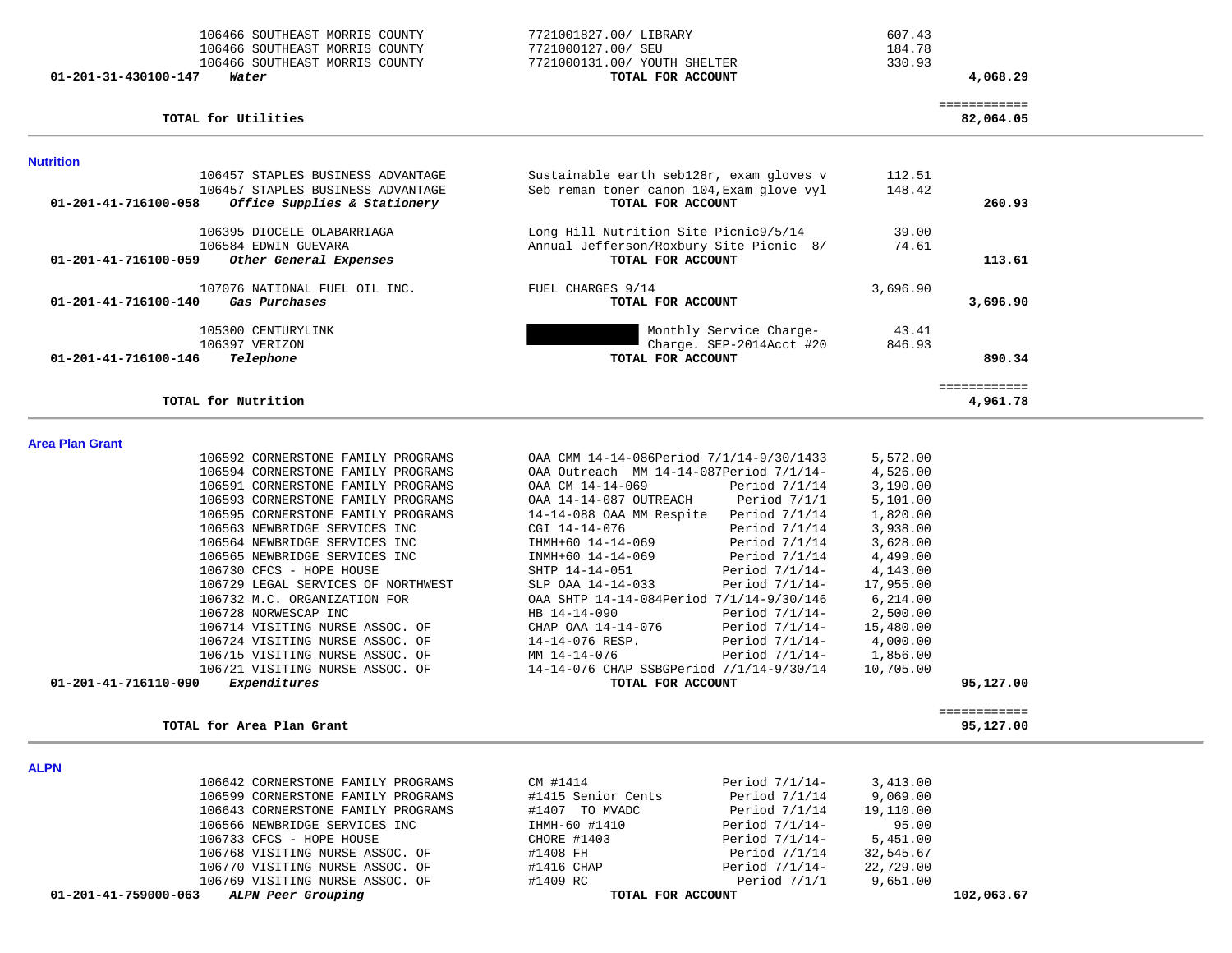| 106466 SOUTHEAST MORRIS COUNTY<br>106466 SOUTHEAST MORRIS COUNTY<br>106466 SOUTHEAST MORRIS COUNTY<br>$01 - 201 - 31 - 430100 - 147$<br>Water | 7721001827.00/ LIBRARY<br>7721000127.00/ SEU<br>7721000131.00/ YOUTH SHELTER<br>TOTAL FOR ACCOUNT | 607.43<br>184.78<br>330.93 | 4,068.29                  |  |
|-----------------------------------------------------------------------------------------------------------------------------------------------|---------------------------------------------------------------------------------------------------|----------------------------|---------------------------|--|
| TOTAL for Utilities                                                                                                                           |                                                                                                   |                            | ============<br>82,064.05 |  |
| <b>Nutrition</b>                                                                                                                              |                                                                                                   |                            |                           |  |
| 106457 STAPLES BUSINESS ADVANTAGE                                                                                                             | Sustainable earth seb128r, exam gloves v                                                          | 112.51                     |                           |  |
| 106457 STAPLES BUSINESS ADVANTAGE                                                                                                             | Seb reman toner canon 104, Exam glove vyl                                                         | 148.42                     |                           |  |
| 01-201-41-716100-058<br>Office Supplies & Stationery                                                                                          | TOTAL FOR ACCOUNT                                                                                 |                            | 260.93                    |  |
| 106395 DIOCELE OLABARRIAGA                                                                                                                    | Long Hill Nutrition Site Picnic9/5/14                                                             | 39.00                      |                           |  |
| 106584 EDWIN GUEVARA                                                                                                                          | Annual Jefferson/Roxbury Site Picnic 8/                                                           | 74.61                      |                           |  |
| 01-201-41-716100-059<br>Other General Expenses                                                                                                | TOTAL FOR ACCOUNT                                                                                 |                            | 113.61                    |  |
| 107076 NATIONAL FUEL OIL INC.                                                                                                                 | FUEL CHARGES 9/14                                                                                 | 3,696.90                   |                           |  |
| 01-201-41-716100-140<br>Gas Purchases                                                                                                         | TOTAL FOR ACCOUNT                                                                                 |                            | 3,696.90                  |  |
| 105300 CENTURYLINK                                                                                                                            | Monthly Service Charge-                                                                           | 43.41                      |                           |  |
| 106397 VERIZON                                                                                                                                | Charge. SEP-2014Acct #20                                                                          | 846.93                     |                           |  |
| $01 - 201 - 41 - 716100 - 146$<br>Telephone                                                                                                   | TOTAL FOR ACCOUNT                                                                                 |                            | 890.34                    |  |
|                                                                                                                                               |                                                                                                   |                            |                           |  |

#### ============ **TOTAL for Nutrition 4,961.78**

#### **Area Plan Gra**

|                        |                                                                                                                                                                                                                                                                                                                                                                                                                                                                                                                 | 5,572.00                                                                                                                                                                                                                     |           |
|------------------------|-----------------------------------------------------------------------------------------------------------------------------------------------------------------------------------------------------------------------------------------------------------------------------------------------------------------------------------------------------------------------------------------------------------------------------------------------------------------------------------------------------------------|------------------------------------------------------------------------------------------------------------------------------------------------------------------------------------------------------------------------------|-----------|
|                        |                                                                                                                                                                                                                                                                                                                                                                                                                                                                                                                 | 4,526.00                                                                                                                                                                                                                     |           |
| OAA CM 14-14-069       | Period 7/1/14                                                                                                                                                                                                                                                                                                                                                                                                                                                                                                   | 3,190.00                                                                                                                                                                                                                     |           |
| OAA 14-14-087 OUTREACH | Period 7/1/1                                                                                                                                                                                                                                                                                                                                                                                                                                                                                                    | 5,101.00                                                                                                                                                                                                                     |           |
|                        | Period 7/1/14                                                                                                                                                                                                                                                                                                                                                                                                                                                                                                   | 1,820.00                                                                                                                                                                                                                     |           |
| CGI 14-14-076          | Period $7/1/14$                                                                                                                                                                                                                                                                                                                                                                                                                                                                                                 | 3,938.00                                                                                                                                                                                                                     |           |
| IHMH+60 14-14-069      | Period 7/1/14                                                                                                                                                                                                                                                                                                                                                                                                                                                                                                   | 3,628.00                                                                                                                                                                                                                     |           |
| INMH+60 14-14-069      | Period 7/1/14                                                                                                                                                                                                                                                                                                                                                                                                                                                                                                   | 4,499.00                                                                                                                                                                                                                     |           |
| SHTP 14-14-051         | Period 7/1/14-                                                                                                                                                                                                                                                                                                                                                                                                                                                                                                  | 4,143.00                                                                                                                                                                                                                     |           |
| SLP OAA 14-14-033      | Period 7/1/14-                                                                                                                                                                                                                                                                                                                                                                                                                                                                                                  | 17,955.00                                                                                                                                                                                                                    |           |
|                        |                                                                                                                                                                                                                                                                                                                                                                                                                                                                                                                 | 6,214.00                                                                                                                                                                                                                     |           |
| HB 14-14-090           | Period 7/1/14-                                                                                                                                                                                                                                                                                                                                                                                                                                                                                                  | 2,500.00                                                                                                                                                                                                                     |           |
| CHAP OAA 14-14-076     | Period 7/1/14-                                                                                                                                                                                                                                                                                                                                                                                                                                                                                                  | 15,480.00                                                                                                                                                                                                                    |           |
| 14-14-076 RESP.        | Period 7/1/14-                                                                                                                                                                                                                                                                                                                                                                                                                                                                                                  | 4,000.00                                                                                                                                                                                                                     |           |
| MM 14-14-076           | Period 7/1/14-                                                                                                                                                                                                                                                                                                                                                                                                                                                                                                  | 1,856.00                                                                                                                                                                                                                     |           |
|                        |                                                                                                                                                                                                                                                                                                                                                                                                                                                                                                                 | 10,705.00                                                                                                                                                                                                                    |           |
|                        |                                                                                                                                                                                                                                                                                                                                                                                                                                                                                                                 |                                                                                                                                                                                                                              | 95,127.00 |
|                        | 106592 CORNERSTONE FAMILY PROGRAMS<br>106594 CORNERSTONE FAMILY PROGRAMS<br>106591 CORNERSTONE FAMILY PROGRAMS<br>106593 CORNERSTONE FAMILY PROGRAMS<br>106595 CORNERSTONE FAMILY PROGRAMS<br>106563 NEWBRIDGE SERVICES INC<br>106564 NEWBRIDGE SERVICES INC<br>106565 NEWBRIDGE SERVICES INC<br>106729 LEGAL SERVICES OF NORTHWEST<br>106732 M.C. ORGANIZATION FOR<br>106714 VISITING NURSE ASSOC. OF<br>106724 VISITING NURSE ASSOC. OF<br>106715 VISITING NURSE ASSOC. OF<br>106721 VISITING NURSE ASSOC. OF | OAA CMM 14-14-086Period 7/1/14-9/30/1433<br>OAA Outreach MM 14-14-087Period 7/1/14-<br>14-14-088 OAA MM Respite<br>OAA SHTP 14-14-084Period 7/1/14-9/30/146<br>14-14-076 CHAP SSBGPeriod 7/1/14-9/30/14<br>TOTAL FOR ACCOUNT |           |

| $114 - 14 - 069$                    | Period $7/1/14$   | 3,190.00  |
|-------------------------------------|-------------------|-----------|
| -14-087 OUTREACH                    | Period $7/1/1$    | 5,101.00  |
| 088 OAA MM Respite                  | Period 7/1/14     | 1,820.00  |
| $-14 - 076$                         | Period 7/1/14     | 3,938.00  |
| 0 14-14-069                         | Period $7/1/14$   | 3,628.00  |
| 0 14-14-069                         | Period $7/1/14$   | 4,499.00  |
| $-4 - 14 - 051$                     | Period $7/1/14$ - | 4,143.00  |
| A 14-14-033                         | Period 7/1/14-    | 17,955.00 |
| ITP 14-14-084Period 7/1/14-9/30/146 |                   | 6,214.00  |
| $-14 - 090$                         | Period $7/1/14$ - | 2,500.00  |
| AA 14-14-076                        | Period $7/1/14$ - | 15,480.00 |
| $-076$ RESP.                        | Period $7/1/14$ - | 4,000.00  |
| $-14 - 076$                         | Period $7/1/14$ - | 1,856.00  |
| 076 CHAP SSBGPeriod 7/1/14-9/30/14  |                   | 10,705.00 |
| <b>TOTAL FOR ACCOUNT</b>            |                   |           |

# ============

| TOTAL for Area Plan Grant          |                    |                  |           | 95,127.00 |
|------------------------------------|--------------------|------------------|-----------|-----------|
|                                    |                    |                  |           |           |
| 106642 CORNERSTONE FAMILY PROGRAMS | CM #1414           | Period $7/1/14-$ | 3,413.00  |           |
| 106599 CORNERSTONE FAMILY PROGRAMS | #1415 Senior Cents | Period 7/1/14    | 9,069,00  |           |
| 106643 CORNERSTONE FAMILY PROGRAMS | TO MVADC<br>#1407  | Period 7/1/14    | 19,110.00 |           |
| 106566 NEWBRIDGE SERVICES INC      | IHMH-60 #1410      | Period $7/1/14-$ | 95.00     |           |

**ALPN** 

| 01-201-41-759000-063<br>ALPN Peer Grouping |               | TOTAL FOR ACCOUNT |           | 102,063.67 |
|--------------------------------------------|---------------|-------------------|-----------|------------|
| 106769 VISITING NURSE ASSOC. OF            | #1409 RC      | Period $7/1/1$    | 9,651.00  |            |
| 106770 VISITING NURSE ASSOC. OF            | #1416 CHAP    | Period $7/1/14-$  | 22,729.00 |            |
| 106768 VISITING NURSE ASSOC. OF            | #1408 FH      | Period 7/1/14     | 32,545.67 |            |
| 106733 CFCS - HOPE HOUSE                   | CHORE #1403   | Period 7/1/14-    | 5,451.00  |            |
| 106566 NEWBRIDGE SERVICES INC              | IHMH-60 #1410 | Period 7/1/14-    | 95.00     |            |
|                                            |               |                   |           |            |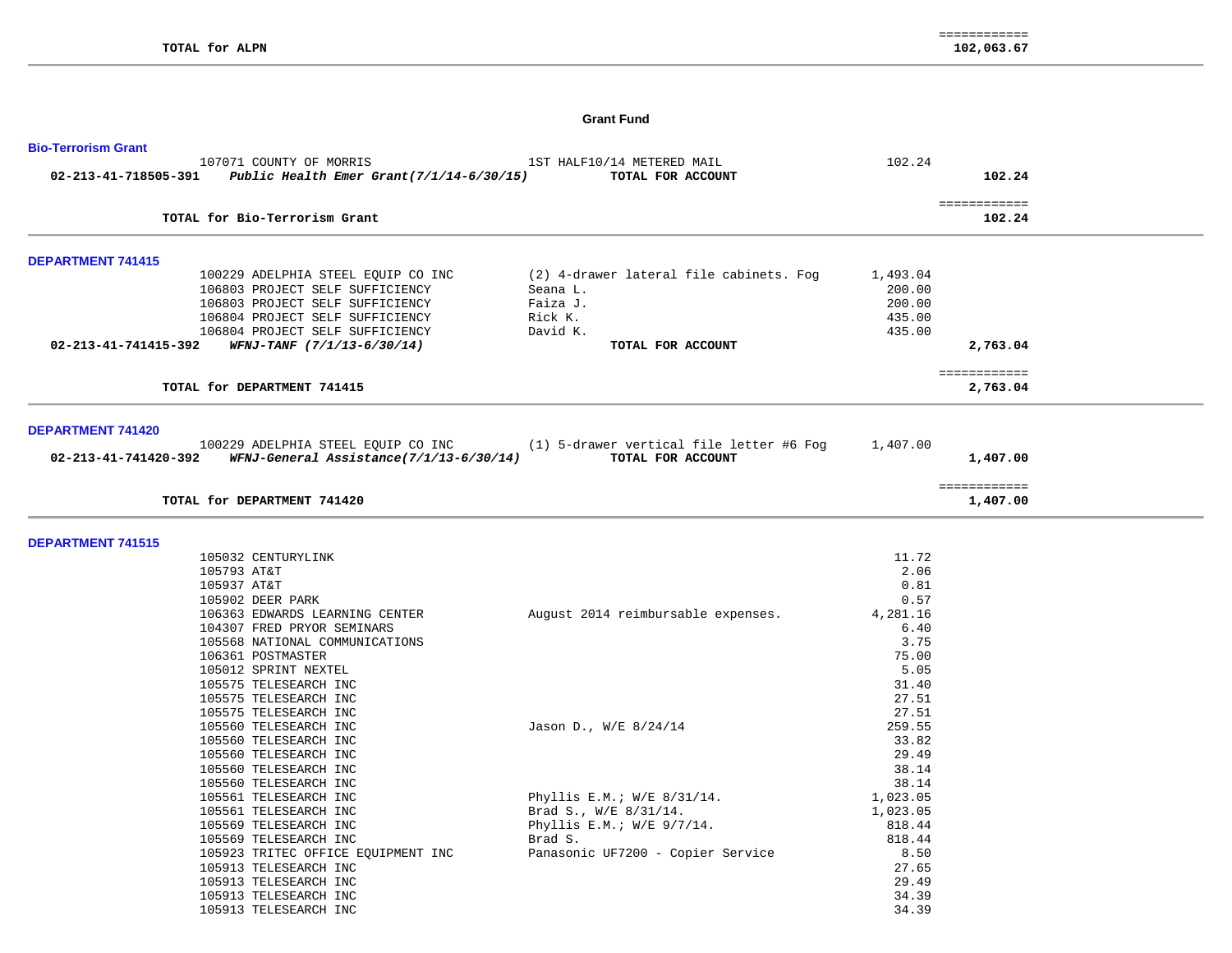## **Grant Fund**

| <b>Bio-Terrorism Grant</b>                                                      |                                         |          |                          |
|---------------------------------------------------------------------------------|-----------------------------------------|----------|--------------------------|
| 107071 COUNTY OF MORRIS                                                         | 1ST HALF10/14 METERED MAIL              | 102.24   |                          |
| 02-213-41-718505-391 Public Health Emer Grant(7/1/14-6/30/15) TOTAL FOR ACCOUNT |                                         |          | 102.24                   |
|                                                                                 |                                         |          | ============             |
| TOTAL for Bio-Terrorism Grant                                                   |                                         |          | 102.24                   |
| <b>DEPARTMENT 741415</b>                                                        |                                         |          |                          |
| 100229 ADELPHIA STEEL EQUIP CO INC                                              | (2) 4-drawer lateral file cabinets. Fog | 1,493.04 |                          |
| 106803 PROJECT SELF SUFFICIENCY                                                 | Seana L.                                | 200.00   |                          |
| 106803 PROJECT SELF SUFFICIENCY                                                 | Faiza J.                                | 200.00   |                          |
| 106804 PROJECT SELF SUFFICIENCY                                                 | Rick K.                                 | 435.00   |                          |
| 106804 PROJECT SELF SUFFICIENCY                                                 | David K.                                | 435.00   |                          |
| $02 - 213 - 41 - 741415 - 392$ WFNJ-TANF $(7/1/13 - 6/30/14)$                   | TOTAL FOR ACCOUNT                       |          | 2,763.04                 |
|                                                                                 |                                         |          |                          |
| TOTAL for DEPARTMENT 741415                                                     |                                         |          | ============<br>2,763.04 |
|                                                                                 |                                         |          |                          |
| DEPARTMENT 741420                                                               |                                         |          |                          |
| 100229 ADELPHIA STEEL EQUIP CO INC (1) 5-drawer vertical file letter #6 Fog     |                                         | 1,407.00 |                          |
| 02-213-41-741420-392 WFNJ-General Assistance(7/1/13-6/30/14) TOTAL FOR ACCOUNT  |                                         |          | 1,407.00                 |
|                                                                                 |                                         |          | ============             |
| TOTAL for DEPARTMENT 741420                                                     |                                         |          | 1,407.00                 |
| <b>DEPARTMENT 741515</b>                                                        |                                         |          |                          |
| 105032 CENTURYLINK                                                              |                                         | 11.72    |                          |
| 105793 AT&T                                                                     |                                         | 2.06     |                          |
| 105937 AT&T                                                                     |                                         | 0.81     |                          |
| 105902 DEER PARK                                                                |                                         | 0.57     |                          |
| 106363 EDWARDS LEARNING CENTER                                                  | August 2014 reimbursable expenses.      | 4,281.16 |                          |
| 104307 FRED PRYOR SEMINARS                                                      |                                         | 6.40     |                          |
| 105568 NATIONAL COMMUNICATIONS                                                  |                                         | 3.75     |                          |
| 106361 POSTMASTER                                                               |                                         | 75.00    |                          |
| 105012 SPRINT NEXTEL                                                            |                                         | 5.05     |                          |
| 105575 TELESEARCH INC                                                           |                                         | 31.40    |                          |
| 105575 TELESEARCH INC                                                           |                                         | 27.51    |                          |
| 105575 TELESEARCH INC                                                           |                                         | 27.51    |                          |
| 105560 TELESEARCH INC                                                           | Jason D., W/E 8/24/14                   | 259.55   |                          |
| 105560 TELESEARCH INC                                                           |                                         | 33.82    |                          |
| 105560 TELESEARCH INC                                                           |                                         | 29.49    |                          |
| 105560 TELESEARCH INC                                                           |                                         | 38.14    |                          |
| 105560 TELESEARCH INC                                                           |                                         | 38.14    |                          |
| 105561 TELESEARCH INC                                                           | Phyllis E.M.; W/E 8/31/14.              | 1,023.05 |                          |
| 105561 TELESEARCH INC                                                           | Brad S., W/E 8/31/14.                   | 1,023.05 |                          |
| 105569 TELESEARCH INC                                                           | Phyllis E.M.; $W/E$ 9/7/14.             | 818.44   |                          |
| 105569 TELESEARCH INC                                                           | Brad S.                                 | 818.44   |                          |
| 105923 TRITEC OFFICE EQUIPMENT INC                                              | Panasonic UF7200 - Copier Service       | 8.50     |                          |
| 105913 TELESEARCH INC                                                           |                                         | 27.65    |                          |
| 105913 TELESEARCH INC                                                           |                                         | 29.49    |                          |
| 105913 TELESEARCH INC                                                           |                                         | 34.39    |                          |
| 105913 TELESEARCH INC                                                           |                                         | 34.39    |                          |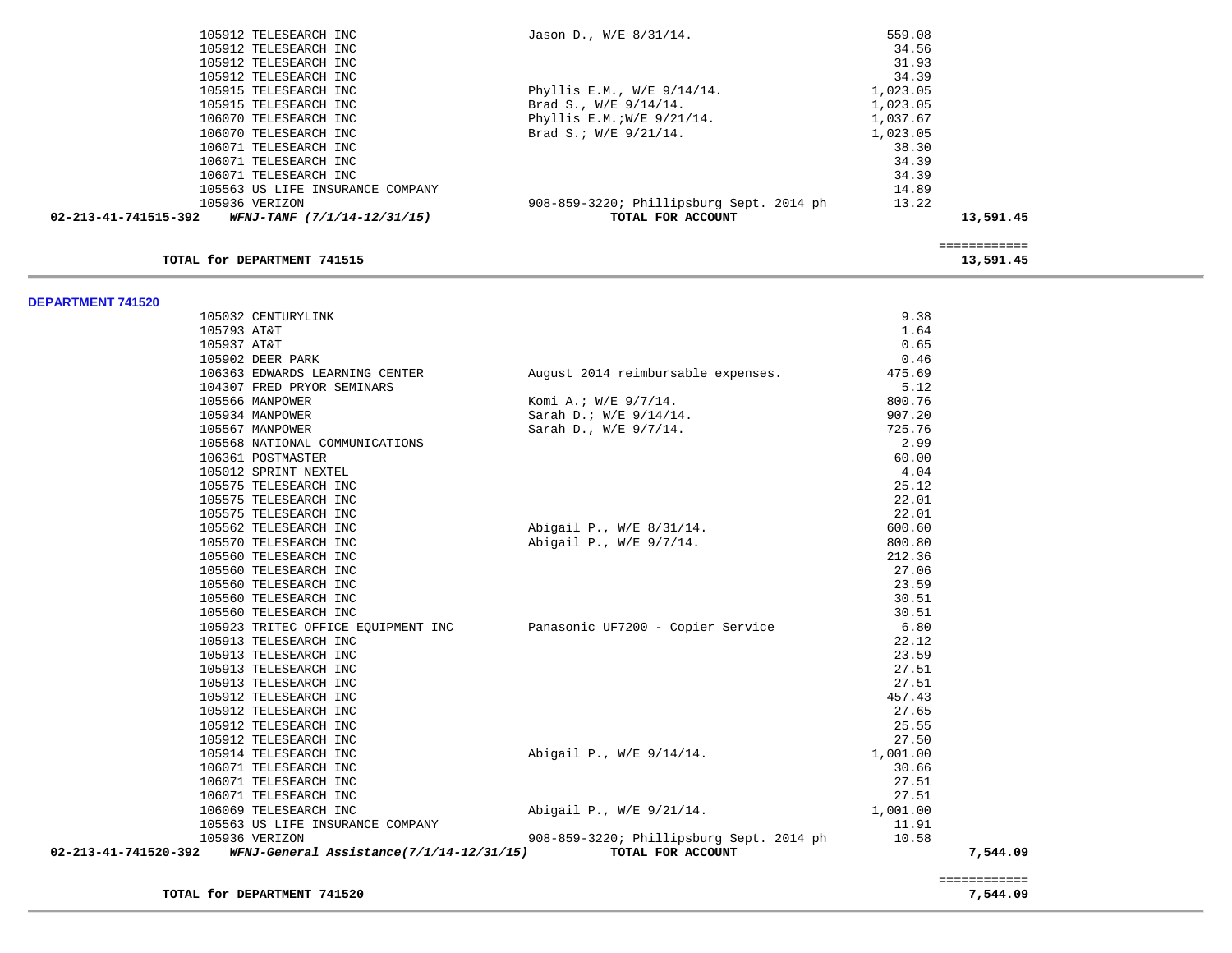| Jason D., W/E 8/31/14.                   |          |           |
|------------------------------------------|----------|-----------|
|                                          | 34.56    |           |
|                                          | 31.93    |           |
|                                          | 34.39    |           |
| Phyllis E.M., $W/E = 9/14/14$ .          | 1,023.05 |           |
| Brad S., $W/E = 9/14/14$ .               | 1,023.05 |           |
| Phyllis E.M.; $W/E$ 9/21/14.             | 1,037.67 |           |
| Brad S.; $W/E$ 9/21/14.                  | 1,023.05 |           |
|                                          | 38.30    |           |
|                                          | 34.39    |           |
|                                          | 34.39    |           |
|                                          | 14.89    |           |
| 908-859-3220; Phillipsburg Sept. 2014 ph | 13.22    |           |
| TOTAL FOR ACCOUNT                        |          | 13,591.45 |
|                                          |          | 559.08    |

### **TOTAL for DEPARTMENT 741515** 13,591.45

============

**DEPARTMENT 741520**

|                      | 105032 CENTURYLINK                                                   |                                                                          | 9.38     |          |
|----------------------|----------------------------------------------------------------------|--------------------------------------------------------------------------|----------|----------|
|                      | 105793 AT&T                                                          |                                                                          | 1.64     |          |
|                      | 105937 AT&T                                                          |                                                                          | 0.65     |          |
|                      | 105902 DEER PARK                                                     |                                                                          | 0.46     |          |
|                      |                                                                      | 106363 EDWARDS LEARNING CENTER August 2014 reimbursable expenses. 475.69 |          |          |
|                      | 104307 FRED PRYOR SEMINARS                                           |                                                                          | 5.12     |          |
|                      | 105566 MANPOWER                                                      | Komi A.; W/E 9/7/14.<br>Sarah D.; W/E 9/14/14.                           | 800.76   |          |
|                      | 105934 MANPOWER                                                      |                                                                          | 907.20   |          |
|                      | 105567 MANPOWER                                                      | Sarah D., W/E 9/7/14.                                                    | 725.76   |          |
|                      | 105568 NATIONAL COMMUNICATIONS                                       |                                                                          | 2.99     |          |
|                      | 106361 POSTMASTER                                                    |                                                                          | 60.00    |          |
|                      | 105012 SPRINT NEXTEL                                                 |                                                                          | 4.04     |          |
|                      | 105575 TELESEARCH INC                                                |                                                                          | 25.12    |          |
|                      | 105575 TELESEARCH INC                                                |                                                                          | 22.01    |          |
|                      | 105575 TELESEARCH INC                                                |                                                                          | 22.01    |          |
|                      | 105562 TELESEARCH INC                                                | Abigail P., W/E 8/31/14.                                                 | 600.60   |          |
|                      | 105570 TELESEARCH INC                                                | Abigail P., W/E 9/7/14.                                                  | 800.80   |          |
|                      | 105560 TELESEARCH INC                                                |                                                                          | 212.36   |          |
|                      | 105560 TELESEARCH INC                                                |                                                                          | 27.06    |          |
|                      | 105560 TELESEARCH INC                                                |                                                                          | 23.59    |          |
|                      | 105560 TELESEARCH INC                                                |                                                                          | 30.51    |          |
|                      | 105560 TELESEARCH INC                                                |                                                                          | 30.51    |          |
|                      | 105923 TRITEC OFFICE EQUIPMENT INC Panasonic UF7200 - Copier Service |                                                                          | 6.80     |          |
|                      | 105913 TELESEARCH INC                                                |                                                                          | 22.12    |          |
|                      | 105913 TELESEARCH INC                                                |                                                                          | 23.59    |          |
|                      | 105913 TELESEARCH INC                                                |                                                                          | 27.51    |          |
|                      | 105913 TELESEARCH INC                                                |                                                                          | 27.51    |          |
|                      | 105912 TELESEARCH INC                                                |                                                                          | 457.43   |          |
|                      | 105912 TELESEARCH INC                                                |                                                                          | 27.65    |          |
|                      | 105912 TELESEARCH INC                                                |                                                                          | 25.55    |          |
|                      | 105912 TELESEARCH INC                                                |                                                                          | 27.50    |          |
|                      | 105914 TELESEARCH INC                                                | Abigail P., W/E 9/14/14.                                                 | 1,001.00 |          |
|                      | 106071 TELESEARCH INC                                                |                                                                          | 30.66    |          |
|                      | 106071 TELESEARCH INC                                                |                                                                          | 27.51    |          |
|                      | 106071 TELESEARCH INC                                                |                                                                          | 27.51    |          |
|                      | 106069 TELESEARCH INC                                                | Abigail P., W/E 9/21/14.                                                 | 1,001.00 |          |
|                      | 105563 US LIFE INSURANCE COMPANY                                     |                                                                          | 11.91    |          |
|                      | 105936 VERIZON                                                       | 908-859-3220; Phillipsburg Sept. 2014 ph                                 | 10.58    |          |
| 02-213-41-741520-392 | WFNJ-General Assistance(7/1/14-12/31/15)                             | TOTAL FOR ACCOUNT                                                        |          | 7,544.09 |

**TOTAL for DEPARTMENT 741520 7,544.09**

============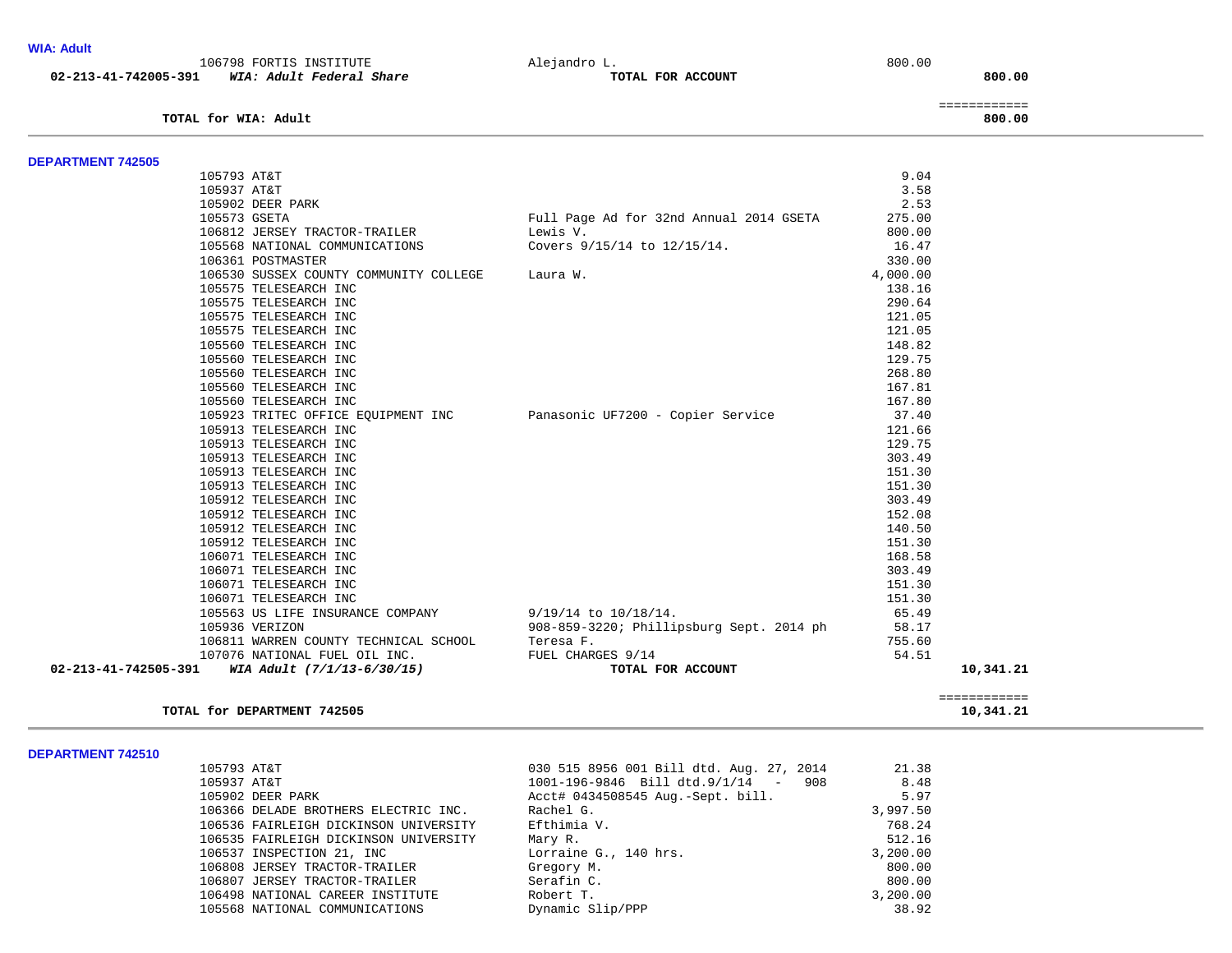| <b>WIA: Adult</b>        | 106798 FORTIS INSTITUTE                                         | Alejandro L.                             | 800.00                 |
|--------------------------|-----------------------------------------------------------------|------------------------------------------|------------------------|
| 02-213-41-742005-391     | WIA: Adult Federal Share                                        | TOTAL FOR ACCOUNT                        | 800.00                 |
|                          | TOTAL for WIA: Adult                                            |                                          | ============<br>800.00 |
|                          |                                                                 |                                          |                        |
| <b>DEPARTMENT 742505</b> |                                                                 |                                          |                        |
|                          | 105793 AT&T                                                     |                                          | 9.04                   |
|                          | 105937 AT&T                                                     |                                          | 3.58                   |
|                          | 105902 DEER PARK                                                |                                          | 2.53                   |
|                          | 105573 GSETA                                                    | Full Page Ad for 32nd Annual 2014 GSETA  | 275.00                 |
|                          | 106812 JERSEY TRACTOR-TRAILER<br>105568 NATIONAL COMMUNICATIONS | Lewis V.<br>Covers 9/15/14 to 12/15/14.  | 800.00<br>16.47        |
|                          | 106361 POSTMASTER                                               |                                          | 330.00                 |
|                          | 106530 SUSSEX COUNTY COMMUNITY COLLEGE                          | Laura W.                                 | 4,000.00               |
|                          | 105575 TELESEARCH INC                                           |                                          | 138.16                 |
|                          | 105575 TELESEARCH INC                                           |                                          | 290.64                 |
|                          | 105575 TELESEARCH INC                                           |                                          | 121.05                 |
|                          | 105575 TELESEARCH INC                                           |                                          | 121.05                 |
|                          | 105560 TELESEARCH INC                                           |                                          | 148.82                 |
|                          | 105560 TELESEARCH INC                                           |                                          | 129.75                 |
|                          | 105560 TELESEARCH INC                                           |                                          | 268.80                 |
|                          | 105560 TELESEARCH INC                                           |                                          | 167.81                 |
|                          | 105560 TELESEARCH INC                                           |                                          | 167.80                 |
|                          | 105923 TRITEC OFFICE EQUIPMENT INC                              | Panasonic UF7200 - Copier Service        | 37.40                  |
|                          | 105913 TELESEARCH INC                                           |                                          | 121.66                 |
|                          | 105913 TELESEARCH INC                                           |                                          | 129.75                 |
|                          | 105913 TELESEARCH INC                                           |                                          | 303.49                 |
|                          | 105913 TELESEARCH INC                                           |                                          | 151.30                 |
|                          | 105913 TELESEARCH INC                                           |                                          | 151.30                 |
|                          | 105912 TELESEARCH INC                                           |                                          | 303.49                 |
|                          | 105912 TELESEARCH INC                                           |                                          | 152.08                 |
|                          | 105912 TELESEARCH INC                                           |                                          | 140.50                 |
|                          | 105912 TELESEARCH INC                                           |                                          | 151.30                 |
|                          | 106071 TELESEARCH INC                                           |                                          | 168.58                 |
|                          | 106071 TELESEARCH INC                                           |                                          | 303.49                 |
|                          | 106071 TELESEARCH INC                                           |                                          | 151.30                 |
|                          | 106071 TELESEARCH INC                                           |                                          | 151.30                 |
|                          | 105563 US LIFE INSURANCE COMPANY                                | $9/19/14$ to $10/18/14$ .                | 65.49                  |
|                          | 105936 VERIZON                                                  | 908-859-3220; Phillipsburg Sept. 2014 ph | 58.17                  |
|                          | 106811 WARREN COUNTY TECHNICAL SCHOOL                           | Teresa F.                                | 755.60                 |
|                          | 107076 NATIONAL FUEL OIL INC.                                   | FUEL CHARGES 9/14                        | 54.51                  |
| 02-213-41-742505-391     | WIA Adult (7/1/13-6/30/15)                                      | TOTAL FOR ACCOUNT                        | 10,341.21              |

**TOTAL for DEPARTMENT 742505** 10,341.21

## **DEPARTMENT 742510**

 $\equiv$ 

| 105793 AT&T                           | 030 515 8956 001 Bill dtd. Aug. 27, 2014 | 21.38    |
|---------------------------------------|------------------------------------------|----------|
| 105937 AT&T                           | $1001-196-9846$ Bill dtd. $9/1/14$ - 908 | 8.48     |
| 105902 DEER PARK                      | Acct# 0434508545 Aug.-Sept. bill.        | 5.97     |
| 106366 DELADE BROTHERS ELECTRIC INC.  | Rachel G.                                | 3,997.50 |
| 106536 FAIRLEIGH DICKINSON UNIVERSITY | Efthimia V.                              | 768.24   |
| 106535 FAIRLEIGH DICKINSON UNIVERSITY | Mary R.                                  | 512.16   |
| 106537 INSPECTION 21, INC             | Lorraine G., 140 hrs.                    | 3,200.00 |
| 106808 JERSEY TRACTOR-TRAILER         | Gregory M.                               | 800.00   |
| 106807 JERSEY TRACTOR-TRAILER         | Serafin C.                               | 800.00   |
| 106498 NATIONAL CAREER INSTITUTE      | Robert T.                                | 3,200.00 |
| 105568 NATIONAL COMMUNICATIONS        | Dynamic Slip/PPP                         | 38.92    |
|                                       |                                          |          |

============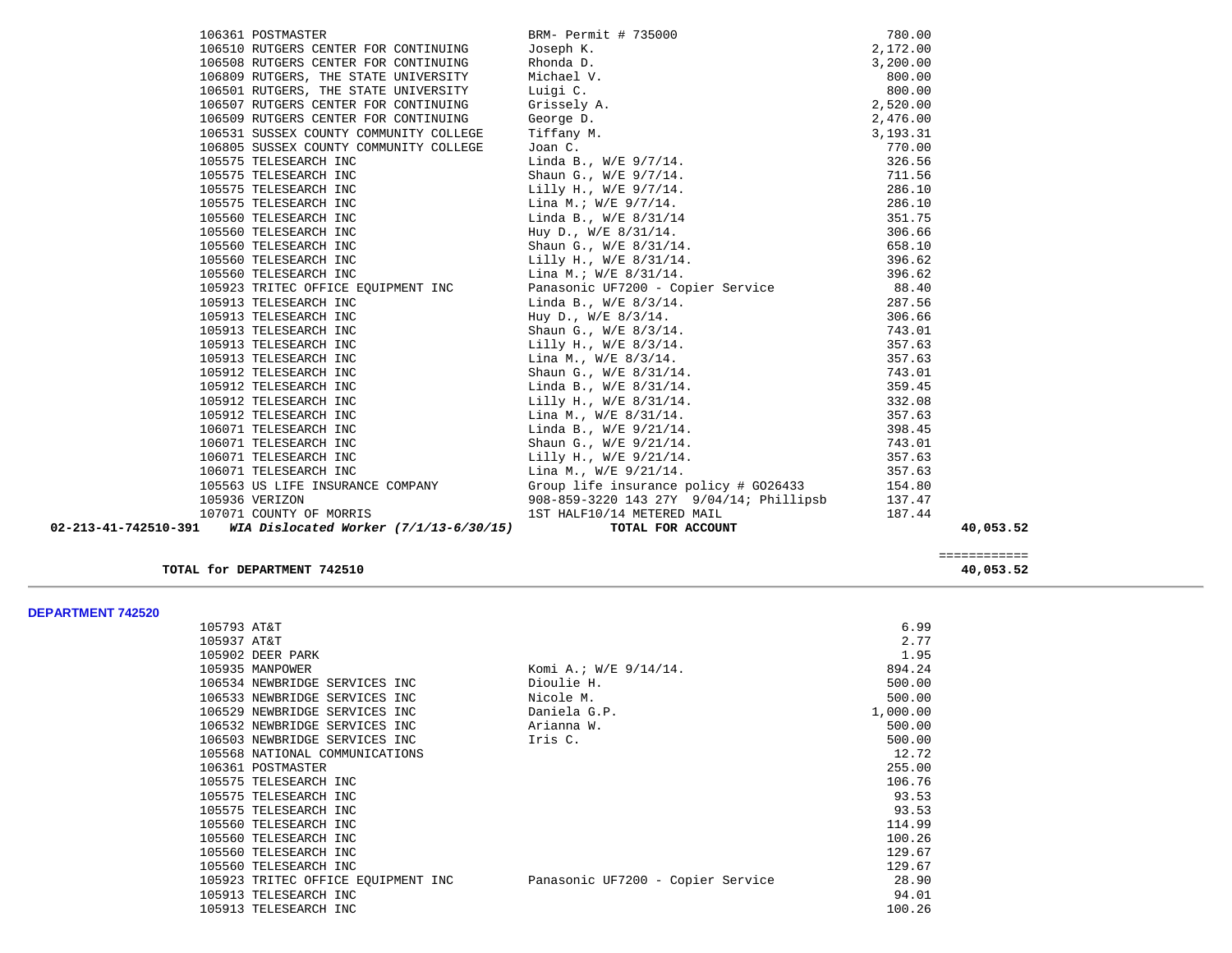| 106361 POSTMASTER                                              | BRM- Permit # 735000                    | 780.00     |           |
|----------------------------------------------------------------|-----------------------------------------|------------|-----------|
| 106510 RUTGERS CENTER FOR CONTINUING                           | Joseph K.                               | 2,172.00   |           |
| 106508 RUTGERS CENTER FOR CONTINUING                           | Rhonda D.                               | 3,200.00   |           |
| 106809 RUTGERS, THE STATE UNIVERSITY                           | Michael V.                              | 800.00     |           |
| 106501 RUTGERS, THE STATE UNIVERSITY                           | Luigi C.                                | 800.00     |           |
| 106507 RUTGERS CENTER FOR CONTINUING                           | Grissely A.                             | 2,520.00   |           |
| 106509 RUTGERS CENTER FOR CONTINUING                           | George D.                               | 2,476.00   |           |
| 106531 SUSSEX COUNTY COMMUNITY COLLEGE                         | Tiffany M.                              | 3, 193. 31 |           |
| 106805 SUSSEX COUNTY COMMUNITY COLLEGE                         | Joan C.<br>Linda B., W/E 9/7/14.        | 770.00     |           |
| 105575 TELESEARCH INC                                          |                                         | 326.56     |           |
| 105575 TELESEARCH INC                                          |                                         | 711.56     |           |
| 105575 TELESEARCH INC                                          | Lilly H., W/E 9/7/14.                   | 286.10     |           |
| 105575 TELESEARCH INC                                          | Lina M.; W/E 9/7/14.                    | 286.10     |           |
| 105560 TELESEARCH INC                                          | Linda B., W/E 8/31/14                   | 351.75     |           |
| 105560 TELESEARCH INC                                          | Huy D., W/E 8/31/14.                    | 306.66     |           |
| 105560 TELESEARCH INC                                          | Shaun G., W/E 8/31/14.                  | 658.10     |           |
| 105560 TELESEARCH INC                                          | Lilly H., W/E 8/31/14.                  | 396.62     |           |
| 105560 TELESEARCH INC                                          | Lina M.; W/E 8/31/14.                   | 396.62     |           |
| 105923 TRITEC OFFICE EQUIPMENT INC                             | Panasonic UF7200 - Copier Service 88.40 |            |           |
| 105913 TELESEARCH INC                                          | Linda B., $W/E$ 8/3/14.                 | 287.56     |           |
| 105913 TELESEARCH INC                                          | Huy D., W/E 8/3/14.                     | 306.66     |           |
| 105913 TELESEARCH INC                                          | Shaun G., W/E 8/3/14.                   | 743.01     |           |
| 105913 TELESEARCH INC                                          | Lilly H., W/E 8/3/14.                   | 357.63     |           |
| 105913 TELESEARCH INC                                          | Lina M., W/E 8/3/14.                    | 357.63     |           |
| 105912 TELESEARCH INC                                          | Shaun G., W/E 8/31/14.                  | 743.01     |           |
| 105912 TELESEARCH INC                                          | Linda B., W/E 8/31/14.                  | 359.45     |           |
| 105912 TELESEARCH INC                                          | Lilly H., W/E 8/31/14.                  | 332.08     |           |
| 105912 TELESEARCH INC                                          | Lina M., $W/E = 8/31/14$ .              | 357.63     |           |
| 106071 TELESEARCH INC                                          | Linda B., W/E 9/21/14.                  | 398.45     |           |
| 106071 TELESEARCH INC                                          | Shaun G., W/E 9/21/14.                  | 743.01     |           |
| 106071 TELESEARCH INC                                          | Lilly H., W/E 9/21/14.                  | 357.63     |           |
| 106071 TELESEARCH INC                                          | Lina M., W/E 9/21/14.                   | 357.63     |           |
| 105563 US LIFE INSURANCE COMPANY                               | Group life insurance policy # GO26433   | 154.80     |           |
| 105936 VERIZON                                                 | 908-859-3220 143 27Y 9/04/14; Phillipsb | 137.47     |           |
| 107071 COUNTY OF MORRIS                                        | 1ST HALF10/14 METERED MAIL              | 187.44     |           |
| 02-213-41-742510-391<br>WIA Dislocated Worker (7/1/13-6/30/15) | TOTAL FOR ACCOUNT                       |            | 40,053.52 |

 ============ **TOTAL for DEPARTMENT 742510 40,053.52**

**DEPARTMENT 742520** 

| DEPARIMENI 742520 |                                    |                                   |          |
|-------------------|------------------------------------|-----------------------------------|----------|
|                   | 105793 AT&T                        |                                   | 6.99     |
|                   | 105937 AT&T                        |                                   | 2.77     |
|                   | 105902 DEER PARK                   |                                   | 1.95     |
|                   | 105935 MANPOWER                    | Komi A.; $W/E$ 9/14/14.           | 894.24   |
|                   | 106534 NEWBRIDGE SERVICES INC      | Dioulie H.                        | 500.00   |
|                   | 106533 NEWBRIDGE SERVICES INC      | Nicole M.                         | 500.00   |
|                   | 106529 NEWBRIDGE SERVICES INC      | Daniela G.P.                      | 1,000.00 |
|                   | 106532 NEWBRIDGE SERVICES INC      | Arianna W.                        | 500.00   |
|                   | 106503 NEWBRIDGE SERVICES INC      | Iris C.                           | 500.00   |
|                   | 105568 NATIONAL COMMUNICATIONS     |                                   | 12.72    |
|                   | 106361 POSTMASTER                  |                                   | 255.00   |
|                   | 105575 TELESEARCH INC              |                                   | 106.76   |
|                   | 105575 TELESEARCH INC              |                                   | 93.53    |
|                   | 105575 TELESEARCH INC              |                                   | 93.53    |
|                   | 105560 TELESEARCH INC              |                                   | 114.99   |
|                   | 105560 TELESEARCH INC              |                                   | 100.26   |
|                   | 105560 TELESEARCH INC              |                                   | 129.67   |
|                   | 105560 TELESEARCH INC              |                                   | 129.67   |
|                   | 105923 TRITEC OFFICE EQUIPMENT INC | Panasonic UF7200 - Copier Service | 28.90    |
|                   | 105913 TELESEARCH INC              |                                   | 94.01    |
|                   | 105913 TELESEARCH INC              |                                   | 100.26   |
|                   |                                    |                                   |          |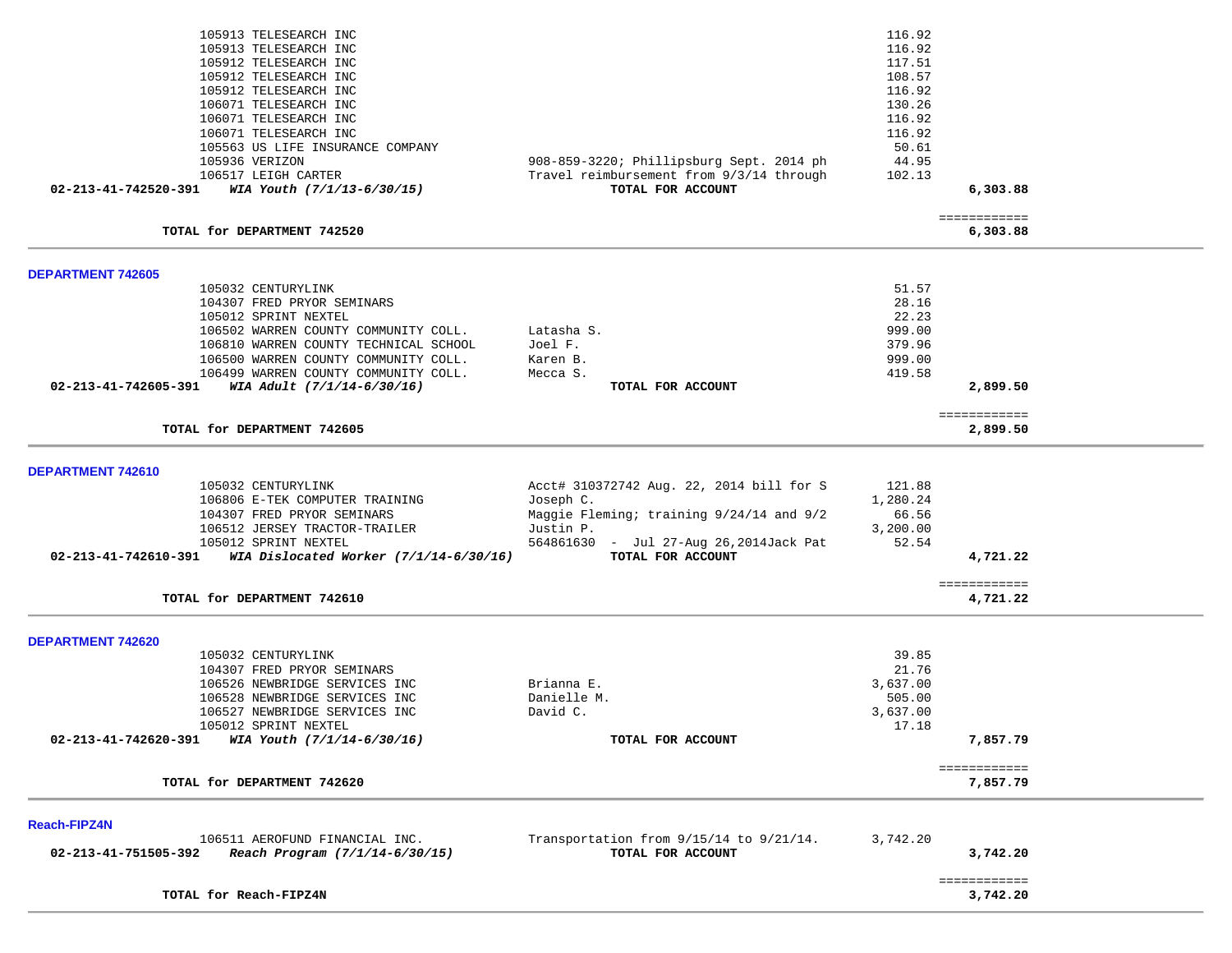|                          | 105913 TELESEARCH INC<br>105913 TELESEARCH INC<br>105912 TELESEARCH INC<br>105912 TELESEARCH INC<br>105912 TELESEARCH INC<br>106071 TELESEARCH INC<br>106071 TELESEARCH INC<br>106071 TELESEARCH INC                                                                    |                                                                                                                                                                               | 116.92<br>116.92<br>117.51<br>108.57<br>116.92<br>130.26<br>116.92<br>116.92 |                          |  |
|--------------------------|-------------------------------------------------------------------------------------------------------------------------------------------------------------------------------------------------------------------------------------------------------------------------|-------------------------------------------------------------------------------------------------------------------------------------------------------------------------------|------------------------------------------------------------------------------|--------------------------|--|
|                          | 105563 US LIFE INSURANCE COMPANY                                                                                                                                                                                                                                        |                                                                                                                                                                               | 50.61                                                                        |                          |  |
|                          | 105936 VERIZON<br>106517 LEIGH CARTER                                                                                                                                                                                                                                   | 908-859-3220; Phillipsburg Sept. 2014 ph<br>Travel reimbursement from 9/3/14 through                                                                                          | 44.95<br>102.13                                                              |                          |  |
| 02-213-41-742520-391     | WIA Youth (7/1/13-6/30/15)                                                                                                                                                                                                                                              | TOTAL FOR ACCOUNT                                                                                                                                                             |                                                                              | 6,303.88                 |  |
|                          | TOTAL for DEPARTMENT 742520                                                                                                                                                                                                                                             |                                                                                                                                                                               |                                                                              | ============<br>6,303.88 |  |
| DEPARTMENT 742605        |                                                                                                                                                                                                                                                                         |                                                                                                                                                                               |                                                                              |                          |  |
| 02-213-41-742605-391     | 105032 CENTURYLINK<br>104307 FRED PRYOR SEMINARS<br>105012 SPRINT NEXTEL<br>106502 WARREN COUNTY COMMUNITY COLL.<br>106810 WARREN COUNTY TECHNICAL SCHOOL<br>106500 WARREN COUNTY COMMUNITY COLL.<br>106499 WARREN COUNTY COMMUNITY COLL.<br>WIA Adult (7/1/14-6/30/16) | Latasha S.<br>Joel F.<br>Karen B.<br>Mecca S.<br>TOTAL FOR ACCOUNT                                                                                                            | 51.57<br>28.16<br>22.23<br>999.00<br>379.96<br>999.00<br>419.58              | 2,899.50                 |  |
|                          | TOTAL for DEPARTMENT 742605                                                                                                                                                                                                                                             |                                                                                                                                                                               |                                                                              | ============<br>2,899.50 |  |
| DEPARTMENT 742610        |                                                                                                                                                                                                                                                                         |                                                                                                                                                                               |                                                                              |                          |  |
| 02-213-41-742610-391     | 105032 CENTURYLINK<br>106806 E-TEK COMPUTER TRAINING<br>104307 FRED PRYOR SEMINARS<br>106512 JERSEY TRACTOR-TRAILER<br>105012 SPRINT NEXTEL<br>WIA Dislocated Worker $(7/1/14-6/30/16)$                                                                                 | Acct# 310372742 Aug. 22, 2014 bill for S<br>Joseph C.<br>Maggie Fleming; training 9/24/14 and 9/2<br>Justin P.<br>564861630 - Jul 27-Aug 26,2014Jack Pat<br>TOTAL FOR ACCOUNT | 121.88<br>1,280.24<br>66.56<br>3,200.00<br>52.54                             | 4,721.22<br>============ |  |
|                          | TOTAL for DEPARTMENT 742610                                                                                                                                                                                                                                             |                                                                                                                                                                               |                                                                              | 4,721.22                 |  |
| <b>DEPARTMENT 742620</b> |                                                                                                                                                                                                                                                                         |                                                                                                                                                                               |                                                                              |                          |  |
| 02-213-41-742620-391     | 105032 CENTURYLINK<br>104307 FRED PRYOR SEMINARS<br>106526 NEWBRIDGE SERVICES INC<br>106528 NEWBRIDGE SERVICES INC<br>106527 NEWBRIDGE SERVICES INC<br>105012 SPRINT NEXTEL<br>WIA Youth (7/1/14-6/30/16)                                                               | Brianna E.<br>Danielle M.<br>David C.<br>TOTAL FOR ACCOUNT                                                                                                                    | 39.85<br>21.76<br>3,637.00<br>505.00<br>3,637.00<br>17.18                    | 7,857.79<br>============ |  |
|                          | TOTAL for DEPARTMENT 742620                                                                                                                                                                                                                                             |                                                                                                                                                                               |                                                                              | 7,857.79                 |  |
| <b>Reach-FIPZ4N</b>      |                                                                                                                                                                                                                                                                         |                                                                                                                                                                               |                                                                              |                          |  |
| 02-213-41-751505-392     | 106511 AEROFUND FINANCIAL INC.<br>Reach Program (7/1/14-6/30/15)                                                                                                                                                                                                        | Transportation from 9/15/14 to 9/21/14.<br>TOTAL FOR ACCOUNT                                                                                                                  | 3,742.20                                                                     | 3,742.20                 |  |
|                          | TOTAL for Reach-FIPZ4N                                                                                                                                                                                                                                                  |                                                                                                                                                                               |                                                                              | ============<br>3,742.20 |  |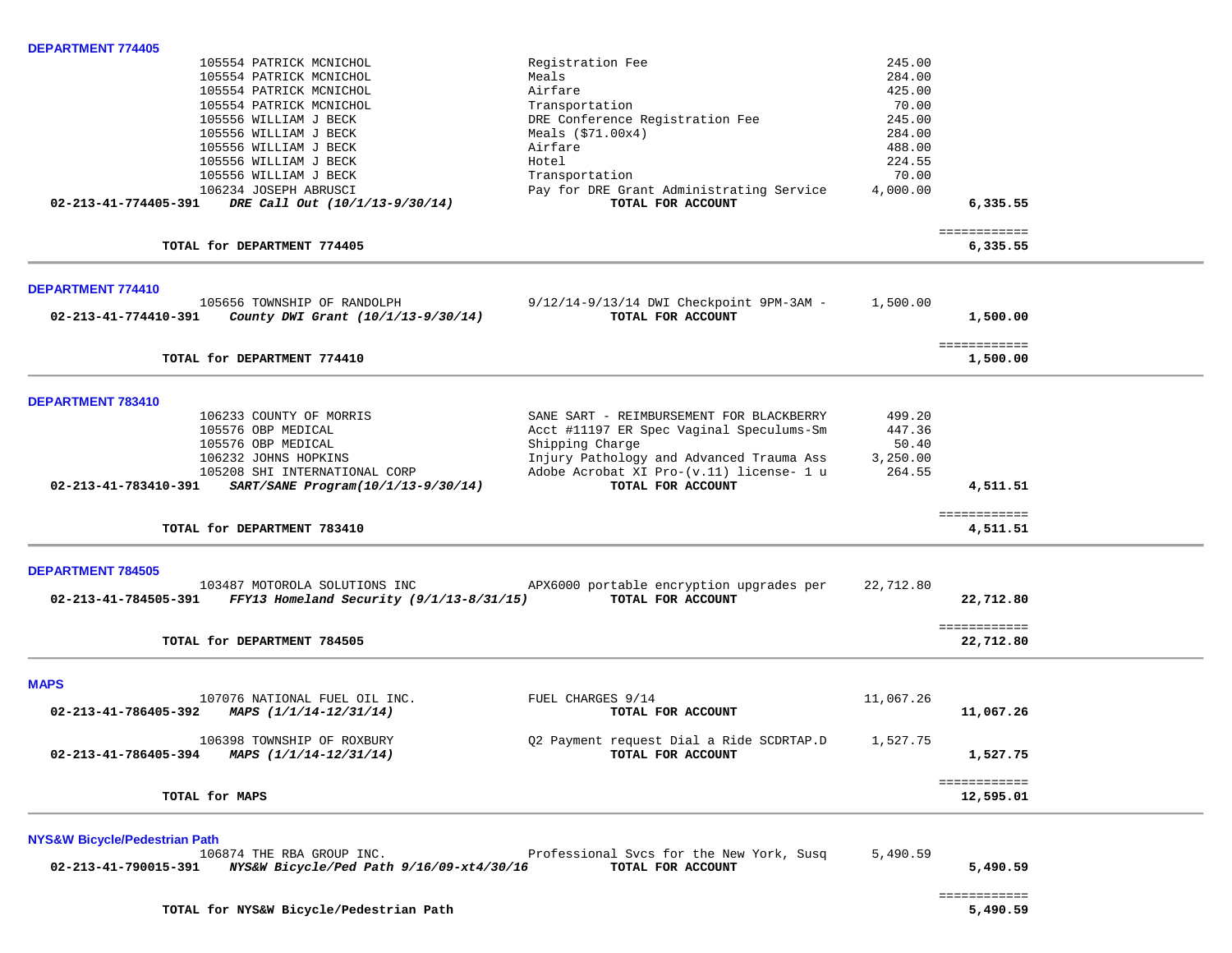| <b>DEPARTMENT 774405</b>                                          |                                                               |           |                          |  |
|-------------------------------------------------------------------|---------------------------------------------------------------|-----------|--------------------------|--|
| 105554 PATRICK MCNICHOL                                           | Registration Fee                                              | 245.00    |                          |  |
| 105554 PATRICK MCNICHOL                                           | Meals                                                         | 284.00    |                          |  |
| 105554 PATRICK MCNICHOL                                           | Airfare                                                       | 425.00    |                          |  |
| 105554 PATRICK MCNICHOL                                           | Transportation                                                | 70.00     |                          |  |
| 105556 WILLIAM J BECK                                             | DRE Conference Registration Fee                               | 245.00    |                          |  |
| 105556 WILLIAM J BECK                                             | Meals $(\$71.00x4)$                                           | 284.00    |                          |  |
| 105556 WILLIAM J BECK                                             | Airfare                                                       | 488.00    |                          |  |
| 105556 WILLIAM J BECK                                             | Hotel                                                         | 224.55    |                          |  |
| 105556 WILLIAM J BECK                                             | Transportation                                                | 70.00     |                          |  |
| 106234 JOSEPH ABRUSCI                                             | Pay for DRE Grant Administrating Service<br>TOTAL FOR ACCOUNT | 4,000.00  |                          |  |
| 02-213-41-774405-391 DRE Call Out (10/1/13-9/30/14)               |                                                               |           | 6,335.55                 |  |
| TOTAL for DEPARTMENT 774405                                       |                                                               |           | ============<br>6,335.55 |  |
| DEPARTMENT 774410                                                 |                                                               |           |                          |  |
| 105656 TOWNSHIP OF RANDOLPH                                       | 9/12/14-9/13/14 DWI Checkpoint 9PM-3AM -                      | 1,500.00  |                          |  |
| $02-213-41-774410-391$ County DWI Grant (10/1/13-9/30/14)         | TOTAL FOR ACCOUNT                                             |           | 1,500.00                 |  |
|                                                                   |                                                               |           | ============             |  |
| TOTAL for DEPARTMENT 774410                                       |                                                               |           | 1,500.00                 |  |
| DEPARTMENT 783410                                                 |                                                               |           |                          |  |
| 106233 COUNTY OF MORRIS                                           | SANE SART - REIMBURSEMENT FOR BLACKBERRY                      | 499.20    |                          |  |
| 105576 OBP MEDICAL                                                | Acct #11197 ER Spec Vaginal Speculums-Sm                      | 447.36    |                          |  |
| 105576 OBP MEDICAL                                                | Shipping Charge                                               | 50.40     |                          |  |
| 106232 JOHNS HOPKINS                                              | Injury Pathology and Advanced Trauma Ass                      | 3,250.00  |                          |  |
| 105208 SHI INTERNATIONAL CORP                                     | Adobe Acrobat XI Pro-(v.11) license- 1 u                      | 264.55    |                          |  |
| 02-213-41-783410-391 SART/SANE Program(10/1/13-9/30/14)           | TOTAL FOR ACCOUNT                                             |           | 4,511.51                 |  |
| TOTAL for DEPARTMENT 783410                                       |                                                               |           | ============<br>4,511.51 |  |
|                                                                   |                                                               |           |                          |  |
| <b>DEPARTMENT 784505</b><br>103487 MOTOROLA SOLUTIONS INC         | APX6000 portable encryption upgrades per                      | 22,712.80 |                          |  |
| 02-213-41-784505-391 FFY13 Homeland Security $(9/1/13 - 8/31/15)$ | TOTAL FOR ACCOUNT                                             |           | 22,712.80                |  |
|                                                                   |                                                               |           | ============             |  |
| TOTAL for DEPARTMENT 784505                                       |                                                               |           | 22,712.80                |  |
| <b>MAPS</b>                                                       |                                                               |           |                          |  |
| 107076 NATIONAL FUEL OIL INC.                                     | FUEL CHARGES 9/14                                             | 11,067.26 |                          |  |
| MAPS (1/1/14-12/31/14)<br>02-213-41-786405-392                    | TOTAL FOR ACCOUNT                                             |           | 11,067.26                |  |
| 106398 TOWNSHIP OF ROXBURY                                        | Q2 Payment request Dial a Ride SCDRTAP.D                      | 1,527.75  |                          |  |
| 02-213-41-786405-394<br>MAPS (1/1/14-12/31/14)                    | TOTAL FOR ACCOUNT                                             |           | 1,527.75                 |  |
|                                                                   |                                                               |           | ============             |  |
| TOTAL for MAPS                                                    |                                                               |           | 12,595.01                |  |
| <b>NYS&amp;W Bicycle/Pedestrian Path</b>                          |                                                               |           |                          |  |
| 106874 THE RBA GROUP INC.                                         | Professional Svcs for the New York, Susq                      | 5,490.59  |                          |  |
| NYS&W Bicycle/Ped Path 9/16/09-xt4/30/16<br>02-213-41-790015-391  | TOTAL FOR ACCOUNT                                             |           | 5,490.59                 |  |

**TOTAL for NYS&W Bicycle/Pedestrian Path 5,490.59**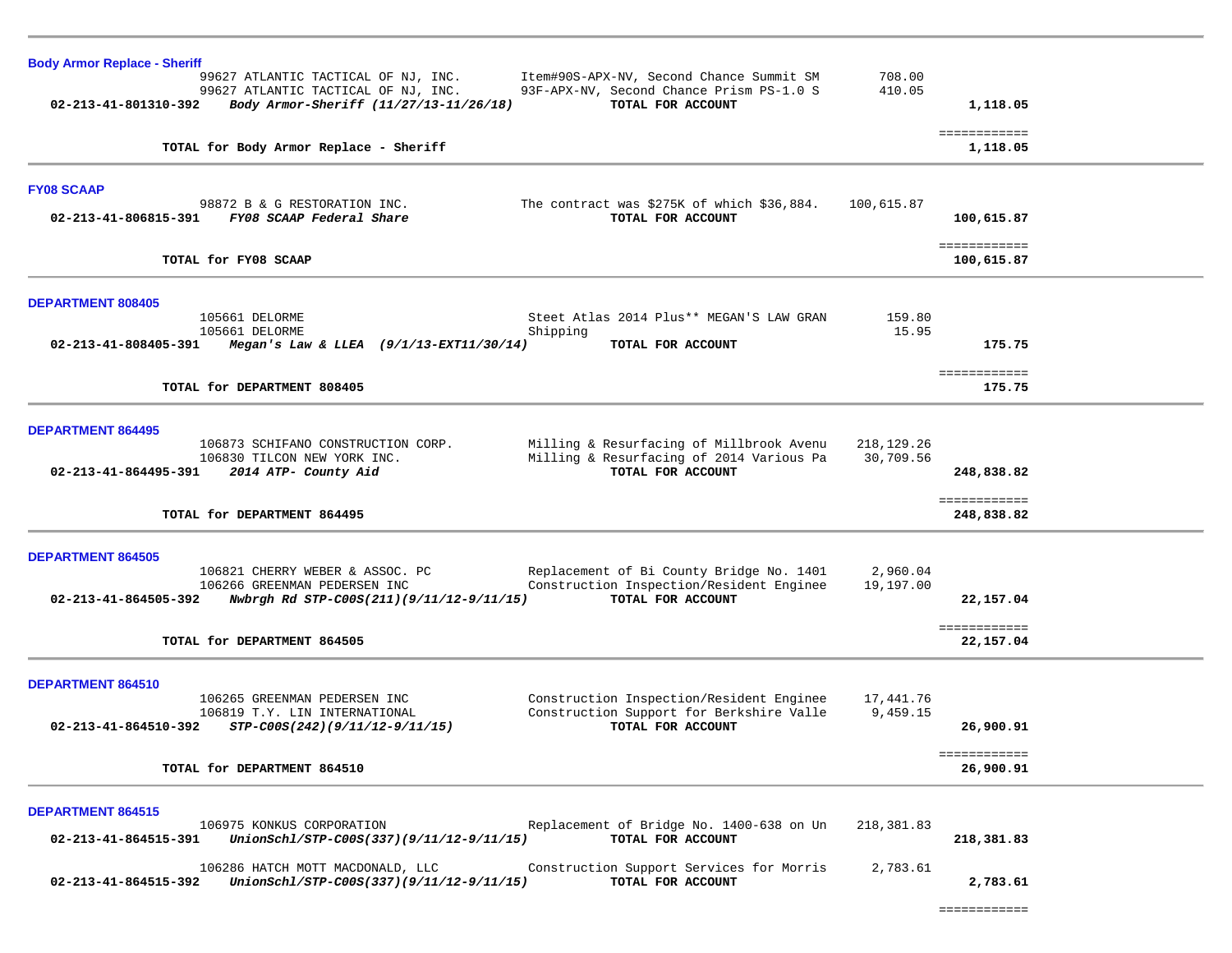| <b>Body Armor Replace - Sheriff</b>                                                                                                                                                                                                                       |                              |
|-----------------------------------------------------------------------------------------------------------------------------------------------------------------------------------------------------------------------------------------------------------|------------------------------|
| Item#90S-APX-NV, Second Chance Summit SM<br>99627 ATLANTIC TACTICAL OF NJ, INC.<br>93F-APX-NV, Second Chance Prism PS-1.0 S<br>99627 ATLANTIC TACTICAL OF NJ, INC.<br>Body Armor-Sheriff (11/27/13-11/26/18)<br>TOTAL FOR ACCOUNT<br>02-213-41-801310-392 | 708.00<br>410.05<br>1,118.05 |
| TOTAL for Body Armor Replace - Sheriff                                                                                                                                                                                                                    | ============<br>1,118.05     |
| <b>FY08 SCAAP</b>                                                                                                                                                                                                                                         |                              |
| 98872 B & G RESTORATION INC.<br>The contract was \$275K of which \$36,884.<br>FY08 SCAAP Federal Share<br>02-213-41-806815-391<br>TOTAL FOR ACCOUNT                                                                                                       | 100,615.87<br>100,615.87     |
| TOTAL for FY08 SCAAP                                                                                                                                                                                                                                      | ============<br>100,615.87   |
| <b>DEPARTMENT 808405</b>                                                                                                                                                                                                                                  |                              |
| Steet Atlas 2014 Plus** MEGAN'S LAW GRAN<br>105661 DELORME<br>105661 DELORME<br>Shipping                                                                                                                                                                  | 159.80<br>15.95              |
| 02-213-41-808405-391<br>Megan's Law & LLEA $(9/1/13 - EXT11/30/14)$<br>TOTAL FOR ACCOUNT                                                                                                                                                                  | 175.75                       |
| TOTAL for DEPARTMENT 808405                                                                                                                                                                                                                               | ============<br>175.75       |
| <b>DEPARTMENT 864495</b>                                                                                                                                                                                                                                  |                              |
| 106873 SCHIFANO CONSTRUCTION CORP.<br>Milling & Resurfacing of Millbrook Avenu                                                                                                                                                                            | 218, 129. 26                 |
| Milling & Resurfacing of 2014 Various Pa<br>106830 TILCON NEW YORK INC.<br>TOTAL FOR ACCOUNT<br>$02 - 213 - 41 - 864495 - 391$<br>2014 ATP- County Aid                                                                                                    | 30,709.56<br>248,838.82      |
| TOTAL for DEPARTMENT 864495                                                                                                                                                                                                                               | ============<br>248,838.82   |
| <b>DEPARTMENT 864505</b>                                                                                                                                                                                                                                  |                              |
| 106821 CHERRY WEBER & ASSOC. PC<br>Replacement of Bi County Bridge No. 1401                                                                                                                                                                               | 2,960.04                     |
| 106266 GREENMAN PEDERSEN INC<br>Construction Inspection/Resident Enginee<br>TOTAL FOR ACCOUNT<br>02-213-41-864505-392<br>Nwbrgh Rd STP-C00S(211)(9/11/12-9/11/15)                                                                                         | 19,197.00<br>22,157.04       |
| TOTAL for DEPARTMENT 864505                                                                                                                                                                                                                               | ============<br>22,157.04    |
| DEPARTMENT 864510                                                                                                                                                                                                                                         |                              |
| 106265 GREENMAN PEDERSEN INC<br>Construction Inspection/Resident Enginee                                                                                                                                                                                  | 17,441.76                    |
| 106819 T.Y. LIN INTERNATIONAL<br>Construction Support for Berkshire Valle<br>TOTAL FOR ACCOUNT<br>02-213-41-864510-392<br>STP-C00S(242)(9/11/12-9/11/15)                                                                                                  | 9,459.15<br>26,900.91        |
| TOTAL for DEPARTMENT 864510                                                                                                                                                                                                                               | ============<br>26,900.91    |
| DEPARTMENT 864515                                                                                                                                                                                                                                         |                              |
| 106975 KONKUS CORPORATION<br>Replacement of Bridge No. 1400-638 on Un<br>TOTAL FOR ACCOUNT<br>UnionSchl/STP-C00S(337)(9/11/12-9/11/15)<br>02-213-41-864515-391                                                                                            | 218,381.83<br>218,381.83     |
| Construction Support Services for Morris<br>106286 HATCH MOTT MACDONALD, LLC<br>UnionSchl/STP-C00S(337)(9/11/12-9/11/15)<br>02-213-41-864515-392<br>TOTAL FOR ACCOUNT                                                                                     | 2,783.61<br>2,783.61         |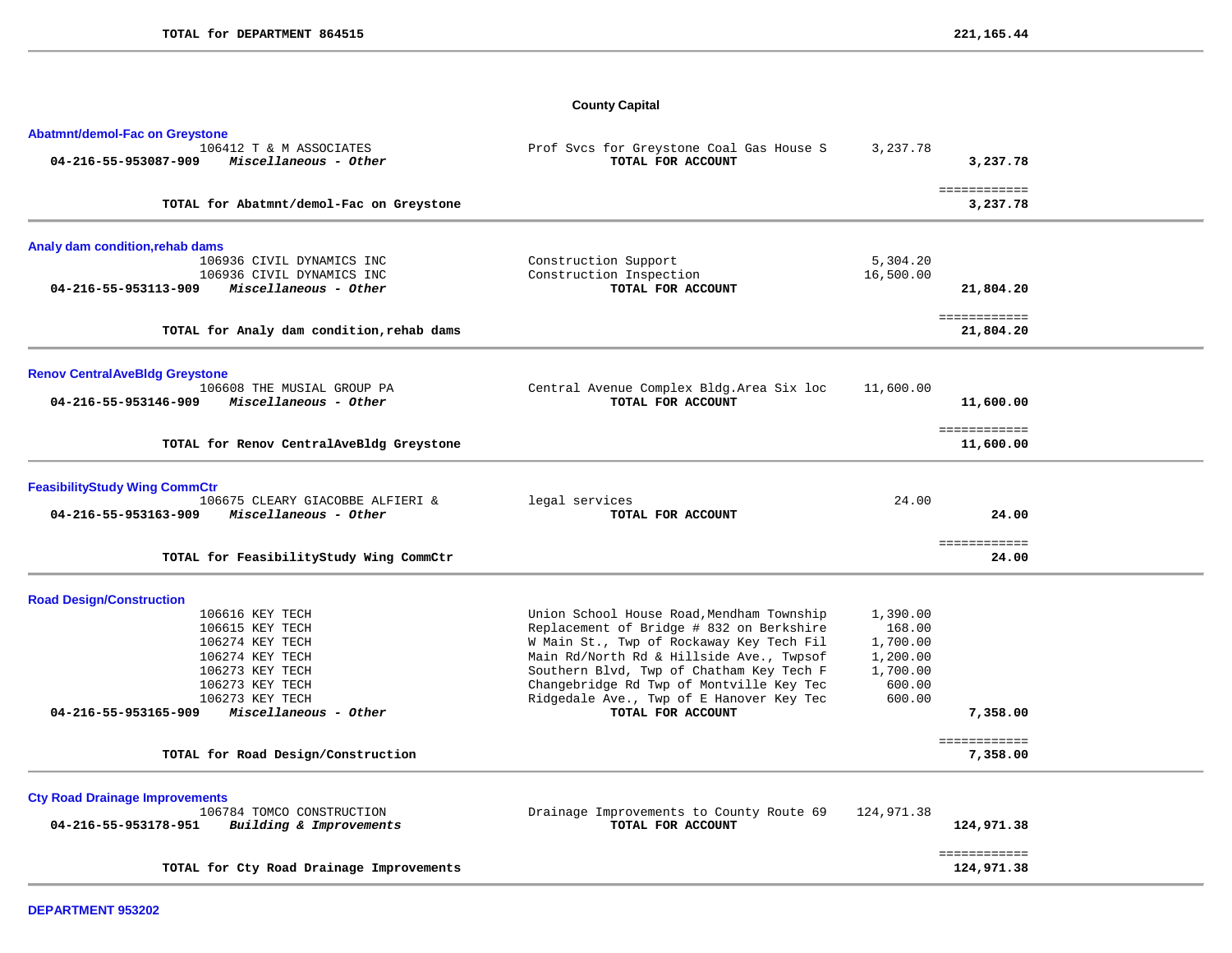# **County Capital**

| Abatmnt/demol-Fac on Greystone                                                    |                                                                                      |                      |                           |
|-----------------------------------------------------------------------------------|--------------------------------------------------------------------------------------|----------------------|---------------------------|
| 106412 T & M ASSOCIATES<br>04-216-55-953087-909<br>Miscellaneous - Other          | Prof Svcs for Greystone Coal Gas House S<br>TOTAL FOR ACCOUNT                        | 3,237.78             | 3,237.78                  |
| TOTAL for Abatmnt/demol-Fac on Greystone                                          |                                                                                      |                      | ============<br>3,237.78  |
| Analy dam condition, rehab dams                                                   |                                                                                      |                      |                           |
| 106936 CIVIL DYNAMICS INC                                                         | Construction Support                                                                 | 5,304.20             |                           |
| 106936 CIVIL DYNAMICS INC<br>Miscellaneous - Other<br>04-216-55-953113-909        | Construction Inspection<br>TOTAL FOR ACCOUNT                                         | 16,500.00            | 21,804.20                 |
| TOTAL for Analy dam condition, rehab dams                                         |                                                                                      |                      | ============<br>21,804.20 |
| <b>Renov CentralAveBldg Greystone</b>                                             |                                                                                      |                      |                           |
| 106608 THE MUSIAL GROUP PA<br>04-216-55-953146-909<br>Miscellaneous - Other       | Central Avenue Complex Bldg. Area Six loc<br>TOTAL FOR ACCOUNT                       | 11,600.00            | 11,600.00                 |
| TOTAL for Renov CentralAveBldg Greystone                                          |                                                                                      |                      | ============<br>11,600.00 |
| <b>FeasibilityStudy Wing CommCtr</b>                                              |                                                                                      |                      |                           |
| 106675 CLEARY GIACOBBE ALFIERI &<br>Miscellaneous - Other<br>04-216-55-953163-909 | legal services<br>TOTAL FOR ACCOUNT                                                  | 24.00                | 24.00                     |
| TOTAL for FeasibilityStudy Wing CommCtr                                           |                                                                                      |                      | ============<br>24.00     |
| <b>Road Design/Construction</b>                                                   |                                                                                      |                      |                           |
| 106616 KEY TECH                                                                   | Union School House Road, Mendham Township                                            | 1,390.00             |                           |
| 106615 KEY TECH                                                                   | Replacement of Bridge # 832 on Berkshire                                             | 168.00               |                           |
| 106274 KEY TECH<br>106274 KEY TECH                                                | W Main St., Twp of Rockaway Key Tech Fil<br>Main Rd/North Rd & Hillside Ave., Twpsof | 1,700.00<br>1,200.00 |                           |
| 106273 KEY TECH                                                                   | Southern Blvd, Twp of Chatham Key Tech F                                             | 1,700.00             |                           |
| 106273 KEY TECH                                                                   | Changebridge Rd Twp of Montville Key Tec                                             | 600.00               |                           |
| 106273 KEY TECH                                                                   | Ridgedale Ave., Twp of E Hanover Key Tec                                             | 600.00               |                           |
| Miscellaneous - Other<br>04-216-55-953165-909                                     | TOTAL FOR ACCOUNT                                                                    |                      | 7,358.00                  |
| TOTAL for Road Design/Construction                                                |                                                                                      |                      | ============<br>7,358.00  |
| <b>Cty Road Drainage Improvements</b>                                             |                                                                                      |                      |                           |
| 106784 TOMCO CONSTRUCTION<br>Building & Improvements<br>04-216-55-953178-951      | Drainage Improvements to County Route 69<br>TOTAL FOR ACCOUNT                        | 124,971.38           | 124,971.38                |
|                                                                                   |                                                                                      |                      | ============              |
| TOTAL for Cty Road Drainage Improvements                                          |                                                                                      |                      | 124,971.38                |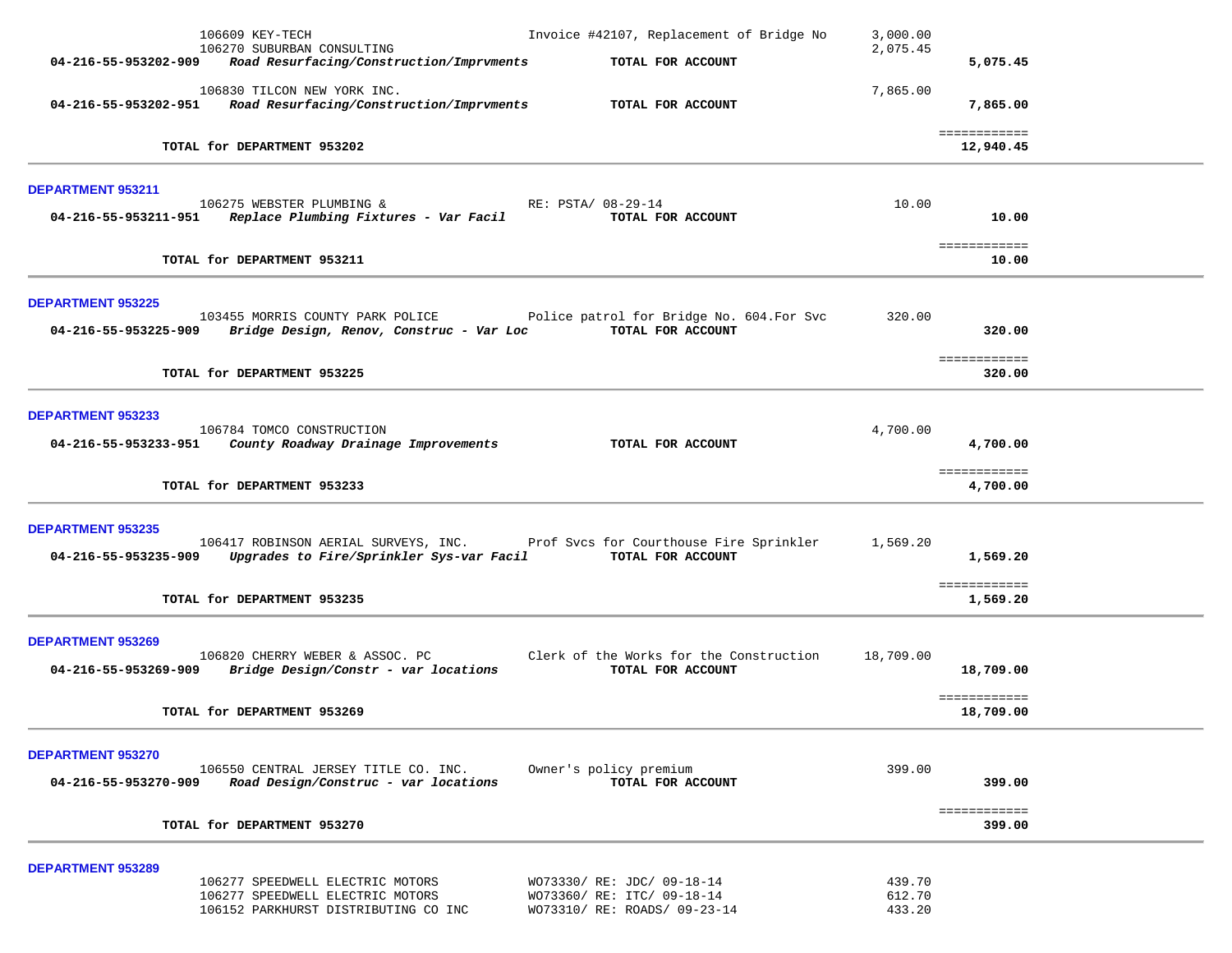|                          | 106609 KEY-TECH<br>106270 SUBURBAN CONSULTING                                                                            | Invoice #42107, Replacement of Bridge No                                                 | 3,000.00<br>2,075.45       |                           |  |
|--------------------------|--------------------------------------------------------------------------------------------------------------------------|------------------------------------------------------------------------------------------|----------------------------|---------------------------|--|
| 04-216-55-953202-909     | Road Resurfacing/Construction/Imprvments                                                                                 | TOTAL FOR ACCOUNT                                                                        |                            | 5,075.45                  |  |
| 04-216-55-953202-951     | 106830 TILCON NEW YORK INC.<br>Road Resurfacing/Construction/Imprvments                                                  | TOTAL FOR ACCOUNT                                                                        | 7,865.00                   | 7,865.00                  |  |
|                          | TOTAL for DEPARTMENT 953202                                                                                              |                                                                                          |                            | ============<br>12,940.45 |  |
| DEPARTMENT 953211        |                                                                                                                          |                                                                                          |                            |                           |  |
| 04-216-55-953211-951     | 106275 WEBSTER PLUMBING &<br>Replace Plumbing Fixtures - Var Facil                                                       | RE: PSTA/ 08-29-14<br>TOTAL FOR ACCOUNT                                                  | 10.00                      | 10.00                     |  |
|                          | TOTAL for DEPARTMENT 953211                                                                                              |                                                                                          |                            | ============<br>10.00     |  |
| <b>DEPARTMENT 953225</b> |                                                                                                                          |                                                                                          |                            |                           |  |
| 04-216-55-953225-909     | 103455 MORRIS COUNTY PARK POLICE<br>Bridge Design, Renov, Construc - Var Loc                                             | Police patrol for Bridge No. 604. For Svc<br>TOTAL FOR ACCOUNT                           | 320.00                     | 320.00                    |  |
|                          | TOTAL for DEPARTMENT 953225                                                                                              |                                                                                          |                            | ============<br>320.00    |  |
| <b>DEPARTMENT 953233</b> |                                                                                                                          |                                                                                          |                            |                           |  |
| 04-216-55-953233-951     | 106784 TOMCO CONSTRUCTION<br>County Roadway Drainage Improvements                                                        | TOTAL FOR ACCOUNT                                                                        | 4,700.00                   | 4,700.00                  |  |
|                          | TOTAL for DEPARTMENT 953233                                                                                              |                                                                                          |                            | ============<br>4,700.00  |  |
| <b>DEPARTMENT 953235</b> |                                                                                                                          |                                                                                          |                            |                           |  |
| 04-216-55-953235-909     | 106417 ROBINSON AERIAL SURVEYS, INC. Prof Svcs for Courthouse Fire Sprinkler<br>Upgrades to Fire/Sprinkler Sys-var Facil | TOTAL FOR ACCOUNT                                                                        | 1,569.20                   | 1,569.20                  |  |
|                          | TOTAL for DEPARTMENT 953235                                                                                              |                                                                                          |                            | ============<br>1,569.20  |  |
| <b>DEPARTMENT 953269</b> |                                                                                                                          |                                                                                          |                            |                           |  |
| 04-216-55-953269-909     | 106820 CHERRY WEBER & ASSOC. PC<br>Bridge Design/Constr - var locations                                                  | Clerk of the Works for the Construction<br>TOTAL FOR ACCOUNT                             | 18,709.00                  | 18,709.00                 |  |
|                          | TOTAL for DEPARTMENT 953269                                                                                              |                                                                                          |                            | ============<br>18,709.00 |  |
| <b>DEPARTMENT 953270</b> |                                                                                                                          |                                                                                          |                            |                           |  |
| 04-216-55-953270-909     | 106550 CENTRAL JERSEY TITLE CO. INC.<br>Road Design/Construc - var locations                                             | Owner's policy premium<br>TOTAL FOR ACCOUNT                                              | 399.00                     | 399.00                    |  |
|                          | TOTAL for DEPARTMENT 953270                                                                                              |                                                                                          |                            | ============<br>399.00    |  |
| <b>DEPARTMENT 953289</b> |                                                                                                                          |                                                                                          |                            |                           |  |
|                          | 106277 SPEEDWELL ELECTRIC MOTORS<br>106277 SPEEDWELL ELECTRIC MOTORS<br>106152 PARKHURST DISTRIBUTING CO INC             | WO73330/ RE: JDC/ 09-18-14<br>WO73360/ RE: ITC/ 09-18-14<br>WO73310/ RE: ROADS/ 09-23-14 | 439.70<br>612.70<br>433.20 |                           |  |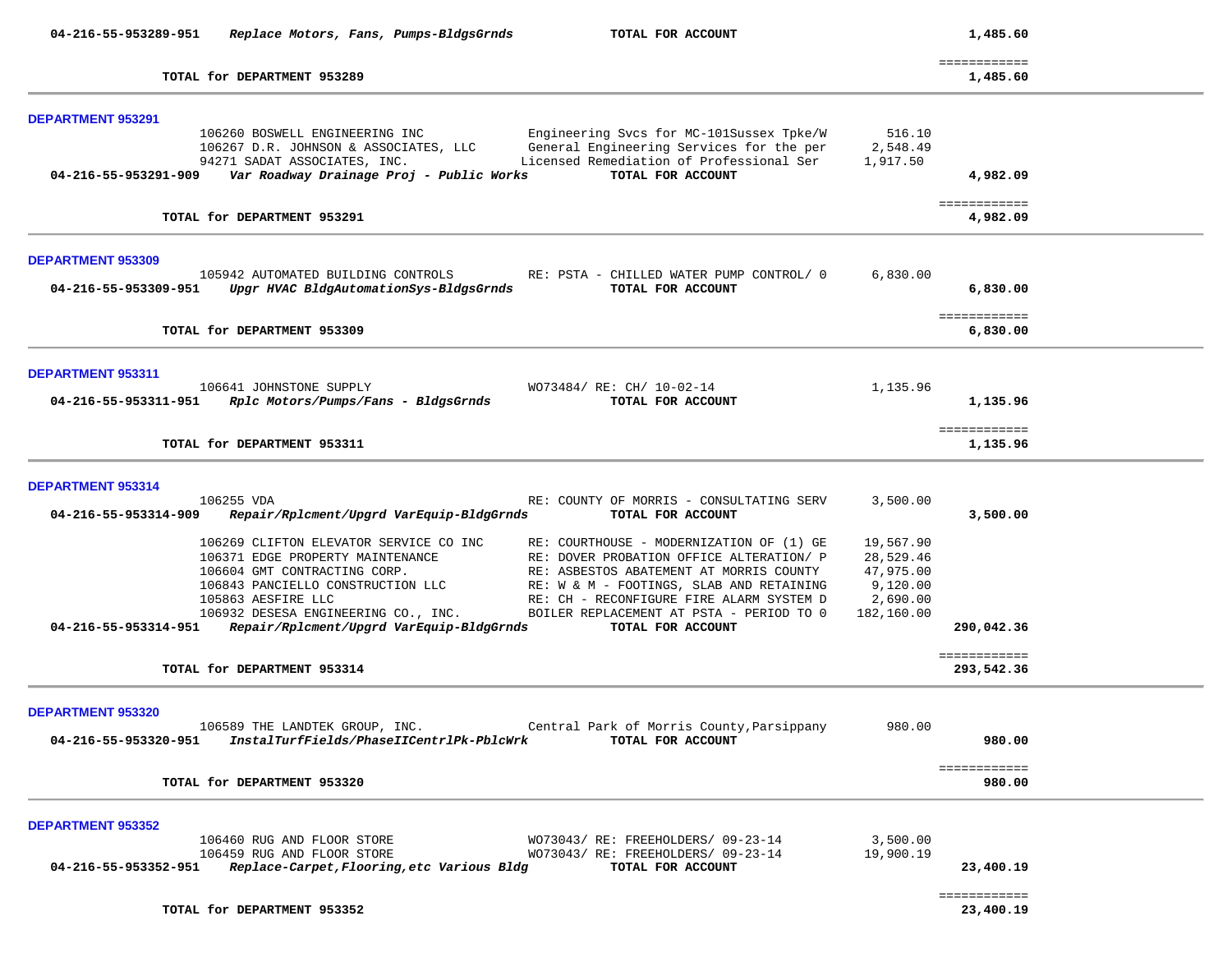| 04-216-55-953289-951                             | Replace Motors, Fans, Pumps-BldgsGrnds                                                                                                                                                                                                                   | TOTAL FOR ACCOUNT                                                                                                                                                                                                                                                                        |                                                                           | 1,485.60                   |  |
|--------------------------------------------------|----------------------------------------------------------------------------------------------------------------------------------------------------------------------------------------------------------------------------------------------------------|------------------------------------------------------------------------------------------------------------------------------------------------------------------------------------------------------------------------------------------------------------------------------------------|---------------------------------------------------------------------------|----------------------------|--|
|                                                  | TOTAL for DEPARTMENT 953289                                                                                                                                                                                                                              |                                                                                                                                                                                                                                                                                          |                                                                           | ============<br>1,485.60   |  |
| <b>DEPARTMENT 953291</b><br>04-216-55-953291-909 | 106260 BOSWELL ENGINEERING INC<br>106267 D.R. JOHNSON & ASSOCIATES, LLC<br>94271 SADAT ASSOCIATES, INC.<br>Var Roadway Drainage Proj - Public Works                                                                                                      | Engineering Svcs for MC-101Sussex Tpke/W<br>General Engineering Services for the per<br>Licensed Remediation of Professional Ser<br>TOTAL FOR ACCOUNT                                                                                                                                    | 516.10<br>2,548.49<br>1,917.50                                            | 4,982.09                   |  |
|                                                  | TOTAL for DEPARTMENT 953291                                                                                                                                                                                                                              |                                                                                                                                                                                                                                                                                          |                                                                           | ============<br>4,982.09   |  |
| <b>DEPARTMENT 953309</b>                         | 105942 AUTOMATED BUILDING CONTROLS<br>04-216-55-953309-951 Upgr HVAC BldgAutomationSys-BldgsGrnds                                                                                                                                                        | RE: PSTA - CHILLED WATER PUMP CONTROL/ 0<br>TOTAL FOR ACCOUNT                                                                                                                                                                                                                            | 6,830.00                                                                  | 6,830.00                   |  |
|                                                  | TOTAL for DEPARTMENT 953309                                                                                                                                                                                                                              |                                                                                                                                                                                                                                                                                          |                                                                           | ============<br>6,830.00   |  |
| <b>DEPARTMENT 953311</b><br>04-216-55-953311-951 | 106641 JOHNSTONE SUPPLY<br>Rplc Motors/Pumps/Fans - BldgsGrnds                                                                                                                                                                                           | WO73484/ RE: CH/ 10-02-14<br>TOTAL FOR ACCOUNT                                                                                                                                                                                                                                           | 1,135.96                                                                  | 1,135.96                   |  |
|                                                  | TOTAL for DEPARTMENT 953311                                                                                                                                                                                                                              |                                                                                                                                                                                                                                                                                          |                                                                           | ============<br>1,135.96   |  |
| DEPARTMENT 953314<br>04-216-55-953314-909        | 106255 VDA<br>Repair/Rplcment/Upgrd VarEquip-BldgGrnds                                                                                                                                                                                                   | RE: COUNTY OF MORRIS - CONSULTATING SERV<br>TOTAL FOR ACCOUNT                                                                                                                                                                                                                            | 3,500.00                                                                  | 3,500.00                   |  |
| 04-216-55-953314-951                             | 106269 CLIFTON ELEVATOR SERVICE CO INC<br>106371 EDGE PROPERTY MAINTENANCE<br>106604 GMT CONTRACTING CORP.<br>106843 PANCIELLO CONSTRUCTION LLC<br>105863 AESFIRE LLC<br>106932 DESESA ENGINEERING CO., INC.<br>Repair/Rplcment/Upgrd VarEquip-BldgGrnds | RE: COURTHOUSE - MODERNIZATION OF (1) GE<br>RE: DOVER PROBATION OFFICE ALTERATION/ P<br>RE: ASBESTOS ABATEMENT AT MORRIS COUNTY<br>RE: W & M - FOOTINGS, SLAB AND RETAINING<br>RE: CH - RECONFIGURE FIRE ALARM SYSTEM D<br>BOILER REPLACEMENT AT PSTA - PERIOD TO 0<br>TOTAL FOR ACCOUNT | 19,567.90<br>28,529.46<br>47,975.00<br>9,120.00<br>2,690.00<br>182,160.00 | 290,042.36                 |  |
|                                                  | TOTAL for DEPARTMENT 953314                                                                                                                                                                                                                              |                                                                                                                                                                                                                                                                                          |                                                                           | ============<br>293,542.36 |  |
| <b>DEPARTMENT 953320</b>                         | 106589 THE LANDTEK GROUP, INC.<br>04-216-55-953320-951 InstalTurfFields/PhaseIICentrlPk-PblcWrk                                                                                                                                                          | Central Park of Morris County, Parsippany<br>TOTAL FOR ACCOUNT                                                                                                                                                                                                                           | 980.00                                                                    | 980.00                     |  |
|                                                  | TOTAL for DEPARTMENT 953320                                                                                                                                                                                                                              |                                                                                                                                                                                                                                                                                          |                                                                           | ============<br>980.00     |  |
| <b>DEPARTMENT 953352</b>                         | 106460 RUG AND FLOOR STORE<br>106459 RUG AND FLOOR STORE<br>04-216-55-953352-951 Replace-Carpet, Flooring, etc Various Bldg                                                                                                                              | WO73043/RE: FREEHOLDERS/09-23-14<br>WO73043/RE: FREEHOLDERS/09-23-14<br>TOTAL FOR ACCOUNT                                                                                                                                                                                                | 3,500.00<br>19,900.19                                                     | 23,400.19                  |  |
|                                                  | TOTAL for DEPARTMENT 953352                                                                                                                                                                                                                              |                                                                                                                                                                                                                                                                                          |                                                                           | ============<br>23,400.19  |  |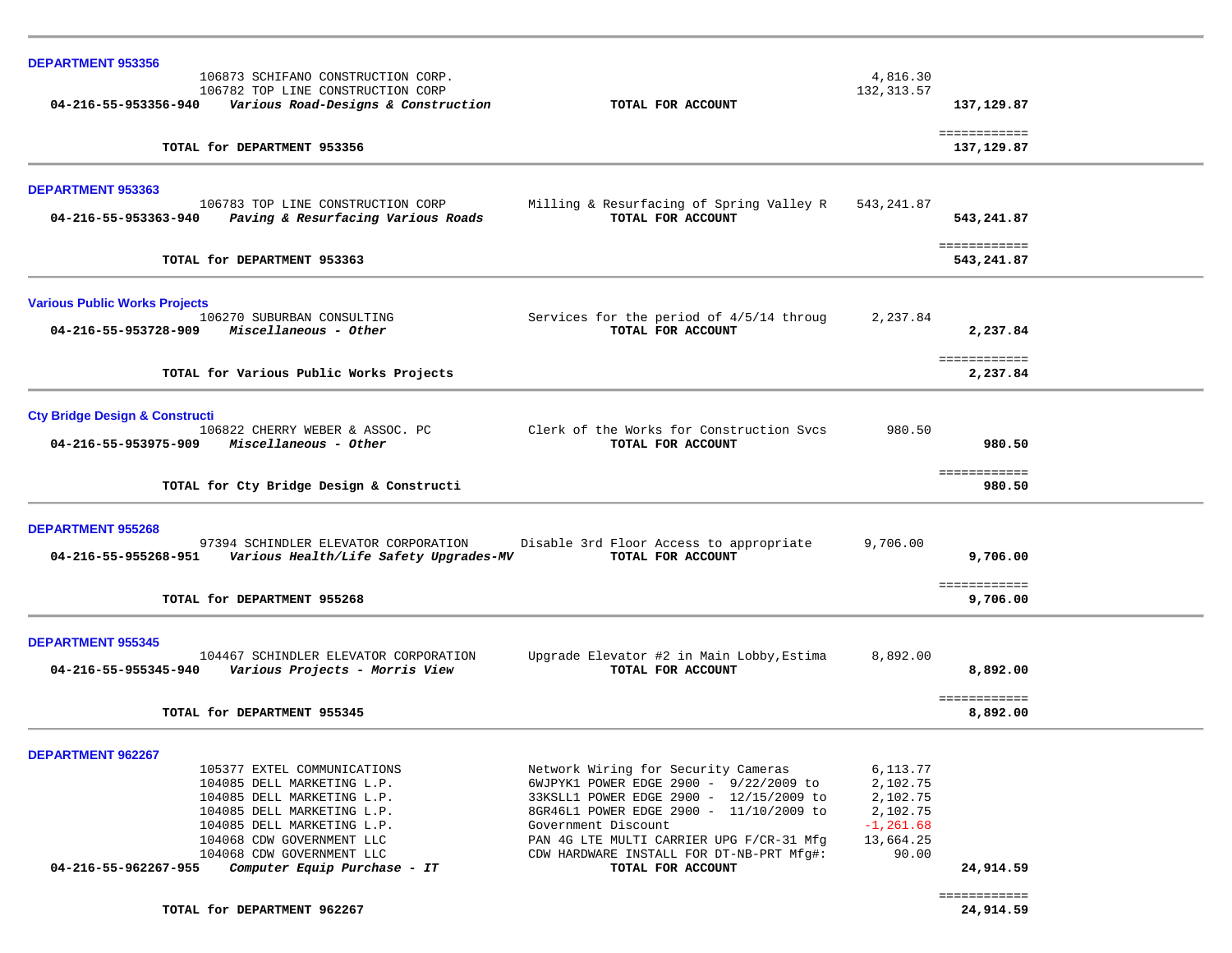| <b>DEPARTMENT 953356</b>                                          |                                                                                      |                    |                            |
|-------------------------------------------------------------------|--------------------------------------------------------------------------------------|--------------------|----------------------------|
| 106873 SCHIFANO CONSTRUCTION CORP.                                |                                                                                      | 4,816.30           |                            |
| 106782 TOP LINE CONSTRUCTION CORP                                 |                                                                                      | 132, 313.57        |                            |
| 04-216-55-953356-940<br>Various Road-Designs & Construction       | TOTAL FOR ACCOUNT                                                                    |                    | 137,129.87                 |
| TOTAL for DEPARTMENT 953356                                       |                                                                                      |                    | ============<br>137,129.87 |
| DEPARTMENT 953363                                                 |                                                                                      |                    |                            |
| 106783 TOP LINE CONSTRUCTION CORP                                 | Milling & Resurfacing of Spring Valley R                                             | 543,241.87         |                            |
| 04-216-55-953363-940<br>Paving & Resurfacing Various Roads        | TOTAL FOR ACCOUNT                                                                    |                    | 543,241.87                 |
|                                                                   |                                                                                      |                    | <b>EEEEEEEEEEE</b>         |
| TOTAL for DEPARTMENT 953363                                       |                                                                                      |                    | 543,241.87                 |
| <b>Various Public Works Projects</b>                              |                                                                                      |                    |                            |
| 106270 SUBURBAN CONSULTING                                        | Services for the period of 4/5/14 throug                                             | 2,237.84           |                            |
| Miscellaneous - Other<br>04-216-55-953728-909                     | TOTAL FOR ACCOUNT                                                                    |                    | 2,237.84                   |
|                                                                   |                                                                                      |                    | ============               |
| TOTAL for Various Public Works Projects                           |                                                                                      |                    | 2,237.84                   |
| <b>Cty Bridge Design &amp; Constructi</b>                         |                                                                                      |                    |                            |
| 106822 CHERRY WEBER & ASSOC. PC                                   | Clerk of the Works for Construction Svcs                                             | 980.50             |                            |
| Miscellaneous - Other<br>04-216-55-953975-909                     | TOTAL FOR ACCOUNT                                                                    |                    | 980.50                     |
|                                                                   |                                                                                      |                    | ============               |
| TOTAL for Cty Bridge Design & Constructi                          |                                                                                      |                    | 980.50                     |
| <b>DEPARTMENT 955268</b>                                          |                                                                                      |                    |                            |
| 97394 SCHINDLER ELEVATOR CORPORATION                              | Disable 3rd Floor Access to appropriate                                              | 9,706.00           |                            |
| 04-216-55-955268-951<br>Various Health/Life Safety Upgrades-MV    | TOTAL FOR ACCOUNT                                                                    |                    | 9,706.00                   |
|                                                                   |                                                                                      |                    | ============               |
| TOTAL for DEPARTMENT 955268                                       |                                                                                      |                    | 9,706.00                   |
|                                                                   |                                                                                      |                    |                            |
| <b>DEPARTMENT 955345</b><br>104467 SCHINDLER ELEVATOR CORPORATION | Upgrade Elevator #2 in Main Lobby, Estima                                            | 8,892.00           |                            |
| 04-216-55-955345-940<br>Various Projects - Morris View            | TOTAL FOR ACCOUNT                                                                    |                    | 8,892.00                   |
|                                                                   |                                                                                      |                    | ============               |
| TOTAL for DEPARTMENT 955345                                       |                                                                                      |                    | 8,892.00                   |
|                                                                   |                                                                                      |                    |                            |
| <b>DEPARTMENT 962267</b><br>105377 EXTEL COMMUNICATIONS           | Network Wiring for Security Cameras                                                  | 6,113.77           |                            |
| 104085 DELL MARKETING L.P.                                        | 6WJPYK1 POWER EDGE 2900 - 9/22/2009 to                                               | 2,102.75           |                            |
| 104085 DELL MARKETING L.P.                                        | 33KSLL1 POWER EDGE 2900 - 12/15/2009 to                                              | 2,102.75           |                            |
| 104085 DELL MARKETING L.P.                                        | 8GR46L1 POWER EDGE 2900 - 11/10/2009 to                                              | 2,102.75           |                            |
| 104085 DELL MARKETING L.P.                                        | Government Discount                                                                  | $-1, 261.68$       |                            |
| 104068 CDW GOVERNMENT LLC<br>104068 CDW GOVERNMENT LLC            | PAN 4G LTE MULTI CARRIER UPG F/CR-31 Mfg<br>CDW HARDWARE INSTALL FOR DT-NB-PRT Mfg#: | 13,664.25<br>90.00 |                            |
| Computer Equip Purchase - IT<br>04-216-55-962267-955              | TOTAL FOR ACCOUNT                                                                    |                    | 24,914.59                  |
|                                                                   |                                                                                      |                    | ============               |
| TOTAL for DEPARTMENT 962267                                       |                                                                                      |                    | 24,914.59                  |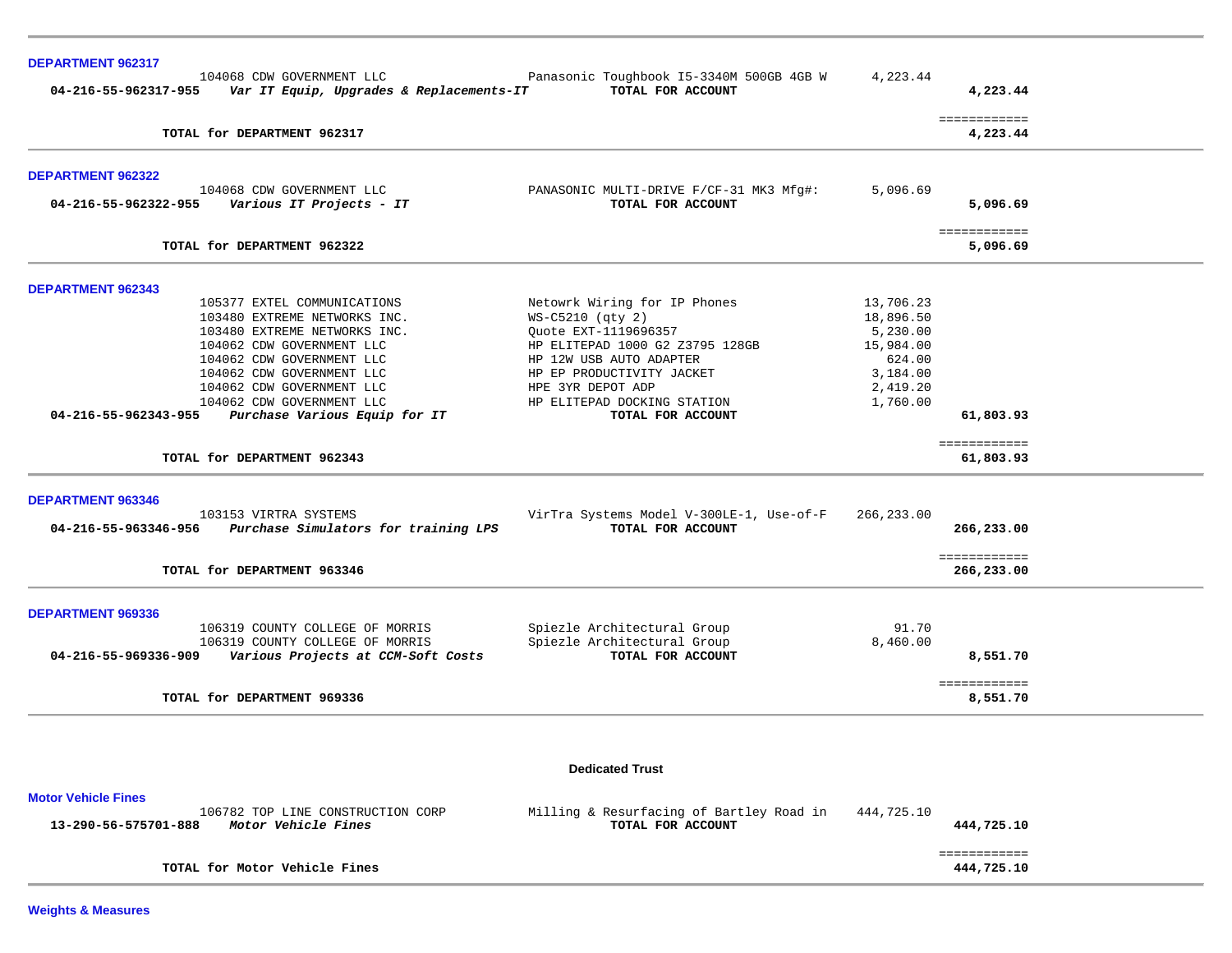| DEPARTMENT 962317          |                                                                                            |                                                               |            |                            |  |
|----------------------------|--------------------------------------------------------------------------------------------|---------------------------------------------------------------|------------|----------------------------|--|
|                            | 104068 CDW GOVERNMENT LLC<br>04-216-55-962317-955 Var IT Equip, Upgrades & Replacements-IT | Panasonic Toughbook I5-3340M 500GB 4GB W<br>TOTAL FOR ACCOUNT | 4,223.44   | 4,223.44                   |  |
|                            | TOTAL for DEPARTMENT 962317                                                                |                                                               |            | ============<br>4,223.44   |  |
| DEPARTMENT 962322          |                                                                                            |                                                               |            |                            |  |
| 04-216-55-962322-955       | 104068 CDW GOVERNMENT LLC<br>Various IT Projects - IT                                      | PANASONIC MULTI-DRIVE F/CF-31 MK3 Mfg#:<br>TOTAL FOR ACCOUNT  | 5,096.69   | 5,096.69                   |  |
|                            | TOTAL for DEPARTMENT 962322                                                                |                                                               |            | ============<br>5,096.69   |  |
| <b>DEPARTMENT 962343</b>   |                                                                                            |                                                               |            |                            |  |
|                            | 105377 EXTEL COMMUNICATIONS                                                                | Netowrk Wiring for IP Phones                                  | 13,706.23  |                            |  |
|                            | 103480 EXTREME NETWORKS INC.                                                               | WS-C5210 (qty 2)                                              | 18,896.50  |                            |  |
|                            | 103480 EXTREME NETWORKS INC.                                                               | Quote EXT-1119696357                                          | 5,230.00   |                            |  |
|                            | 104062 CDW GOVERNMENT LLC                                                                  | HP ELITEPAD 1000 G2 Z3795 128GB                               | 15,984.00  |                            |  |
|                            | 104062 CDW GOVERNMENT LLC                                                                  | HP 12W USB AUTO ADAPTER                                       | 624.00     |                            |  |
|                            | 104062 CDW GOVERNMENT LLC                                                                  | HP EP PRODUCTIVITY JACKET                                     | 3,184.00   |                            |  |
|                            | 104062 CDW GOVERNMENT LLC                                                                  | HPE 3YR DEPOT ADP                                             | 2,419.20   |                            |  |
| 04-216-55-962343-955       | 104062 CDW GOVERNMENT LLC<br>Purchase Various Equip for IT                                 | HP ELITEPAD DOCKING STATION<br>TOTAL FOR ACCOUNT              | 1,760.00   | 61,803.93                  |  |
|                            |                                                                                            |                                                               |            | ============               |  |
|                            | TOTAL for DEPARTMENT 962343                                                                |                                                               |            | 61,803.93                  |  |
| <b>DEPARTMENT 963346</b>   |                                                                                            |                                                               |            |                            |  |
|                            | 103153 VIRTRA SYSTEMS<br>04-216-55-963346-956 Purchase Simulators for training LPS         | VirTra Systems Model V-300LE-1, Use-of-F<br>TOTAL FOR ACCOUNT | 266,233.00 | 266,233.00                 |  |
|                            | TOTAL for DEPARTMENT 963346                                                                |                                                               |            | ============<br>266,233.00 |  |
| DEPARTMENT 969336          |                                                                                            |                                                               |            |                            |  |
|                            | 106319 COUNTY COLLEGE OF MORRIS                                                            | Spiezle Architectural Group                                   | 91.70      |                            |  |
|                            | 106319 COUNTY COLLEGE OF MORRIS                                                            | Spiezle Architectural Group                                   | 8,460.00   |                            |  |
| 04-216-55-969336-909       | Various Projects at CCM-Soft Costs                                                         | TOTAL FOR ACCOUNT                                             |            | 8,551.70                   |  |
|                            | TOTAL for DEPARTMENT 969336                                                                |                                                               |            | ============<br>8,551.70   |  |
|                            |                                                                                            |                                                               |            |                            |  |
|                            |                                                                                            | <b>Dedicated Trust</b>                                        |            |                            |  |
| <b>Motor Vehicle Fines</b> |                                                                                            |                                                               |            |                            |  |
|                            | 106782 TOP LINE CONSTRUCTION CORP                                                          | Milling & Resurfacing of Bartley Road in                      | 444,725.10 |                            |  |

| 13-290-56-575701-888<br>Motor Vehicle Fines | TOTAL FOR ACCOUNT | 444,725.10 |
|---------------------------------------------|-------------------|------------|
|                                             |                   |            |
| TOTAL for Motor Vehicle Fines               |                   | 444,725.10 |